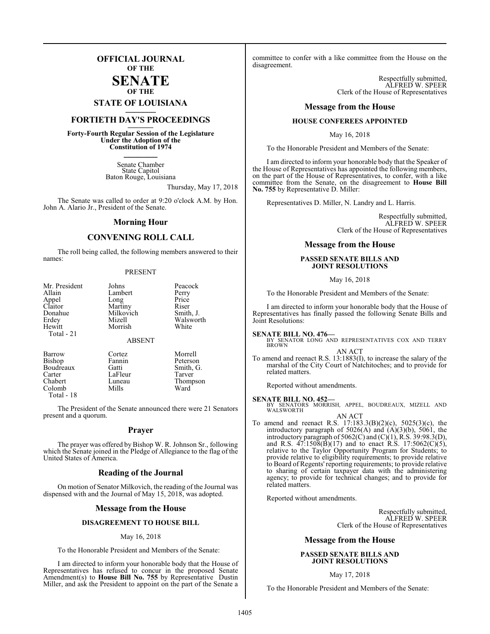# **OFFICIAL JOURNAL OF THE**

**SENATE OF THE**

# **STATE OF LOUISIANA \_\_\_\_\_\_\_**

# **FORTIETH DAY'S PROCEEDINGS \_\_\_\_\_\_\_**

**Forty-Fourth Regular Session of the Legislature Under the Adoption of the Constitution of 1974 \_\_\_\_\_\_\_**

> Senate Chamber State Capitol Baton Rouge, Louisiana

> > Thursday, May 17, 2018

The Senate was called to order at 9:20 o'clock A.M. by Hon. John A. Alario Jr., President of the Senate.

# **Morning Hour**

# **CONVENING ROLL CALL**

The roll being called, the following members answered to their names:

## PRESENT

| Mr. President | Johns         | Peacock   |
|---------------|---------------|-----------|
| Allain        | Lambert       | Perry     |
| Appel         | Long          | Price     |
| Claitor       | Martiny       | Riser     |
| Donahue       | Milkovich     | Smith, J. |
| Erdey         | Mizell        | Walsworth |
| Hewitt        | Morrish       | White     |
| Total - 21    | <b>ABSENT</b> |           |
| Barrow        | Cortez        | Morrell   |
| <b>Bishop</b> | Fannin        | Peterson  |
| Boudreaux     | Gatti         | Smith, G. |
| Carter        | LaFleur       | Tarver    |
| Chabert       | Luneau        | Thomnson  |

Colomb Total - 18

The President of the Senate announced there were 21 Senators present and a quorum.

Luneau Thompson<br>Mills Ward

# **Prayer**

The prayer was offered by Bishop W. R. Johnson Sr., following which the Senate joined in the Pledge of Allegiance to the flag of the United States of America.

# **Reading of the Journal**

On motion of Senator Milkovich, the reading of the Journal was dispensed with and the Journal of May 15, 2018, was adopted.

# **Message from the House**

# **DISAGREEMENT TO HOUSE BILL**

## May 16, 2018

To the Honorable President and Members of the Senate:

I am directed to inform your honorable body that the House of Representatives has refused to concur in the proposed Senate Amendment(s) to **House Bill No. 755** by Representative Dustin Miller, and ask the President to appoint on the part of the Senate a

committee to confer with a like committee from the House on the disagreement.

> Respectfully submitted, ALFRED W. SPEER Clerk of the House of Representatives

# **Message from the House**

# **HOUSE CONFEREES APPOINTED**

May 16, 2018

To the Honorable President and Members of the Senate:

I am directed to inform your honorable body that the Speaker of the House of Representatives has appointed the following members, on the part of the House of Representatives, to confer, with a like committee from the Senate, on the disagreement to **House Bill No. 755** by Representative D. Miller:

Representatives D. Miller, N. Landry and L. Harris.

Respectfully submitted, ALFRED W. SPEER Clerk of the House of Representatives

# **Message from the House**

# **PASSED SENATE BILLS AND JOINT RESOLUTIONS**

## May 16, 2018

To the Honorable President and Members of the Senate:

I am directed to inform your honorable body that the House of Representatives has finally passed the following Senate Bills and Joint Resolutions:

**SENATE BILL NO. 476—**<br>BY SENATOR LONG AND REPRESENTATIVES COX AND TERRY<br>BROWN

### AN ACT

To amend and reenact R.S. 13:1883(I), to increase the salary of the marshal of the City Court of Natchitoches; and to provide for related matters.

Reported without amendments.

## **SENATE BILL NO. 452—**

BY SENATORS MORRISH, APPEL, BOUDREAUX, MIZELL AND WALSWORTH AN ACT

To amend and reenact R.S. 17:183.3(B)(2)(c), 5025(3)(c), the introductory paragraph of 5026(A) and (A)(3)(b), 5061, the introductory paragraph of  $5062(C)$  and  $(C)(1)$ , R.S. 39:98.3(D), and R.S.  $47:1508(B)(17)$  and to enact R.S. 17:5062(C)(5), relative to the Taylor Opportunity Program for Students; to provide relative to eligibility requirements; to provide relative to Board of Regents' reporting requirements; to provide relative to sharing of certain taxpayer data with the administering agency; to provide for technical changes; and to provide for related matters.

Reported without amendments.

Respectfully submitted, ALFRED W. SPEER Clerk of the House of Representatives

# **Message from the House**

# **PASSED SENATE BILLS AND JOINT RESOLUTIONS**

# May 17, 2018

To the Honorable President and Members of the Senate: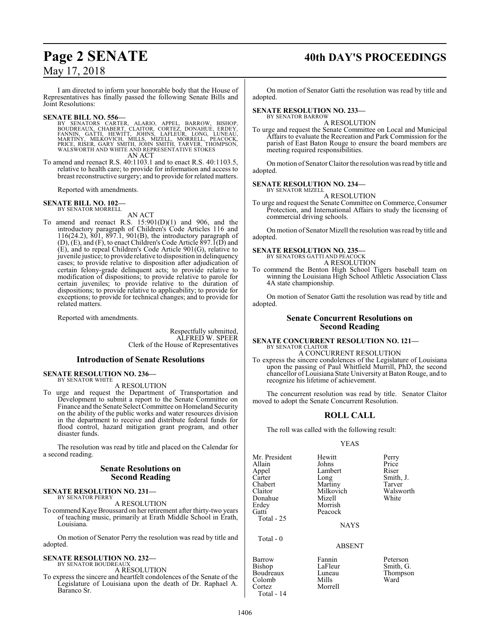# **Page 2 SENATE 40th DAY'S PROCEEDINGS**

# May 17, 2018

I am directed to inform your honorable body that the House of Representatives has finally passed the following Senate Bills and Joint Resolutions:

SENATE BILL NO. 556—<br>BY SENATORS CARTER, ALARIO, APPEL, BARROW, BISHOP,<br>BOUDREAUX, CHABERT, CLAITOR, CORTEZ, DONAHUE, ERDEY,<br>FANNIN, GATTI, HEWITT, JOHNS, LAFLEUR, LONG, LUNEAU,<br>MARTINY, MILKOVICH, MILLS, MIZELL, MORRELL, AN ACT

To amend and reenact R.S. 40:1103.1 and to enact R.S. 40:1103.5, relative to health care; to provide for information and access to breast reconstructive surgery; and to provide for related matters.

Reported with amendments.

### **SENATE BILL NO. 102—** BY SENATOR MORRELL

AN ACT

To amend and reenact R.S. 15:901(D)(1) and 906, and the introductory paragraph of Children's Code Articles 116 and 116(24.2), 801, 897.1, 901(B), the introductory paragraph of  $(D)$ ,  $(E)$ , and  $(F)$ , to enact Children's Code Article 897. $\overline{I}(D)$  and (E), and to repeal Children's Code Article 901(G), relative to juvenile justice; to provide relative to disposition in delinquency cases; to provide relative to disposition after adjudication of certain felony-grade delinquent acts; to provide relative to modification of dispositions; to provide relative to parole for certain juveniles; to provide relative to the duration of dispositions; to provide relative to applicability; to provide for exceptions; to provide for technical changes; and to provide for related matters.

Reported with amendments.

Respectfully submitted, ALFRED W. SPEER Clerk of the House of Representatives

# **Introduction of Senate Resolutions**

## **SENATE RESOLUTION NO. 236—** BY SENATOR WHITE

A RESOLUTION

To urge and request the Department of Transportation and Development to submit a report to the Senate Committee on Finance and the Senate Select Committee on Homeland Security on the ability of the public works and water resources division in the department to receive and distribute federal funds for flood control, hazard mitigation grant program, and other disaster funds.

The resolution was read by title and placed on the Calendar for a second reading.

# **Senate Resolutions on Second Reading**

### **SENATE RESOLUTION NO. 231—** BY SENATOR PERRY

A RESOLUTION

To commend Kaye Broussard on her retirement after thirty-two years of teaching music, primarily at Erath Middle School in Erath, Louisiana.

On motion of Senator Perry the resolution was read by title and adopted.

## **SENATE RESOLUTION NO. 232—** BY SENATOR BOUDREAUX

A RESOLUTION

To express the sincere and heartfelt condolences of the Senate of the Legislature of Louisiana upon the death of Dr. Raphael A. Baranco Sr.

On motion of Senator Gatti the resolution was read by title and adopted.

## **SENATE RESOLUTION NO. 233—** BY SENATOR BARROW

A RESOLUTION

To urge and request the Senate Committee on Local and Municipal Affairs to evaluate the Recreation and Park Commission for the parish of East Baton Rouge to ensure the board members are meeting required responsibilities.

On motion of Senator Claitor the resolution was read by title and adopted.

## **SENATE RESOLUTION NO. 234—** BY SENATOR MIZELL

A RESOLUTION

To urge and request the Senate Committee on Commerce, Consumer Protection, and International Affairs to study the licensing of commercial driving schools.

On motion of Senator Mizell the resolution was read by title and adopted.

# **SENATE RESOLUTION NO. 235—**

BY SENATORS GATTI AND PEACOCK A RESOLUTION

To commend the Benton High School Tigers baseball team on winning the Louisiana High School Athletic Association Class 4A state championship.

On motion of Senator Gatti the resolution was read by title and adopted.

# **Senate Concurrent Resolutions on Second Reading**

# **SENATE CONCURRENT RESOLUTION NO. 121—** BY SENATOR CLAITOR

A CONCURRENT RESOLUTION

To express the sincere condolences of the Legislature of Louisiana upon the passing of Paul Whitfield Murrill, PhD, the second chancellor of Louisiana State University at Baton Rouge, and to recognize his lifetime of achievement.

The concurrent resolution was read by title. Senator Claitor moved to adopt the Senate Concurrent Resolution.

# **ROLL CALL**

The roll was called with the following result:

Peacock

Morrell

# YEAS

Mr. President Hewitt Perry<br>Allain Johns Price Allain Johns Price Appel Lambert<br>Carter Long Carter Long Smith, J.<br>Chabert Martiny Tarver Chabert Martiny Tarver<br>Claitor Milkovich Walsworth Donahue<br>Erdey Erdey Morrish<br>
Gatti Peacock Total - 25

Milkovich Walsworth Walsworth<br>
Mizell White

NAYS

# ABSENT

Barrow Fannin Peterson<br>Bishop LaFleur Smith, G Boudreaux Luneau Thom<br>Colomb Mills Ward Colomb<br>Cortez Total - 14

Total - 0

LaFleur Smith, G.<br>Luneau Thompson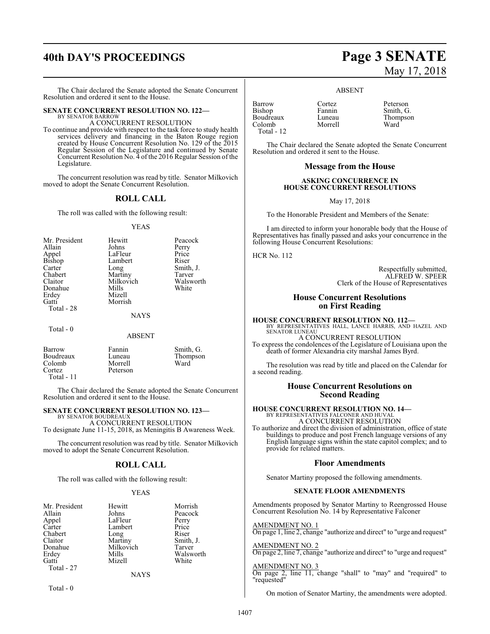# **40th DAY'S PROCEEDINGS Page 3 SENATE**

The Chair declared the Senate adopted the Senate Concurrent Resolution and ordered it sent to the House.

## **SENATE CONCURRENT RESOLUTION NO. 122—** BY SENATOR BARROW

A CONCURRENT RESOLUTION

To continue and provide with respect to the task force to study health services delivery and financing in the Baton Rouge region created by House Concurrent Resolution No. 129 of the 2015 Regular Session of the Legislature and continued by Senate Concurrent Resolution No. 4 of the 2016 Regular Session of the Legislature.

The concurrent resolution was read by title. Senator Milkovich moved to adopt the Senate Concurrent Resolution.

# **ROLL CALL**

The roll was called with the following result:

## YEAS

| Mr. President<br>Allain<br>Appel<br><b>Bishop</b><br>Carter<br>Chabert<br>Claitor<br>Donahue<br>Erdey<br>Gatti<br>Total - 28 | Hewitt<br>Johns<br>LaFleur<br>Lambert<br>Long<br>Martiny<br>Milkovich<br>Mills<br>Mizell<br>Morrish<br><b>NAYS</b> | Peacock<br>Perry<br>Price<br>Riser<br>Smith, J.<br>Tarver<br>Walsworth<br>White |
|------------------------------------------------------------------------------------------------------------------------------|--------------------------------------------------------------------------------------------------------------------|---------------------------------------------------------------------------------|
|                                                                                                                              |                                                                                                                    |                                                                                 |
| Total - 0                                                                                                                    | <b>ABSENT</b>                                                                                                      |                                                                                 |

| Barrow       | Fannin   | Smith, G. |
|--------------|----------|-----------|
| Boudreaux    | Luneau   | Thompson  |
| Colomb       | Morrell  | Ward      |
| Cortez       | Peterson |           |
| Total - $11$ |          |           |

The Chair declared the Senate adopted the Senate Concurrent Resolution and ordered it sent to the House.

# **SENATE CONCURRENT RESOLUTION NO. 123—**

BY SENATOR BOUDREAU A CONCURRENT RESOLUTION To designate June 11-15, 2018, as Meningitis B Awareness Week.

The concurrent resolution was read by title. Senator Milkovich moved to adopt the Senate Concurrent Resolution.

# **ROLL CALL**

The roll was called with the following result:

# YEAS

| Mr. President | Hewitt      | Morrish   |
|---------------|-------------|-----------|
| Allain        | Johns       | Peacock   |
| Appel         | LaFleur     | Perry     |
| Carter        | Lambert     | Price     |
| Chabert       | Long        | Riser     |
| Claitor       | Martiny     | Smith, J. |
| Donahue       | Milkovich   | Tarver    |
| Erdey         | Mills       | Walsworth |
| Gatti         | Mizell      | White     |
| Total - 27    |             |           |
|               | <b>NAYS</b> |           |

 $Total - 0$ 

# May 17, 2018

# ABSENT

Morrell

| Barrow        |
|---------------|
| <b>Bishop</b> |
| Boudreaux     |
| Colomb        |
| Total - 12    |

Cortez Peterson<br>Fannin Smith G Fannin Smith, G.<br>Luneau Thompso Thompson<br>Ward

The Chair declared the Senate adopted the Senate Concurrent Resolution and ordered it sent to the House.

# **Message from the House**

# **ASKING CONCURRENCE IN HOUSE CONCURRENT RESOLUTIONS**

May 17, 2018

To the Honorable President and Members of the Senate:

I am directed to inform your honorable body that the House of Representatives has finally passed and asks your concurrence in the following House Concurrent Resolutions:

HCR No. 112

Respectfully submitted, ALFRED W. SPEER Clerk of the House of Representatives

# **House Concurrent Resolutions on First Reading**

**HOUSE CONCURRENT RESOLUTION NO. 112—** BY REPRESENTATIVES HALL, LANCE HARRIS, AND HAZEL AND SENATOR LUNEAU A CONCURRENT RESOLUTION To express the condolences of the Legislature of Louisiana upon the death of former Alexandria city marshal James Byrd.

The resolution was read by title and placed on the Calendar for a second reading.

# **House Concurrent Resolutions on Second Reading**

# **HOUSE CONCURRENT RESOLUTION NO. 14—**

BY REPRESENTATIVES FALCONER AND HUVAL A CONCURRENT RESOLUTION

To authorize and direct the division of administration, office of state buildings to produce and post French language versions of any English language signs within the state capitol complex; and to provide for related matters.

# **Floor Amendments**

Senator Martiny proposed the following amendments.

# **SENATE FLOOR AMENDMENTS**

Amendments proposed by Senator Martiny to Reengrossed House Concurrent Resolution No. 14 by Representative Falconer

AMENDMENT NO. 1 On page 1, line 2, change "authorize and direct" to "urge and request"

AMENDMENT NO. 2 On page 2, line 7, change "authorize and direct" to "urge and request"

AMENDMENT NO. 3 On page 2, line 11, change "shall" to "may" and "required" to "requested"

On motion of Senator Martiny, the amendments were adopted.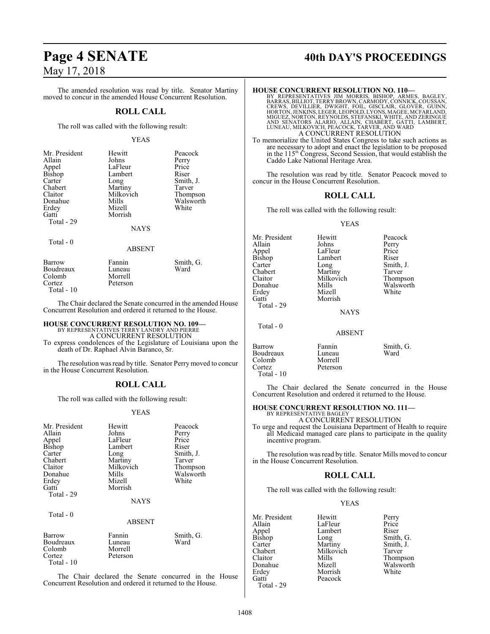The amended resolution was read by title. Senator Martiny moved to concur in the amended House Concurrent Resolution.

# **ROLL CALL**

The roll was called with the following result:

## YEAS

| Mr. President | Hewitt      | Peacock   |
|---------------|-------------|-----------|
| Allain        | Johns       | Perry     |
| Appel         | LaFleur     | Price     |
| Bishop        | Lambert     | Riser     |
| Carter        | Long        | Smith, J. |
| Chabert       | Martiny     | Tarver    |
| Claitor       | Milkovich   | Thompson  |
| Donahue       | Mills       | Walsworth |
| Erdey         | Mizell      | White     |
| Gatti         | Morrish     |           |
| Total - 29    |             |           |
|               | <b>NAYS</b> |           |

 $Total - 0$ 

# ABSENT

| Barrow       | Fannin   | Smith, G. |
|--------------|----------|-----------|
| Boudreaux    | Luneau   | Ward      |
| Colomb       | Morrell  |           |
| Cortez       | Peterson |           |
| Total - $10$ |          |           |

The Chair declared the Senate concurred in the amended House Concurrent Resolution and ordered it returned to the House.

# **HOUSE CONCURRENT RESOLUTION NO. 109—** BY REPRESENTATIVES TERRY LANDRY AND PIERRE

A CONCURRENT RESOLUTION

To express condolences of the Legislature of Louisiana upon the death of Dr. Raphael Alvin Baranco, Sr.

The resolution was read by title. Senator Perry moved to concur in the House Concurrent Resolution.

# **ROLL CALL**

The roll was called with the following result:

# YEAS

| Mr. President<br>Allain<br>Appel<br>Bishop<br>Carter<br>Chabert<br>Claitor<br>Donahue<br>Erdey<br>Gatti<br>Total - 29 | Hewitt<br>Johns<br>LaFleur<br>Lambert<br>Long<br>Martiny<br>Milkovich<br>Mills<br>Mizell<br>Morrish | Peacock<br>Perry<br>Price<br>Riser<br>Smith, J.<br>Tarver<br>Thompson<br>Walsworth<br>White |
|-----------------------------------------------------------------------------------------------------------------------|-----------------------------------------------------------------------------------------------------|---------------------------------------------------------------------------------------------|
|                                                                                                                       | <b>NAYS</b>                                                                                         |                                                                                             |
| Total - 0                                                                                                             | <b>ABSENT</b>                                                                                       |                                                                                             |
| Barrow<br>Boudreaux<br>Colomb<br>Cortez<br>Total - 10                                                                 | Fannin<br>Luneau<br>Morrell<br>Peterson                                                             | Smith, G.<br>Ward                                                                           |

The Chair declared the Senate concurred in the House Concurrent Resolution and ordered it returned to the House.

# Page 4 **SENATE** 40th DAY'S PROCEEDINGS

## **HOUSE CONCURRENT RESOLUTION NO. 110—**

BY REPRESENTATIVES JIM MORRIS, BISHOP, ARMES, BAGLEY,<br>BARRAS,BILLIOT,TERRYBROWN,CARMODY,CONNICK,COUSSAN,<br>CREWS, DEVILLIER, DWIGHT, FOIL, GISCLAIR, GLOVER, GUINN,<br>HORTON,JENKINS,LEGER,LEOPOLD,LYONS,MAGEE,MCFARLAND,<br>MIGUEZ,N A CONCURRENT RESOLUTION

To memorialize the United States Congress to take such actions as are necessary to adopt and enact the legislation to be proposed in the 115<sup>th</sup> Congress, Second Session, that would establish the Caddo Lake National Heritage Area.

The resolution was read by title. Senator Peacock moved to concur in the House Concurrent Resolution.

# **ROLL CALL**

The roll was called with the following result:

Lambert

Morrish

# YEAS

Mr. President Hewitt Peacock<br>Allain Johns Perry Allain Johns Perry<br>
Appel LaFleur Price Appel LaFleur Price<br>Bishop Lambert Riser Carter Long Smith, J.<br>Chabert Martiny Tarver Chabert Martiny Tarver<br>Claitor Milkovich Thompson Claitor Milkovich<br>
Donahue Mills Donahue Mills Walsworth<br>
Erdey Mizell White<br>
White Erdey Mizell<br>Gatti Morris Total - 29

Total - 0

NAYS

# ABSENT

| Barrow      | Fannin   | Smith, G. |
|-------------|----------|-----------|
| Boudreaux   | Luneau   | Ward      |
| Colomb      | Morrell  |           |
| Cortez      | Peterson |           |
| Total $-10$ |          |           |

The Chair declared the Senate concurred in the House Concurrent Resolution and ordered it returned to the House.

# **HOUSE CONCURRENT RESOLUTION NO. 111—** BY REPRESENTATIVE BAGLEY

A CONCURRENT RESOLUTION To urge and request the Louisiana Department of Health to require all Medicaid managed care plans to participate in the quality incentive program.

The resolution was read by title. Senator Mills moved to concur in the House Concurrent Resolution.

# **ROLL CALL**

The roll was called with the following result:

# YEAS

Mr. President Hewitt Perry<br>Allain LaFleur Price Allain LaFleur Price<br>
Appel Lambert Riser Appel Lambert<br>Bishop Long Bishop Long Smith, G.<br>Carter Martiny Smith, J. Carter Martiny Smith, J.<br>Chabert Milkovich Tarver Chabert Milkovich<br>Claitor Mills Claitor Mills Thompson Erdey<br>Gatti Peacock Total - 29

Mizell Walsworth<br>
Morrish White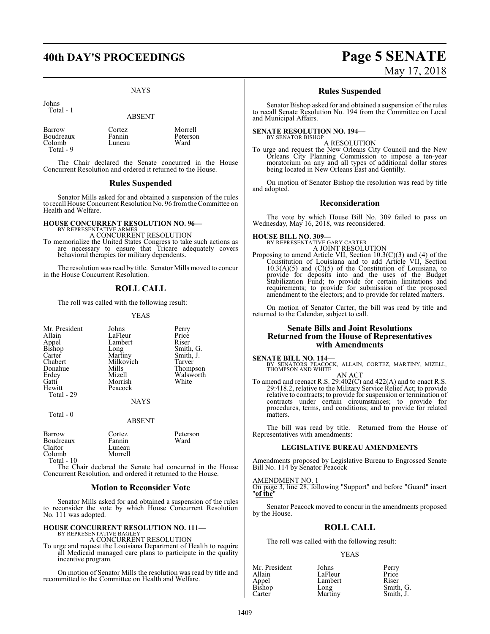# **40th DAY'S PROCEEDINGS Page 5 SENATE**

# NAYS

Morrell Peterson<br>Ward

Johns Total - 1

ABSENT

| Barrow    | Cortez | Morre  |
|-----------|--------|--------|
| Boudreaux | Fannin | Peter: |
| Colomb    | Luneau | Ward   |
| Total - 9 |        |        |

The Chair declared the Senate concurred in the House Concurrent Resolution and ordered it returned to the House.

# **Rules Suspended**

Senator Mills asked for and obtained a suspension of the rules to recall House Concurrent Resolution No. 96 fromthe Committee on Health and Welfare.

# **HOUSE CONCURRENT RESOLUTION NO. 96–**<br>BY REPRESENTATIVE ARMES

A CONCURRENT RESOLUTION

To memorialize the United States Congress to take such actions as are necessary to ensure that Tricare adequately covers behavioral therapies for military dependents.

The resolution was read by title. Senator Mills moved to concur in the House Concurrent Resolution.

# **ROLL CALL**

The roll was called with the following result:

YEAS

| Mr. President<br>Allain<br>Appel<br>Bishop<br>Carter<br>Chabert | Johns<br>LaFleur<br>Lambert<br>Long<br>Martiny<br>Milkovich | Perry<br>Price<br>Riser<br>Smith, G.<br>Smith, J.<br>Tarver |
|-----------------------------------------------------------------|-------------------------------------------------------------|-------------------------------------------------------------|
| Donahue                                                         | Mills                                                       | Thompson                                                    |
| Erdey                                                           | Mizell                                                      | Walsworth                                                   |
| Gatti                                                           | Morrish                                                     | White                                                       |
| Hewitt                                                          | Peacock                                                     |                                                             |
| Total - 29                                                      |                                                             |                                                             |
|                                                                 | <b>NAYS</b>                                                 |                                                             |
| Total - 0                                                       |                                                             |                                                             |
|                                                                 | <b>ABSENT</b>                                               |                                                             |

| Barrow<br>Boudreaux | Cortez<br>Fannin | Peterson<br>Ward |
|---------------------|------------------|------------------|
| Claitor             | Luneau           |                  |
| Colomb              | Morrell          |                  |
| $T - 1$             |                  |                  |

Total - 10

The Chair declared the Senate had concurred in the House Concurrent Resolution, and ordered it returned to the House.

# **Motion to Reconsider Vote**

Senator Mills asked for and obtained a suspension of the rules to reconsider the vote by which House Concurrent Resolution No. 111 was adopted.

# **HOUSE CONCURRENT RESOLUTION NO. 111-BY REPRESENTATIVE BAGLEY**

A CONCURRENT RESOLUTION

To urge and request the Louisiana Department of Health to require all Medicaid managed care plans to participate in the quality incentive program.

On motion of Senator Mills the resolution was read by title and recommitted to the Committee on Health and Welfare.

# May 17, 2018

# **Rules Suspended**

Senator Bishop asked for and obtained a suspension of the rules to recall Senate Resolution No. 194 from the Committee on Local and Municipal Affairs.

# **SENATE RESOLUTION NO. 194—** BY SENATOR BISHOP

A RESOLUTION

To urge and request the New Orleans City Council and the New Orleans City Planning Commission to impose a ten-year moratorium on any and all types of additional dollar stores being located in New Orleans East and Gentilly.

On motion of Senator Bishop the resolution was read by title and adopted.

# **Reconsideration**

The vote by which House Bill No. 309 failed to pass on Wednesday, May 16, 2018, was reconsidered.

# **HOUSE BILL NO. 309-**<br>BY REPRESENTATIVE GARY CARTER

A JOINT RESOLUTION

Proposing to amend Article VII, Section 10.3(C)(3) and (4) of the Constitution of Louisiana and to add Article VII, Section  $10.3(A)(5)$  and  $(C)(5)$  of the Constitution of Louisiana, to provide for deposits into and the uses of the Budget Stabilization Fund; to provide for certain limitations and requirements; to provide for submission of the proposed amendment to the electors; and to provide for related matters.

On motion of Senator Carter, the bill was read by title and returned to the Calendar, subject to call.

# **Senate Bills and Joint Resolutions Returned from the House of Representatives with Amendments**

**SENATE BILL NO. 114—**<br>BY SENATORS PEACOCK, ALLAIN, CORTEZ, MARTINY, MIZELL,<br>THOMPSON AND WHITE AN ACT

To amend and reenact R.S. 29:402(C) and 422(A) and to enact R.S. 29:418.2, relative to the Military Service Relief Act; to provide relative to contracts; to provide for suspension or termination of contracts under certain circumstances; to provide for procedures, terms, and conditions; and to provide for related matters.

The bill was read by title. Returned from the House of Representatives with amendments:

# **LEGISLATIVE BUREAU AMENDMENTS**

Amendments proposed by Legislative Bureau to Engrossed Senate Bill No. 114 by Senator Peacock

# AMENDMENT NO. 1

On page 3, line 28, following "Support" and before "Guard" insert "**of the**"

Senator Peacock moved to concur in the amendments proposed by the House.

# **ROLL CALL**

The roll was called with the following result:

# YEAS

| Mr. President   | Johns   | Perry     |
|-----------------|---------|-----------|
| Allain          | LaFleur | Price     |
| Appel<br>Bishop | Lambert | Riser     |
|                 | Long    | Smith, G. |
| Carter          | Martiny | Smith, J. |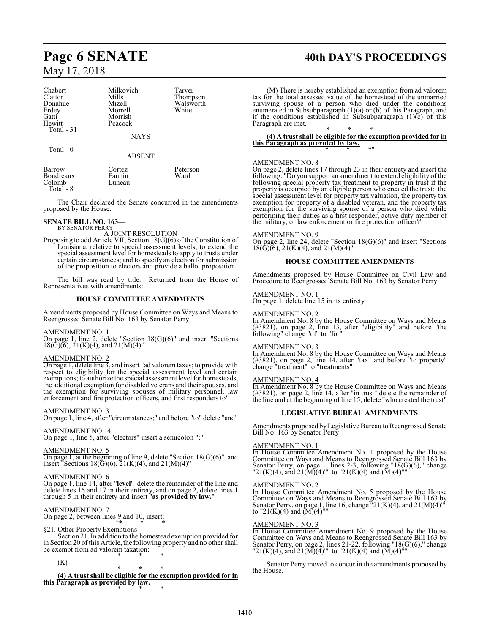# Chabert Milkovich Tarver<br>Claitor Mills Thomp Claitor Mills Thompson<br>
Donahue Mizell Walsworth Donahue Mizell Walsworth<br>
Erdey Morrell White Erdey Morrell<br>Gatti Morrish Gatti Morrish<br>
Hewitt Peacock Peacock Total - 31 **NAYS**  Total - 0 ABSENT Barrow Cortez Peterson<br>Boudreaux Fannin Ward Boudreaux Fannin<br>Colomb Luneau

Colomb Total - 8

The Chair declared the Senate concurred in the amendments proposed by the House.

# **SENATE BILL NO. 163–**<br>BY SENATOR PERRY

A JOINT RESOLUTION

Proposing to add Article VII, Section 18(G)(6) of the Constitution of Louisiana, relative to special assessment levels; to extend the special assessment level for homesteads to apply to trusts under certain circumstances; and to specify an election for submission of the proposition to electors and provide a ballot proposition.

The bill was read by title. Returned from the House of Representatives with amendments:

# **HOUSE COMMITTEE AMENDMENTS**

Amendments proposed by House Committee on Ways and Means to Reengrossed Senate Bill No. 163 by Senator Perry

# AMENDMENT NO. 1

On page 1, line 2, delete "Section 18(G)(6)" and insert "Sections  $18(G)(6)$ ,  $21(K)(4)$ , and  $21(M)(4)$ "

# AMENDMENT NO. 2

On page 1, delete line 3, and insert "ad valorem taxes; to provide with respect to eligibility for the special assessment level and certain exemptions; to authorize the special assessment level for homesteads, the additional exemption for disabled veterans and their spouses, and the exemption for surviving spouses of military personnel, law enforcement and fire protection officers, and first responders to"

# AMENDMENT NO. 3

On page 1, line 4, after "circumstances;" and before "to" delete "and"

AMENDMENT NO. 4

On page 1, line 5, after "electors" insert a semicolon ";"

# AMENDMENT NO. 5

On page 1, at the beginning of line 9, delete "Section  $18(G)(6)$ " and insert "Sections  $18(\text{G})(6)$ ,  $21(\text{K})(4)$ , and  $21(\text{M})(4)$ "

# AMENDMENT NO. 6

On page 1, line 14, after "**level**" delete the remainder of the line and delete lines 16 and 17 in their entirety, and on page 2, delete lines 1 through 5 in their entirety and insert "**as provided by law.**"

# AMENDMENT NO. 7

On page 2, between lines 9 and 10, insert: "\* \* \*

# §21. Other Property Exemptions

Section 21. In addition to the homestead exemption provided for in Section 20 ofthis Article, the following property and no other shall be exempt from ad valorem taxation: \* \* \*

(K)

\* \* \* **(4) A trust shall be eligible for the exemption provided for in this Paragraph as provided by law.** \* \* \*

# **Page 6 SENATE 40th DAY'S PROCEEDINGS**

(M) There is hereby established an exemption from ad valorem tax for the total assessed value of the homestead of the unmarried surviving spouse of a person who died under the conditions enumerated in Subsubparagraph (1)(a) or (b) of this Paragraph, and if the conditions established in Subsubparagraph  $(1)(c)$  of this Paragraph are met.

\* \* \* **(4) A trust shall be eligible for the exemption provided for in this Paragraph as provided by law.** \* \* \*"

# AMENDMENT NO. 8

On page 2, delete lines 17 through 23 in their entirety and insert the following: "Do you support an amendment to extend eligibility of the following special property tax treatment to property in trust if the property is occupied by an eligible person who created the trust: the special assessment level for property tax valuation, the property tax exemption for property of a disabled veteran, and the property tax exemption for the surviving spouse of a person who died while performing their duties as a first responder, active duty member of the military, or law enforcement or fire protection officer?"

# AMENDMENT NO. 9

On page 2, line 24, delete "Section 18(G)(6)" and insert "Sections  $18(\tilde{G})(6)$ ,  $21(K)(4)$ , and  $21(M)(4)$ "

# **HOUSE COMMITTEE AMENDMENTS**

Amendments proposed by House Committee on Civil Law and Procedure to Reengrossed Senate Bill No. 163 by Senator Perry

# AMENDMENT NO. 1

On page 1, delete line 15 in its entirety

# AMENDMENT NO. 2

In Amendment No. 8 by the House Committee on Ways and Means (#3821), on page 2, line 13, after "eligibility" and before "the following" change "of" to "for"

# AMENDMENT NO. 3

In Amendment No. 8 by the House Committee on Ways and Means (#3821), on page 2, line 14, after "tax" and before "to property" change "treatment" to "treatments"

# AMENDMENT NO. 4

In Amendment No. 8 by the House Committee on Ways and Means (#3821), on page 2, line 14, after "in trust" delete the remainder of the line and at the beginning of line 15, delete "who created the trust"

# **LEGISLATIVE BUREAU AMENDMENTS**

Amendments proposed byLegislative Bureau to Reengrossed Senate Bill No. 163 by Senator Perry

# AMENDMENT NO. 1

In House Committee Amendment No. 1 proposed by the House Committee on Ways and Means to Reengrossed Senate Bill 163 by Senator Perry, on page 1, lines 2-3, following "18(G)(6)," change "21(K)(4), and 21(M)(4)"" to "21(K)(4) and  $(\overline{M})(4)$ ""

# AMENDMENT NO. 2

In House Committee Amendment No. 5 proposed by the House Committee on Ways and Means to Reengrossed Senate Bill 163 by Senator Perry, on page 1, line 16, change  $"21(K)(4)$ , and  $21(M)(4)'''$ to "21(K)(4) and  $(M)(4)$ ""

# AMENDMENT NO. 3

In House Committee Amendment No. 9 proposed by the House Committee on Ways and Means to Reengrossed Senate Bill 163 by Senator Perry, on page 2, lines 21-22, following "18(G)(6)," change "21(K)(4), and 21(M)(4)"" to "21(K)(4) and (M)(4)""

Senator Perry moved to concur in the amendments proposed by the House.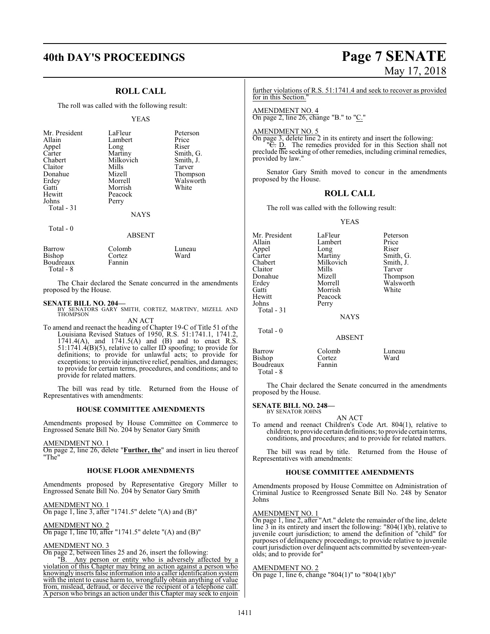# **40th DAY'S PROCEEDINGS Page 7 SENATE**

# **ROLL CALL**

The roll was called with the following result:

## YEAS

| Mr. President<br>Allain<br>Appel<br>Carter<br>Chabert<br>Claitor<br>Donahue<br>Erdey<br>Gatti<br>Hewitt<br>Johns<br>Total $-31$ | LaFleur<br>Lambert<br>Long<br>Martiny<br>Milkovich<br>Mills<br>Mizell<br>Morrell<br>Morrish<br>Peacock<br>Perry<br><b>NAYS</b> | Peterson<br>Price<br>Riser<br>Smith, G.<br>Smith, J.<br>Tarver<br>Thompson<br>Walsworth<br>White |
|---------------------------------------------------------------------------------------------------------------------------------|--------------------------------------------------------------------------------------------------------------------------------|--------------------------------------------------------------------------------------------------|
| Total - 0                                                                                                                       | <b>ABSENT</b>                                                                                                                  |                                                                                                  |

| Barrow           | Colomb | Luneau |
|------------------|--------|--------|
| Bishop           | Cortez | Ward   |
| <b>Boudreaux</b> | Fannin |        |
| Total - 8        |        |        |

The Chair declared the Senate concurred in the amendments proposed by the House.

# **SENATE BILL NO. 204—**

BY SENATORS GARY SMITH, CORTEZ, MARTINY, MIZELL AND THOMPSON AN ACT

To amend and reenact the heading of Chapter 19-C of Title 51 of the Louisiana Revised Statues of 1950, R.S. 51:1741.1, 1741.2, 1741.4(A), and 1741.5(A) and (B) and to enact R.S. 51:1741.4(B)(5), relative to caller ID spoofing; to provide for definitions; to provide for unlawful acts; to provide for exceptions; to provide injunctive relief, penalties, and damages; to provide for certain terms, procedures, and conditions; and to provide for related matters.

The bill was read by title. Returned from the House of Representatives with amendments:

# **HOUSE COMMITTEE AMENDMENTS**

Amendments proposed by House Committee on Commerce to Engrossed Senate Bill No. 204 by Senator Gary Smith

AMENDMENT NO. 1

On page 2, line 26, delete "**Further, the**" and insert in lieu thereof "The"

## **HOUSE FLOOR AMENDMENTS**

Amendments proposed by Representative Gregory Miller to Engrossed Senate Bill No. 204 by Senator Gary Smith

AMENDMENT NO. 1 On page 1, line 3, after "1741.5" delete "(A) and (B)"

AMENDMENT NO. 2 On page 1, line 10, after "1741.5" delete "(A) and (B)"

# AMENDMENT NO. 3

On page 2, between lines 25 and 26, insert the following:

"B. Any person or entity who is adversely affected by a violation of this Chapter may bring an action against a person who knowingly inserts false information into a caller identification system with the intent to cause harm to, wrongfully obtain anything of value from, mislead, defraud, or deceive the recipient of a telephone call. A person who brings an action under this Chapter may seek to enjoin

# May 17, 2018

further violations of R.S. 51:1741.4 and seek to recover as provided for in this Section."

AMENDMENT NO. 4 On page 2, line 26, change "B." to "C."

# AMENDMENT NO. 5

On page 3, delete line 2 in its entirety and insert the following: "<del>C.</del> D. The remedies provided for in this Section shall not preclude the seeking of other remedies, including criminal remedies, provided by law."

Senator Gary Smith moved to concur in the amendments proposed by the House.

# **ROLL CALL**

The roll was called with the following result:

# YEAS

| Mr. President<br>Allain<br>Appel<br>Carter<br>Chabert<br>Claitor<br>Donahue<br>Erdey<br>Gatti<br>Hewitt<br>Johns<br>Total - 31 | LaFleur<br>Lambert<br>Long<br>Martiny<br>Milkovich<br>Mills<br>Mizell<br>Morrell<br>Morrish<br>Peacock<br>Perry<br><b>NAYS</b> | Peterson<br>Price<br>Riser<br>Smith, G.<br>Smith, J.<br>Tarver<br>Thompson<br>Walsworth<br>White |
|--------------------------------------------------------------------------------------------------------------------------------|--------------------------------------------------------------------------------------------------------------------------------|--------------------------------------------------------------------------------------------------|
| Total $-0$                                                                                                                     | <b>ABSENT</b>                                                                                                                  |                                                                                                  |
| Barrow<br>Bishop<br>Boudreaux<br>Total - 8                                                                                     | Colomb<br>Cortez<br>Fannin                                                                                                     | Luneau<br>Ward                                                                                   |

The Chair declared the Senate concurred in the amendments proposed by the House.

### **SENATE BILL NO. 248—** BY SENATOR JOHNS

AN ACT

To amend and reenact Children's Code Art. 804(1), relative to children; to provide certain definitions; to provide certain terms, conditions, and procedures; and to provide for related matters.

The bill was read by title. Returned from the House of Representatives with amendments:

# **HOUSE COMMITTEE AMENDMENTS**

Amendments proposed by House Committee on Administration of Criminal Justice to Reengrossed Senate Bill No. 248 by Senator Johns

# AMENDMENT NO. 1

On page 1, line 2, after "Art." delete the remainder of the line, delete line 3 in its entirety and insert the following: "804(1)(b), relative to juvenile court jurisdiction; to amend the definition of "child" for purposes of delinquency proceedings; to provide relative to juvenile court jurisdiction over delinquent acts committed by seventeen-yearolds; and to provide for"

# AMENDMENT NO. 2

On page 1, line 6, change "804(1)" to "804(1)(b)"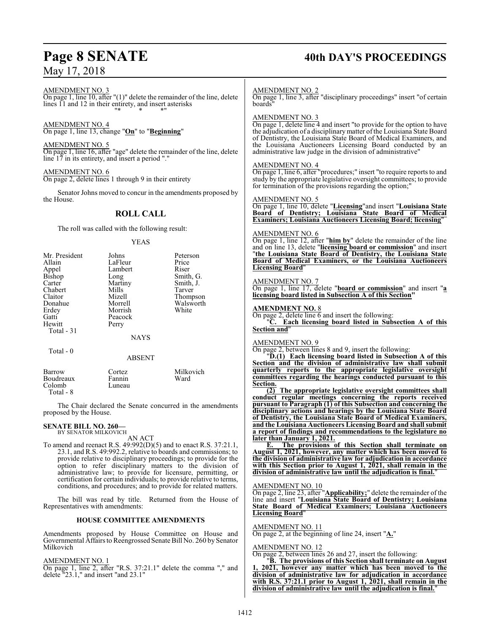# **Page 8 SENATE 40th DAY'S PROCEEDINGS**

AMENDMENT NO. 3

On page 1, line  $10$ , after " $(1)$ " delete the remainder of the line, delete lines 11 and 12 in their entirety, and insert asterisks "\* \* \*"

# AMENDMENT NO. 4

On page 1, line 13, change "**On**" to "**Beginning**"

AMENDMENT NO. 5 On page 1, line 16, after "age" delete the remainder of the line, delete line 17 in its entirety, and insert a period "."

AMENDMENT NO. 6 On page 2, delete lines 1 through 9 in their entirety

Senator Johns moved to concur in the amendments proposed by the House.

# **ROLL CALL**

The roll was called with the following result:

# YEAS

| Mr. President | Johns   | Peterson  |
|---------------|---------|-----------|
| Allain        | LaFleur | Price     |
| Appel         | Lambert | Riser     |
| Bishop        | Long    | Smith, G. |
| Carter        | Martiny | Smith, J. |
| Chabert       | Mills   | Tarver    |
| Claitor       | Mizell  | Thompson  |
| Donahue       | Morrell | Walsworth |
| Erdey         | Morrish | White     |
| Gatti         | Peacock |           |
| Hewitt        | Perry   |           |
| Total - 31    |         |           |
|               | NAYS    |           |
| Total - 0     |         |           |

## ABSENT

| Barrow<br>Boudreaux<br>Colomb<br>Total - 8 | Cortez.<br>Fannin<br>Luneau | Milkovich<br>Ward |
|--------------------------------------------|-----------------------------|-------------------|
|                                            |                             |                   |

The Chair declared the Senate concurred in the amendments proposed by the House.

# **SENATE BILL NO. 260—** BY SENATOR MILKOVICH

AN ACT

To amend and reenact R.S. 49:992(D)(5) and to enact R.S. 37:21.1, 23.1, and R.S. 49:992.2, relative to boards and commissions; to provide relative to disciplinary proceedings; to provide for the option to refer disciplinary matters to the division of administrative law; to provide for licensure, permitting, or certification for certain individuals; to provide relative to terms, conditions, and procedures; and to provide for related matters.

The bill was read by title. Returned from the House of Representatives with amendments:

# **HOUSE COMMITTEE AMENDMENTS**

Amendments proposed by House Committee on House and Governmental Affairs to Reengrossed Senate Bill No. 260 by Senator Milkovich

# AMENDMENT NO. 1

On page 1, line 2, after "R.S. 37:21.1" delete the comma "," and delete "23.1," and insert "and 23.1"

# AMENDMENT NO. 2

On page 1, line 3, after "disciplinary proceedings" insert "of certain boards"

# AMENDMENT NO. 3

On page 1, delete line 4 and insert "to provide for the option to have the adjudication of a disciplinarymatter ofthe Louisiana State Board of Dentistry, the Louisiana State Board of Medical Examiners, and the Louisiana Auctioneers Licensing Board conducted by an administrative law judge in the division of administrative"

## AMENDMENT NO. 4

On page 1, line 6, after "procedures;" insert "to require reports to and study by the appropriate legislative oversight committees; to provide for termination of the provisions regarding the option;

# AMENDMENT NO. 5

On page 1, line 10, delete "**Licensing**"and insert "**Louisiana State Board of Dentistry; Louisiana State Board of Medical Examiners; Louisiana Auctioneers Licensing Board; licensing**"

# AMENDMENT NO. 6

On page 1, line 12, after "**him by**" delete the remainder of the line and on line 13, delete "**licensing board or commission**" and insert "**the Louisiana State Board of Dentistry, the Louisiana State Board of Medical Examiners, or the Louisiana Auctioneers Licensing Board**"

## AMENDMENT NO. 7

On page 1, line 17, delete "**board or commission**" and insert "**a licensing board listed in Subsection A of this Section"**

# **AMENDMENT NO.** 8

On page 2, delete line  $\overline{6}$  and insert the following:

"**C. Each licensing board listed in Subsection A of this Section and**"

# AMENDMENT NO. 9

On page 2, between lines 8 and 9, insert the following:

"**D.(1) Each licensing board listed in Subsection A of this Section and the division of administrative law shall submit quarterly reports to the appropriate legislative oversight committees regarding the hearings conducted pursuant to this Section.**

**(2) The appropriate legislative oversight committees shall conduct regular meetings concerning the reports received pursuant to Paragraph (1) of this Subsection and concerning the disciplinary actions and hearings by the Louisiana State Board of Dentistry, the Louisiana State Board of Medical Examiners, and the Louisiana Auctioneers Licensing Board and shall submit a report of findings and recommendations to the legislature no later than January 1, 2021.**

**E. The provisions of this Section shall terminate on August 1, 2021, however, any matter which has been moved to the division of administrative law for adjudication in accordance with this Section prior to August 1, 2021, shall remain in the division of administrative law until the adjudication is final.**"

## AMENDMENT NO. 10

On page 2, line 23, after "**Applicability;**" delete the remainder of the line and insert "**Louisiana State Board of Dentistry; Louisiana State Board of Medical Examiners; Louisiana Auctioneers Licensing Board**"

# AMENDMENT NO. 11

On page 2, at the beginning of line 24, insert "**A.**"

# AMENDMENT NO. 12

On page 2, between lines 26 and 27, insert the following:

"**B. The provisions of this Section shall terminate on August 1, 2021, however any matter which has been moved to the division of administrative law for adjudication in accordance with R.S. 37:21.1 prior to August 1, 2021, shall remain in the division of administrative law until the adjudication is final.**"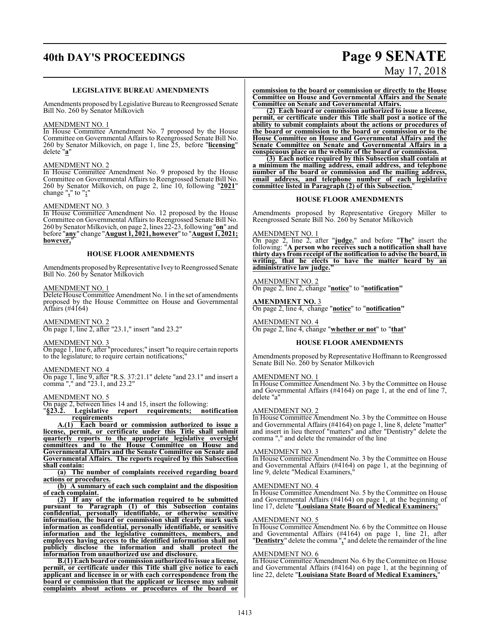# **40th DAY'S PROCEEDINGS Page 9 SENATE**

# May 17, 2018

# **LEGISLATIVE BUREAU AMENDMENTS**

Amendments proposed by Legislative Bureau to Reengrossed Senate Bill No. 260 by Senator Milkovich

# AMENDMENT NO. 1

In House Committee Amendment No. 7 proposed by the House Committee on Governmental Affairs to Reengrossed Senate Bill No. 260 by Senator Milkovich, on page 1, line 25, before "**licensing**" delete "**a**"

# AMENDMENT NO. 2

In House Committee Amendment No. 9 proposed by the House Committee on Governmental Affairs to Reengrossed Senate Bill No. 260 by Senator Milkovich, on page 2, line 10, following "**2021**" change "**,**" to "**;**"

# AMENDMENT NO. 3

In House Committee Amendment No. 12 proposed by the House Committee on Governmental Affairs to Reengrossed Senate Bill No. 260 by Senator Milkovich, on page 2, lines 22-23, following "**on**" and before "**any**" change "**August 1, 2021, however**" to "**August 1, 2021; however,**"

# **HOUSE FLOOR AMENDMENTS**

Amendments proposed by Representative Ivey to Reengrossed Senate Bill No. 260 by Senator Milkovich

# AMENDMENT NO. 1

Delete House Committee Amendment No. 1 in the set of amendments proposed by the House Committee on House and Governmental Affairs (#4164)

AMENDMENT NO. 2 On page 1, line 2, after "23.1," insert "and 23.2"

# AMENDMENT NO. 3

On page 1, line 6, after "procedures;" insert "to require certain reports to the legislature; to require certain notifications;

# AMENDMENT NO. 4

On page 1, line 9, after "R.S. 37:21.1" delete "and 23.1" and insert a comma "," and "23.1, and 23.2"

## AMENDMENT NO. 5

On page 2, between lines 14 and 15, insert the following:

"**§23.2. Legislative report requirements; notification requirements**

**A.(1) Each board or commission authorized to issue a license, permit, or certificate under this Title shall submit quarterly reports to the appropriate legislative oversight committees and to the House Committee on House and Governmental Affairs and the Senate Committee on Senate and Governmental Affairs. The reports required by this Subsection shall contain:**

**(a) The number of complaints received regarding board actions or procedures.**

**(b) A summary of each such complaint and the disposition of each complaint.**

**(2) If any of the information required to be submitted pursuant to Paragraph (1) of this Subsection contains confidential, personally identifiable, or otherwise sensitive information, the board or commission shall clearly mark such information as confidential, personally identifiable, or sensitive information and the legislative committees, members, and employees having access to the identified information shall not publicly disclose the information and shall protect the information from unauthorized use and disclosure.**

**B.(1)** Each board or commission authorized to issue a license, **permit, or certificate under this Title shall give notice to each applicant and licensee in or with each correspondence from the board or commission that the applicant or licensee may submit complaints about actions or procedures of the board or** **commission to the board or commission or directly to the House Committee on House and Governmental Affairs and the Senate Committee on Senate and Governmental Affairs.**

**(2) Each board or commission authorized to issue a license, permit, or certificate under this Title shall post a notice of the ability to submit complaints about the actions or procedures of the board or commission to the board or commission or to the House Committee on House and Governmental Affairs and the Senate Committee on Senate and Governmental Affairs in a conspicuous place on the website of the board or commission.**

**(3) Each notice required by this Subsection shall contain at a minimum the mailing address, email address, and telephone number of the board or commission and the mailing address, email address, and telephone number of each legislative committee listed in Paragraph (2) of this Subsection.**"

# **HOUSE FLOOR AMENDMENTS**

Amendments proposed by Representative Gregory Miller to Reengrossed Senate Bill No. 260 by Senator Milkovich

AMENDMENT NO. 1

On page 2, line 2, after "**judge.**" and before "**The**" insert the following: "**A person who receives such a notification shall have thirty days from receipt of the notification to advise the board, in writing, that he elects to have the matter heard by an administrative law judge."**

AMENDMENT NO. 2 On page 2, line 2, change "**notice**" to "**notification"**

**AMENDMENT NO.** 3 On page 2, line 4, change "**notice**" to "**notification"**

AMENDMENT NO. 4 On page 2, line 4, change "**whether or not**" to "**that**"

# **HOUSE FLOOR AMENDMENTS**

Amendments proposed by Representative Hoffmann to Reengrossed Senate Bill No. 260 by Senator Milkovich

# AMENDMENT NO. 1

In House Committee Amendment No. 3 by the Committee on House and Governmental Affairs (#4164) on page 1, at the end of line 7, delete "a"

# AMENDMENT NO. 2

In House Committee Amendment No. 3 by the Committee on House and Governmental Affairs (#4164) on page 1, line 8, delete "matter" and insert in lieu thereof "matters" and after "Dentistry" delete the comma "," and delete the remainder of the line

# AMENDMENT NO. 3

In House Committee Amendment No. 3 by the Committee on House and Governmental Affairs (#4164) on page 1, at the beginning of line 9, delete "Medical Examiners,"

# AMENDMENT NO. 4

In House Committee Amendment No. 5 by the Committee on House and Governmental Affairs (#4164) on page 1, at the beginning of line 17, delete "**Louisiana State Board of Medical Examiners;**"

# AMENDMENT NO. 5

In House Committee Amendment No. 6 by the Committee on House and Governmental Affairs (#4164) on page 1, line 21, after "**Dentistry**" delete the comma "**,**" and delete the remainder of the line

## AMENDMENT NO. 6

In House Committee Amendment No. 6 by the Committee on House and Governmental Affairs (#4164) on page 1, at the beginning of line 22, delete "**Louisiana State Board of Medical Examiners,**"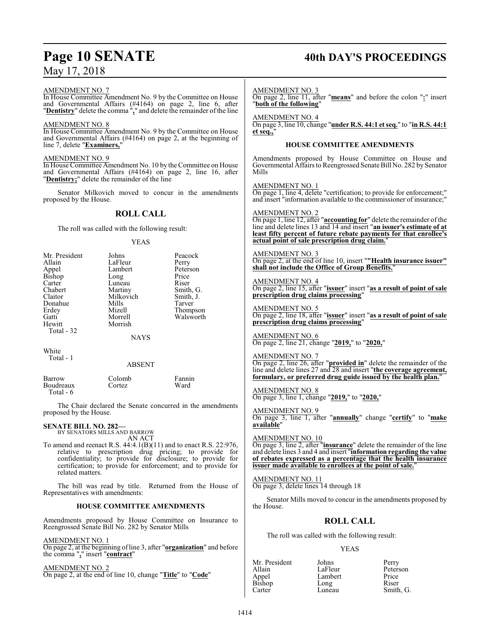# **Page 10 SENATE 40th DAY'S PROCEEDINGS**

| May 17, 2018                                                                                                                                                                                                                                                                                                                                                                                                           |  |                                                                                                                                                                                                                                                                                       |                                                                                                                                                                                                                       |                                                                                                                                                                                                                                 |
|------------------------------------------------------------------------------------------------------------------------------------------------------------------------------------------------------------------------------------------------------------------------------------------------------------------------------------------------------------------------------------------------------------------------|--|---------------------------------------------------------------------------------------------------------------------------------------------------------------------------------------------------------------------------------------------------------------------------------------|-----------------------------------------------------------------------------------------------------------------------------------------------------------------------------------------------------------------------|---------------------------------------------------------------------------------------------------------------------------------------------------------------------------------------------------------------------------------|
| AMENDMENT NO. 7<br>In House Committee Amendment No. 9 by the Committee on House<br>and Governmental Affairs (#4164) on page 2, line 6, after<br>"Dentistry" delete the comma <sup>n</sup> ," and delete the remainder of the line<br>AMENDMENT NO. 8<br>In House Committee Amendment No. 9 by the Committee on House<br>and Governmental Affairs (#4164) on page 2, at the beginning of<br>line 7, delete "Examiners," |  | <b>AMENDMENT NO. 3</b><br>On page 2, line 11, after "means" and before the colon ":" insert<br>"both of the following"<br><b>AMENDMENT NO. 4</b><br>On page 3, line 10, change "under R.S. 44:1 et seq." to "in R.S. 44:1<br>et seq.,"<br><b>HOUSE COMMITTEE AMENDMENTS</b>           |                                                                                                                                                                                                                       |                                                                                                                                                                                                                                 |
| AMENDMENT NO. 9<br>In House Committee Amendment No. 10 by the Committee on House<br>and Governmental Affairs (#4164) on page 2, line 16, after<br>"Dentistry;" delete the remainder of the line                                                                                                                                                                                                                        |  | Mills                                                                                                                                                                                                                                                                                 |                                                                                                                                                                                                                       | Amendments proposed by House Committee on House and<br>Governmental Affairs to Reengrossed Senate Bill No. 282 by Senator                                                                                                       |
| Senator Milkovich moved to concur in the amendments<br>proposed by the House.                                                                                                                                                                                                                                                                                                                                          |  | <b>AMENDMENT NO. 1</b><br>On page 1, line 4, delete "certification; to provide for enforcement;"<br>and insert "information available to the commissioner of insurance;"                                                                                                              |                                                                                                                                                                                                                       |                                                                                                                                                                                                                                 |
| <b>ROLL CALL</b>                                                                                                                                                                                                                                                                                                                                                                                                       |  | <b>AMENDMENT NO. 2</b>                                                                                                                                                                                                                                                                |                                                                                                                                                                                                                       |                                                                                                                                                                                                                                 |
| The roll was called with the following result:                                                                                                                                                                                                                                                                                                                                                                         |  |                                                                                                                                                                                                                                                                                       | On page 1, line 12, after "accounting for" delete the remainder of the<br>line and delete lines 13 and 14 and insert "an issuer's estimate of at<br>least fifty percent of future rebate payments for that enrollee's |                                                                                                                                                                                                                                 |
| <b>YEAS</b>                                                                                                                                                                                                                                                                                                                                                                                                            |  |                                                                                                                                                                                                                                                                                       | actual point of sale prescription drug claim."                                                                                                                                                                        |                                                                                                                                                                                                                                 |
| Mr. President<br>Peacock<br>Johns<br>Allain<br>LaFleur<br>Perry<br>Lambert<br>Appel<br>Peterson                                                                                                                                                                                                                                                                                                                        |  | AMENDMENT NO. 3                                                                                                                                                                                                                                                                       | shall not include the Office of Group Benefits."                                                                                                                                                                      | On page 2, at the end of line 10, insert ""Health insurance issuer"                                                                                                                                                             |
| Bishop<br>Price<br>Long<br>Carter<br>Luneau<br>Riser<br>Chabert<br>Martiny<br>Smith, G.<br>Claitor<br>Milkovich<br>Smith, J.                                                                                                                                                                                                                                                                                           |  | <b>AMENDMENT NO. 4</b>                                                                                                                                                                                                                                                                | prescription drug claims processing"                                                                                                                                                                                  | On page 2, line 15, after "issuer" insert "as a result of point of sale                                                                                                                                                         |
| Donahue<br>Mills<br>Tarver<br>Erdey<br>Mizell<br>Thompson<br>Walsworth<br>Morrell<br>Gatti<br>Hewitt<br>Morrish                                                                                                                                                                                                                                                                                                        |  | <b>AMENDMENT NO. 5</b>                                                                                                                                                                                                                                                                | prescription drug claims processing"                                                                                                                                                                                  | On page 2, line 18, after "issuer" insert "as a result of point of sale                                                                                                                                                         |
| Total - 32<br><b>NAYS</b>                                                                                                                                                                                                                                                                                                                                                                                              |  | <b>AMENDMENT NO. 6</b>                                                                                                                                                                                                                                                                | On page 2, line 21, change "2019," to "2020,"                                                                                                                                                                         |                                                                                                                                                                                                                                 |
| White<br>Total - 1<br><b>ABSENT</b><br>Barrow<br>Colomb<br>Fannin                                                                                                                                                                                                                                                                                                                                                      |  | <b>AMENDMENT NO. 7</b>                                                                                                                                                                                                                                                                |                                                                                                                                                                                                                       | On page 2, line 26, after " <b>provided in</b> " delete the remainder of the line and delete lines $27$ and $28$ and insert " <b>the coverage agreement</b> ,<br>formulary, or preferred drug guide issued by the health plan." |
| Boudreaux<br>Cortez<br>Ward<br>Total - 6                                                                                                                                                                                                                                                                                                                                                                               |  | <b>AMENDMENT NO. 8</b>                                                                                                                                                                                                                                                                | On page 3, line 1, change "2019," to "2020,"                                                                                                                                                                          |                                                                                                                                                                                                                                 |
| The Chair declared the Senate concurred in the amendments<br>proposed by the House.                                                                                                                                                                                                                                                                                                                                    |  | <b>AMENDMENT NO. 9</b><br>On page 3, line 1, after "annually" change "certify" to "make<br>available"                                                                                                                                                                                 |                                                                                                                                                                                                                       |                                                                                                                                                                                                                                 |
| <b>SENATE BILL NO. 282—</b><br>BY SENATORS MILLS AND BARROW                                                                                                                                                                                                                                                                                                                                                            |  | AMENDMENT NO. 10                                                                                                                                                                                                                                                                      |                                                                                                                                                                                                                       |                                                                                                                                                                                                                                 |
| AN ACT<br>To amend and reenact R.S. $44:4.1(B)(11)$ and to enact R.S. 22:976,<br>relative to prescription drug pricing; to provide for<br>confidentiality; to provide for disclosure; to provide for<br>certification; to provide for enforcement; and to provide for<br>related matters.                                                                                                                              |  | On page 3, line 2, after " <b>insurance</b> " delete the remainder of the line<br>and delete lines 3 and 4 and insert "information regarding the value<br>of rebates expressed as a percentage that the health insurance<br>issuer made available to enrollees at the point of sale." |                                                                                                                                                                                                                       |                                                                                                                                                                                                                                 |
| The bill was read by title. Returned from the House of<br>Representatives with amendments:                                                                                                                                                                                                                                                                                                                             |  | <b>AMENDMENT NO. 11</b><br>On page 3, delete lines 14 through 18                                                                                                                                                                                                                      |                                                                                                                                                                                                                       |                                                                                                                                                                                                                                 |
| HOUSE COMMITTEE AMENDMENTS                                                                                                                                                                                                                                                                                                                                                                                             |  | the House.                                                                                                                                                                                                                                                                            |                                                                                                                                                                                                                       | Senator Mills moved to concur in the amendments proposed by                                                                                                                                                                     |
| Amendments proposed by House Committee on Insurance to<br>Reengrossed Senate Bill No. 282 by Senator Mills                                                                                                                                                                                                                                                                                                             |  | <b>ROLL CALL</b>                                                                                                                                                                                                                                                                      |                                                                                                                                                                                                                       |                                                                                                                                                                                                                                 |
| AMENDMENT NO. 1                                                                                                                                                                                                                                                                                                                                                                                                        |  | The roll was called with the following result:                                                                                                                                                                                                                                        |                                                                                                                                                                                                                       |                                                                                                                                                                                                                                 |
| On page 2, at the beginning of line 3, after "organization" and before                                                                                                                                                                                                                                                                                                                                                 |  |                                                                                                                                                                                                                                                                                       | <b>YEAS</b>                                                                                                                                                                                                           |                                                                                                                                                                                                                                 |
| the comma "," insert "contract"<br>AMENDMENT NO. 2<br>On page 2, at the end of line 10, change " <u>Title</u> " to " <u>Code</u> "                                                                                                                                                                                                                                                                                     |  | Mr. President<br>Allain<br>Appel<br>Bishop<br>Carter                                                                                                                                                                                                                                  | Johns<br>LaFleur<br>Lambert<br>Long<br>Luneau                                                                                                                                                                         | Perry<br>Peterson<br>Price<br>Riser<br>Smith, G.                                                                                                                                                                                |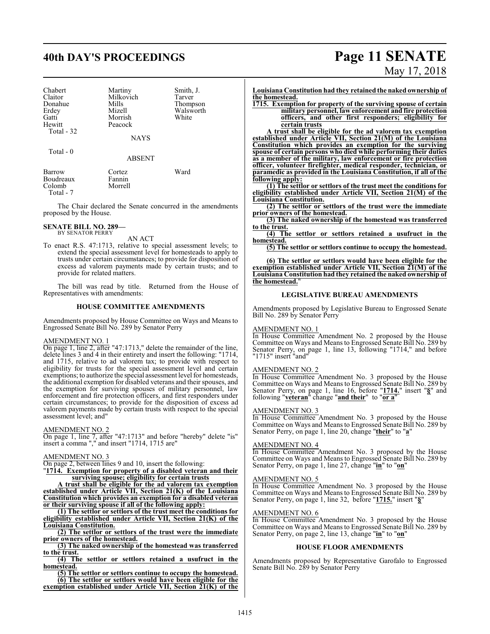# **40th DAY'S PROCEEDINGS Page 11 SENATE**

| Chabert     | Martiny     | Smith, J. |
|-------------|-------------|-----------|
| Claitor     | Milkovich   | Tarver    |
| Donahue     | Mills       | Thompson  |
| Erdey       | Mizell      | Walsworth |
| Gatti       | Morrish     | White     |
| Hewitt      | Peacock     |           |
| Total - 32  |             |           |
|             | <b>NAYS</b> |           |
| $Total - 0$ |             |           |

ABSENT

| Barrow    | Cortez  | Ward |
|-----------|---------|------|
| Boudreaux | Fannin  |      |
| Colomb    | Morrell |      |
| Total - 7 |         |      |

The Chair declared the Senate concurred in the amendments proposed by the House.

# **SENATE BILL NO. 289—** BY SENATOR PERRY

AN ACT

To enact R.S. 47:1713, relative to special assessment levels; to extend the special assessment level for homesteads to apply to trusts under certain circumstances; to provide for disposition of excess ad valorem payments made by certain trusts; and to provide for related matters.

The bill was read by title. Returned from the House of Representatives with amendments:

# **HOUSE COMMITTEE AMENDMENTS**

Amendments proposed by House Committee on Ways and Means to Engrossed Senate Bill No. 289 by Senator Perry

# AMENDMENT NO. 1

On page 1, line 2, after "47:1713," delete the remainder of the line, delete lines 3 and 4 in their entirety and insert the following: "1714, and 1715, relative to ad valorem tax; to provide with respect to eligibility for trusts for the special assessment level and certain exemptions; to authorize the special assessment level for homesteads, the additional exemption for disabled veterans and their spouses, and the exemption for surviving spouses of military personnel, law enforcement and fire protection officers, and first responders under certain circumstances; to provide for the disposition of excess ad valorem payments made by certain trusts with respect to the special assessment level; and"

## AMENDMENT NO. 2

On page 1, line 7, after "47:1713" and before "hereby" delete "is" insert a comma "," and insert "1714, 1715 are"

# AMENDMENT NO. 3

On page 2, between lines 9 and 10, insert the following:

"**1714. Exemption for property of a disabled veteran and their surviving spouse; eligibility for certain trusts**

**A trust shall be eligible for the ad valorem tax exemption established under Article VII, Section 21(K) of the Louisiana Constitution which provides an exemption for a disabled veteran or their surviving spouse if all of the following apply:**

**(1) The settlor or settlors of the trust meet the conditions for eligibility established under Article VII, Section 21(K) of the Louisiana Constitution.**

**(2) The settlor or settlors of the trust were the immediate prior owners of the homestead.**

**(3) The naked ownership of the homestead was transferred to the trust.**

**(4) The settlor or settlors retained a usufruct in the homestead.**

**(5) The settlor or settlors continue to occupy the homestead. (6) The settlor or settlors would have been eligible for the exemption established under Article VII, Section 21(K) of the**

# May 17, 2018

**Louisiana Constitution had they retained the naked ownership of the homestead.**

**1715. Exemption for property of the surviving spouse of certain military personnel, law enforcement and fire protection officers, and other first responders; eligibility for certain trusts**

**A trust shall be eligible for the ad valorem tax exemption established under Article VII, Section 21(M) of the Louisiana Constitution which provides an exemption for the surviving spouse of certain persons who died while performing their duties as a member of the military, law enforcement or fire protection officer, volunteer firefighter, medical responder, technician, or paramedic as provided in the Louisiana Constitution, if all of the following apply:**

**(1) The settlor or settlors of the trust meet the conditions for eligibility established under Article VII, Section 21(M) of the Louisiana Constitution.**

**(2) The settlor or settlors of the trust were the immediate prior owners of the homestead.**

**(3) The naked ownership of the homestead was transferred to the trust.**

**(4) The settlor or settlors retained a usufruct in the homestead.**

**(5) The settlor or settlors continue to occupy the homestead.**

**(6) The settlor or settlors would have been eligible for the exemption established under Article VII, Section 21(M) of the Louisiana Constitution had they retained the naked ownership of the homestead.**"

# **LEGISLATIVE BUREAU AMENDMENTS**

Amendments proposed by Legislative Bureau to Engrossed Senate Bill No. 289 by Senator Perry

# AMENDMENT NO. 1

In House Committee Amendment No. 2 proposed by the House Committee on Ways and Means to Engrossed Senate Bill No. 289 by Senator Perry, on page 1, line 13, following "1714," and before "1715" insert "and"

## AMENDMENT NO. 2

In House Committee Amendment No. 3 proposed by the House Committee on Ways and Means to Engrossed Senate Bill No. 289 by Senator Perry, on page 1, line 16, before "**1714.**" insert "**§**" and following "**veteran**" change "**and their**" to "**or a**"

## AMENDMENT NO. 3

In House Committee Amendment No. 3 proposed by the House Committee on Ways and Means to Engrossed Senate Bill No. 289 by Senator Perry, on page 1, line 20, change "**their**" to "**a**"

# AMENDMENT NO. 4

In House Committee Amendment No. 3 proposed by the House Committee on Ways and Means to Engrossed Senate Bill No. 289 by Senator Perry, on page 1, line 27, change "**in**" to "**on**"

# AMENDMENT NO. 5

In House Committee Amendment No. 3 proposed by the House Committee on Ways and Means to Engrossed Senate Bill No. 289 by Senator Perry, on page 1, line 32, before "**1715.**" insert "**§**"

## AMENDMENT NO. 6

In House Committee Amendment No. 3 proposed by the House Committee on Ways and Means to Engrossed Senate Bill No. 289 by Senator Perry, on page 2, line 13, change "**in**" to "**on**"

## **HOUSE FLOOR AMENDMENTS**

Amendments proposed by Representative Garofalo to Engrossed Senate Bill No. 289 by Senator Perry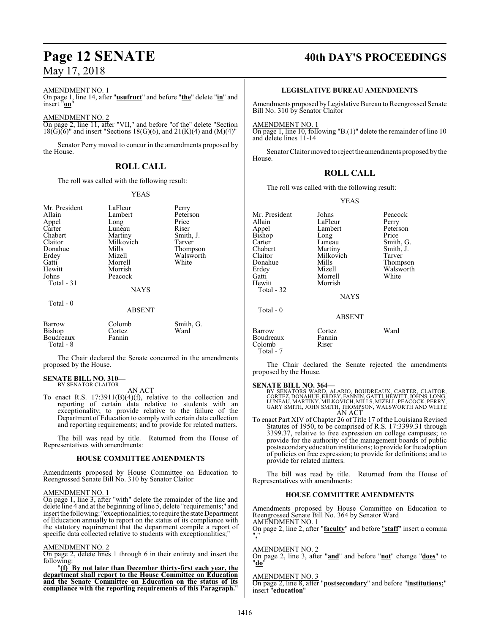# AMENDMENT NO. 1

On page 1, line 14, after "**usufruct**" and before "**the**" delete "**in**" and insert "**on**"

# AMENDMENT NO. 2

On page 2, line 11, after "VII," and before "of the" delete "Section  $18(\text{G})(6)$ " and insert "Sections 18(G)(6), and 21(K)(4) and (M)(4)"

Senator Perry moved to concur in the amendments proposed by the House.

# **ROLL CALL**

The roll was called with the following result:

## YEAS

| Mr. President<br>Allain<br>Appel<br>Carter<br>Chabert<br>Claitor<br>Donahue<br>Erdey<br>Gatti<br>Hewitt<br>Johns<br>Total - 31 | LaFleur<br>Lambert<br>Long<br>Luneau<br>Martiny<br>Milkovich<br>Mills<br>Mizell<br>Morrell<br>Morrish<br>Peacock<br><b>NAYS</b> | Perry<br>Peterson<br>Price<br>Riser<br>Smith, J.<br>Tarver<br>Thompson<br>Walsworth<br>White |
|--------------------------------------------------------------------------------------------------------------------------------|---------------------------------------------------------------------------------------------------------------------------------|----------------------------------------------------------------------------------------------|
| Total - 0                                                                                                                      | <b>ABSENT</b>                                                                                                                   |                                                                                              |
| Barrow<br>Bishop<br>Boudreaux<br>Total - 8                                                                                     | Colomb<br>Cortez<br>Fannin                                                                                                      | Smith, G.<br>Ward                                                                            |

The Chair declared the Senate concurred in the amendments proposed by the House.

### **SENATE BILL NO. 310—** BY SENATOR CLAITOR

AN ACT

To enact R.S. 17:3911(B)(4)(f), relative to the collection and reporting of certain data relative to students with an exceptionality; to provide relative to the failure of the Department of Education to comply with certain data collection and reporting requirements; and to provide for related matters.

The bill was read by title. Returned from the House of Representatives with amendments:

# **HOUSE COMMITTEE AMENDMENTS**

Amendments proposed by House Committee on Education to Reengrossed Senate Bill No. 310 by Senator Claitor

# AMENDMENT NO. 1

On page 1, line 3, after "with" delete the remainder of the line and delete line 4 and at the beginning ofline 5, delete "requirements;" and insert the following: "exceptionalities; to require the state Department of Education annually to report on the status of its compliance with the statutory requirement that the department compile a report of specific data collected relative to students with exceptionalities;

## AMENDMENT NO. 2

On page 2, delete lines 1 through 6 in their entirety and insert the following:

"**(f) By not later than December thirty-first each year, the department shall report to the House Committee on Education and the Senate Committee on Education on the status of its compliance with the reporting requirements of this Paragraph.**"

# **Page 12 SENATE 40th DAY'S PROCEEDINGS**

# **LEGISLATIVE BUREAU AMENDMENTS**

Amendments proposed byLegislative Bureau to Reengrossed Senate Bill No. 310 by Senator Claitor

AMENDMENT NO. 1

On page 1, line 10, following "B.(1)" delete the remainder of line 10 and delete lines 11-14

Senator Claitormoved to reject the amendments proposed by the House.

# **ROLL CALL**

The roll was called with the following result:

YEAS

| Mr. President<br>Allain<br>Appel<br><b>Bishop</b><br>Carter<br>Chabert | Johns<br>LaFleur<br>Lambert<br>Long<br>Luneau<br>Martiny   | Peacock<br>Perry<br>Peterson<br>Price<br>Smith, G.<br>Smith, J. |
|------------------------------------------------------------------------|------------------------------------------------------------|-----------------------------------------------------------------|
| Claitor<br>Donahue<br>Erdey<br>Gatti<br>Hewitt<br>Total - 32           | Milkovich<br>Mills<br>Mizell<br>Morrell<br>Morrish<br>NAYS | Tarver<br>Thompson<br>Walsworth<br>White                        |
| Total - 0                                                              | <b>ABSENT</b>                                              |                                                                 |
| Barrow<br>Boudreaux<br>Colomb<br>Total - 7                             | Cortez<br>Fannin<br>Riser                                  | Ward                                                            |

The Chair declared the Senate rejected the amendments proposed by the House.

**SENATE BILL NO. 364—**<br>BY SENATORS WARD, ALARIO, BOUDREAUX, CARTER, CLAITOR,<br>CORTEZ, DONAHUE, ERDEY, FANNIN, GATTI, HEWITT, JOHNS, LONG,<br>LUNEAU, MARTINY, MILKOVICH, MILLS, MIZELL, PEACOCK, PERRY, GARY SMITH, JOHN SMITH, THOMPSON, WALSWORTH AND WHITE AN ACT

To enact Part XIV of Chapter 26 of Title 17 of the Louisiana Revised Statutes of 1950, to be comprised of R.S. 17:3399.31 through 3399.37, relative to free expression on college campuses; to provide for the authority of the management boards of public postsecondaryeducation institutions; to provide forthe adoption of policies on free expression; to provide for definitions; and to provide for related matters.

The bill was read by title. Returned from the House of Representatives with amendments:

# **HOUSE COMMITTEE AMENDMENTS**

Amendments proposed by House Committee on Education to Reengrossed Senate Bill No. 364 by Senator Ward AMENDMENT NO. 1

On page 2, line 2, after "**faculty**" and before "**staff**" insert a comma "**,**"

# AMENDMENT NO. 2

On page 2, line 3, after "**and**" and before "**not**" change "**does**" to "**do**"

# AMENDMENT NO. 3

On page 2, line 8, after "**postsecondary**" and before "**institutions;**" insert "**education**"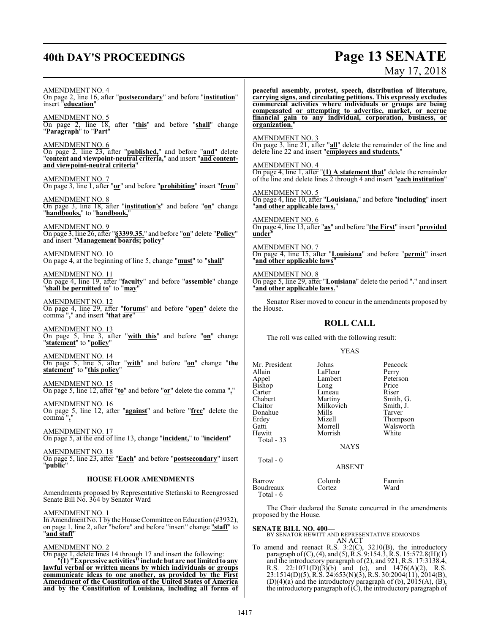# **40th DAY'S PROCEEDINGS Page 13 SENATE**

# May 17, 2018

AMENDMENT NO. 4 On page 2, line 16, after "**postsecondary**" and before "**institution**" insert "**education**" AMENDMENT NO. 5 On page 2, line 18, after "**this**" and before "**shall**" change "**Paragraph**" to "**Part**" AMENDMENT NO. 6 On page 2, line 23, after "**published,**" and before "**and**" delete "**content and viewpoint-neutral criteria,**" and insert "**and contentand viewpoint-neutral criteria**" AMENDMENT NO. 7 On page 3, line 1, after "**or**" and before "**prohibiting**" insert "**from**" AMENDMENT NO. 8 On page 3, line 18, after "**institution's**" and before "**on**" change "**handbooks,**" to "**handbook,**" AMENDMENT NO. 9 On page 3, line 26, after "**§3399.35.**" and before "**on**" delete "**Policy**" and insert "**Management boards; policy**" AMENDMENT NO. 10 On page 4, at the beginning of line 5, change "**must**" to "**shall**" AMENDMENT NO. 11 On page 4, line 19, after "**faculty**" and before "**assemble**" change "**shall be permitted to**" to "**may**" AMENDMENT NO. 12 On page 4, line 29, after "**forums**" and before "**open**" delete the comma "**,**" and insert "**that are**" AMENDMENT NO. 13 On page 5, line 3, after "**with this**" and before "**on**" change "**statement**" to "**policy**" AMENDMENT NO. 14 On page 5, line 5, after "**with**" and before "**on**" change "**the statement**" to "**this policy**" AMENDMENT NO. 15 On page 5, line 12, after "**to**" and before "**or**" delete the comma "**,**" AMENDMENT NO. 16 On page 5, line 12, after "**against**" and before "**free**" delete the comma "**,**" AMENDMENT NO. 17 On page 5, at the end of line 13, change "**incident,**" to "**incident**" AMENDMENT NO. 18 On page 5, line 23, after "**Each**" and before "**postsecondary**" insert "**public**" **HOUSE FLOOR AMENDMENTS** Amendments proposed by Representative Stefanski to Reengrossed Senate Bill No. 364 by Senator Ward AMENDMENT NO. 1 In Amendment No. 1 by the House Committee on Education (#3932), on page 1, line 2, after "before" and before "insert" change "**staff**" to "**and staff**" **peaceful assembly, protest, speech, distribution of literature, carrying signs, and circulating petitions. This expressly excludes commercial activities where individuals or groups are being compensated or attempting to advertise, market, or accrue financial gain to any individual, corporation, business, or organization.**" AMENDMENT NO. 3 On page 3, line 21, after "**all**" delete the remainder of the line and delete line 22 and insert "**employees and students.**" AMENDMENT NO. 4 On page 4, line 1, after "**(1) A statement that**" delete the remainder of the line and delete lines 2 through 4 and insert "**each institution**" AMENDMENT NO. 5 On page 4, line 10, after "**Louisiana,**" and before "**including**" insert "**and other applicable laws,**" AMENDMENT NO. 6 On page 4, line 13, after "**as**" and before "**the First**" insert "**provided under**" AMENDMENT NO. 7 On page 4, line 15, after "**Louisiana**" and before "**permit**" insert "**and other applicable laws**" AMENDMENT NO. 8 On page 5, line 29, after "**Louisiana**" delete the period "**.**" and insert "**and other applicable laws.**" Senator Riser moved to concur in the amendments proposed by the House. **ROLL CALL** The roll was called with the following result: YEAS Mr. President Johns Peacock<br>Allain LaFleur Perry Allain LaFleur Perry<br>Appel Lambert Peterson Lambert Peters<br>
Long Price Bishop Long Price<br>Carter Luneau Riser Carter Luneau<br>Chabert Martiny Chabert Martiny Smith, G.<br>Claitor Milkovich Smith, J. Milkovich Smith,<br>
Mills Tarver Donahue Mills<br>Erdey Mizell Erdey Mizell Thompson Gatti Morrell Walsworth<br>
Hewitt Morrish White Morrish Total - 33 NAYS Total - 0 ABSENT Barrow Colomb Fannin Boudreaux Total - 6 The Chair declared the Senate concurred in the amendments proposed by the House. **SENATE BILL NO. 400— ATE DILL NO. 400—**<br>BY SENATOR HEWITT AND REPRESENTATIVE EDMONDS

AMENDMENT NO. 2

On page 1, delete lines 14 through 17 and insert the following:

"**(1) "Expressive activities" include but are not limited to any lawful verbal or written means by which individuals or groups communicate ideas to one another, as provided by the First Amendment of the Constitution of the United States of America and by the Constitution of Louisiana, including all forms of**

AN ACT To amend and reenact R.S. 3:2(C), 3210(B), the introductory

paragraph of(C), (4), and (5), R.S. 9:154.3, R.S. 15:572.8(H)(1) and the introductory paragraph of (2), and 921, R.S. 17:3138.4, R.S.  $22:1071(D)(3)(b)$  and (c), and  $1476(A)(2)$ , R.S. 23:1514(D)(5), R.S. 24:653(N)(3), R.S. 30:2004(11), 2014(B),  $(D)(4)(a)$  and the introductory paragraph of  $(b)$ , 2015 $(A)$ ,  $(B)$ , the introductory paragraph of  $(C)$ , the introductory paragraph of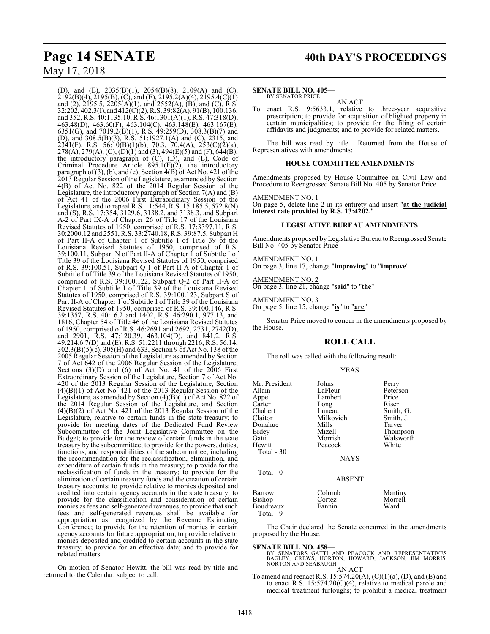(D), and (E), 2035(B)(1), 2054(B)(8), 2109(A) and (C), 2192(B)(4), 2195(B), (C), and (E), 2195.2(A)(4), 2195.4(C)(1) and (2), 2195.5, 2205(A)(1), and 2552(A), (B), and (C), R.S. 32:202, 402.3(I), and 412(C)(2), R.S. 39:82(A), 91(B), 100.136, and 352, R.S. 40:1135.10, R.S. 46:1301(A)(1), R.S. 47:318(D), 463.48(D), 463.60(F), 463.104(C), 463.148(E), 463.167(E), 6351(G), and 7019.2(B)(1), R.S. 49:259(D), 308.3(B)(7) and (D), and 308.5(B)(3), R.S. 51:1927.1(A) and (C), 2315, and 2341(F), R.S. 56:10(B)(1)(b), 70.3, 70.4(A), 253(C)(2)(a), 278(A), 279(A), (C), (D)(1) and (3), 494(E)(5) and (F), 644(B), the introductory paragraph of (C), (D), and (E), Code of Criminal Procedure Article  $895.1(F)(2)$ , the introductory paragraph of (3), (b), and (e), Section 4(B) of Act No. 421 of the 2013 Regular Session of the Legislature, as amended by Section 4(B) of Act No. 822 of the 2014 Regular Session of the Legislature, the introductory paragraph of Section 7(A) and (B) of Act 41 of the 2006 First Extraordinary Session of the Legislature, and to repeal R.S. 11:544, R.S. 15:185.5, 572.8(N) and (S), R.S. 17:354, 3129.6, 3138.2, and 3138.3, and Subpart A-2 of Part IX-A of Chapter 26 of Title 17 of the Louisiana Revised Statutes of 1950, comprised of R.S. 17:3397.11, R.S. 30:2000.12 and 2551, R.S. 33:2740.18, R.S. 39:87.5, Subpart H of Part II-A of Chapter 1 of Subtitle I of Title 39 of the Louisiana Revised Statutes of 1950, comprised of R.S. 39:100.11, Subpart N of Part II-A of Chapter 1 of Subtitle I of Title 39 of the Louisiana Revised Statutes of 1950, comprised of R.S. 39:100.51, Subpart Q-1 of Part II-A of Chapter 1 of Subtitle I of Title 39 of the Louisiana Revised Statutes of 1950, comprised of R.S. 39:100.122, Subpart Q-2 of Part II-A of Chapter 1 of Subtitle I of Title 39 of the Louisiana Revised Statutes of 1950, comprised of R.S. 39:100.123, Subpart S of Part II-A of Chapter 1 of Subtitle I of Title 39 of the Louisiana Revised Statutes of 1950, comprised of R.S. 39:100.146, R.S. 39:1357, R.S. 40:16.2 and 1402, R.S. 46:290.1, 977.13, and 1816, Chapter 54 of Title 46 of the Louisiana Revised Statutes of 1950, comprised of R.S. 46:2691 and 2692, 2731, 2742(D), and 2901, R.S. 47:120.39, 463.104(D), and 841.2, R.S. 49:214.6.7(D) and (E), R.S. 51:2211 through 2216, R.S. 56:14, 302.3(B)(5)(c), 305(H) and 633, Section 9 of Act No. 138 ofthe 2005 Regular Session of the Legislature as amended by Section 7 of Act 642 of the 2006 Regular Session of the Legislature, Sections (3)(D) and (6) of Act No. 41 of the 2006 First Extraordinary Session of the Legislature, Section 7 of Act No. 420 of the 2013 Regular Session of the Legislature, Section  $(4)(B)(1)$  of Act No. 421 of the 2013 Regular Session of the Legislature, as amended by Section (4)(B)(1) of Act No. 822 of the 2014 Regular Session of the Legislature, and Section  $(4)(B)(2)$  of  $\overline{A}$ ct No. 421 of the 2013 Regular Session of the Legislature, relative to certain funds in the state treasury; to provide for meeting dates of the Dedicated Fund Review Subcommittee of the Joint Legislative Committee on the Budget; to provide for the review of certain funds in the state treasury by the subcommittee; to provide for the powers, duties, functions, and responsibilities of the subcommittee, including the recommendation for the reclassification, elimination, and expenditure of certain funds in the treasury; to provide for the reclassification of funds in the treasury; to provide for the elimination of certain treasury funds and the creation of certain treasury accounts; to provide relative to monies deposited and credited into certain agency accounts in the state treasury; to provide for the classification and consideration of certain monies as fees and self-generated revenues; to provide that such fees and self-generated revenues shall be available for appropriation as recognized by the Revenue Estimating Conference; to provide for the retention of monies in certain agency accounts for future appropriation; to provide relative to monies deposited and credited to certain accounts in the state treasury; to provide for an effective date; and to provide for related matters.

On motion of Senator Hewitt, the bill was read by title and returned to the Calendar, subject to call.

# **Page 14 SENATE** 40th DAY'S PROCEEDINGS

## **SENATE BILL NO. 405—** BY SENATOR PRICE

AN ACT

To enact R.S. 9:5633.1, relative to three-year acquisitive prescription; to provide for acquisition of blighted property in certain municipalities; to provide for the filing of certain affidavits and judgments; and to provide for related matters.

The bill was read by title. Returned from the House of Representatives with amendments:

# **HOUSE COMMITTEE AMENDMENTS**

Amendments proposed by House Committee on Civil Law and Procedure to Reengrossed Senate Bill No. 405 by Senator Price

# AMENDMENT NO. 1

On page 5, delete line 2 in its entirety and insert "**at the judicial interest rate provided by R.S. 13:4202.**"

# **LEGISLATIVE BUREAU AMENDMENTS**

Amendments proposed byLegislative Bureau to Reengrossed Senate Bill No. 405 by Senator Price

## AMENDMENT NO. 1 On page 3, line 17, change "**improving**" to "**improve**"

AMENDMENT NO. 2

On page 3, line 21, change "**said**" to "**the**"

# AMENDMENT NO. 3

On page 5, line 15, change "**is**" to "**are**"

Senator Price moved to concur in the amendments proposed by the House.

# **ROLL CALL**

The roll was called with the following result:

Mr. President Johns Perry

YEAS

| LaFleur       | Peterson  |
|---------------|-----------|
| Lambert       | Price     |
| Long          | Riser     |
| Luneau        | Smith, G. |
| Milkovich     | Smith, J. |
| Mills         | Tarver    |
| Mizell        | Thompson  |
| Morrish       | Walsworth |
| Peacock       | White     |
|               |           |
| <b>NAYS</b>   |           |
|               |           |
| <b>ABSENT</b> |           |
| Colomb        | Martiny   |
| Cortez        | Morrell   |
| Fannin        | Ward      |
|               |           |
|               |           |

The Chair declared the Senate concurred in the amendments proposed by the House.

# **SENATE BILL NO. 458—**

BY SENATORS GATTI AND PEACOCK AND REPRESENTATIVES<br>BAGLEY, CREWS, HORTON, HOWARD, JACKSON, JIM MORRIS,<br>NORTON AND SEABAUGH AN ACT

To amend and reenact R.S. 15:574.20(A), (C)(1)(a), (D), and (E) and to enact R.S. 15:574.20(C)(4), relative to medical parole and medical treatment furloughs; to prohibit a medical treatment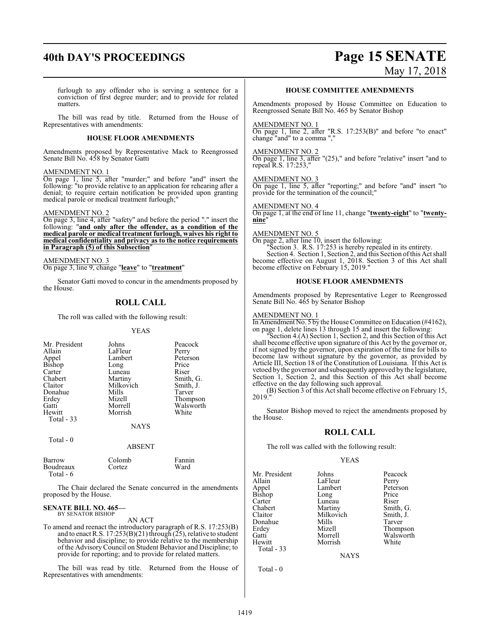# **40th DAY'S PROCEEDINGS Page 15 SENATE**

May 17, 2018

furlough to any offender who is serving a sentence for a conviction of first degree murder; and to provide for related matters.

The bill was read by title. Returned from the House of Representatives with amendments:

# **HOUSE FLOOR AMENDMENTS**

Amendments proposed by Representative Mack to Reengrossed Senate Bill No. 458 by Senator Gatti

# AMENDMENT NO. 1

On page 1, line 5, after "murder;" and before "and" insert the following: "to provide relative to an application for rehearing after a denial; to require certain notification be provided upon granting medical parole or medical treatment furlough;"

## AMENDMENT NO. 2

On page 3, line 4, after "safety" and before the period "." insert the following: "**and only after the offender, as a condition of the medical parole or medical treatment furlough, waives his right to medical confidentiality and privacy as to the notice requirements in Paragraph (5) of this Subsection**"

# AMENDMENT NO. 3

On page 3, line 9, change "**leave**" to "**treatment**"

Senator Gatti moved to concur in the amendments proposed by the House.

# **ROLL CALL**

The roll was called with the following result:

# YEAS

| Mr. President<br>Allain<br>Appel<br>Bishop<br>Carter<br>Chabert<br>Claitor<br>Donahue<br>Erdey<br>Gatti | Johns<br>LaFleur<br>Lambert<br>Long<br>Luneau<br>Martiny<br>Milkovich<br>Mills<br>Mizell<br>Morrell | Peacock<br>Perry<br>Peterson<br>Price<br>Riser<br>Smith, G.<br>Smith, J.<br>Tarver<br>Thompson<br>Walsworth |
|---------------------------------------------------------------------------------------------------------|-----------------------------------------------------------------------------------------------------|-------------------------------------------------------------------------------------------------------------|
| Hewitt                                                                                                  | Morrish                                                                                             | White                                                                                                       |
| Total $-33$                                                                                             |                                                                                                     |                                                                                                             |
|                                                                                                         | <b>NAYS</b>                                                                                         |                                                                                                             |
| Total - 0                                                                                               | <b>ABSENT</b>                                                                                       |                                                                                                             |

| Barrow    | Colomb  | Fannin |
|-----------|---------|--------|
| Boudreaux | Cortez. | Ward   |
| Total - 6 |         |        |

The Chair declared the Senate concurred in the amendments proposed by the House.

### **SENATE BILL NO. 465—** BY SENATOR BISHOP

## AN ACT

To amend and reenact the introductory paragraph of R.S. 17:253(B) and to enact R.S. 17:253(B)(21) through (25), relative to student behavior and discipline; to provide relative to the membership of the Advisory Council on Student Behavior and Discipline; to provide for reporting; and to provide for related matters.

The bill was read by title. Returned from the House of Representatives with amendments:

# **HOUSE COMMITTEE AMENDMENTS**

Amendments proposed by House Committee on Education to Reengrossed Senate Bill No. 465 by Senator Bishop

## AMENDMENT NO. 1

On page 1, line 2, after "R.S. 17:253(B)" and before "to enact" change "and" to a comma ","

# AMENDMENT NO. 2

On page 1, line 3, after "(25)," and before "relative" insert "and to repeal R.S. 17:253,"

# AMENDMENT NO. 3

On page 1, line 5, after "reporting;" and before "and" insert "to provide for the termination of the council;"

# AMENDMENT NO. 4

On page 1, at the end of line 11, change "**twenty-eight**" to "**twentynine**"

# AMENDMENT NO. 5

On page 2, after line 10, insert the following: "Section 3. R.S. 17:253 is hereby repealed in its entirety. Section 4. Section 1, Section 2, and this Section ofthis Act shall become effective on August 1, 2018. Section 3 of this Act shall become effective on February 15, 2019."

# **HOUSE FLOOR AMENDMENTS**

Amendments proposed by Representative Leger to Reengrossed Senate Bill No. 465 by Senator Bishop

# AMENDMENT NO. 1

In Amendment No. 5 by the House Committee on Education (#4162), on page 1, delete lines 13 through 15 and insert the following:

"Section 4.(A) Section 1, Section 2, and this Section of this Act shall become effective upon signature of this Act by the governor or, if not signed by the governor, upon expiration of the time for bills to become law without signature by the governor, as provided by Article III, Section 18 of the Constitution of Louisiana. If this Act is vetoed by the governor and subsequently approved by the legislature, Section 1, Section 2, and this Section of this Act shall become effective on the day following such approval.

(B) Section 3 of this Act shall become effective on February 15, 2019."

Senator Bishop moved to reject the amendments proposed by the House.

# **ROLL CALL**

The roll was called with the following result:

# YEAS

Mr. President Johns Peacock<br>Allain LaFleur Perry Allain LaFleur Perry Bishop Long Price<br>Carter Luneau Riser Carter Luneau<br>Chabert Martiny Chabert Martiny Smith, G.<br>Claitor Milkovich Smith, J. Donahue Mills<br>Erdey Mizell Erdey Mizell Thompson Hewitt Total - 33

Total - 0

Lambert Peters<br>
Long Price Milkovich Smith,<br>Mills Tarver Morrell Walsworth<br>
Morrish White

**NAYS**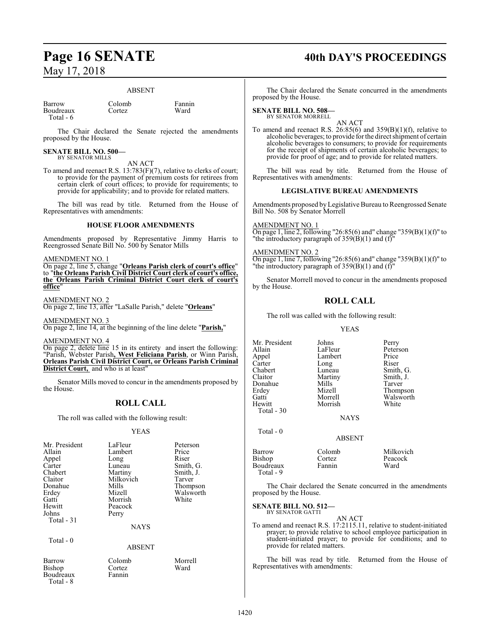# ABSENT

| Barrow    | Colomb | Fanni |
|-----------|--------|-------|
| Boudreaux | Cortez | Ward  |
| Total - 6 |        |       |

Colomb Fannin<br>Cortez Ward

The Chair declared the Senate rejected the amendments proposed by the House.

## **SENATE BILL NO. 500—** BY SENATOR MILLS

AN ACT

To amend and reenact R.S. 13:783(F)(7), relative to clerks of court; to provide for the payment of premium costs for retirees from certain clerk of court offices; to provide for requirements; to provide for applicability; and to provide for related matters.

The bill was read by title. Returned from the House of Representatives with amendments:

# **HOUSE FLOOR AMENDMENTS**

Amendments proposed by Representative Jimmy Harris to Reengrossed Senate Bill No. 500 by Senator Mills

AMENDMENT NO. 1

On page 2, line 5, change "**Orleans Parish clerk of court's office**" to "**the Orleans Parish Civil District Court clerk of court's office, the Orleans Parish Criminal District Court clerk of court's office**"

AMENDMENT NO. 2

On page 2, line 13, after "LaSalle Parish," delete "**Orleans**"

AMENDMENT NO. 3 On page 2, line 14, at the beginning of the line delete "**Parish,**"

AMENDMENT NO. 4

On page 2, delete line 15 in its entirety and insert the following: "Parish, Webster Parish**, West Feliciana Parish**, or Winn Parish, **Orleans Parish Civil District Court, or Orleans Parish Criminal District Court,** and who is at least"

Senator Mills moved to concur in the amendments pro the House.

# **ROLL CALL**

The roll was called with the following result:

# YEAS

| Mr. President<br>Allain<br>Appel<br>Carter<br>Chabert<br>Claitor<br>Donahue<br>Erdey<br>Gatti<br>Hewitt<br>Johns<br>Total $-31$ | LaFleur<br>Lambert<br>Long<br>Luneau<br>Martiny<br>Milkovich<br>Mills<br>Mizell<br>Morrish<br>Peacock<br>Perry<br><b>NAYS</b> | Peterson<br>Price<br>Riser<br>Smith, G.<br>Smith, J.<br>Tarver<br>Thompson<br>Walsworth<br>White |
|---------------------------------------------------------------------------------------------------------------------------------|-------------------------------------------------------------------------------------------------------------------------------|--------------------------------------------------------------------------------------------------|
| Total - 0                                                                                                                       | <b>ABSENT</b>                                                                                                                 |                                                                                                  |

| Barrow    | Colomb | Morrell |
|-----------|--------|---------|
| Bishop    | Cortez | Ward    |
| Boudreaux | Fannin |         |
| Total - 8 |        |         |

| ments proposed by |  |
|-------------------|--|
|                   |  |
|                   |  |

The Chair declared the Senate concurred in the amendments proposed by the House.

# **SENATE BILL NO. 508—**

BY SENATOR MORRELL AN ACT

To amend and reenact R.S. 26:85(6) and 359(B)(1)(f), relative to alcoholic beverages; to provide for the direct shipment of certain alcoholic beverages to consumers; to provide for requirements for the receipt of shipments of certain alcoholic beverages; to provide for proof of age; and to provide for related matters.

The bill was read by title. Returned from the House of Representatives with amendments:

# **LEGISLATIVE BUREAU AMENDMENTS**

Amendments proposed by Legislative Bureau to Reengrossed Senate Bill No. 508 by Senator Morrell

# AMENDMENT NO. 1

On page 1, line 2, following "26:85(6) and" change "359(B)(1)(f)" to "the introductory paragraph of  $359(B)(1)$  and  $(f)$ "

## AMENDMENT NO. 2

On page 1, line 7, following "26:85(6) and" change "359(B)(1)(f)" to "the introductory paragraph of  $359(B)(1)$  and  $(f)$ "

Senator Morrell moved to concur in the amendments proposed by the House.

# **ROLL CALL**

The roll was called with the following result:

## YEAS

Mr. President Johns Perry<br>Allain LaFleur Peter Allain LaFleur Peterson<br>
Appel Lambert Price Carter Long<br>Chabert Luneau Chabert Luneau Smith, G.<br>
Claitor Martiny Smith, J. Donahue Mills<br>Erdey Mizell Erdey Mizell Thompson Gatti Morrell Walsworth<br>
Hewitt Morrish White Total - 30

Total - 0

Total - 9

Lambert Price<br>
Long Riser Martiny Smith, J.<br>Mills Tarver

**NAYS** 

ABSENT

Morrish

| Barrow    | Colomb | Milkovich |
|-----------|--------|-----------|
| Bishop    | Cortez | Peacock   |
| Boudreaux | Fannin | Ward      |

The Chair declared the Senate concurred in the amendments proposed by the House.

### **SENATE BILL NO. 512—** BY SENATOR GATTI

AN ACT To amend and reenact R.S. 17:2115.11, relative to student-initiated prayer; to provide relative to school employee participation in student-initiated prayer; to provide for conditions; and to provide for related matters.

The bill was read by title. Returned from the House of Representatives with amendments:

# **Page 16 SENATE 40th DAY'S PROCEEDINGS**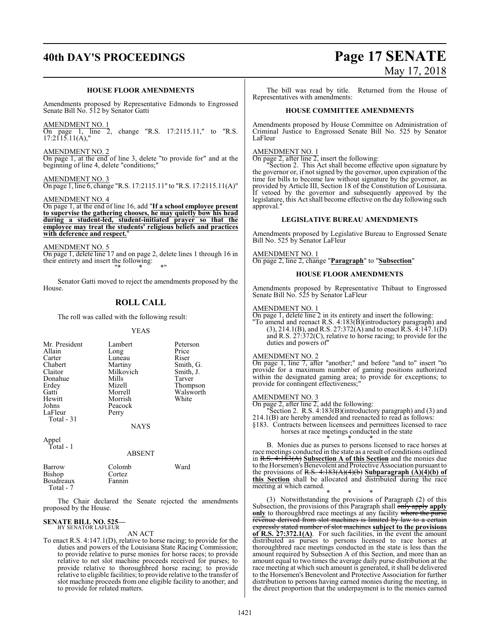# **40th DAY'S PROCEEDINGS Page 17 SENATE**

# **HOUSE FLOOR AMENDMENTS**

Amendments proposed by Representative Edmonds to Engrossed Senate Bill No. 512 by Senator Gatti

AMENDMENT NO. 1 On page 1, line 2, change "R.S. 17:2115.11," to "R.S.  $17:2115.11(A)$ ,"

AMENDMENT NO. 2 On page 1, at the end of line 3, delete "to provide for" and at the beginning of line 4, delete "conditions;"

AMENDMENT NO. 3 On page 1, line 6, change "R.S. 17:2115.11" to "R.S. 17:2115.11(A)"

AMENDMENT NO. 4

On page 1, at the end of line 16, add "**If a school employee present to supervise the gathering chooses, he may quietly bow his head during a student-led, student-initiated prayer so that the employee may treat the students' religious beliefs and practices with deference and respect.**"

AMENDMENT NO. 5 On page 1, delete line 17 and on page 2, delete lines 1 through 16 in their entirety and insert the following: "\* \* \*"

Senator Gatti moved to reject the amendments proposed by the House.

# **ROLL CALL**

The roll was called with the following result:

# YEAS

| Mr. President<br>Allain<br>Carter<br>Chabert<br>Claitor<br>Donahue<br>Erdey<br>Gatti<br>Hewitt<br>Johns<br>LaFleur<br>Total $-31$ | Lambert<br>Long<br>Luneau<br>Martiny<br>Milkovich<br>Mills<br>Mizell<br>Morrell<br>Morrish<br>Peacock<br>Perry | Peterson<br>Price<br>Riser<br>Smith, G.<br>Smith, J.<br>Tarver<br>Thompson<br>Walsworth<br>White |
|-----------------------------------------------------------------------------------------------------------------------------------|----------------------------------------------------------------------------------------------------------------|--------------------------------------------------------------------------------------------------|
|                                                                                                                                   | <b>NAYS</b>                                                                                                    |                                                                                                  |
| Appel<br>Total - 1                                                                                                                | <b>A R SENT</b>                                                                                                |                                                                                                  |

|                                            | .                          |      |
|--------------------------------------------|----------------------------|------|
| Barrow<br>Bishop<br>Boudreaux<br>Total - 7 | Colomb<br>Cortez<br>Fannin | Ward |
|                                            |                            |      |

The Chair declared the Senate rejected the amendments proposed by the House.

### **SENATE BILL NO. 525—** BY SENATOR LAFLEUR

AN ACT

To enact R.S. 4:147.1(D), relative to horse racing; to provide for the duties and powers of the Louisiana State Racing Commission; to provide relative to purse monies for horse races; to provide relative to net slot machine proceeds received for purses; to provide relative to thoroughbred horse racing; to provide relative to eligible facilities; to provide relative to the transfer of slot machine proceeds from one eligible facility to another; and to provide for related matters.

# May 17, 2018

The bill was read by title. Returned from the House of Representatives with amendments:

# **HOUSE COMMITTEE AMENDMENTS**

Amendments proposed by House Committee on Administration of Criminal Justice to Engrossed Senate Bill No. 525 by Senator LaFleur

# AMENDMENT NO. 1

On page 2, after line 2, insert the following:

"Section 2. This Act shall become effective upon signature by the governor or, if not signed by the governor, upon expiration of the time for bills to become law without signature by the governor, as provided by Article III, Section 18 of the Constitution of Louisiana. If vetoed by the governor and subsequently approved by the legislature, this Act shall become effective on the day following such approval."

# **LEGISLATIVE BUREAU AMENDMENTS**

Amendments proposed by Legislative Bureau to Engrossed Senate Bill No. 525 by Senator LaFleur

AMENDMENT NO. 1 On page 2, line 2, change "**Paragraph**" to "**Subsection**"

# **HOUSE FLOOR AMENDMENTS**

Amendments proposed by Representative Thibaut to Engrossed Senate Bill No. 525 by Senator LaFleur

# AMENDMENT NO. 1

 $\overline{\text{On page 1, delete line 2}}$  in its entirety and insert the following: "To amend and reenact R.S. 4:183(B)(introductory paragraph) and  $(3)$ , 214.1(B), and R.S. 27:372(A) and to enact R.S. 4:147.1(D) and R.S. 27:372(C), relative to horse racing; to provide for the

# AMENDMENT NO. 2

duties and powers of"

On page 1, line 7, after "another;" and before "and to" insert "to provide for a maximum number of gaming positions authorized within the designated gaming area; to provide for exceptions; to provide for contingent effectiveness;

# AMENDMENT NO. 3

On page 2, after line 2, add the following: "Section 2. R.S. 4:183(B)(introductory paragraph) and (3) and

214.1(B) are hereby amended and reenacted to read as follows:

§183. Contracts between licensees and permittees licensed to race horses at race meetings conducted in the state

\* \* \* B. Monies due as purses to persons licensed to race horses at race meetings conducted in the state as a result of conditions outlined in R.S. 4:183(A) **Subsection A of this Section** and the monies due to the Horsemen's Benevolent and Protective Association pursuant to the provisions of R.S. 4:183(A)(4)(b) **Subparagraph (A)(4)(b) of this Section** shall be allocated and distributed during the race meeting at which earned.

\* \* \* (3) Notwithstanding the provisions of Paragraph (2) of this Subsection, the provisions of this Paragraph shall only apply apply **only** to thoroughbred race meetings at any facility where the purse revenue derived from slot machines is limited by expressly stated number of slot machines **subject to the provisions of R.S. 27:372.1(A)**. For such facilities, in the event the amount distributed as purses to persons licensed to race horses at thoroughbred race meetings conducted in the state is less than the amount required by Subsection A of this Section, and more than an amount equal to two times the average daily purse distribution at the race meeting at which such amount is generated, it shall be delivered to the Horsemen's Benevolent and Protective Association for further distribution to persons having earned monies during the meeting, in the direct proportion that the underpayment is to the monies earned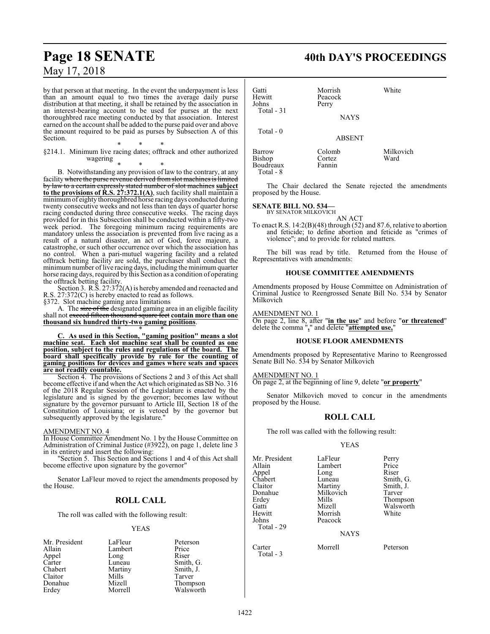# by that person at that meeting. In the event the underpayment is less

than an amount equal to two times the average daily purse distribution at that meeting, it shall be retained by the association in an interest-bearing account to be used for purses at the next thoroughbred race meeting conducted by that association. Interest earned on the account shall be added to the purse paid over and above the amount required to be paid as purses by Subsection A of this Section.

\* \* \* §214.1. Minimum live racing dates; offtrack and other authorized wagering

\* \* \*

B. Notwithstanding any provision of law to the contrary, at any facility where the purse revenue derived from slot machines is limited by law to a certain expressly stated number of slot machines **subject to the provisions of R.S. 27:372.1(A)**, such facility shall maintain a minimumof eighty thoroughbred horse racing days conducted during twenty consecutive weeks and not less than ten days of quarter horse racing conducted during three consecutive weeks. The racing days provided for in this Subsection shall be conducted within a fifty-two week period. The foregoing minimum racing requirements are mandatory unless the association is prevented from live racing as a result of a natural disaster, an act of God, force majeure, a catastrophe, or such other occurrence over which the association has no control. When a pari-mutuel wagering facility and a related offtrack betting facility are sold, the purchaser shall conduct the minimum number of live racing days, including the minimum quarter horse racing days, required by this Section as a condition of operating the offtrack betting facility.

Section 3. R.S. 27:372(A) is hereby amended and reenacted and R.S. 27:372(C) is hereby enacted to read as follows.

§372. Slot machine gaming area limitations

A. The size of the designated gaming area in an eligible facility shall not exceed fifteen thousand square feet **contain more than one thousand six hundred thirty-two gaming positions**.

\* \* \* **C. As used in this Section, "gaming position" means a slot machine seat. Each slot machine seat shall be counted as one position, subject to the rules and regulations of the board. The board shall specifically provide by rule for the counting of gaming positions for devices and games where seats and spaces are not readily countable.**

Section 4. The provisions of Sections 2 and 3 of this Act shall become effective if and when the Act which originated as SB No. 316 of the 2018 Regular Session of the Legislature is enacted by the legislature and is signed by the governor; becomes law without signature by the governor pursuant to Article III, Section 18 of the Constitution of Louisiana; or is vetoed by the governor but subsequently approved by the legislature."

# AMENDMENT NO. 4

In House Committee Amendment No. 1 by the House Committee on Administration of Criminal Justice (#3922), on page 1, delete line 3 in its entirety and insert the following:

"Section 5. This Section and Sections 1 and 4 of this Act shall become effective upon signature by the governor"

Senator LaFleur moved to reject the amendments proposed by the House.

# **ROLL CALL**

The roll was called with the following result:

# YEAS

| Mr. President | LaFleur | Peterson  |
|---------------|---------|-----------|
| Allain        | Lambert | Price     |
| Appel         | Long    | Riser     |
| Carter        | Luneau  | Smith, G. |
| Chabert       | Martiny | Smith, J. |
| Claitor       | Mills   | Tarver    |
| Donahue       | Mizell  | Thompson  |
| Erdey         | Morrell | Walsworth |

# **Page 18 SENATE 40th DAY'S PROCEEDINGS**

| Gatti<br>Hewitt<br>Johns                    | Morrish<br>Peacock<br>Perry | White             |
|---------------------------------------------|-----------------------------|-------------------|
| Total $-31$                                 | <b>NAYS</b>                 |                   |
| Total $-0$                                  | <b>ABSENT</b>               |                   |
| Barrow<br><b>Bishop</b><br><b>Boudreaux</b> | Colomb<br>Cortez<br>Fannin  | Milkovich<br>Ward |

The Chair declared the Senate rejected the amendments proposed by the House.

# **SENATE BILL NO. 534—**

Total - 8

BY SENATOR MILKOVICH

AN ACT To enact R.S. 14:2(B)(48) through (52) and 87.6, relative to abortion and feticide; to define abortion and feticide as "crimes of violence"; and to provide for related matters.

The bill was read by title. Returned from the House of Representatives with amendments:

# **HOUSE COMMITTEE AMENDMENTS**

Amendments proposed by House Committee on Administration of Criminal Justice to Reengrossed Senate Bill No. 534 by Senator Milkovich

AMENDMENT NO. 1

On page 2, line 8, after "**in the use**" and before "**or threatened**" delete the comma "**,**" and delete "**attempted use,**"

# **HOUSE FLOOR AMENDMENTS**

Amendments proposed by Representative Marino to Reengrossed Senate Bill No. 534 by Senator Milkovich

AMENDMENT NO. 1

On page 2, at the beginning of line 9, delete "**or property**"

Senator Milkovich moved to concur in the amendments proposed by the House.

# **ROLL CALL**

The roll was called with the following result:

# YEAS

| Mr. President<br>Allain<br>Appel<br>Chabert<br>Claitor     | LaFleur<br>Lambert<br>Long<br>Luneau<br>Martiny    | Perry<br>Price<br>Riser<br>Smith, G.<br>Smith, J. |
|------------------------------------------------------------|----------------------------------------------------|---------------------------------------------------|
| Donahue<br>Erdey<br>Gatti<br>Hewitt<br>Johns<br>Total - 29 | Milkovich<br>Mills<br>Mizell<br>Morrish<br>Peacock | Tarver<br>Thompson<br>Walsworth<br>White          |
|                                                            | <b>NAYS</b>                                        |                                                   |
| Carter<br>Total - 3                                        | Morrell                                            | Peterson                                          |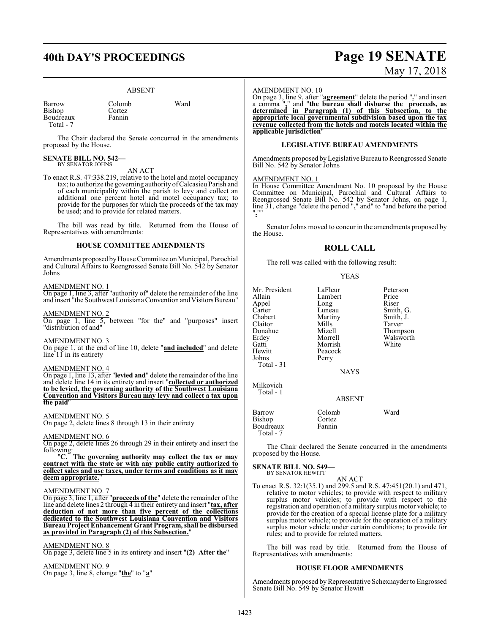Cortez Fannin

# ABSENT

| Barrow    |
|-----------|
| Bishop    |
| Boudreaux |
| Total - 7 |

Colomb Ward

The Chair declared the Senate concurred in the amendments proposed by the House.

## **SENATE BILL NO. 542—** BY SENATOR JOHNS

AN ACT

To enact R.S. 47:338.219, relative to the hotel and motel occupancy tax; to authorize the governing authority ofCalcasieu Parish and of each municipality within the parish to levy and collect an additional one percent hotel and motel occupancy tax; to provide for the purposes for which the proceeds of the tax may be used; and to provide for related matters.

The bill was read by title. Returned from the House of Representatives with amendments:

# **HOUSE COMMITTEE AMENDMENTS**

Amendments proposed byHouse Committee on Municipal, Parochial and Cultural Affairs to Reengrossed Senate Bill No. 542 by Senator Johns

# AMENDMENT NO. 1

On page 1, line 3, after "authority of" delete the remainder of the line and insert "the Southwest Louisiana Convention and Visitors Bureau"

# AMENDMENT NO. 2

On page 1, line 5, between "for the" and "purposes" insert "distribution of and"

# AMEND<u>MENT NO. 3</u>

On page 1, at the end of line 10, delete "**and included**" and delete line  $11$  in its entirety

# AMENDMENT NO. 4

On page 1, line 13, after "**levied and**" delete the remainder of the line and delete line 14 in its entirety and insert "**collected or authorized to be levied, the governing authority of the Southwest Louisiana Convention and Visitors Bureau may levy and collect a tax upon the paid**"

# AMENDMENT NO. 5

On page 2, delete lines 8 through 13 in their entirety

# AMENDMENT NO. 6

On page 2, delete lines 26 through 29 in their entirety and insert the following:

"**C. The governing authority may collect the tax or may contract with the state or with any public entity authorized to collect sales and use taxes, under terms and conditions as it may deem appropriate.**"

# AMENDMENT NO. 7

On page 3, line 1, after "**proceeds of the**" delete the remainder of the line and delete lines 2 through 4 in their entirety and insert "**tax, after deduction of not more than five percent of the collections dedicated to the Southwest Louisiana Convention and Visitors Bureau Project Enhancement Grant Program, shall be disbursed as provided in Paragraph (2) of this Subsection.**"

# AMENDMENT NO. 8

On page 3, delete line 5 in its entirety and insert "**(2) After the**"

# AMENDMENT NO. 9 On page 3, line 8, change "**the**" to "**a**"

# AMENDMENT NO. 10

On page 3, line 9, after "**agreement**" delete the period "**.**" and insert a comma "**,**" and "**the bureau shall disburse the proceeds, as determined in Paragraph (1) of this Subsection, to the appropriate local governmental subdivision based upon the tax revenue collected from the hotels and motels located within the applicable jurisdiction**"

# **LEGISLATIVE BUREAU AMENDMENTS**

Amendments proposed by Legislative Bureau to Reengrossed Senate Bill No. 542 by Senator Johns

# AMENDMENT NO. 1

In House Committee Amendment No. 10 proposed by the House Committee on Municipal, Parochial and Cultural Affairs to Reengrossed Senate Bill No. 542 by Senator Johns, on page 1, line 31, change "delete the period "**.**" and" to "and before the period "**.**""

Senator Johns moved to concur in the amendments proposed by the House.

# **ROLL CALL**

The roll was called with the following result:

## YEAS

| Mr. President | LaFleur     | Peterson  |
|---------------|-------------|-----------|
| Allain        | Lambert     | Price     |
| Appel         | Long        | Riser     |
| Carter        | Luneau      | Smith, G. |
| Chabert       | Martiny     | Smith, J. |
| Claitor       | Mills       | Tarver    |
| Donahue       | Mizell      | Thompson  |
| Erdey         | Morrell     | Walsworth |
| Gatti         | Morrish     | White     |
| Hewitt        | Peacock     |           |
| Johns         | Perry       |           |
| Total - 31    |             |           |
|               | <b>NAYS</b> |           |
| Milkovich     |             |           |

Total - 1

ABSENT

| Barrow    | Colomb | Ward |
|-----------|--------|------|
| Bishop    | Cortez |      |
| Boudreaux | Fannin |      |
| Total - 7 |        |      |

The Chair declared the Senate concurred in the amendments proposed by the House.

### **SENATE BILL NO. 549—** BY SENATOR HEWITT

AN ACT

To enact R.S. 32:1(35.1) and 299.5 and R.S. 47:451(20.1) and 471, relative to motor vehicles; to provide with respect to military surplus motor vehicles; to provide with respect to the registration and operation of a military surplus motor vehicle; to provide for the creation of a special license plate for a military surplus motor vehicle; to provide for the operation of a military surplus motor vehicle under certain conditions; to provide for rules; and to provide for related matters.

The bill was read by title. Returned from the House of Representatives with amendments:

# **HOUSE FLOOR AMENDMENTS**

Amendments proposed by Representative Schexnayder to Engrossed Senate Bill No. 549 by Senator Hewitt

# **40th DAY'S PROCEEDINGS Page 19 SENATE** May 17, 2018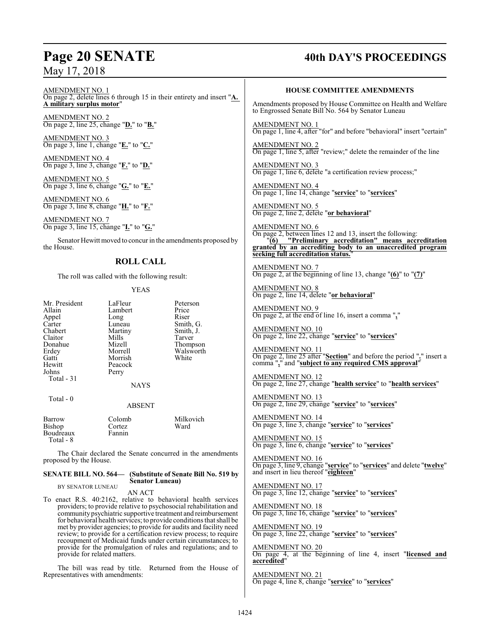AMENDMENT NO. 1 On page 2, delete lines 6 through 15 in their entirety and insert "**A. A military surplus motor**"

AMENDMENT NO. 2 On page 2, line 25, change "**D.**" to "**B.**"

AMEND<u>MENT NO. 3</u> On page 3, line 1, change "**E.**" to "**C.**"

AMENDMENT NO. 4 On page 3, line 3, change "**F.**" to "**D.**"

AMENDMENT NO. 5 On page 3, line 6, change "**G.**" to "**E.**"

AMENDMENT NO. 6 On page 3, line 8, change "**H.**" to "**F.**"

AMENDMENT NO. 7 On page 3, line 15, change "**I.**" to "**G.**"

Senator Hewitt moved to concur in the amendments proposed by the House.

# **ROLL CALL**

The roll was called with the following result:

# YEAS

Mr. President LaFleur Peterson<br>
Lambert Price Price Appel Long<br>Carter Luneau Carter Luneau Smith, G.<br>
Chabert Martiny Smith, J. Claitor Mills<br>Donahue Mizell Donahue Mizell Thompson Gatti Morrish<br>Hewitt Peacock Hewitt Peacock<br>Johns Perry Total - 31

Lambert Price<br>
Long Riser Martiny Smith, J.<br>Mills Tarver Walsworth<br>White

# **NAYS**

Total - 0

# ABSENT

| Barrow                 | Colomb | Milkovich |
|------------------------|--------|-----------|
| Bishop                 | Cortez | Ward      |
| Boudreaux<br>Total - 8 | Fannin |           |

Perry

The Chair declared the Senate concurred in the amendments proposed by the House.

# **SENATE BILL NO. 564— (Substitute of Senate Bill No. 519 by Senator Luneau)**

BY SENATOR LUNEAU

AN ACT

To enact R.S. 40:2162, relative to behavioral health services providers; to provide relative to psychosocial rehabilitation and communitypsychiatric supportive treatment and reimbursement for behavioral health services; to provide conditions that shall be met by provider agencies; to provide for audits and facility need review; to provide for a certification review process; to require recoupment of Medicaid funds under certain circumstances; to provide for the promulgation of rules and regulations; and to provide for related matters.

The bill was read by title. Returned from the House of Representatives with amendments:

# **Page 20 SENATE 40th DAY'S PROCEEDINGS**

# **HOUSE COMMITTEE AMENDMENTS**

Amendments proposed by House Committee on Health and Welfare to Engrossed Senate Bill No. 564 by Senator Luneau

AMENDMENT NO. 1 On page 1, line 4, after "for" and before "behavioral" insert "certain"

AMENDMENT NO. 2 On page 1, line 5, after "review;" delete the remainder of the line

AMENDMENT NO. 3 On page 1, line 6, delete "a certification review process;"

AMENDMENT NO. 4 On page 1, line 14, change "**service**" to "**services**"

AMENDMENT NO. 5 On page 2, line 2, delete "**or behavioral**"

AMENDMENT NO. 6 On page 2, between lines 12 and 13, insert the following: "**(6) "Preliminary accreditation" means accreditation granted by an accrediting body to an unaccredited program seeking full accreditation status.**"

AMENDMENT NO. 7 On page 2, at the beginning of line 13, change "**(6)**" to "**(7)**"

AMENDMENT NO. 8 On page 2, line 14, delete "**or behavioral**"

AMENDMENT NO. 9 On page 2, at the end of line 16, insert a comma "**,**"

AMENDMENT NO. 10 On page 2, line 22, change "**service**" to "**services**"

AMENDMENT NO. 11 On page 2, line 25 after "**Section**" and before the period "**.**" insert a comma "**,**" and "**subject to any required CMS approval**"

AMENDMENT NO. 12 On page 2, line 27, change "**health service**" to "**health services**"

AMENDMENT NO. 13 On page 2, line 29, change "**service**" to "**services**"

AMENDMENT NO. 14 On page 3, line 3, change "**service**" to "**services**"

AMENDMENT NO. 15 On page 3, line 6, change "**service**" to "**services**"

AMENDMENT NO. 16 On page 3, line 9, change "**service**" to "**services**" and delete "**twelve**" and insert in lieu thereof "**eighteen**"

AMENDMENT NO. 17 On page 3, line 12, change "**service**" to "**services**"

AMENDMENT NO. 18 On page 3, line 16, change "**service**" to "**services**"

AMENDMENT NO. 19 On page 3, line 22, change "**service**" to "**services**"

AMENDMENT NO. 20 On page 4, at the beginning of line 4, insert "**licensed and accredited**"

AMENDMENT NO. 21 On page 4, line 8, change "**service**" to "**services**"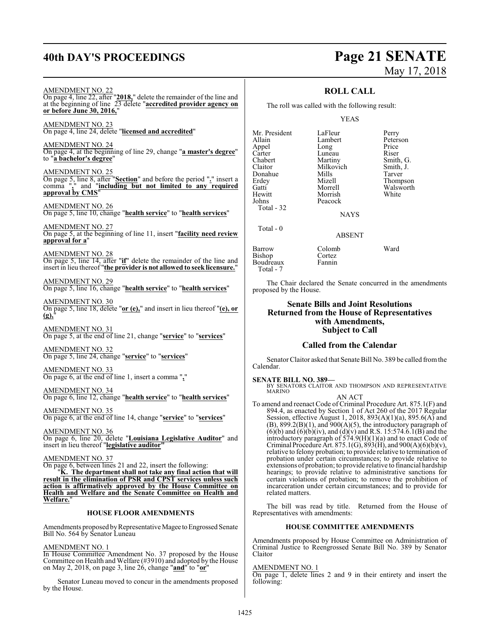# **40th DAY'S PROCEEDINGS Page 21 SENATE**

AMENDMENT NO. 22

**or before June 30, 2016,**" AMENDMENT NO. 23

# May 17, 2018

# **ROLL CALL**

The roll was called with the following result:

# YEAS

Mr. President LaFleur Perry<br>Allain Lambert Peterson Appel Long Price Carter Luneau<br>Chabert Martiny Chabert Martiny Smith, G.<br>Claitor Milkovich Smith, J. Donahue Mills<br>Erdey Mizell Erdey Mizell Thompson Gatti Morrell Walsworth<br>
Hewitt Morrish White Hewitt Morrish<br>Johns Peacock Total - 32 Total - 0

Lambert Milkovich Smith,<br>
Mills Tarver Peacock

NAYS

ABSENT

Barrow Colomb Ward<br>Bishop Cortez

The Chair declared the Senate concurred in the amendments proposed by the House.

# **Senate Bills and Joint Resolutions Returned from the House of Representatives with Amendments, Subject to Call**

# **Called from the Calendar**

Senator Claitor asked that Senate Bill No. 389 be called fromthe Calendar.

## **SENATE BILL NO. 389—**

Bishop Cortez<br>Boudreaux Fannin

Boudreaux Total - 7

BY SENATORS CLAITOR AND THOMPSON AND REPRESENTATIVE MARINO AN ACT

To amend and reenact Code of Criminal Procedure Art. 875.1(F) and 894.4, as enacted by Section 1 of Act 260 of the 2017 Regular Session, effective August 1, 2018, 893(A)(1)(a), 895.6(A) and  $(B)$ , 899.2 $(B)(1)$ , and 900 $(A)(5)$ , the introductory paragraph of  $(6)(b)$  and  $(6)(b)(iv)$ , and  $(d)(v)$  and R.S. 15:574.6.1(B) and the introductory paragraph of 574.9(H)(1)(a) and to enact Code of Criminal Procedure Art. 875.1(G),  $893(\hat{H})$ , and  $900(A)(6)(b)(v)$ , relative to felony probation; to provide relative to termination of probation under certain circumstances; to provide relative to extensions of probation; to provide relative to financial hardship hearings; to provide relative to administrative sanctions for certain violations of probation; to remove the prohibition of incarceration under certain circumstances; and to provide for related matters.

The bill was read by title. Returned from the House of Representatives with amendments:

# **HOUSE COMMITTEE AMENDMENTS**

Amendments proposed by House Committee on Administration of Criminal Justice to Reengrossed Senate Bill No. 389 by Senator Claitor

AMENDMENT NO. 1

On page 1, delete lines 2 and 9 in their entirety and insert the following:

On page 4, line 24, delete "**licensed and accredited**" AMENDMENT NO. 24 On page 4, at the beginning of line 29, change "**a master's degree**" to "**a bachelor's degree**" AMENDMENT NO. 25 On page 5, line 8, after "**Section**" and before the period "**.**" insert a

On page 4, line 22, after "**2018,**" delete the remainder of the line and at the beginning of line 23 delete "**accredited provider agency on**

comma "**,**" and "**including but not limited to any required approval by CMS**"

AMENDMENT NO. 26 On page 5, line 10, change "**health service**" to "**health services**"

AMENDMENT NO. 27 On page 5, at the beginning of line 11, insert "**facility need review approval for a**"

AMENDMENT NO. 28 On page 5, line 14, after "**if**" delete the remainder of the line and

insert in lieu thereof "**the provider is not allowed to seek licensure.**"

AMENDMENT NO. 29 On page 5, line 16, change "**health service**" to "**health services**"

AMENDMENT NO. 30 On page 5, line 18, delete "**or (e),**" and insert in lieu thereof "**(e), or (g),**"

AMENDMENT NO. 31 On page 5, at the end of line 21, change "**service**" to "**services**"

AMENDMENT NO. 32 On page 5, line 24, change "**service**" to "**services**"

AMENDMENT NO. 33 On page 6, at the end of line 1, insert a comma "**,**"

AMENDMENT NO. 34 On page 6, line 12, change "**health service**" to "**health services**"

AMENDMENT NO. 35 On page 6, at the end of line 14, change "**service**" to "**services**"

AMENDMENT NO. 36 On page 6, line 20, delete "**Louisiana Legislative Auditor**" and insert in lieu thereof "**legislative auditor"**

AMENDMENT NO. 37

On page 6, between lines 21 and 22, insert the following:

"**K. The department shall not take any final action that will result in the elimination of PSR and CPST services unless such action is affirmatively approved by the House Committee on Health and Welfare and the Senate Committee on Health and** Welfare.

# **HOUSE FLOOR AMENDMENTS**

Amendments proposed by Representative Magee to Engrossed Senate Bill No. 564 by Senator Luneau

# AMENDMENT NO. 1

In House Committee Amendment No. 37 proposed by the House Committee on Health and Welfare (#3910) and adopted by the House on May 2, 2018, on page 3, line 26, change "**and**" to "**or**"

Senator Luneau moved to concur in the amendments proposed by the House.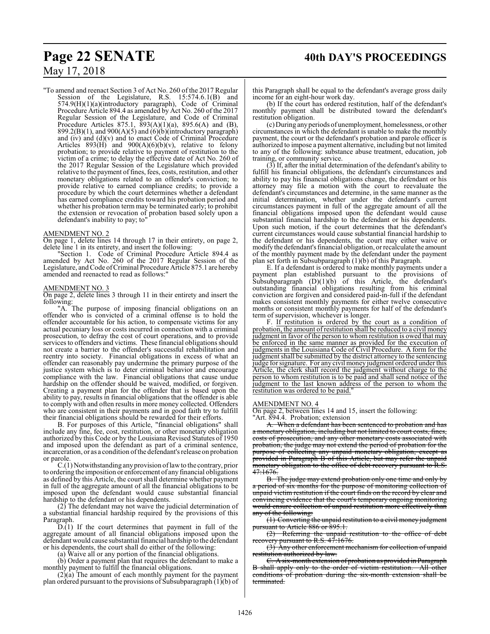# **Page 22 SENATE 40th DAY'S PROCEEDINGS**

# May 17, 2018

"To amend and reenact Section 3 of Act No. 260 of the 2017 Regular Session of the Legislature, R.S. 15:574.6.1(B) and 574.9(H)(1)(a)(introductory paragraph), Code of Criminal Procedure Article 894.4 as amended by Act No. 260 of the 2017 Regular Session of the Legislature, and Code of Criminal Procedure Articles 875.1,  $\overline{893(A)(1)}(a)$ , 895.6(A) and (B), 899.2(B)(1), and 900(A)(5) and  $(6)(b)$ (introductory paragraph) and  $(iv)$  and  $(d)(v)$  and to enact Code of Criminal Procedure Articles  $893(\text{H})$  and  $900(\text{A})(6)(\text{b})(\text{v})$ , relative to felony probation; to provide relative to payment of restitution to the victim of a crime; to delay the effective date of Act No. 260 of the 2017 Regular Session of the Legislature which provided relative to the payment offines, fees, costs, restitution, and other monetary obligations related to an offender's conviction; to provide relative to earned compliance credits; to provide a procedure by which the court determines whether a defendant has earned compliance credits toward his probation period and whether his probation term may be terminated early; to prohibit the extension or revocation of probation based solely upon a defendant's inability to pay; to"

# AMENDMENT NO. 2

On page 1, delete lines 14 through 17 in their entirety, on page 2, delete line 1 in its entirety, and insert the following:

"Section 1. Code of Criminal Procedure Article 894.4 as amended by Act No. 260 of the 2017 Regular Session of the Legislature, and Code of Criminal Procedure Article 875.1 are hereby amended and reenacted to read as follows:

# AMENDMENT NO. 3

On page 2, delete lines 3 through 11 in their entirety and insert the following:

"A. The purpose of imposing financial obligations on an offender who is convicted of a criminal offense is to hold the offender accountable for his action, to compensate victims for any actual pecuniary loss or costs incurred in connection with a criminal prosecution, to defray the cost of court operations, and to provide services to offenders and victims. These financial obligations should not create a barrier to the offender's successful rehabilitation and reentry into society. Financial obligations in excess of what an offender can reasonably pay undermine the primary purpose of the justice system which is to deter criminal behavior and encourage compliance with the law. Financial obligations that cause undue hardship on the offender should be waived, modified, or forgiven. Creating a payment plan for the offender that is based upon the ability to pay, results in financial obligations that the offender is able to comply with and often results in more money collected. Offenders who are consistent in their payments and in good faith try to fulfill their financial obligations should be rewarded for their efforts.

B. For purposes of this Article, "financial obligations" shall include any fine, fee, cost, restitution, or other monetary obligation authorized by this Code or by the Louisiana Revised Statutes of 1950 and imposed upon the defendant as part of a criminal sentence, incarceration, or as a condition ofthe defendant's release on probation or parole.

C.(1) Notwithstanding anyprovision oflawto the contrary, prior to ordering the imposition or enforcement of any financial obligations as defined by this Article, the court shall determine whether payment in full of the aggregate amount of all the financial obligations to be imposed upon the defendant would cause substantial financial hardship to the defendant or his dependents.

(2) The defendant may not waive the judicial determination of a substantial financial hardship required by the provisions of this Paragraph.

D.(1) If the court determines that payment in full of the aggregate amount of all financial obligations imposed upon the defendant would cause substantial financial hardship to the defendant or his dependents, the court shall do either of the following:

(a) Waive all or any portion of the financial obligations.

(b) Order a payment plan that requires the defendant to make a monthly payment to fulfill the financial obligations.

 $(2)(a)$  The amount of each monthly payment for the payment plan ordered pursuant to the provisions of Subsubparagraph (1)(b) of this Paragraph shall be equal to the defendant's average gross daily income for an eight-hour work day.

(b) If the court has ordered restitution, half of the defendant's monthly payment shall be distributed toward the defendant's restitution obligation.

(c) During anyperiods of unemployment, homelessness, or other circumstances in which the defendant is unable to make the monthly payment, the court or the defendant's probation and parole officer is authorized to impose a payment alternative, including but not limited to any of the following: substance abuse treatment, education, job training, or community service.

(3) If, after the initial determination of the defendant's ability to fulfill his financial obligations, the defendant's circumstances and ability to pay his financial obligations change, the defendant or his attorney may file a motion with the court to reevaluate the defendant's circumstances and determine, in the same manner as the initial determination, whether under the defendant's current circumstances payment in full of the aggregate amount of all the financial obligations imposed upon the defendant would cause substantial financial hardship to the defendant or his dependents. Upon such motion, if the court determines that the defendant's current circumstances would cause substantial financial hardship to the defendant or his dependents, the court may either waive or modify the defendant'sfinancial obligation, or recalculate the amount of the monthly payment made by the defendant under the payment plan set forth in Subsubparagraph (1)(b) of this Paragraph.

E. If a defendant is ordered to make monthly payments under a payment plan established pursuant to the provisions of Subsubparagraph (D)(1)(b) of this Article, the defendant's outstanding financial obligations resulting from his criminal conviction are forgiven and considered paid-in-full if the defendant makes consistent monthly payments for either twelve consecutive months or consistent monthly payments for half of the defendant's term of supervision, whichever is longer.

F. If restitution is ordered by the court as a condition of probation, the amount of restitution shall be reduced to a civil money judgment in favor of the person to whom restitution is owed that may be enforced in the same manner as provided for the execution of judgments in the Louisiana Code of Civil Procedure. A form for the judgment shall be submitted by the district attorney to the sentencing judge for signature. For any civil money judgment ordered under this Article, the clerk shall record the judgment without charge to the person to whom restitution is to be paid and shall send notice of the judgment to the last known address of the person to whom the restitution was ordered to be paid.

## AMENDMENT NO. 4

On page 2, between lines 14 and 15, insert the following: "Art. 894.4. Probation; extension

A. When a defendant has been sentenced to probation and has a monetary obligation, including but not limited to court costs, fines, costs of prosecution, and any other monetary costs associated with probation, the judge may not extend the period of probation for the purpose of collecting any unpaid monetary obligation, except as provided in Paragraph B of this Article, but may refer the unpaid monetary obligation to the office of debt recovery pursuant to R.S. <del>47:1676.</del>

B. The judge may extend probation only one time and only by a period of six months for the purpose of monitoring collection of unpaid victim restitution if the court finds on the record by clear and convincing evidence that the court's temporary ongoing monitoring would ensure collection of unpaid restitution more effectively than any of the following:

(1) Converting the unpaid restitution to a civil money judgment pursuant to Article 886 or 895.1.

(2) Referring the unpaid restitution to the office of debt pursuant to R.S.  $47:1676$ .

(3) Any other enforcement mechanism for collection of unpaid titution authorized by law.

C. A six-month extension of probation as provided in Paragraph B shall apply only to the order of victim restitution. All other conditions of probation during the six-month extension shall be terminated.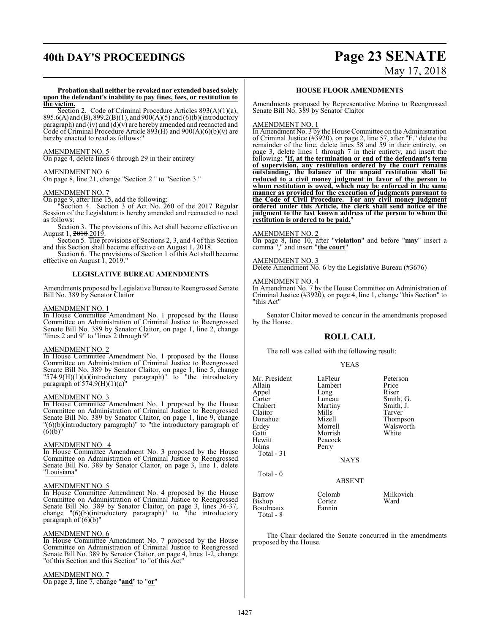# **40th DAY'S PROCEEDINGS Page 23 SENATE** May 17, 2018

**Probation shall neither be revoked nor extended based solely upon the defendant's inability to pay fines, fees, or restitution to the victim.**

Section 2. Code of Criminal Procedure Articles 893(A)(1)(a), 895.6(A) and (B), 899.2(B)(1), and 900(A)(5) and (6)(b)(introductory paragraph) and  $(iv)$  and  $(d)(v)$  are hereby amended and reenacted and Code of Criminal Procedure Article 893(H) and 900(A)(6)(b)(v) are hereby enacted to read as follows:

# AMENDMENT NO. 5

On page 4, delete lines 6 through 29 in their entirety

# AMENDMENT NO. 6

On page 8, line 21, change "Section 2." to "Section 3."

# AMENDMENT NO. 7

On page 9, after line 15, add the following:

"Section 4. Section 3 of Act No. 260 of the 2017 Regular Session of the Legislature is hereby amended and reenacted to read as follows:

Section 3. The provisions of this Act shall become effective on August 1, <del>2018</del> 2019.

Section 5. The provisions of Sections 2, 3, and 4 of this Section and this Section shall become effective on August 1, 2018.

Section 6. The provisions of Section 1 of this Act shall become effective on August 1, 2019."

# **LEGISLATIVE BUREAU AMENDMENTS**

Amendments proposed by Legislative Bureau to Reengrossed Senate Bill No. 389 by Senator Claitor

# AMENDMENT NO. 1

In House Committee Amendment No. 1 proposed by the House Committee on Administration of Criminal Justice to Reengrossed Senate Bill No. 389 by Senator Claitor, on page 1, line 2, change "lines 2 and 9" to "lines 2 through 9"

# AMENDMENT NO. 2

In House Committee Amendment No. 1 proposed by the House Committee on Administration of Criminal Justice to Reengrossed Senate Bill No. 389 by Senator Claitor, on page 1, line 5, change "574.9(H)(1)(a)(introductory paragraph)" to "the introductory paragraph of  $574.9(H)(1)(a)$ "

# AMENDMENT NO. 3

In House Committee Amendment No. 1 proposed by the House Committee on Administration of Criminal Justice to Reengrossed Senate Bill No. 389 by Senator Claitor, on page 1, line 9, change "(6)(b)(introductory paragraph)" to "the introductory paragraph of  $(6)(b)$ "

# AMENDMENT NO. 4

In House Committee Amendment No. 3 proposed by the House Committee on Administration of Criminal Justice to Reengrossed Senate Bill No. 389 by Senator Claitor, on page 3, line 1, delete "Louisiana"

## AMENDMENT NO. 5

In House Committee Amendment No. 4 proposed by the House Committee on Administration of Criminal Justice to Reengrossed Senate Bill No. 389 by Senator Claitor, on page 3, lines 36-37, change "(6)(b)(introductory paragraph)" to "the introductory paragraph of  $(6)(b)$ "

# AMENDMENT NO. 6

In House Committee Amendment No. 7 proposed by the House Committee on Administration of Criminal Justice to Reengrossed Senate Bill No. 389 by Senator Claitor, on page 4, lines 1-2, change "of this Section and this Section" to "of this Act"

# AMENDMENT NO. 7

On page 3, line 7, change "**and**" to "**or**"

# **HOUSE FLOOR AMENDMENTS**

Amendments proposed by Representative Marino to Reengrossed Senate Bill No. 389 by Senator Claitor

# AMENDMENT NO. 1

In Amendment No. 3 by the House Committee on the Administration of Criminal Justice (#3920), on page 2, line 57, after "F." delete the remainder of the line, delete lines 58 and 59 in their entirety, on page 3, delete lines 1 through 7 in their entirety, and insert the following: "**If, at the termination or end of the defendant's term of supervision, any restitution ordered by the court remains outstanding, the balance of the unpaid restitution shall be reduced to a civil money judgment in favor of the person to whom restitution is owed, which may be enforced in the same manner as provided for the execution of judgments pursuant to the Code of Civil Procedure. For any civil money judgment ordered under this Article, the clerk shall send notice of the judgment to the last known address of the person to whom the restitution is ordered to be paid.**"

# AMENDMENT NO. 2

On page 8, line 10, after "**violation**" and before "**may**" insert a comma "," and insert "**the court**"

# AMENDMENT NO. 3

Delete Amendment No. 6 by the Legislative Bureau (#3676)

# AMENDMENT NO. 4

In Amendment No. 7 by the House Committee on Administration of Criminal Justice (#3920), on page 4, line 1, change "this Section" to "this Act"

Senator Claitor moved to concur in the amendments proposed by the House.

# **ROLL CALL**

The roll was called with the following result:

# YEAS

| Mr. President<br>Allain<br>Appel<br>Carter<br>Chabert<br>Claitor<br>Donahue<br>Erdey<br>Gatti<br>Hewitt<br>Johns<br>Total - 31 | LaFleur<br>Lambert<br>Long<br>Luneau<br>Martiny<br>Mills<br>Mizell<br>Morrell<br>Morrish<br>Peacock<br>Perry<br><b>NAYS</b> | Peterson<br>Price<br>Riser<br>Smith, G.<br>Smith, J.<br>Tarver<br>Thompson<br>Walsworth<br>White |
|--------------------------------------------------------------------------------------------------------------------------------|-----------------------------------------------------------------------------------------------------------------------------|--------------------------------------------------------------------------------------------------|
| Total - 0                                                                                                                      | ABSENT                                                                                                                      |                                                                                                  |
| <b>Barrow</b><br><b>Bishop</b><br>Boudreaux<br>Total - 8                                                                       | Colomb<br>Cortez<br>Fannin                                                                                                  | Milkovich<br>Ward                                                                                |

The Chair declared the Senate concurred in the amendments proposed by the House.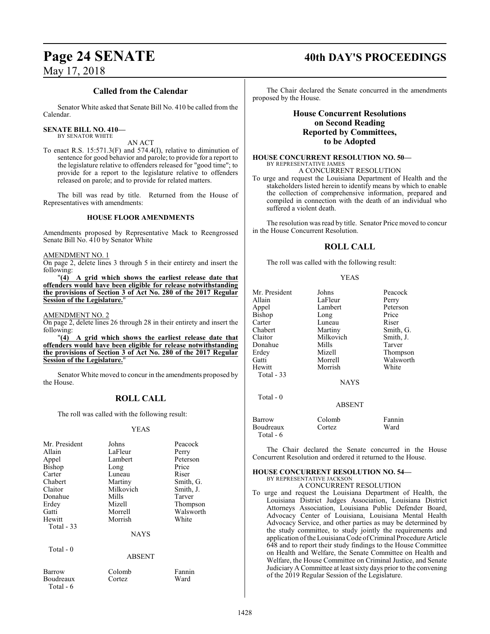# Page 24 SENATE 40th DAY'S PROCEEDINGS

# May 17, 2018

# **Called from the Calendar**

Senator White asked that Senate Bill No. 410 be called from the Calendar.

# **SENATE BILL NO. 410—**

BY SENATOR WHITE

AN ACT

To enact R.S. 15:571.3(F) and 574.4(I), relative to diminution of sentence for good behavior and parole; to provide for a report to the legislature relative to offenders released for "good time"; to provide for a report to the legislature relative to offenders released on parole; and to provide for related matters.

The bill was read by title. Returned from the House of Representatives with amendments:

# **HOUSE FLOOR AMENDMENTS**

Amendments proposed by Representative Mack to Reengrossed Senate Bill No. 410 by Senator White

# AMENDMENT NO. 1

On page 2, delete lines 3 through 5 in their entirety and insert the following:

"**(4) A grid which shows the earliest release date that offenders would have been eligible for release notwithstanding the provisions of Section 3 of Act No. 280 of the 2017 Regular Session of the Legislature.**"

# AMENDMENT NO. 2

Total - 6

On page 2, delete lines 26 through 28 in their entirety and insert the following:  $"(4)$ 

"**(4) A grid which shows the earliest release date that offenders would have been eligible for release notwithstanding the provisions of Section 3 of Act No. 280 of the 2017 Regular <u>Session of the Legislature.</u>** 

Senator White moved to concur in the amendments proposed by the House.

# **ROLL CALL**

The roll was called with the following result:

# YEAS

| Mr. President | Johns       | Peacock   |
|---------------|-------------|-----------|
| Allain        | LaFleur     | Perry     |
| Appel         | Lambert     | Peterson  |
| <b>Bishop</b> | Long        | Price     |
| Carter        | Luneau      | Riser     |
| Chabert       | Martiny     | Smith, G. |
| Claitor       | Milkovich   | Smith, J. |
| Donahue       | Mills       | Tarver    |
| Erdey         | Mizell      | Thompson  |
| Gatti         | Morrell     | Walsworth |
| Hewitt        | Morrish     | White     |
| Total $-33$   |             |           |
|               | <b>NAYS</b> |           |
| Total - 0     |             |           |
|               | ABSENT      |           |
| Barrow        | Colomb      | Fannin    |
| Boudreaux     | Cortez      | Ward      |

The Chair declared the Senate concurred in the amendments proposed by the House.

# **House Concurrent Resolutions on Second Reading Reported by Committees, to be Adopted**

# **HOUSE CONCURRENT RESOLUTION NO. 50—** BY REPRESENTATIVE JAMES

A CONCURRENT RESOLUTION

To urge and request the Louisiana Department of Health and the stakeholders listed herein to identify means by which to enable the collection of comprehensive information, prepared and compiled in connection with the death of an individual who suffered a violent death.

The resolution was read by title. Senator Price moved to concur in the House Concurrent Resolution.

# **ROLL CALL**

The roll was called with the following result:

# YEAS

| Mr. President     | Johns         | Peacock   |
|-------------------|---------------|-----------|
|                   |               |           |
| Allain            | LaFleur       | Perry     |
| Appel             | Lambert       | Peterson  |
| Bishop            | Long          | Price     |
| Carter            | Luneau        | Riser     |
| Chabert           | Martiny       | Smith, G. |
| Claitor           | Milkovich     | Smith, J. |
| Donahue           | Mills         | Tarver    |
| Erdey             | Mizell        | Thompson  |
| Gatti             | Morrell       | Walsworth |
| Hewitt            | Morrish       | White     |
| <b>Total - 33</b> |               |           |
|                   | <b>NAYS</b>   |           |
| Total $-0$        |               |           |
|                   | <b>ABSENT</b> |           |
| Barrow            | Colomb        | Fannin    |
| Boudreaux         | Cortez        | Ward      |

# Total - 6

The Chair declared the Senate concurred in the House Concurrent Resolution and ordered it returned to the House.

# **HOUSE CONCURRENT RESOLUTION NO. 54—** BY REPRESENTATIVE JACKSON

A CONCURRENT RESOLUTION

To urge and request the Louisiana Department of Health, the Louisiana District Judges Association, Louisiana District Attorneys Association, Louisiana Public Defender Board, Advocacy Center of Louisiana, Louisiana Mental Health Advocacy Service, and other parties as may be determined by the study committee, to study jointly the requirements and application of the Louisiana Code of Criminal Procedure Article 648 and to report their study findings to the House Committee on Health and Welfare, the Senate Committee on Health and Welfare, the House Committee on Criminal Justice, and Senate Judiciary A Committee at least sixty days prior to the convening of the 2019 Regular Session of the Legislature.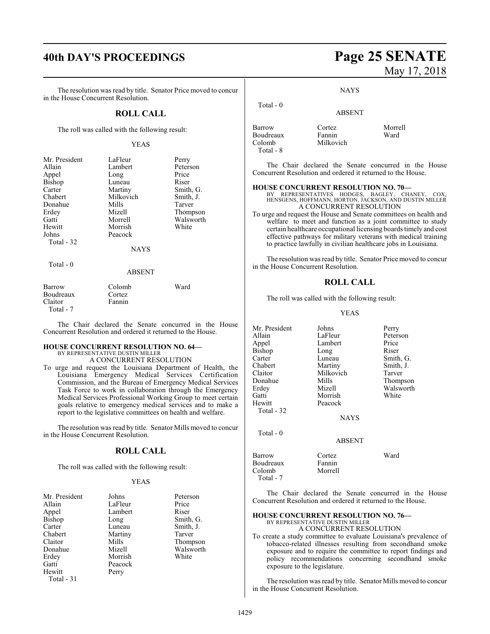# **40th DAY'S PROCEEDINGS Page 25 SENATE**

The resolution was read by title. Senator Price moved to concur in the House Concurrent Resolution.

# **ROLL CALL**

The roll was called with the following result:

# YEAS

| Mr. President | LaFleur     | Perry             |
|---------------|-------------|-------------------|
| Allain        | Lambert     | Peterson<br>Price |
| Appel         | Long        |                   |
| Bishop        | Luneau      | Riser             |
| Carter        | Martiny     | Smith, G.         |
| Chabert       | Milkovich   | Smith, J.         |
| Donahue       | Mills       | Tarver            |
| Erdey         | Mizell      | Thompson          |
| Gatti         | Morrell     | Walsworth         |
| Hewitt        | Morrish     | White             |
| Johns         | Peacock     |                   |
| Total - 32    |             |                   |
|               | <b>NAYS</b> |                   |
| Total $-0$    |             |                   |
|               | ABSENT      |                   |

| Barrow     | Colomb | Ward |
|------------|--------|------|
| Boudreaux  | Cortez |      |
| Claitor    | Fannin |      |
| Total $-7$ |        |      |

The Chair declared the Senate concurred in the House Concurrent Resolution and ordered it returned to the House.

# **HOUSE CONCURRENT RESOLUTION NO. 64—** BY REPRESENTATIVE DUSTIN MILLER

A CONCURRENT RESOLUTION

To urge and request the Louisiana Department of Health, the Louisiana Emergency Medical Services Certification Commission, and the Bureau of Emergency Medical Services Task Force to work in collaboration through the Emergency Medical Services Professional Working Group to meet certain goals relative to emergency medical services and to make a report to the legislative committees on health and welfare.

The resolution was read by title. Senator Mills moved to concur in the House Concurrent Resolution.

# **ROLL CALL**

The roll was called with the following result:

# YEAS

| Mr. President | Johns   | Peterson  |
|---------------|---------|-----------|
| Allain        | LaFleur | Price     |
| Appel         | Lambert | Riser     |
| Bishop        | Long    | Smith, G. |
| Carter        | Luneau  | Smith, J. |
| Chabert       | Martiny | Tarver    |
| Claitor       | Mills   | Thompson  |
| Donahue       | Mizell  | Walsworth |
| Erdey         | Morrish | White     |
| Gatti         | Peacock |           |
| Hewitt        | Perry   |           |
| Total - 31    |         |           |

# May 17, 2018

**NAYS** 

ABSENT

# Total - 0

| Barrow    | Cortez    | Morrell |
|-----------|-----------|---------|
| Boudreaux | Fannin    | Ward    |
| Colomb    | Milkovich |         |
| Total - 8 |           |         |

The Chair declared the Senate concurred in the House Concurrent Resolution and ordered it returned to the House.

# **HOUSE CONCURRENT RESOLUTION NO. 70—**

BY REPRESENTATIVES HODGES, BAGLEY, CHANEY, COX, HENSGENS, HOFFMANN, HORTON, JACKSON, AND DUSTIN MILLER A CONCURRENT RESOLUTION

To urge and request the House and Senate committees on health and welfare to meet and function as a joint committee to study certain healthcare occupational licensing boards timely and cost effective pathways for military veterans with medical training to practice lawfully in civilian healthcare jobs in Louisiana.

The resolution was read by title. Senator Price moved to concur in the House Concurrent Resolution.

# **ROLL CALL**

The roll was called with the following result:

# YEAS

| Mr. President | Johns         | Perry     |
|---------------|---------------|-----------|
| Allain        | LaFleur       | Peterson  |
| Appel         | Lambert       | Price     |
| Bishop        | Long          | Riser     |
| Carter        | Luneau        | Smith, G. |
| Chabert       | Martiny       | Smith, J. |
| Claitor       | Milkovich     | Tarver    |
| Donahue       | Mills         | Thompson  |
| Erdey         | Mizell        | Walsworth |
| Gatti         | Morrish       | White     |
| Hewitt        | Peacock       |           |
| Total - 32    |               |           |
|               | <b>NAYS</b>   |           |
| Total $-0$    |               |           |
|               | <b>ABSENT</b> |           |

| Barrow    | Cortez  | Ward |
|-----------|---------|------|
| Boudreaux | Fannin  |      |
| Colomb    | Morrell |      |
| Total - 7 |         |      |

The Chair declared the Senate concurred in the House Concurrent Resolution and ordered it returned to the House.

# **HOUSE CONCURRENT RESOLUTION NO. 76—**

BY REPRESENTATIVE DUSTIN MILLER A CONCURRENT RESOLUTION

To create a study committee to evaluate Louisiana's prevalence of tobacco-related illnesses resulting from secondhand smoke exposure and to require the committee to report findings and policy recommendations concerning secondhand smoke exposure to the legislature.

The resolution was read by title. Senator Mills moved to concur in the House Concurrent Resolution.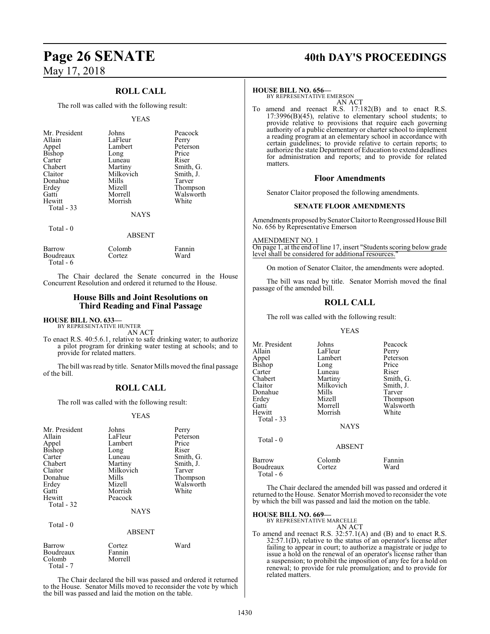# **ROLL CALL**

The roll was called with the following result:

## YEAS

| Mr. President<br>Allain<br>Appel<br><b>Bishop</b><br>Carter<br>Chabert<br>Claitor<br>Donahue<br>Erdey<br>Gatti | Johns<br>LaFleur<br>Lambert<br>Long<br>Luneau<br>Martiny<br>Milkovich<br>Mills<br>Mizell<br>Morrell | Peacock<br>Perry<br>Peterson<br>Price<br>Riser<br>Smith, G.<br>Smith, J.<br>Tarver<br>Thompson<br>Walsworth |
|----------------------------------------------------------------------------------------------------------------|-----------------------------------------------------------------------------------------------------|-------------------------------------------------------------------------------------------------------------|
| Hewitt                                                                                                         | Morrish                                                                                             | White                                                                                                       |
| <b>Total - 33</b>                                                                                              | <b>NAYS</b>                                                                                         |                                                                                                             |
| Total - 0                                                                                                      | <b>ABSENT</b>                                                                                       |                                                                                                             |

| Barrow    | Colomb | Fannin |
|-----------|--------|--------|
| Boudreaux | Cortez | Ward   |
| Total - 6 |        |        |

The Chair declared the Senate concurred in the House Concurrent Resolution and ordered it returned to the House.

# **House Bills and Joint Resolutions on Third Reading and Final Passage**

## **HOUSE BILL NO. 633—** BY REPRESENTATIVE HUNTER

AN ACT

To enact R.S. 40:5.6.1, relative to safe drinking water; to authorize a pilot program for drinking water testing at schools; and to provide for related matters.

The bill was read by title. Senator Mills moved the final passage of the bill.

# **ROLL CALL**

The roll was called with the following result:

# YEAS

| Mr. President<br>Allain<br>Appel<br>Bishop<br>Carter<br>Chabert<br>Claitor<br>Donahue<br>Erdey<br>Gatti<br>Hewitt<br>Total - 32 | Johns<br>LaFleur<br>Lambert<br>Long<br>Luneau<br>Martiny<br>Milkovich<br>Mills<br>Mizell<br>Morrish<br>Peacock<br><b>NAYS</b> | Perry<br>Peterson<br>Price<br>Riser<br>Smith, G.<br>Smith, J.<br>Tarver<br>Thompson<br>Walsworth<br>White |
|---------------------------------------------------------------------------------------------------------------------------------|-------------------------------------------------------------------------------------------------------------------------------|-----------------------------------------------------------------------------------------------------------|
| Total - 0                                                                                                                       | <b>ABSENT</b>                                                                                                                 |                                                                                                           |
| Barrow<br>Boudreaux<br>Colomb<br>Total - 7                                                                                      | Cortez<br>Fannin<br>Morrell                                                                                                   | Ward                                                                                                      |

The Chair declared the bill was passed and ordered it returned to the House. Senator Mills moved to reconsider the vote by which the bill was passed and laid the motion on the table.

# **Page 26 SENATE 40th DAY'S PROCEEDINGS**

## **HOUSE BILL NO. 656—**

BY REPRESENTATIVE EMERSON AN ACT

To amend and reenact R.S. 17:182(B) and to enact R.S. 17:3996(B)(45), relative to elementary school students; to provide relative to provisions that require each governing authority of a public elementary or charter school to implement a reading program at an elementary school in accordance with certain guidelines; to provide relative to certain reports; to authorize the state Department of Education to extend deadlines for administration and reports; and to provide for related matters.

# **Floor Amendments**

Senator Claitor proposed the following amendments.

# **SENATE FLOOR AMENDMENTS**

Amendments proposed by Senator Claitor to Reengrossed House Bill No. 656 by Representative Emerson

AMENDMENT NO. 1

On page 1, at the end of line 17, insert "Students scoring below grade level shall be considered for additional resources.

On motion of Senator Claitor, the amendments were adopted.

The bill was read by title. Senator Morrish moved the final passage of the amended bill.

# **ROLL CALL**

The roll was called with the following result:

## YEAS

| Mr. President<br>Allain<br>Appel<br>Bishop<br>Carter<br>Chabert<br>Claitor<br>Donahue<br>Erdev<br>Gatti<br>Hewitt<br><b>Total - 33</b> | Johns<br>LaFleur<br>Lambert<br>Long<br>Luneau<br>Martiny<br>Milkovich<br>Mills<br>Mizell<br>Morrell<br>Morrish<br><b>NAYS</b> | Peacock<br>Perry<br>Peterson<br>Price<br>Riser<br>Smith, G.<br>Smith, J.<br>Tarver<br>Thompson<br>Walsworth<br>White |
|----------------------------------------------------------------------------------------------------------------------------------------|-------------------------------------------------------------------------------------------------------------------------------|----------------------------------------------------------------------------------------------------------------------|
| Total - 0                                                                                                                              | <b>ABSENT</b>                                                                                                                 |                                                                                                                      |
| Barrow<br>Boudreaux                                                                                                                    | Colomb<br>Cortez                                                                                                              | Fannin<br>Ward                                                                                                       |

The Chair declared the amended bill was passed and ordered it returned to the House. Senator Morrish moved to reconsider the vote by which the bill was passed and laid the motion on the table.

# **HOUSE BILL NO. 669—**

Total - 6

BY REPRESENTATIVE MARCELLE AN ACT

To amend and reenact R.S. 32:57.1(A) and (B) and to enact R.S. 32:57.1(D), relative to the status of an operator's license after failing to appear in court; to authorize a magistrate or judge to issue a hold on the renewal of an operator's license rather than a suspension; to prohibit the imposition of any fee for a hold on renewal; to provide for rule promulgation; and to provide for related matters.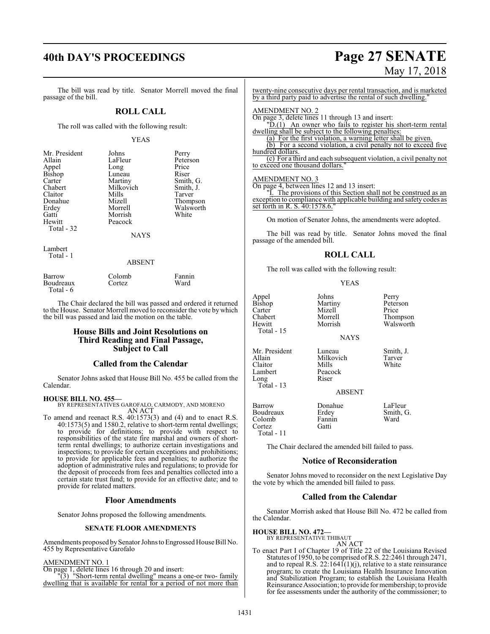# **40th DAY'S PROCEEDINGS Page 27 SENATE**

# May 17, 2018

The bill was read by title. Senator Morrell moved the final passage of the bill.

# **ROLL CALL**

The roll was called with the following result:

# YEAS

| Mr. President | Johns     | Perry     |
|---------------|-----------|-----------|
| Allain        | LaFleur   | Peterson  |
| Appel         | Long      | Price     |
| Bishop        | Luneau    | Riser     |
| Carter        | Martiny   | Smith, G. |
| Chabert       | Milkovich | Smith, J. |
| Claitor       | Mills     | Tarver    |
| Donahue       | Mizell    | Thompson  |
| Erdey         | Morrell   | Walsworth |
| Gatti         | Morrish   | White     |
| Hewitt        | Peacock   |           |
| Total - 32    |           |           |
|               | NAYS      |           |

Lambert Total - 1

# ABSENT

Fannin<br>Ward

| Barrow    | Colomb | Fanni |
|-----------|--------|-------|
| Boudreaux | Cortez | Ward  |
| Total - 6 |        |       |

The Chair declared the bill was passed and ordered it returned to the House. Senator Morrell moved to reconsider the vote by which the bill was passed and laid the motion on the table.

# **House Bills and Joint Resolutions on Third Reading and Final Passage, Subject to Call**

# **Called from the Calendar**

Senator Johns asked that House Bill No. 455 be called from the Calendar.

# **HOUSE BILL NO. 455—**

BY REPRESENTATIVES GAROFALO, CARMODY, AND MORENO AN ACT

To amend and reenact R.S. 40:1573(3) and (4) and to enact R.S. 40:1573(5) and 1580.2, relative to short-term rental dwellings; to provide for definitions; to provide with respect to responsibilities of the state fire marshal and owners of shortterm rental dwellings; to authorize certain investigations and inspections; to provide for certain exceptions and prohibitions; to provide for applicable fees and penalties; to authorize the adoption of administrative rules and regulations; to provide for the deposit of proceeds from fees and penalties collected into a certain state trust fund; to provide for an effective date; and to provide for related matters.

# **Floor Amendments**

Senator Johns proposed the following amendments.

# **SENATE FLOOR AMENDMENTS**

Amendments proposed by Senator Johns to Engrossed House Bill No. 455 by Representative Garofalo

# AMENDMENT NO. 1

On page 1, delete lines 16 through 20 and insert:

"(3) "Short-term rental dwelling" means a one-or two- family dwelling that is available for rental for a period of not more than twenty-nine consecutive days per rental transaction, and is marketed by a third party paid to advertise the rental of such dwelling."

# AMENDMENT NO. 2

On page 3, delete lines 11 through 13 and insert: "D.(1) An owner who fails to register his short-term rental

dwelling shall be subject to the following penalties:

(a) For the first violation, a warning letter shall be given. (b) For a second violation, a civil penalty not to exceed five hundred dollars.

(c) For a third and each subsequent violation, a civil penalty not to exceed one thousand dollars.

# AMENDMENT NO. 3

On page 4, between lines 12 and 13 insert: "I. The provisions of this Section shall not be construed as an

exception to compliance with applicable building and safety codes as set forth in R. S. 40:1578.6.

On motion of Senator Johns, the amendments were adopted.

The bill was read by title. Senator Johns moved the final passage of the amended bill.

# **ROLL CALL**

The roll was called with the following result:

|--|--|

| Appel<br><b>Bishop</b><br>Carter<br>Chabert<br>Hewitt<br>Total - 15   | Johns<br>Martiny<br>Mizell<br>Morrell<br>Morrish<br><b>NAYS</b>   | Perry<br>Peterson<br>Price<br>Thompson<br>Walsworth |
|-----------------------------------------------------------------------|-------------------------------------------------------------------|-----------------------------------------------------|
| Mr. President<br>Allain<br>Claitor<br>Lambert<br>Long<br>Total - $13$ | Luneau<br>Milkovich<br>Mills<br>Peacock<br>Riser<br><b>ABSENT</b> | Smith, J.<br>Tarver<br>White                        |
| Barrow<br>Boudreaux<br>Colomb<br>Cortez<br>Total - 11                 | Donahue<br>Erdey<br>Fannin<br>Gatti                               | LaFleur<br>Smith, G.<br>Ward                        |

The Chair declared the amended bill failed to pass.

# **Notice of Reconsideration**

Senator Johns moved to reconsider on the next Legislative Day the vote by which the amended bill failed to pass.

# **Called from the Calendar**

Senator Morrish asked that House Bill No. 472 be called from the Calendar.

**HOUSE BILL NO. 472—**

BY REPRESENTATIVE THIBAUT AN ACT

To enact Part I of Chapter 19 of Title 22 of the Louisiana Revised Statutes of 1950, to be comprised ofR.S. 22:2461 through 2471, and to repeal R.S. 22:1641(1)(j), relative to a state reinsurance program; to create the Louisiana Health Insurance Innovation and Stabilization Program; to establish the Louisiana Health Reinsurance Association; to provide for membership; to provide for fee assessments under the authority of the commissioner; to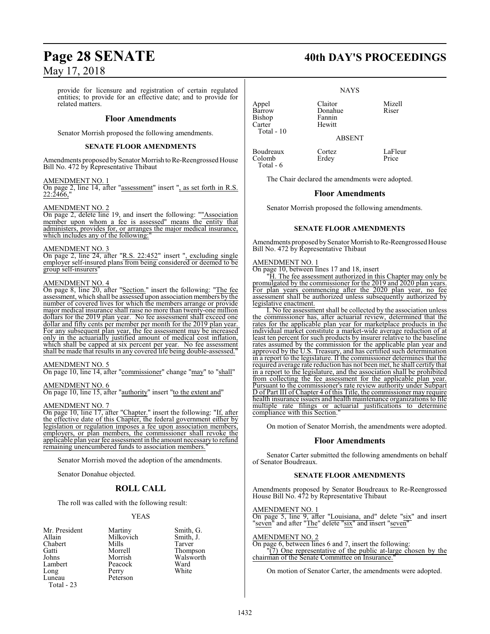provide for licensure and registration of certain regulated entities; to provide for an effective date; and to provide for related matters.

# **Floor Amendments**

Senator Morrish proposed the following amendments.

# **SENATE FLOOR AMENDMENTS**

Amendments proposed by Senator Morrish to Re-Reengrossed House Bill No. 472 by Representative Thibaut

# AMENDMENT NO. 1

On page 2, line 14, after "assessment" insert ", as set forth in R.S. 22:2466,"

# AMENDMENT NO. 2

On page 2, delete line 19, and insert the following: ""Association member upon whom a fee is assessed" means the entity that administers, provides for, or arranges the major medical insurance, which includes any of the following:

# AMENDMENT NO. 3

On page 2, line 24, after "R.S. 22:452" insert ", excluding single employer self-insured plans from being considered or deemed to be group self-insurers"

# AMENDMENT NO. 4

On page 8, line 20, after "Section." insert the following: "The fee assessment, which shall be assessed upon association members by the number of covered lives for which the members arrange or provide major medical insurance shall raise no more than twenty-one million dollars for the 2019 plan year. No fee assessment shall exceed one dollar and fifty cents per member per month for the 2019 plan year. For any subsequent plan year, the fee assessment may be increased only in the actuarially justified amount of medical cost inflation, which shall be capped at six percent per year. No fee assessment shall be made that results in any covered life being double-assessed."

# AMENDMENT NO. 5

On page 10, line 14, after "commissioner" change "may" to "shall"

# AMENDMENT NO. 6

On page 10, line 15, after "authority" insert "to the extent and"

# AMENDMENT NO. 7

On page 10, line 17, after "Chapter." insert the following: "If, after the effective date of this Chapter, the federal government either by legislation or regulation imposes a fee upon association members, employers, or plan members, the commissioner shall revoke the applicable plan year fee assessment in the amount necessaryto refund remaining unencumbered funds to association members.

Senator Morrish moved the adoption of the amendments.

Senator Donahue objected.

# **ROLL CALL**

The roll was called with the following result:

Peterson

# YEAS

- Mr. President Martiny Smith, G.<br>Allain Milkovich Smith, J. Chabert Mills<br>
Gatti Morrell Gatti Morrell Thompson Johns Morrish Walsworth Long Perry<br>Luneau Peters Total - 23
- Milkovich Smith,<br>
Mills Tarver Peacock Ward<br>Perry White

Appel Claitor Mizell<br>Barrow Donabue Riser Barrow<br>Bishop Carter Total - 10

Colomb Total - 6 NAYS

ABSENT

Boudreaux Cortez LaFleur

The Chair declared the amendments were adopted.

Fannin<br>Hewitt

# **Floor Amendments**

Senator Morrish proposed the following amendments.

# **SENATE FLOOR AMENDMENTS**

Amendments proposed by Senator Morrish to Re-Reengrossed House Bill No. 472 by Representative Thibaut

# AMENDMENT NO. 1

On page 10, between lines 17 and 18, insert

"H. The fee assessment authorized in this Chapter may only be promulgated by the commissioner for the 2019 and 2020 plan years. For plan years commencing after the 2020 plan year, no fee assessment shall be authorized unless subsequently authorized by legislative enactment.

I. No fee assessment shall be collected by the association unless the commissioner has, after actuarial review, determined that the rates for the applicable plan year for marketplace products in the individual market constitute a market-wide average reduction of at least ten percent for such products by insurer relative to the baseline rates assumed by the commission for the applicable plan year and approved by the U.S. Treasury, and has certified such determination in a report to the legislature. If the commissioner determines that the required average rate reduction has not been met, he shall certify that in a report to the legislature, and the association shall be prohibited from collecting the fee assessment for the applicable plan year. Pursuant to the commissioner's rate review authority under Subpart D of Part III of Chapter 4 of this Title, the commissioner may require health insurance issuers and health maintenance organizations to file multiple rate filings or actuarial justifications to determine compliance with this Section."

On motion of Senator Morrish, the amendments were adopted.

# **Floor Amendments**

Senator Carter submitted the following amendments on behalf of Senator Boudreaux.

# **SENATE FLOOR AMENDMENTS**

Amendments proposed by Senator Boudreaux to Re-Reengrossed House Bill No. 472 by Representative Thibaut

# AMENDMENT NO. 1

On page 5, line 9, after "Louisiana, and" delete "six" and insert "seven" and after "The" delete "six" and insert "seven"

# AMENDMENT NO. 2

On page 6, between lines 6 and 7, insert the following: "(7) One representative of the public at-large chosen by the chairman of the Senate Committee on Insurance.

On motion of Senator Carter, the amendments were adopted.

# **Page 28 SENATE 40th DAY'S PROCEEDINGS**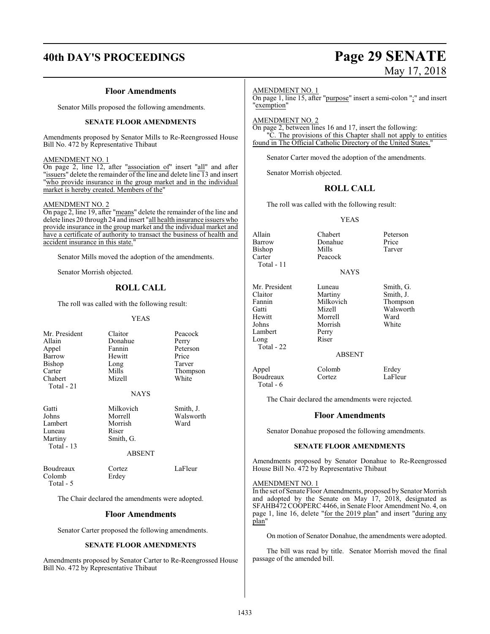# **40th DAY'S PROCEEDINGS Page 29 SENATE**

# **Floor Amendments**

Senator Mills proposed the following amendments.

# **SENATE FLOOR AMENDMENTS**

Amendments proposed by Senator Mills to Re-Reengrossed House Bill No. 472 by Representative Thibaut

# AMENDMENT NO. 1

On page 2, line 12, after "association of" insert "all" and after "issuers" delete the remainder of the line and delete line 13 and insert "who provide insurance in the group market and in the individual market is hereby created. Members of the"

# AMENDMENT NO. 2

On page 2, line 19, after "means" delete the remainder of the line and delete lines 20 through 24 and insert "all health insurance issuers who provide insurance in the group market and the individual market and have a certificate of authority to transact the business of health and accident insurance in this state."

Senator Mills moved the adoption of the amendments.

Senator Morrish objected.

# **ROLL CALL**

The roll was called with the following result:

# YEAS

| Mr. President | Claitor     | Peacock   |
|---------------|-------------|-----------|
| Allain        | Donahue     | Perry     |
| Appel         | Fannin      | Peterson  |
| Barrow        | Hewitt      | Price     |
| Bishop        | Long        | Tarver    |
| Carter        | Mills       | Thompson  |
| Chabert       | Mizell      | White     |
| Total - 21    |             |           |
|               | <b>NAYS</b> |           |
| Gatti         | Milkovich   | Smith, J. |
| Johns         | Morrell     | Walsworth |
|               |             |           |

| JUIIIIS      | IVIUILUI      | vv ald |
|--------------|---------------|--------|
| Lambert      | Morrish       | Ward   |
| Luneau       | Riser         |        |
| Martiny      | Smith, G.     |        |
| Total - $13$ |               |        |
|              | <b>ABSENT</b> |        |
|              |               |        |
|              |               |        |

Colomb Total - 5

The Chair declared the amendments were adopted.

Boudreaux Cortez LaFleur

# **Floor Amendments**

Senator Carter proposed the following amendments.

# **SENATE FLOOR AMENDMENTS**

Amendments proposed by Senator Carter to Re-Reengrossed House Bill No. 472 by Representative Thibaut

# May 17, 2018

# AMENDMENT NO. 1

On page 1, line 15, after "purpose" insert a semi-colon ";" and insert "exemption"

AMENDMENT NO. 2

On page 2, between lines 16 and 17, insert the following: C. The provisions of this Chapter shall not apply to entities found in The Official Catholic Directory of the United States."

Senator Carter moved the adoption of the amendments.

Senator Morrish objected.

# **ROLL CALL**

The roll was called with the following result:

# YEAS

| Allain<br>Barrow<br><b>Bishop</b><br>Carter | Chabert<br>Donahue<br>Mills<br>Peacock | Peterson<br>Price<br>Tarver |
|---------------------------------------------|----------------------------------------|-----------------------------|
| Total - 11                                  | <b>NAYS</b>                            |                             |
|                                             |                                        |                             |
| Mr. President                               | Luneau                                 | Smith, G.                   |
| Claitor                                     | Martiny                                | Smith, J.                   |
| Fannin                                      | Milkovich                              | Thompson                    |
| Gatti                                       | Mizell                                 | Walsworth                   |
| Hewitt                                      | Morrell                                | Ward                        |
| Johns                                       | Morrish                                | White                       |

# ABSENT

Appel Colomb Erdey<br>
Boudreaux Cortez LaFleur Boudreaux Total - 6

Lambert Perry Long Riser

Total - 22

The Chair declared the amendments were rejected.

# **Floor Amendments**

Senator Donahue proposed the following amendments.

# **SENATE FLOOR AMENDMENTS**

Amendments proposed by Senator Donahue to Re-Reengrossed House Bill No. 472 by Representative Thibaut

# AMENDMENT NO. 1

In the set of Senate Floor Amendments, proposed by Senator Morrish and adopted by the Senate on May 17, 2018, designated as SFAHB472 COOPERC 4466, in Senate Floor Amendment No. 4, on page 1, line 16, delete "for the 2019 plan" and insert "during any plan"

On motion of Senator Donahue, the amendments were adopted.

The bill was read by title. Senator Morrish moved the final passage of the amended bill.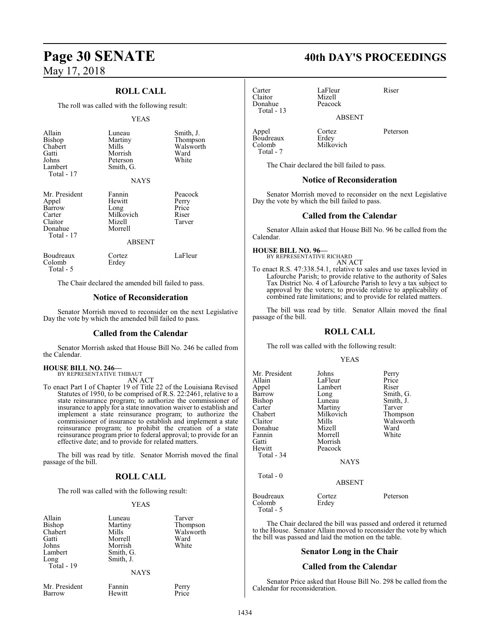# **ROLL CALL**

The roll was called with the following result:

# YEAS

| Allain<br>Bishop<br>Chabert<br>Gatti<br>Johns<br>Lambert<br>Total - 17         | Luneau<br>Martiny<br>Mills<br>Morrish<br>Peterson<br>Smith, G.<br><b>NAYS</b> | Smith, J.<br>Thompson<br>Walsworth<br>Ward<br>White |
|--------------------------------------------------------------------------------|-------------------------------------------------------------------------------|-----------------------------------------------------|
| Mr. President<br>Appel<br>Barrow<br>Carter<br>Claitor<br>Donahue<br>Total - 17 | Fannin<br>Hewitt<br>Long<br>Milkovich<br>Mizell<br>Morrell                    | Peacock<br>Perry<br>Price<br>Riser<br>Tarver        |
| Boudreaux<br>Colomb<br>Total - 5                                               | ABSENT<br>Cortez<br>Erdey                                                     | LaFleur                                             |

The Chair declared the amended bill failed to pass.

# **Notice of Reconsideration**

Senator Morrish moved to reconsider on the next Legislative Day the vote by which the amended bill failed to pass.

# **Called from the Calendar**

Senator Morrish asked that House Bill No. 246 be called from the Calendar.

# **HOUSE BILL NO. 246—** BY REPRESENTATIVE THIBAUT

AN ACT

To enact Part I of Chapter 19 of Title 22 of the Louisiana Revised Statutes of 1950, to be comprised of R.S. 22:2461, relative to a state reinsurance program; to authorize the commissioner of insurance to apply for a state innovation waiver to establish and implement a state reinsurance program; to authorize the commissioner of insurance to establish and implement a state reinsurance program; to prohibit the creation of a state reinsurance program prior to federal approval; to provide for an effective date; and to provide for related matters.

The bill was read by title. Senator Morrish moved the final passage of the bill.

# **ROLL CALL**

The roll was called with the following result:

# YEAS

| Luneau<br>Martiny<br>Mills<br>Morrell<br>Morrish<br>Smith, G.<br>Smith, J. | Tarver<br>Thompson<br>Walsworth<br>Ward<br>White |
|----------------------------------------------------------------------------|--------------------------------------------------|
| <b>NAYS</b>                                                                |                                                  |
|                                                                            |                                                  |

Mr. President Fannin Perry<br>Barrow Hewitt Price **Barrow** 

# **Page 30 SENATE 40th DAY'S PROCEEDINGS**

Carter LaFleur Riser<br>Claitor Mizell Riser Claitor Mizell Donahue Total - 13

ABSENT

Appel Cortez Peterson Boudreaux<br>Colomb Total - 7

Milkovich

The Chair declared the bill failed to pass.

# **Notice of Reconsideration**

Senator Morrish moved to reconsider on the next Legislative Day the vote by which the bill failed to pass.

# **Called from the Calendar**

Senator Allain asked that House Bill No. 96 be called from the Calendar.

**HOUSE BILL NO. 96—** BY REPRESENTATIVE RICHARD

AN ACT

To enact R.S. 47:338.54.1, relative to sales and use taxes levied in Lafourche Parish; to provide relative to the authority of Sales Tax District No. 4 of Lafourche Parish to levy a tax subject to approval by the voters; to provide relative to applicability of combined rate limitations; and to provide for related matters.

The bill was read by title. Senator Allain moved the final passage of the bill.

# **ROLL CALL**

The roll was called with the following result:

# YEAS

| Mr. President<br>Allain<br>Appel<br>Barrow<br>Bishop<br>Carter<br>Chabert<br>Claitor<br>Donahue<br>Fannin<br>Gatti<br>Hewitt<br>Total - 34 | Johns<br>LaFleur<br>Lambert<br>Long<br>Luneau<br>Martiny<br>Milkovich<br>Mills<br>Mizell<br>Morrell<br>Morrish<br>Peacock<br><b>NAYS</b> | Perry<br>Price<br>Riser<br>Smith, G.<br>Smith, J.<br>Tarver<br>Thompson<br>Walsworth<br>Ward<br>White |
|--------------------------------------------------------------------------------------------------------------------------------------------|------------------------------------------------------------------------------------------------------------------------------------------|-------------------------------------------------------------------------------------------------------|
| Total - 0                                                                                                                                  | <b>ABSENT</b>                                                                                                                            |                                                                                                       |
| Boudreaux<br>Colomb<br>Total - 5                                                                                                           | Cortez<br>Erdey                                                                                                                          | Peterson                                                                                              |

The Chair declared the bill was passed and ordered it returned to the House. Senator Allain moved to reconsider the vote by which the bill was passed and laid the motion on the table.

# **Senator Long in the Chair**

# **Called from the Calendar**

Senator Price asked that House Bill No. 298 be called from the Calendar for reconsideration.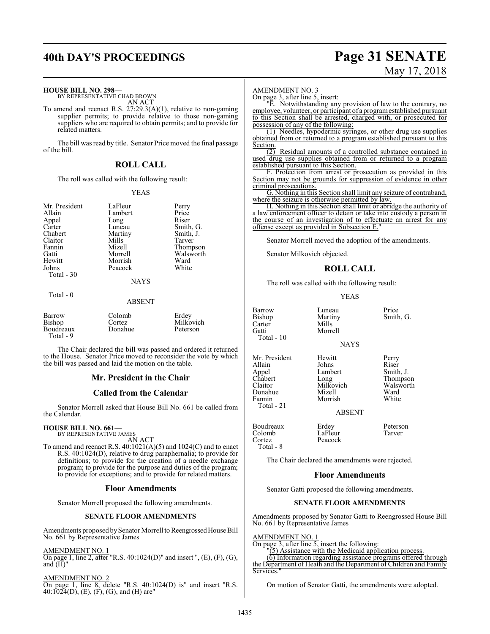# **40th DAY'S PROCEEDINGS Page 31 SENATE**

# May 17, 2018

## **HOUSE BILL NO. 298—**

BY REPRESENTATIVE CHAD BROWN AN ACT

To amend and reenact R.S. 27:29.3(A)(1), relative to non-gaming supplier permits; to provide relative to those non-gaming suppliers who are required to obtain permits; and to provide for related matters.

The bill was read by title. Senator Price moved the final passage of the bill.

# **ROLL CALL**

The roll was called with the following result:

# YEAS

| Mr. President | LaFleur     | Perry     |
|---------------|-------------|-----------|
| Allain        | Lambert     | Price     |
| Appel         | Long        | Riser     |
| Carter        | Luneau      | Smith, G. |
| Chabert       | Martiny     | Smith, J. |
| Claitor       | Mills       | Tarver    |
| Fannin        | Mizell      | Thompson  |
| Gatti         | Morrell     | Walsworth |
| Hewitt        | Morrish     | Ward      |
| Johns         | Peacock     | White     |
| Total - 30    |             |           |
|               | <b>NAYS</b> |           |
| Total - 0     |             |           |

## ABSENT

| Barrow<br>Bishop<br>Boudreaux<br>Total - 9 | Colomb<br>Cortez<br>Donahue | Erdev<br>Milkovich<br>Peterson |
|--------------------------------------------|-----------------------------|--------------------------------|
|--------------------------------------------|-----------------------------|--------------------------------|

The Chair declared the bill was passed and ordered it returned to the House. Senator Price moved to reconsider the vote by which the bill was passed and laid the motion on the table.

# **Mr. President in the Chair**

# **Called from the Calendar**

Senator Morrell asked that House Bill No. 661 be called from the Calendar.

### **HOUSE BILL NO. 661—** BY REPRESENTATIVE JAMES

AN ACT

To amend and reenact R.S. 40:1021(A)(5) and 1024(C) and to enact R.S. 40:1024(D), relative to drug paraphernalia; to provide for definitions; to provide for the creation of a needle exchange program; to provide for the purpose and duties of the program; to provide for exceptions; and to provide for related matters.

# **Floor Amendments**

Senator Morrell proposed the following amendments.

# **SENATE FLOOR AMENDMENTS**

Amendments proposed by Senator Morrell to Reengrossed House Bill No. 661 by Representative James

# AMENDMENT NO. 1

On page 1, line 2, after "R.S. 40:1024(D)" and insert ", (E), (F), (G), and  $(H)$ "

# AMENDMENT NO. 2

On page 1, line 8, delete "R.S. 40:1024(D) is" and insert "R.S. 40:1024(D), (E), (F), (G), and (H) are"

## AMENDMENT NO. 3

On page 3, after line 5, insert:

"E. Notwithstanding any provision of law to the contrary, no employee, volunteer, or participant of a programestablished pursuant to this Section shall be arrested, charged with, or prosecuted for possession of any of the following:

(1) Needles, hypodermic syringes, or other drug use supplies obtained from or returned to a program established pursuant to this Section.

Residual amounts of a controlled substance contained in used drug use supplies obtained from or returned to a program established pursuant to this Section.

F. Protection from arrest or prosecution as provided in this Section may not be grounds for suppression of evidence in other criminal prosecutions.

G. Nothing in this Section shall limit any seizure of contraband, where the seizure is otherwise permitted by law.

H. Nothing in this Section shall limit or abridge the authority of a law enforcement officer to detain or take into custody a person in the course of an investigation of to effectuate an arrest for any offense except as provided in Subsection E."

Senator Morrell moved the adoption of the amendments.

Senator Milkovich objected.

# **ROLL CALL**

The roll was called with the following result:

## YEAS

Barrow Luneau Price<br>
Bishop Martiny Smith Carter<br>Gatti Total - 10

Martiny Smith, G.<br>Mills Morrell

**NAYS** 

Mr. President Hewitt Perry<br>Allain Johns Riser Allain Johns Riser<br>
Appel Lambert Smith, J. Appel Lambert<br>
Chabert Long Chabert Long Thompson<br>Claitor Milkovich Walsworth Donahue Mizell Ward Total - 21

Milkovich Walsworth<br>
Mizell Ward Morrish

ABSENT

Boudreaux Erdey Peterson Colomb LaFleur<br>Cortez Peacock Total - 8

The Chair declared the amendments were rejected.

Peacock

# **Floor Amendments**

Senator Gatti proposed the following amendments.

# **SENATE FLOOR AMENDMENTS**

Amendments proposed by Senator Gatti to Reengrossed House Bill No. 661 by Representative James

# AMENDMENT NO. 1

On page 3, after line 5, insert the following:

 $(5)$  Assistance with the Medicaid application process.

(6) Information regarding assistance programs offered through the Department of Heath and the Department of Children and Family Services.

On motion of Senator Gatti, the amendments were adopted.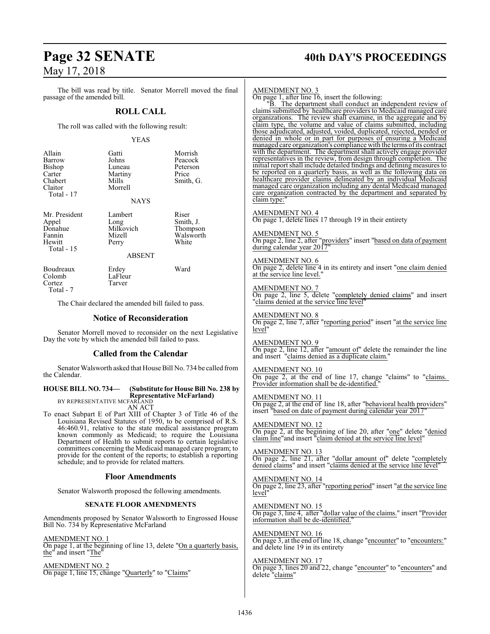# **Page 32 SENATE 40th DAY'S PROCEEDINGS**

The bill was read by title. Senator Morrell moved the final passage of the amended bill.

# **ROLL CALL**

The roll was called with the following result:

# YEAS

| Allain<br>Barrow<br>Bishop<br>Carter<br>Chabert<br>Claitor<br>Total - 17                                                                                                                                                                                                                                                                                                                                                                                                                                   | Gatti<br>Johns<br>Luneau<br>Martiny<br>Mills<br>Morrell<br><b>NAYS</b> | Morrish<br>Peacock<br>Peterson<br>Price<br>Smith, G.                  |
|------------------------------------------------------------------------------------------------------------------------------------------------------------------------------------------------------------------------------------------------------------------------------------------------------------------------------------------------------------------------------------------------------------------------------------------------------------------------------------------------------------|------------------------------------------------------------------------|-----------------------------------------------------------------------|
| Mr. President<br>Appel<br>Donahue<br>Fannin<br>Hewitt<br>Total - 15                                                                                                                                                                                                                                                                                                                                                                                                                                        | Lambert<br>Long<br>Milkovich<br>Mizell<br>Perry<br><b>ABSENT</b>       | Riser<br>Smith, J.<br>Thompson<br>Walsworth<br>White                  |
| Boudreaux<br>Colomb<br>Cortez<br>Total - 7                                                                                                                                                                                                                                                                                                                                                                                                                                                                 | Erdey<br>LaFleur<br>Tarver                                             | Ward                                                                  |
|                                                                                                                                                                                                                                                                                                                                                                                                                                                                                                            | The Chair declared the amended bill failed to pass.                    |                                                                       |
|                                                                                                                                                                                                                                                                                                                                                                                                                                                                                                            | <b>Notice of Reconsideration</b>                                       |                                                                       |
|                                                                                                                                                                                                                                                                                                                                                                                                                                                                                                            | Day the vote by which the amended bill failed to pass.                 | Senator Morrell moved to reconsider on the next Legislative           |
|                                                                                                                                                                                                                                                                                                                                                                                                                                                                                                            | <b>Called from the Calendar</b>                                        |                                                                       |
| the Calendar.                                                                                                                                                                                                                                                                                                                                                                                                                                                                                              |                                                                        | Senator Walsworth asked that House Bill No. 734 be called from        |
| <b>HOUSE BILL NO. 734-</b>                                                                                                                                                                                                                                                                                                                                                                                                                                                                                 |                                                                        | (Substitute for House Bill No. 238 by                                 |
| BY REPRESENTATIVE MCFARLAND                                                                                                                                                                                                                                                                                                                                                                                                                                                                                | <b>AN ACT</b>                                                          | <b>Representative McFarland)</b>                                      |
| To enact Subpart E of Part XIII of Chapter 3 of Title 46 of the<br>Louisiana Revised Statutes of 1950, to be comprised of R.S.<br>46:460.91, relative to the state medical assistance program<br>known commonly as Medicaid; to require the Louisiana<br>Department of Health to submit reports to certain legislative<br>committees concerning the Medicaid managed care program; to<br>provide for the content of the reports; to establish a reporting<br>schedule; and to provide for related matters. |                                                                        |                                                                       |
| <b>Floor Amendments</b>                                                                                                                                                                                                                                                                                                                                                                                                                                                                                    |                                                                        |                                                                       |
|                                                                                                                                                                                                                                                                                                                                                                                                                                                                                                            | Senator Walsworth proposed the following amendments.                   |                                                                       |
|                                                                                                                                                                                                                                                                                                                                                                                                                                                                                                            | <b>SENATE FLOOR AMENDMENTS</b>                                         |                                                                       |
| Bill No. 734 by Representative McFarland                                                                                                                                                                                                                                                                                                                                                                                                                                                                   |                                                                        | Amendments proposed by Senator Walsworth to Engrossed House           |
| <b>AMENDMENT NO. 1</b><br>the" and insert "The"                                                                                                                                                                                                                                                                                                                                                                                                                                                            |                                                                        | On page 1, at the beginning of line 13, delete "On a quarterly basis, |

AMENDMENT NO. 2 On page 1, line 15, change "Quarterly" to "Claims"

## AMENDMENT NO. 3

On page 1, after line 16, insert the following:

"B. The department shall conduct an independent review of claims submitted by healthcare providers to Medicaid managed care organizations. The review shall examine, in the aggregate and by claim type, the volume and value of claims submitted, including those adjudicated, adjusted, voided, duplicated, rejected, pended or denied in whole or in part for purposes of ensuring a Medicaid managed care organization's compliance with the terms ofits contract with the department. The department shall actively engage provider representatives in the review, from design through completion. The initial report shall include detailed findings and defining measures to be reported on a quarterly basis, as well as the following data on healthcare provider claims delineated by an individual Medicaid managed care organization including any dental Medicaid managed care organization contracted by the department and separated by claim type:

# AMENDMENT NO. 4

On page 1, delete lines 17 through 19 in their entirety

## AMENDMENT NO. 5 On page 2, line 2, after "providers" insert "based on data of payment during calendar year 2017"

AMENDMENT NO. 6 On page 2, delete line 4 in its entirety and insert "one claim denied at the service line level."

AMENDMENT NO. 7 On page 2, line 5, delete "completely denied claims" and insert "claims denied at the service line level"

AMENDMENT NO. 8 On page 2, line 7, after "reporting period" insert "at the service line level"

AMENDMENT NO. 9 On page 2, line 12, after "amount of" delete the remainder the line and insert "claims denied as a duplicate claim."

AMENDMENT NO. 10 On page 2, at the end of line 17, change "claims" to "claims. Provider information shall be de-identified.

AMENDMENT NO. 11 On page 2, at the end of line 18, after "behavioral health providers" insert "based on date of payment during calendar year 2017"

AMENDMENT NO. 12 On page 2, at the beginning of line 20, after "one" delete "denied claim line"and insert "claim denied at the service line level"

AMENDMENT NO. 13 On page 2, line 21, after "dollar amount of" delete "completely denied claims" and insert "claims denied at the service line level

AMENDMENT NO. 14 On page 2, line 23, after "reporting period" insert "at the service line level"

AMENDMENT NO. 15 On page 3, line 4, after "dollar value of the claims." insert "Provider information shall be de-identified."

AMENDMENT NO. 16 On page 3, at the end of line 18, change "encounter" to "encounters:" and delete line 19 in its entirety

# AMENDMENT NO. 17

On page 3, lines 20 and 22, change "encounter" to "encounters" and delete "claims"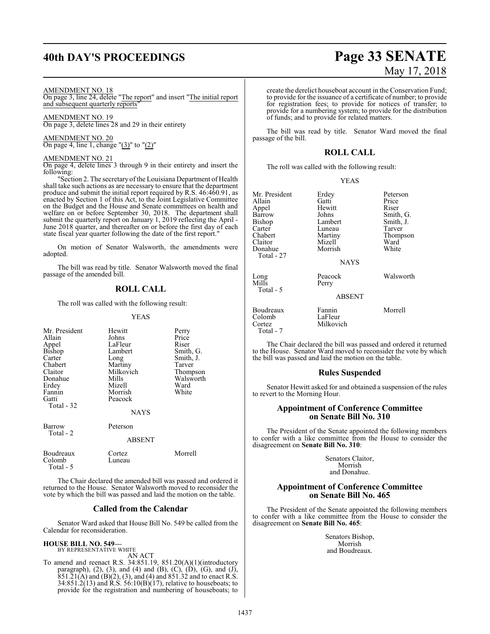# **40th DAY'S PROCEEDINGS Page 33 SENATE**

## AMENDMENT NO. 18

On page 3, line 24, delete "The report" and insert "The initial report and subsequent quarterly reports

AMENDMENT NO. 19 On page 3, delete lines 28 and 29 in their entirety

AMENDMENT NO. 20 On page 4, line 1, change " $(3)$ " to " $(2)$ "

# AMENDMENT NO. 21

On page 4, delete lines 3 through 9 in their entirety and insert the following:

"Section 2. The secretary of the Louisiana Department of Health shall take such actions as are necessary to ensure that the department produce and submit the initial report required by R.S. 46:460.91, as enacted by Section 1 of this Act, to the Joint Legislative Committee on the Budget and the House and Senate committees on health and welfare on or before September 30, 2018. The department shall submit the quarterly report on January 1, 2019 reflecting the April -June 2018 quarter, and thereafter on or before the first day of each state fiscal year quarter following the date of the first report."

On motion of Senator Walsworth, the amendments were adopted.

The bill was read by title. Senator Walsworth moved the final passage of the amended bill.

# **ROLL CALL**

The roll was called with the following result:

## YEAS

| Mr. President<br>Allain<br>Appel<br>Bishop<br>Carter<br>Chabert<br>Claitor<br>Donahue<br>Erdey<br>Fannin<br>Gatti<br>Total - 32 | Hewitt<br>Johns<br>LaFleur<br>Lambert<br>Long<br>Martiny<br>Milkovich<br>Mills<br>Mizell<br>Morrish<br>Peacock<br><b>NAYS</b> | Perry<br>Price<br>Riser<br>Smith, G.<br>Smith, J.<br>Tarver<br>Thompson<br>Walsworth<br>Ward<br>White |
|---------------------------------------------------------------------------------------------------------------------------------|-------------------------------------------------------------------------------------------------------------------------------|-------------------------------------------------------------------------------------------------------|
| Barrow<br>Total - 2                                                                                                             | Peterson<br><b>ABSENT</b>                                                                                                     |                                                                                                       |
| Boudreaux<br>Colomb<br>Total - 5                                                                                                | Cortez<br>Luneau                                                                                                              | Morrell                                                                                               |

The Chair declared the amended bill was passed and ordered it returned to the House. Senator Walsworth moved to reconsider the vote by which the bill was passed and laid the motion on the table.

# **Called from the Calendar**

Senator Ward asked that House Bill No. 549 be called from the Calendar for reconsideration.

### **HOUSE BILL NO. 549—** BY REPRESENTATIVE WHITE

AN ACT

To amend and reenact R.S. 34:851.19, 851.20(A)(1)(introductory paragraph), (2), (3), and (4) and (B), (C), (D), (G), and (J),  $851.\overline{21(A)}$  and  $(B)(2)$ ,  $(3)$ , and  $(4)$  and  $851.32$  and to enact R.S. 34:851.2(13) and R.S. 56:10(B)(17), relative to houseboats; to provide for the registration and numbering of houseboats; to

# May 17, 2018

create the derelict houseboat account in the Conservation Fund; to provide for the issuance of a certificate of number; to provide for registration fees; to provide for notices of transfer; to provide for a numbering system; to provide for the distribution of funds; and to provide for related matters.

The bill was read by title. Senator Ward moved the final passage of the bill.

# **ROLL CALL**

The roll was called with the following result:

|--|--|

| Mr. President              | Erdey             | Peterson  |
|----------------------------|-------------------|-----------|
| Allain                     | Gatti             | Price     |
| Appel                      | Hewitt            | Riser     |
| Barrow                     | Johns             | Smith, G. |
| Bishop                     | Lambert           | Smith, J. |
| Carter                     | Luneau            | Tarver    |
| Chabert                    | Martiny           | Thompson  |
| Claitor                    | Mizell            | Ward      |
| Donahue<br>Total - 27      | Morrish           | White     |
|                            | <b>NAYS</b>       |           |
| Long<br>Mills<br>Total - 5 | Peacock<br>Perry  | Walsworth |
|                            | <b>ABSENT</b>     |           |
| Boudreaux<br>Colomb        | Fannin<br>LaFleur | Morrell   |

Cortez Milkovich

Total - 7

The Chair declared the bill was passed and ordered it returned to the House. Senator Ward moved to reconsider the vote by which the bill was passed and laid the motion on the table.

# **Rules Suspended**

Senator Hewitt asked for and obtained a suspension of the rules to revert to the Morning Hour.

# **Appointment of Conference Committee on Senate Bill No. 310**

The President of the Senate appointed the following members to confer with a like committee from the House to consider the disagreement on **Senate Bill No. 310**:

> Senators Claitor, Morrish and Donahue.

# **Appointment of Conference Committee on Senate Bill No. 465**

The President of the Senate appointed the following members to confer with a like committee from the House to consider the disagreement on **Senate Bill No. 465**:

> Senators Bishop, Morrish and Boudreaux.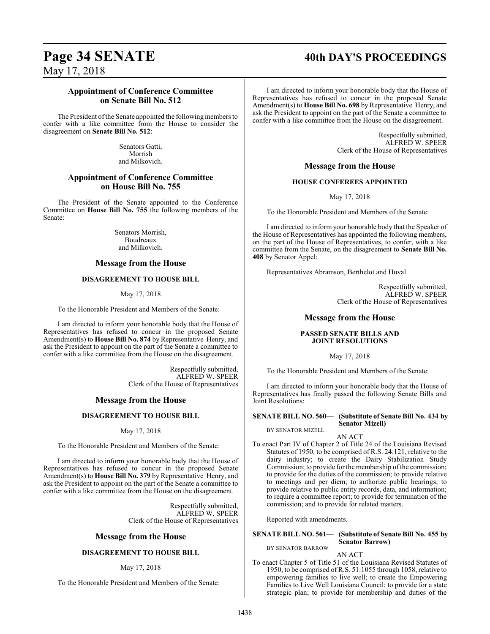# **Page 34 SENATE 40th DAY'S PROCEEDINGS**

May 17, 2018

# **Appointment of Conference Committee on Senate Bill No. 512**

The President of the Senate appointed the following members to confer with a like committee from the House to consider the disagreement on **Senate Bill No. 512**:

> Senators Gatti, Morrish and Milkovich.

# **Appointment of Conference Committee on House Bill No. 755**

The President of the Senate appointed to the Conference Committee on **House Bill No. 755** the following members of the Senate:

> Senators Morrish, Boudreaux and Milkovich.

# **Message from the House**

# **DISAGREEMENT TO HOUSE BILL**

May 17, 2018

To the Honorable President and Members of the Senate:

I am directed to inform your honorable body that the House of Representatives has refused to concur in the proposed Senate Amendment(s) to **House Bill No. 874** by Representative Henry, and ask the President to appoint on the part of the Senate a committee to confer with a like committee from the House on the disagreement.

> Respectfully submitted, ALFRED W. SPEER Clerk of the House of Representatives

# **Message from the House**

# **DISAGREEMENT TO HOUSE BILL**

# May 17, 2018

To the Honorable President and Members of the Senate:

I am directed to inform your honorable body that the House of Representatives has refused to concur in the proposed Senate Amendment(s) to **House Bill No. 379** by Representative Henry, and ask the President to appoint on the part of the Senate a committee to confer with a like committee from the House on the disagreement.

> Respectfully submitted, ALFRED W. SPEER Clerk of the House of Representatives

# **Message from the House**

# **DISAGREEMENT TO HOUSE BILL**

# May 17, 2018

To the Honorable President and Members of the Senate:

I am directed to inform your honorable body that the House of Representatives has refused to concur in the proposed Senate Amendment(s) to **House Bill No. 698** by Representative Henry, and ask the President to appoint on the part of the Senate a committee to confer with a like committee from the House on the disagreement.

> Respectfully submitted, ALFRED W. SPEER Clerk of the House of Representatives

# **Message from the House**

# **HOUSE CONFEREES APPOINTED**

May 17, 2018

To the Honorable President and Members of the Senate:

I am directed to inform your honorable body that the Speaker of the House of Representatives has appointed the following members, on the part of the House of Representatives, to confer, with a like committee from the Senate, on the disagreement to **Senate Bill No. 408** by Senator Appel:

Representatives Abramson, Berthelot and Huval.

Respectfully submitted, ALFRED W. SPEER Clerk of the House of Representatives

# **Message from the House**

# **PASSED SENATE BILLS AND JOINT RESOLUTIONS**

May 17, 2018

To the Honorable President and Members of the Senate:

I am directed to inform your honorable body that the House of Representatives has finally passed the following Senate Bills and Joint Resolutions:

# **SENATE BILL NO. 560— (Substitute of Senate Bill No. 434 by Senator Mizell)**

BY SENATOR MIZELL

AN ACT

To enact Part IV of Chapter 2 of Title 24 of the Louisiana Revised Statutes of 1950, to be comprised of R.S. 24:121, relative to the dairy industry; to create the Dairy Stabilization Study Commission; to provide for the membership of the commission; to provide for the duties of the commission; to provide relative to meetings and per diem; to authorize public hearings; to provide relative to public entity records, data, and information; to require a committee report; to provide for termination of the commission; and to provide for related matters.

Reported with amendments.

# **SENATE BILL NO. 561— (Substitute of Senate Bill No. 455 by Senator Barrow)**

BY SENATOR BARROW AN ACT

To enact Chapter 5 of Title 51 of the Louisiana Revised Statutes of 1950, to be comprised of R.S. 51:1055 through 1058, relative to empowering families to live well; to create the Empowering Families to Live Well Louisiana Council; to provide for a state strategic plan; to provide for membership and duties of the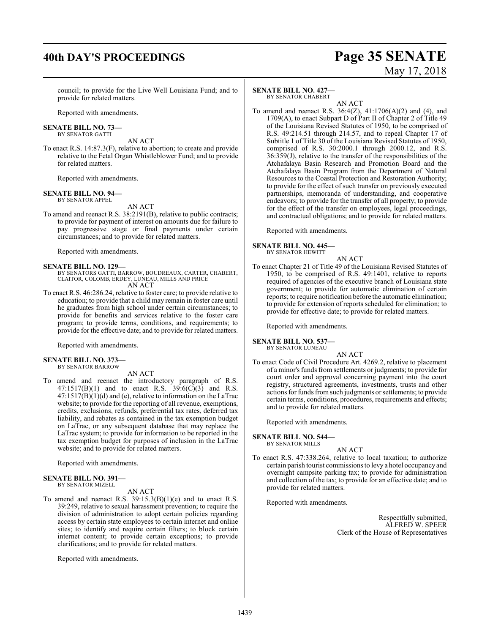# **40th DAY'S PROCEEDINGS Page 35 SENATE**

# May 17, 2018

council; to provide for the Live Well Louisiana Fund; and to provide for related matters.

Reported with amendments.

# **SENATE BILL NO. 73—**

BY SENATOR GATTI

AN ACT To enact R.S. 14:87.3(F), relative to abortion; to create and provide relative to the Fetal Organ Whistleblower Fund; and to provide for related matters.

Reported with amendments.

### **SENATE BILL NO. 94—** BY SENATOR APPEL

AN ACT

To amend and reenact R.S. 38:2191(B), relative to public contracts; to provide for payment of interest on amounts due for failure to pay progressive stage or final payments under certain circumstances; and to provide for related matters.

Reported with amendments.

# **SENATE BILL NO. 129—**

BY SENATORS GATTI, BARROW, BOUDREAUX, CARTER, CHABERT, CLAITOR, COLOMB, ERDEY, LUNEAU, MILLS AND PRICE AN ACT

To enact R.S. 46:286.24, relative to foster care; to provide relative to education; to provide that a child may remain in foster care until he graduates from high school under certain circumstances; to provide for benefits and services relative to the foster care program; to provide terms, conditions, and requirements; to provide for the effective date; and to provide for related matters.

Reported with amendments.

## **SENATE BILL NO. 373—** BY SENATOR BARROW

# AN ACT

To amend and reenact the introductory paragraph of R.S. 47:1517(B)(1) and to enact R.S. 39:6(C)(3) and R.S.  $47:1517(B)(1)(d)$  and (e), relative to information on the LaTrac website; to provide for the reporting of all revenue, exemptions, credits, exclusions, refunds, preferential tax rates, deferred tax liability, and rebates as contained in the tax exemption budget on LaTrac, or any subsequent database that may replace the LaTrac system; to provide for information to be reported in the tax exemption budget for purposes of inclusion in the LaTrac website; and to provide for related matters.

Reported with amendments.

## **SENATE BILL NO. 391—** BY SENATOR MIZELL

AN ACT

To amend and reenact R.S. 39:15.3(B)(1)(e) and to enact R.S. 39:249, relative to sexual harassment prevention; to require the division of administration to adopt certain policies regarding access by certain state employees to certain internet and online sites; to identify and require certain filters; to block certain internet content; to provide certain exceptions; to provide clarifications; and to provide for related matters.

Reported with amendments.

# **SENATE BILL NO. 427—**

BY SENATOR CHABERT

AN ACT To amend and reenact R.S. 36:4(Z), 41:1706(A)(2) and (4), and 1709(A), to enact Subpart D of Part II of Chapter 2 of Title 49 of the Louisiana Revised Statutes of 1950, to be comprised of R.S. 49:214.51 through 214.57, and to repeal Chapter 17 of Subtitle 1 of Title 30 of the Louisiana Revised Statutes of 1950, comprised of R.S. 30:2000.1 through 2000.12, and R.S. 36:359(J), relative to the transfer of the responsibilities of the Atchafalaya Basin Research and Promotion Board and the Atchafalaya Basin Program from the Department of Natural Resources to the Coastal Protection and Restoration Authority; to provide for the effect of such transfer on previously executed partnerships, memoranda of understanding, and cooperative endeavors; to provide for the transfer of all property; to provide for the effect of the transfer on employees, legal proceedings, and contractual obligations; and to provide for related matters.

Reported with amendments.

# **SENATE BILL NO. 445—**

BY SENATOR HEWITT

To enact Chapter 21 of Title 49 of the Louisiana Revised Statutes of 1950, to be comprised of R.S. 49:1401, relative to reports required of agencies of the executive branch of Louisiana state government; to provide for automatic elimination of certain reports; to require notification before the automatic elimination; to provide for extension of reports scheduled for elimination; to provide for effective date; to provide for related matters.

AN ACT

Reported with amendments.

# **SENATE BILL NO. 537—**

BY SENATOR LUNEAU AN ACT

To enact Code of Civil Procedure Art. 4269.2, relative to placement of a minor's funds from settlements or judgments; to provide for court order and approval concerning payment into the court registry, structured agreements, investments, trusts and other actions for funds fromsuch judgments or settlements; to provide certain terms, conditions, procedures, requirements and effects; and to provide for related matters.

Reported with amendments.

**SENATE BILL NO. 544—**

BY SENATOR MILLS

AN ACT

To enact R.S. 47:338.264, relative to local taxation; to authorize certain parish tourist commissions to levy a hotel occupancy and overnight campsite parking tax; to provide for administration and collection of the tax; to provide for an effective date; and to provide for related matters.

Reported with amendments.

Respectfully submitted, ALFRED W. SPEER Clerk of the House of Representatives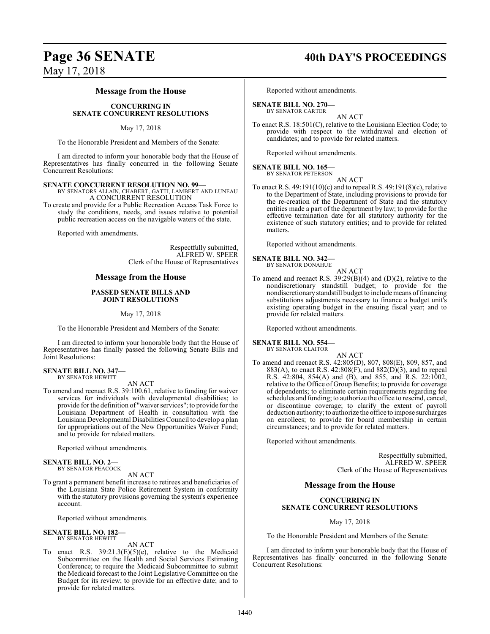# **Page 36 SENATE 40th DAY'S PROCEEDINGS**

May 17, 2018

# **Message from the House**

# **CONCURRING IN SENATE CONCURRENT RESOLUTIONS**

# May 17, 2018

To the Honorable President and Members of the Senate:

I am directed to inform your honorable body that the House of Representatives has finally concurred in the following Senate Concurrent Resolutions:

# **SENATE CONCURRENT RESOLUTION NO. 99—**

BY SENATORS ALLAIN, CHABERT, GATTI, LAMBERT AND LUNEAU A CONCURRENT RESOLUTION

To create and provide for a Public Recreation Access Task Force to study the conditions, needs, and issues relative to potential public recreation access on the navigable waters of the state.

Reported with amendments.

Respectfully submitted, ALFRED W. SPEER Clerk of the House of Representatives

# **Message from the House**

# **PASSED SENATE BILLS AND JOINT RESOLUTIONS**

# May 17, 2018

To the Honorable President and Members of the Senate:

I am directed to inform your honorable body that the House of Representatives has finally passed the following Senate Bills and Joint Resolutions:

### **SENATE BILL NO. 347—** BY SENATOR HEWITT

AN ACT

To amend and reenact R.S. 39:100.61, relative to funding for waiver services for individuals with developmental disabilities; to provide for the definition of "waiver services"; to provide for the Louisiana Department of Health in consultation with the Louisiana Developmental Disabilities Council to develop a plan for appropriations out of the New Opportunities Waiver Fund; and to provide for related matters.

Reported without amendments.

## **SENATE BILL NO. 2—** BY SENATOR PEACOCK

AN ACT

To grant a permanent benefit increase to retirees and beneficiaries of the Louisiana State Police Retirement System in conformity with the statutory provisions governing the system's experience account.

Reported without amendments.

### **SENATE BILL NO. 182—** BY SENATOR HEWITT

AN ACT

To enact R.S. 39:21.3(E)(5)(e), relative to the Medicaid Subcommittee on the Health and Social Services Estimating Conference; to require the Medicaid Subcommittee to submit the Medicaid forecast to the Joint Legislative Committee on the Budget for its review; to provide for an effective date; and to provide for related matters.

Reported without amendments.

**SENATE BILL NO. 270—** BY SENATOR CARTER

AN ACT

To enact R.S. 18:501(C), relative to the Louisiana Election Code; to provide with respect to the withdrawal and election of candidates; and to provide for related matters.

Reported without amendments.

### **SENATE BILL NO. 165—** BY SENATOR PETERSON

AN ACT

To enact R.S.  $49:191(10)(c)$  and to repeal R.S.  $49:191(8)(c)$ , relative to the Department of State, including provisions to provide for the re-creation of the Department of State and the statutory entities made a part of the department by law; to provide for the effective termination date for all statutory authority for the existence of such statutory entities; and to provide for related matters.

Reported without amendments.

## **SENATE BILL NO. 342—** BY SENATOR DONAHUE

AN ACT

To amend and reenact R.S. 39:29(B)(4) and (D)(2), relative to the nondiscretionary standstill budget; to provide for the nondiscretionary standstill budget to include means offinancing substitutions adjustments necessary to finance a budget unit's existing operating budget in the ensuing fiscal year; and to provide for related matters.

Reported without amendments.

# **SENATE BILL NO. 554—**

BY SENATOR CLAITOR

- AN ACT
- To amend and reenact R.S. 42:805(D), 807, 808(E), 809, 857, and 883(A), to enact R.S.  $42:808(F)$ , and  $882(D)(3)$ , and to repeal R.S. 42:804, 854(A) and (B), and 855, and R.S. 22:1002, relative to the Office of Group Benefits; to provide for coverage of dependents; to eliminate certain requirements regarding fee schedules and funding; to authorize the office to rescind, cancel, or discontinue coverage; to clarify the extent of payroll deduction authority; to authorize the office to impose surcharges on enrollees; to provide for board membership in certain circumstances; and to provide for related matters.

Reported without amendments.

Respectfully submitted, ALFRED W. SPEER Clerk of the House of Representatives

# **Message from the House**

# **CONCURRING IN SENATE CONCURRENT RESOLUTIONS**

May 17, 2018

To the Honorable President and Members of the Senate:

I am directed to inform your honorable body that the House of Representatives has finally concurred in the following Senate Concurrent Resolutions: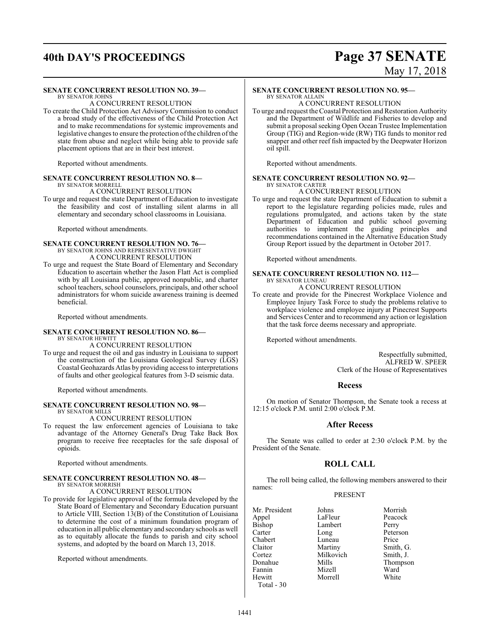## **40th DAY'S PROCEEDINGS Page 37 SENATE**

# May 17, 2018

### **SENATE CONCURRENT RESOLUTION NO. 39—**

### BY SENATOR JOHNS

A CONCURRENT RESOLUTION To create the Child Protection Act Advisory Commission to conduct a broad study of the effectiveness of the Child Protection Act and to make recommendations for systemic improvements and legislative changes to ensure the protection of the children of the state from abuse and neglect while being able to provide safe placement options that are in their best interest.

Reported without amendments.

### **SENATE CONCURRENT RESOLUTION NO. 8—** BY SENATOR MORRELL

### A CONCURRENT RESOLUTION

To urge and request the state Department of Education to investigate the feasibility and cost of installing silent alarms in all elementary and secondary school classrooms in Louisiana.

Reported without amendments.

### **SENATE CONCURRENT RESOLUTION NO. 76—** BY SENATOR JOHNS AND REPRESENTATIVE DWIGHT

A CONCURRENT RESOLUTION

To urge and request the State Board of Elementary and Secondary Education to ascertain whether the Jason Flatt Act is complied with by all Louisiana public, approved nonpublic, and charter school teachers, school counselors, principals, and other school administrators for whom suicide awareness training is deemed beneficial.

Reported without amendments.

### **SENATE CONCURRENT RESOLUTION NO. 86—** BY SENATOR HEWITT

### A CONCURRENT RESOLUTION

To urge and request the oil and gas industry in Louisiana to support the construction of the Louisiana Geological Survey (LGS) Coastal Geohazards Atlas by providing access to interpretations of faults and other geological features from 3-D seismic data.

Reported without amendments.

### **SENATE CONCURRENT RESOLUTION NO. 98—** BY SENATOR MILLS

### A CONCURRENT RESOLUTION

To request the law enforcement agencies of Louisiana to take advantage of the Attorney General's Drug Take Back Box program to receive free receptacles for the safe disposal of opioids.

Reported without amendments.

### **SENATE CONCURRENT RESOLUTION NO. 48—** BY SENATOR MORRISH

A CONCURRENT RESOLUTION

To provide for legislative approval of the formula developed by the State Board of Elementary and Secondary Education pursuant to Article VIII, Section 13(B) of the Constitution of Louisiana to determine the cost of a minimum foundation program of education in all public elementary and secondary schools as well as to equitably allocate the funds to parish and city school systems, and adopted by the board on March 13, 2018.

Reported without amendments.

### **SENATE CONCURRENT RESOLUTION NO. 95—**

#### BY SENATOR ALLAIN A CONCURRENT RESOLUTION

To urge and request the Coastal Protection and Restoration Authority and the Department of Wildlife and Fisheries to develop and submit a proposal seeking Open Ocean Trustee Implementation Group (TIG) and Region-wide (RW) TIG funds to monitor red snapper and other reef fish impacted by the Deepwater Horizon oil spill.

Reported without amendments.

### **SENATE CONCURRENT RESOLUTION NO. 92—** BY SENATOR CARTER

### A CONCURRENT RESOLUTION

To urge and request the state Department of Education to submit a report to the legislature regarding policies made, rules and regulations promulgated, and actions taken by the state Department of Education and public school governing authorities to implement the guiding principles and recommendations contained in the Alternative Education Study Group Report issued by the department in October 2017.

Reported without amendments.

### **SENATE CONCURRENT RESOLUTION NO. 112—** BY SENATOR LUNEAU A CONCURRENT RESOLUTION

### To create and provide for the Pinecrest Workplace Violence and Employee Injury Task Force to study the problems relative to workplace violence and employee injury at Pinecrest Supports and Services Center and to recommend any action or legislation that the task force deems necessary and appropriate.

Reported without amendments.

Respectfully submitted, ALFRED W. SPEER Clerk of the House of Representatives

### **Recess**

On motion of Senator Thompson, the Senate took a recess at 12:15 o'clock P.M. until 2:00 o'clock P.M.

### **After Recess**

The Senate was called to order at 2:30 o'clock P.M. by the President of the Senate.

### **ROLL CALL**

The roll being called, the following members answered to their names:

### PRESENT

| Johns     | Morrish   |
|-----------|-----------|
| LaFleur   | Peacock   |
| Lambert   | Perry     |
| Long      | Peterson  |
| Luneau    | Price     |
| Martiny   | Smith, G. |
| Milkovich | Smith, J. |
| Mills     | Thompson  |
| Mizell    | Ward      |
| Morrell   | White     |
|           |           |
|           |           |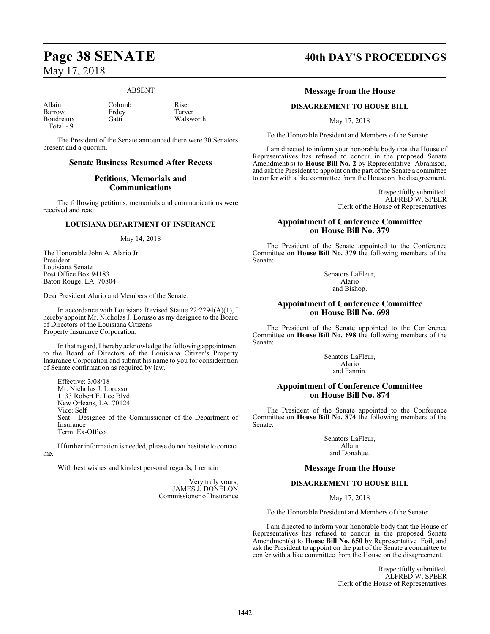### ABSENT

Allain Colomb Riser<br>
Barrow Erdey Tarver Barrow Erdey Tarver<br>Boudreaux Gatti Walsworth Boudreaux Total - 9

me.

The President of the Senate announced there were 30 Senators present and a quorum.

### **Senate Business Resumed After Recess**

### **Petitions, Memorials and Communications**

The following petitions, memorials and communications were received and read:

### **LOUISIANA DEPARTMENT OF INSURANCE**

### May 14, 2018

The Honorable John A. Alario Jr. President Louisiana Senate Post Office Box 94183 Baton Rouge, LA 70804

Dear President Alario and Members of the Senate:

In accordance with Louisiana Revised Statue 22:2294(A)(1), I hereby appoint Mr. Nicholas J. Lorusso as my designee to the Board of Directors of the Louisiana Citizens Property Insurance Corporation.

In that regard, I hereby acknowledge the following appointment to the Board of Directors of the Louisiana Citizen's Property Insurance Corporation and submit his name to you for consideration of Senate confirmation as required by law.

Effective: 3/08/18 Mr. Nicholas J. Lorusso 1133 Robert E. Lee Blvd. New Orleans, LA 70124 Vice: Self Seat: Designee of the Commissioner of the Department of Insurance Term: Ex-Offico

Iffurther information is needed, please do not hesitate to contact

With best wishes and kindest personal regards, I remain

Very truly yours, JAMES J. DONELON Commissioner of Insurance

## **Page 38 SENATE 40th DAY'S PROCEEDINGS**

### **Message from the House**

### **DISAGREEMENT TO HOUSE BILL**

May 17, 2018

To the Honorable President and Members of the Senate:

I am directed to inform your honorable body that the House of Representatives has refused to concur in the proposed Senate Amendment(s) to **House Bill No. 2** by Representative Abramson, and ask the President to appoint on the part ofthe Senate a committee to confer with a like committee from the House on the disagreement.

> Respectfully submitted, ALFRED W. SPEER Clerk of the House of Representatives

### **Appointment of Conference Committee on House Bill No. 379**

The President of the Senate appointed to the Conference Committee on **House Bill No. 379** the following members of the Senate:

> Senators LaFleur, Alario and Bishop.

### **Appointment of Conference Committee on House Bill No. 698**

The President of the Senate appointed to the Conference Committee on **House Bill No. 698** the following members of the Senate:

> Senators LaFleur, Alario and Fannin.

### **Appointment of Conference Committee on House Bill No. 874**

The President of the Senate appointed to the Conference Committee on **House Bill No. 874** the following members of the Senate:

> Senators LaFleur, Allain and Donahue.

### **Message from the House**

### **DISAGREEMENT TO HOUSE BILL**

May 17, 2018

To the Honorable President and Members of the Senate:

I am directed to inform your honorable body that the House of Representatives has refused to concur in the proposed Senate Amendment(s) to **House Bill No. 650** by Representative Foil, and ask the President to appoint on the part of the Senate a committee to confer with a like committee from the House on the disagreement.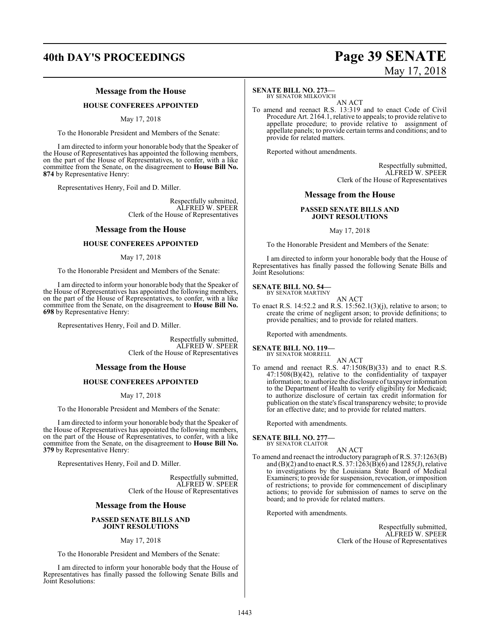## **40th DAY'S PROCEEDINGS Page 39 SENATE** May 17, 2018

### **Message from the House**

### **HOUSE CONFEREES APPOINTED**

May 17, 2018

To the Honorable President and Members of the Senate:

I am directed to inform your honorable body that the Speaker of the House of Representatives has appointed the following members, on the part of the House of Representatives, to confer, with a like committee from the Senate, on the disagreement to **House Bill No. 874** by Representative Henry:

Representatives Henry, Foil and D. Miller.

Respectfully submitted, ALFRED W. SPEER Clerk of the House of Representatives

### **Message from the House**

### **HOUSE CONFEREES APPOINTED**

### May 17, 2018

To the Honorable President and Members of the Senate:

I am directed to inform your honorable body that the Speaker of the House of Representatives has appointed the following members, on the part of the House of Representatives, to confer, with a like committee from the Senate, on the disagreement to **House Bill No. 698** by Representative Henry:

Representatives Henry, Foil and D. Miller.

Respectfully submitted, ALFRED W. SPEER Clerk of the House of Representatives

### **Message from the House**

### **HOUSE CONFEREES APPOINTED**

May 17, 2018

To the Honorable President and Members of the Senate:

I am directed to inform your honorable body that the Speaker of the House of Representatives has appointed the following members, on the part of the House of Representatives, to confer, with a like committee from the Senate, on the disagreement to **House Bill No. 379** by Representative Henry:

Representatives Henry, Foil and D. Miller.

Respectfully submitted, ALFRED W. SPEER Clerk of the House of Representatives

### **Message from the House**

### **PASSED SENATE BILLS AND JOINT RESOLUTIONS**

May 17, 2018

To the Honorable President and Members of the Senate:

I am directed to inform your honorable body that the House of Representatives has finally passed the following Senate Bills and Joint Resolutions:

### **SENATE BILL NO. 273—**

BY SENATOR MILKOVICH AN ACT

To amend and reenact R.S. 13:319 and to enact Code of Civil Procedure Art. 2164.1, relative to appeals; to provide relative to appellate procedure; to provide relative to assignment of appellate panels; to provide certain terms and conditions; and to provide for related matters.

Reported without amendments.

Respectfully submitted, ALFRED W. SPEER Clerk of the House of Representatives

### **Message from the House**

### **PASSED SENATE BILLS AND JOINT RESOLUTIONS**

May 17, 2018

To the Honorable President and Members of the Senate:

I am directed to inform your honorable body that the House of Representatives has finally passed the following Senate Bills and Joint Resolutions:

### **SENATE BILL NO. 54—** BY SENATOR MARTINY

AN ACT

To enact R.S. 14:52.2 and R.S. 15:562.1(3)(j), relative to arson; to create the crime of negligent arson; to provide definitions; to provide penalties; and to provide for related matters.

Reported with amendments.

**SENATE BILL NO. 119—**

BY SENATOR MORRELL

AN ACT To amend and reenact R.S. 47:1508(B)(33) and to enact R.S. 47:1508(B)(42), relative to the confidentiality of taxpayer information; to authorize the disclosure of taxpayer information to the Department of Health to verify eligibility for Medicaid; to authorize disclosure of certain tax credit information for publication on the state's fiscal transparency website; to provide for an effective date; and to provide for related matters.

Reported with amendments.

**SENATE BILL NO. 277—**

BY SENATOR CLAITOR

- AN ACT
- To amend and reenact the introductory paragraph ofR.S. 37:1263(B) and  $(B)(2)$  and to enact R.S. 37:1263 $(B)(6)$  and 1285 $(J)$ , relative to investigations by the Louisiana State Board of Medical Examiners; to provide for suspension, revocation, or imposition of restrictions; to provide for commencement of disciplinary actions; to provide for submission of names to serve on the board; and to provide for related matters.

Reported with amendments.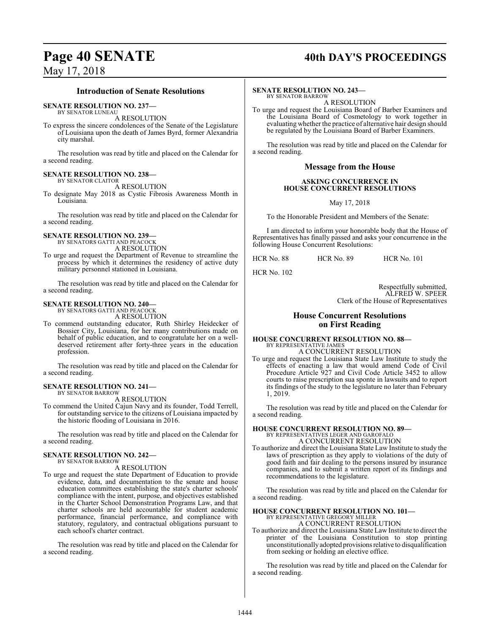## **Page 40 SENATE** 40th DAY'S PROCEEDINGS

### May 17, 2018

### **Introduction of Senate Resolutions**

#### **SENATE RESOLUTION NO. 237—** BY SENATOR LUNEAU

A RESOLUTION

To express the sincere condolences of the Senate of the Legislature of Louisiana upon the death of James Byrd, former Alexandria city marshal.

The resolution was read by title and placed on the Calendar for a second reading.

### **SENATE RESOLUTION NO. 238—** BY SENATOR CLAITOR

A RESOLUTION

To designate May 2018 as Cystic Fibrosis Awareness Month in Louisiana.

The resolution was read by title and placed on the Calendar for a second reading.

### **SENATE RESOLUTION NO. 239—** BY SENATORS GATTI AND PEACOCK

A RESOLUTION

To urge and request the Department of Revenue to streamline the process by which it determines the residency of active duty military personnel stationed in Louisiana.

The resolution was read by title and placed on the Calendar for a second reading.

### **SENATE RESOLUTION NO. 240—**

BY SENATORS GATTI AND PEACOCK A RESOLUTION

To commend outstanding educator, Ruth Shirley Heidecker of Bossier City, Louisiana, for her many contributions made on behalf of public education, and to congratulate her on a welldeserved retirement after forty-three years in the education profession.

The resolution was read by title and placed on the Calendar for a second reading.

### **SENATE RESOLUTION NO. 241—** BY SENATOR BARROW

A RESOLUTION

To commend the United Cajun Navy and its founder, Todd Terrell, for outstanding service to the citizens of Louisiana impacted by the historic flooding of Louisiana in 2016.

The resolution was read by title and placed on the Calendar for a second reading.

### **SENATE RESOLUTION NO. 242—** BY SENATOR BARROW

A RESOLUTION

To urge and request the state Department of Education to provide evidence, data, and documentation to the senate and house education committees establishing the state's charter schools' compliance with the intent, purpose, and objectives established in the Charter School Demonstration Programs Law, and that charter schools are held accountable for student academic performance, financial performance, and compliance with statutory, regulatory, and contractual obligations pursuant to each school's charter contract.

The resolution was read by title and placed on the Calendar for a second reading.

### **SENATE RESOLUTION NO. 243—**

BY SENATOR BARROW A RESOLUTION

To urge and request the Louisiana Board of Barber Examiners and the Louisiana Board of Cosmetology to work together in evaluating whether the practice of alternative hair design should be regulated by the Louisiana Board of Barber Examiners.

The resolution was read by title and placed on the Calendar for a second reading.

### **Message from the House**

### **ASKING CONCURRENCE IN HOUSE CONCURRENT RESOLUTIONS**

May 17, 2018

To the Honorable President and Members of the Senate:

I am directed to inform your honorable body that the House of Representatives has finally passed and asks your concurrence in the following House Concurrent Resolutions:

HCR No. 88 HCR No. 89 HCR No. 101

HCR No. 102

Respectfully submitted, ALFRED W. SPEER Clerk of the House of Representatives

### **House Concurrent Resolutions on First Reading**

### **HOUSE CONCURRENT RESOLUTION NO. 88—** BY REPRESENTATIVE JAMES

A CONCURRENT RESOLUTION To urge and request the Louisiana State Law Institute to study the effects of enacting a law that would amend Code of Civil Procedure Article 927 and Civil Code Article 3452 to allow courts to raise prescription sua sponte in lawsuits and to report its findings of the study to the legislature no later than February 1, 2019.

The resolution was read by title and placed on the Calendar for a second reading.

### **HOUSE CONCURRENT RESOLUTION NO. 89—**

BY REPRESENTATIVES LEGER AND GAROFALO A CONCURRENT RESOLUTION

To authorize and direct the Louisiana State Law Institute to study the laws of prescription as they apply to violations of the duty of good faith and fair dealing to the persons insured by insurance companies, and to submit a written report of its findings and recommendations to the legislature.

The resolution was read by title and placed on the Calendar for a second reading.

### **HOUSE CONCURRENT RESOLUTION NO. 101—** BY REPRESENTATIVE GREGORY MILLER A CONCURRENT RESOLUTION

To authorize and direct the Louisiana State Law Institute to direct the printer of the Louisiana Constitution to stop printing unconstitutionally adopted provisionsrelative to disqualification from seeking or holding an elective office.

The resolution was read by title and placed on the Calendar for a second reading.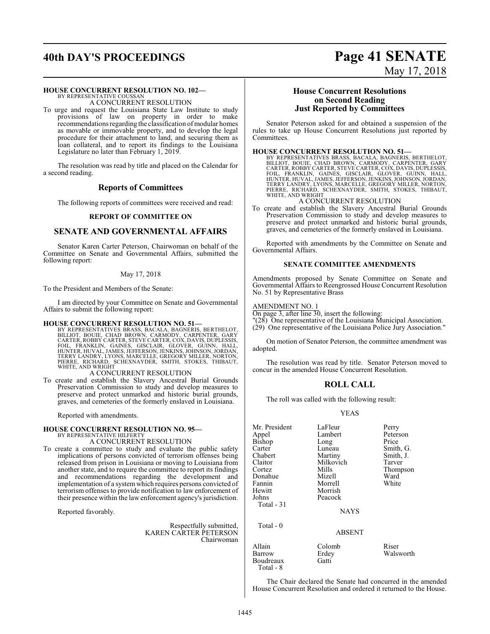### **HOUSE CONCURRENT RESOLUTION NO. 102—**

BY REPRESENTATIVE COUSSAN A CONCURRENT RESOLUTION

To urge and request the Louisiana State Law Institute to study provisions of law on property in order to make recommendations regarding the classification of modular homes as movable or immovable property, and to develop the legal procedure for their attachment to land, and securing them as loan collateral, and to report its findings to the Louisiana Legislature no later than February 1, 2019.

The resolution was read by title and placed on the Calendar for a second reading.

### **Reports of Committees**

The following reports of committees were received and read:

### **REPORT OF COMMITTEE ON**

### **SENATE AND GOVERNMENTAL AFFAIRS**

Senator Karen Carter Peterson, Chairwoman on behalf of the Committee on Senate and Governmental Affairs, submitted the following report:

### May 17, 2018

To the President and Members of the Senate:

I am directed by your Committee on Senate and Governmental Affairs to submit the following report:

**HOUSE CONCURRENT RESOLUTION NO. 51—**<br>BY REPRESENTATIVES BRASS, BACALA, BAGNERIS, BERTHELOT,<br>BILLIOT, BOUIE, CHAD BROWN, CARMODY, CARPÉNTER, GARY<br>CARTER, ROBBY CARTER, STEVE CARTER, COX, DAVIS, DUPLESSIS,<br>FOIL, FRANKLIN, G

### A CONCURRENT RESOLUTION

To create and establish the Slavery Ancestral Burial Grounds Preservation Commission to study and develop measures to preserve and protect unmarked and historic burial grounds, graves, and cemeteries of the formerly enslaved in Louisiana.

Reported with amendments.

#### **HOUSE CONCURRENT RESOLUTION NO. 95—** BY REPRESENTATIVE HILFERTY

A CONCURRENT RESOLUTION

To create a committee to study and evaluate the public safety implications of persons convicted of terrorism offenses being released from prison in Louisiana or moving to Louisiana from another state, and to require the committee to report its findings and recommendations regarding the development and implementation of a systemwhich requires persons convicted of terrorism offenses to provide notification to law enforcement of their presence within the law enforcement agency's jurisdiction.

Reported favorably.

Respectfully submitted, KAREN CARTER PETERSON Chairwoman

### **House Concurrent Resolutions on Second Reading Just Reported by Committees**

Senator Peterson asked for and obtained a suspension of the rules to take up House Concurrent Resolutions just reported by Committees.

### **HOUSE CONCURRENT RESOLUTION NO. 51—**

BY REPRESENTATIVES BRASS, BACALA, BAGNERIS, BERTHELOT,<br>BILLIOT, BOUIE, CHAD BROWN, CARMODY, CARPENTER, GARY<br>CARTER, ROBBY CARTER, STEVE CARTER, COX, DAVIS, DUPLESSIS,<br>FOIL, FRANKLIN, GAINES, GISCLAIR, GLOVER, GUINN, HALL,<br>

### A CONCURRENT RESOLUTION

To create and establish the Slavery Ancestral Burial Grounds Preservation Commission to study and develop measures to preserve and protect unmarked and historic burial grounds, graves, and cemeteries of the formerly enslaved in Louisiana.

Reported with amendments by the Committee on Senate and Governmental Affairs.

### **SENATE COMMITTEE AMENDMENTS**

Amendments proposed by Senate Committee on Senate and Governmental Affairs to Reengrossed House Concurrent Resolution No. 51 by Representative Brass

### AMENDMENT NO. 1

Boudreaux Gatti

Total - 8

On page 3, after line 30, insert the following:

"(28) One representative of the Louisiana Municipal Association.

(29) One representative of the Louisiana Police Jury Association."

On motion of Senator Peterson, the committee amendment was adopted.

The resolution was read by title. Senator Peterson moved to concur in the amended House Concurrent Resolution.

### **ROLL CALL**

The roll was called with the following result:

### YEAS

| Mr. President<br>Appel | LaFleur<br>Lambert | Perry<br>Peterson |
|------------------------|--------------------|-------------------|
| Bishop                 | Long               | Price             |
| Carter                 | Luneau             | Smith, G.         |
| Chabert                | Martiny            | Smith, J.         |
| Claitor                | Milkovich          | Tarver            |
| Cortez                 | Mills              | Thompson          |
| Donahue                | Mizell             | Ward              |
| Fannin                 | Morrell            | White             |
| Hewitt                 | Morrish            |                   |
| Johns                  | Peacock            |                   |
| Total - 31             |                    |                   |
|                        | <b>NAYS</b>        |                   |
| Total $-0$             |                    |                   |
|                        | <b>ABSENT</b>      |                   |
| Allain                 | Colomb             | Riser             |
| Barrow                 | Erdey              | Walsworth         |

The Chair declared the Senate had concurred in the amended House Concurrent Resolution and ordered it returned to the House.

## **40th DAY'S PROCEEDINGS Page 41 SENATE** May 17, 2018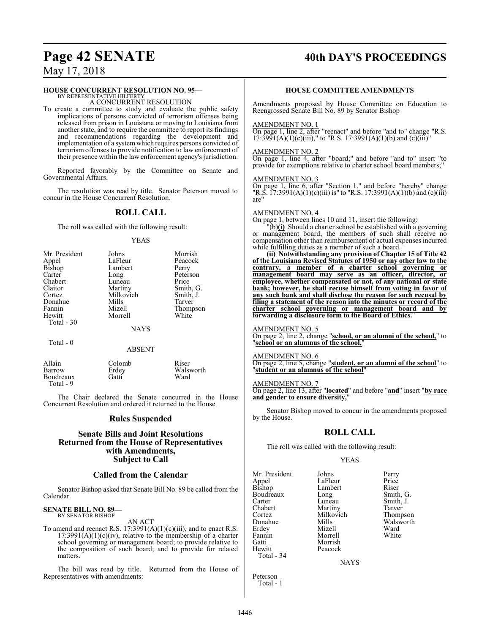### Page 42 SENATE 40th DAY'S PROCEEDINGS

May 17, 2018

### **HOUSE CONCURRENT RESOLUTION NO. 95—**

BY REPRESENTATIVE HILFERTY A CONCURRENT RESOLUTION

To create a committee to study and evaluate the public safety implications of persons convicted of terrorism offenses being released from prison in Louisiana or moving to Louisiana from another state, and to require the committee to report its findings and recommendations regarding the development and implementation of a systemwhich requires persons convicted of terrorism offenses to provide notification to law enforcement of their presence within the law enforcement agency's jurisdiction.

Reported favorably by the Committee on Senate and Governmental Affairs.

The resolution was read by title. Senator Peterson moved to concur in the House Concurrent Resolution.

### **ROLL CALL**

The roll was called with the following result:

### YEAS

| Mr. President | Johns       | Morrish   |
|---------------|-------------|-----------|
| Appel         | LaFleur     | Peacock   |
| <b>Bishop</b> | Lambert     | Perry     |
| Carter        | Long        | Peterson  |
| Chabert       | Luneau      | Price     |
| Claitor       | Martiny     | Smith, G. |
| Cortez        | Milkovich   | Smith, J. |
| Donahue       | Mills       | Tarver    |
| Fannin        | Mizell      | Thompson  |
| Hewitt        | Morrell     | White     |
| Total - 30    |             |           |
|               | <b>NAYS</b> |           |
|               |             |           |

| Total |  |
|-------|--|
|-------|--|

### ABSENT

| Allain<br>Barrow<br>Boudreaux<br>Total - 9 | Colomb<br>Erdey<br>Gatti | Riser<br>Walsworth<br>Ward |
|--------------------------------------------|--------------------------|----------------------------|
|--------------------------------------------|--------------------------|----------------------------|

The Chair declared the Senate concurred in the House Concurrent Resolution and ordered it returned to the House.

### **Rules Suspended**

### **Senate Bills and Joint Resolutions Returned from the House of Representatives with Amendments, Subject to Call**

### **Called from the Calendar**

Senator Bishop asked that Senate Bill No. 89 be called from the Calendar.

### **SENATE BILL NO. 89—** BY SENATOR BISHOP

AN ACT

To amend and reenact R.S.  $17:3991(A)(1)(c)(iii)$ , and to enact R.S.  $17:3991(A)(1)(c)(iv)$ , relative to the membership of a charter school governing or management board; to provide relative to the composition of such board; and to provide for related matters.

The bill was read by title. Returned from the House of Representatives with amendments:

### **HOUSE COMMITTEE AMENDMENTS**

Amendments proposed by House Committee on Education to Reengrossed Senate Bill No. 89 by Senator Bishop

### AMENDMENT NO. 1

On page 1, line 2, after "reenact" and before "and to" change "R.S.  $17:3991(A)(1)(c)(iii)$ ," to "R.S.  $17:3991(A)(1)(b)$  and  $(c)(iii)$ "

### AMENDMENT NO. 2

On page 1, line 4, after "board;" and before "and to" insert "to provide for exemptions relative to charter school board members;

### AMENDMENT NO. 3

On page 1, line 6, after "Section 1." and before "hereby" change "R.S.  $17:3991(A)(1)(c)(iii)$  is" to "R.S.  $17:3991(A)(1)(b)$  and  $(c)(iii)$ are"

### AMENDMENT NO. 4

On page 1, between lines 10 and 11, insert the following:

"(b)**(i)** Should a charter school be established with a governing or management board, the members of such shall receive no compensation other than reimbursement of actual expenses incurred while fulfilling duties as a member of such a board.

**(ii) Notwithstanding any provision of Chapter 15 of Title 42 of the Louisiana Revised Statutes of 1950 or any other law to the contrary, a member of a charter school governing or management board may serve as an officer, director, or employee, whether compensated or not, of any national or state bank; however, he shall recuse himself from voting in favor of any such bank and shall disclose the reason for such recusal by filing a statement of the reason into the minutes or record of the charter school governing or management board and by forwarding a disclosure form to the Board of Ethics.**"

AMENDMENT NO. 5

On page 2, line 2, change "**school, or an alumni of the school,**" to "**school or an alumnus of the school,**"

AMENDMENT NO. 6

On page 2, line 5, change "**student, or an alumni of the school**" to "**student or an alumnus of the school**"

### AMENDMENT NO. 7

On page 2, line 13, after "**located**" and before "**and**" insert "**by race and gender to ensure diversity,**"

Senator Bishop moved to concur in the amendments proposed by the House.

### **ROLL CALL**

The roll was called with the following result:

Peacock

### YEAS

Mr. President Johns Perry<br>
Appel LaFleur Price Appel LaFleur Price<br>
Bishop Lambert Riser Boudreaux Long<br>Carter Luneau Carter Luneau Smith, J. Chabert Martiny Tarver<br>
Cortez Milkovich Thompson Cortez Milkovich<br>
Donahue Mills Donahue Mills Walsworth<br>
Erdey Mizell Ward Erdey Mizell Ward<br>
Fannin Morrell White Fannin Morrell<br>Gatti Morrish Gatti Morrish<br>Hewitt Peacock Total - 34

Lambert Riser<br>
Long Smith, G.

**NAYS** 

| Peterson  |  |
|-----------|--|
| Total - 1 |  |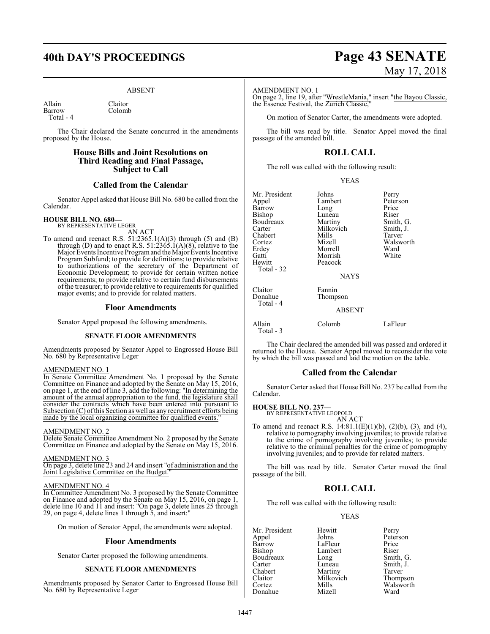## **40th DAY'S PROCEEDINGS Page 43 SENATE**

Colomb

### ABSENT

Allain Claitor<br>Barrow Colom Total - 4

The Chair declared the Senate concurred in the amendments proposed by the House.

### **House Bills and Joint Resolutions on Third Reading and Final Passage, Subject to Call**

### **Called from the Calendar**

Senator Appel asked that House Bill No. 680 be called from the Calendar.

### **HOUSE BILL NO. 680—**

BY REPRESENTATIVE LEGER AN ACT

To amend and reenact R.S.  $51:2365.1(A)(3)$  through (5) and (B) through (D) and to enact R.S. 51:2365.1(A)(8), relative to the Major Events Incentive Program and the Major Events Incentive Program Subfund; to provide for definitions; to provide relative to authorizations of the secretary of the Department of Economic Development; to provide for certain written notice requirements; to provide relative to certain fund disbursements of the treasurer; to provide relative to requirements for qualified major events; and to provide for related matters.

### **Floor Amendments**

Senator Appel proposed the following amendments.

### **SENATE FLOOR AMENDMENTS**

Amendments proposed by Senator Appel to Engrossed House Bill No. 680 by Representative Leger

### AMENDMENT NO. 1

In Senate Committee Amendment No. 1 proposed by the Senate Committee on Finance and adopted by the Senate on May 15, 2016, on page 1, at the end of line 3, add the following: "In determining the amount of the annual appropriation to the fund, the legislature shall consider the contracts which have been entered into pursuant to  $\overline{\text{Subsection}}(C)$  of this Section as well as any recruitment efforts being made by the local organizing committee for qualified events.

### AMENDMENT NO. 2

Delete Senate Committee Amendment No. 2 proposed by the Senate Committee on Finance and adopted by the Senate on May 15, 2016.

### AMENDMENT NO. 3

On page 3, delete line 23 and 24 and insert "of administration and the Joint Legislative Committee on the Budget."

### AMENDMENT NO. 4

In Committee Amendment No. 3 proposed by the Senate Committee on Finance and adopted by the Senate on May 15, 2016, on page 1, delete line 10 and 11 and insert: "On page 3, delete lines 25 through 29, on page 4, delete lines 1 through 5, and insert:"

On motion of Senator Appel, the amendments were adopted.

### **Floor Amendments**

Senator Carter proposed the following amendments.

### **SENATE FLOOR AMENDMENTS**

Amendments proposed by Senator Carter to Engrossed House Bill No. 680 by Representative Leger

# May 17, 2018

### AMENDMENT NO. 1

On page 2, line 19, after "WrestleMania," insert "the Bayou Classic, the Essence Festival, the Zurich Classic

On motion of Senator Carter, the amendments were adopted.

The bill was read by title. Senator Appel moved the final passage of the amended bill.

### **ROLL CALL**

The roll was called with the following result:

| v | I |
|---|---|
|---|---|

| Mr. President | Johns         | Perry     |
|---------------|---------------|-----------|
| Appel         | Lambert       | Peterson  |
| Barrow        | Long          | Price     |
| <b>Bishop</b> | Luneau        | Riser     |
| Boudreaux     | Martiny       | Smith, G. |
| Carter        | Milkovich     | Smith, J. |
| Chabert       | Mills         | Tarver    |
| Cortez        | Mizell        | Walsworth |
| Erdey         | Morrell       | Ward      |
| Gatti         | Morrish       | White     |
| Hewitt        | Peacock       |           |
| Total - 32    |               |           |
|               | <b>NAYS</b>   |           |
| Claitor       | Fannin        |           |
| Donahue       | Thompson      |           |
| Total - 4     |               |           |
|               | <b>ABSENT</b> |           |
|               |               |           |

### BSENT

| Allain     | Colomb | LaFleur |
|------------|--------|---------|
| Total $-3$ |        |         |

The Chair declared the amended bill was passed and ordered it returned to the House. Senator Appel moved to reconsider the vote by which the bill was passed and laid the motion on the table.

### **Called from the Calendar**

Senator Carter asked that House Bill No. 237 be called from the Calendar.

### **HOUSE BILL NO. 237—**

BY REPRESENTATIVE LEOPOLD

AN ACT To amend and reenact R.S. 14:81.1(E)(1)(b), (2)(b), (3), and (4), relative to pornography involving juveniles; to provide relative to the crime of pornography involving juveniles; to provide relative to the criminal penalties for the crime of pornography involving juveniles; and to provide for related matters.

The bill was read by title. Senator Carter moved the final passage of the bill.

### **ROLL CALL**

The roll was called with the following result:

### YEAS

Mr. President Hewitt Perry<br>Appel Johns Peters Appel Johns Peterson Barrow LaFleur Price<br>Bishop Lambert Riser Boudreaux Long<br>Carter Luneau Carter Luneau Smith, J. Chabert Martiny Tarver<br>
Claitor Milkovich Thompson Claitor Milkovich<br>Cortez Mills Donahue

Lambert Riser<br>
Long Smith, G. Mills Walsworth<br>
Mizell Ward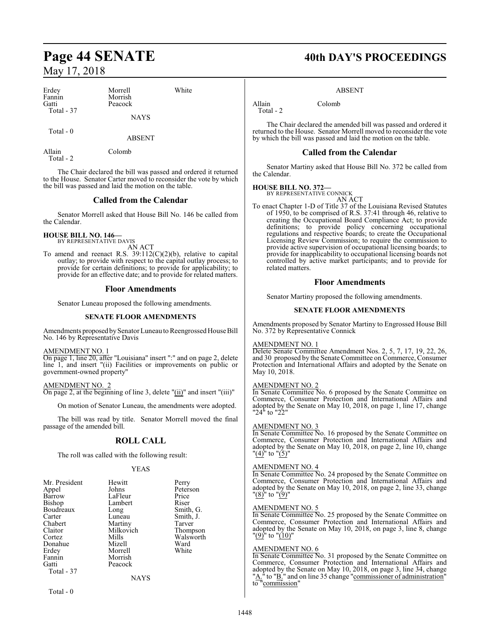| Erdey      | Morrell     | White |
|------------|-------------|-------|
| Fannin     | Morrish     |       |
| Gatti      | Peacock     |       |
| Total - 37 |             |       |
|            | <b>NAYS</b> |       |
|            |             |       |

Total - 0

ABSENT

Allain Colomb Total - 2

The Chair declared the bill was passed and ordered it returned to the House. Senator Carter moved to reconsider the vote by which the bill was passed and laid the motion on the table.

### **Called from the Calendar**

Senator Morrell asked that House Bill No. 146 be called from the Calendar.

#### **HOUSE BILL NO. 146—** BY REPRESENTATIVE DAVIS

AN ACT

To amend and reenact R.S. 39:112(C)(2)(b), relative to capital outlay; to provide with respect to the capital outlay process; to provide for certain definitions; to provide for applicability; to provide for an effective date; and to provide for related matters.

### **Floor Amendments**

Senator Luneau proposed the following amendments.

### **SENATE FLOOR AMENDMENTS**

Amendments proposed by Senator Luneau to Reengrossed House Bill No. 146 by Representative Davis

### AMENDMENT NO. 1

On page 1, line 20, after "Louisiana" insert ":" and on page 2, delete line 1, and insert "(ii) Facilities or improvements on public or government-owned property"

### AMENDMENT NO. 2

On page 2, at the beginning of line 3, delete "(ii)" and insert "(iii)"

On motion of Senator Luneau, the amendments were adopted.

The bill was read by title. Senator Morrell moved the final passage of the amended bill.

### **ROLL CALL**

The roll was called with the following result:

### YEAS

| Mr. President | Hewitt    | Perry     |
|---------------|-----------|-----------|
| Appel         | Johns     | Peterson  |
| Barrow        | LaFleur   | Price     |
| Bishop        | Lambert   | Riser     |
| Boudreaux     | Long      | Smith, G. |
| Carter        | Luneau    | Smith, J. |
| Chabert       | Martiny   | Tarver    |
| Claitor       | Milkovich | Thompson  |
| Cortez        | Mills     | Walsworth |
| Donahue       | Mizell    | Ward      |
| Erdey         | Morrell   | White     |
| Fannin        | Morrish   |           |
| Gatti         | Peacock   |           |
| Total - 37    |           |           |
|               | NAYS      |           |

Total - 0

## Page 44 SENATE 40th DAY'S PROCEEDINGS

### ABSENT

Allain Colomb Total - 2

The Chair declared the amended bill was passed and ordered it returned to the House. Senator Morrell moved to reconsider the vote by which the bill was passed and laid the motion on the table.

### **Called from the Calendar**

Senator Martiny asked that House Bill No. 372 be called from the Calendar.

### **HOUSE BILL NO. 372—**

BY REPRESENTATIVE CONNICK AN ACT

To enact Chapter 1-D of Title 37 of the Louisiana Revised Statutes of 1950, to be comprised of R.S. 37:41 through 46, relative to creating the Occupational Board Compliance Act; to provide definitions; to provide policy concerning occupational regulations and respective boards; to create the Occupational Licensing Review Commission; to require the commission to provide active supervision of occupational licensing boards; to provide for inapplicability to occupational licensing boards not controlled by active market participants; and to provide for related matters.

### **Floor Amendments**

Senator Martiny proposed the following amendments.

### **SENATE FLOOR AMENDMENTS**

Amendments proposed by Senator Martiny to Engrossed House Bill No. 372 by Representative Connick

### AMENDMENT NO. 1

Delete Senate Committee Amendment Nos. 2, 5, 7, 17, 19, 22, 26, and 30 proposed by the Senate Committee on Commerce, Consumer Protection and International Affairs and adopted by the Senate on May 10, 2018.

### AMENDMENT NO. 2

In Senate Committee No. 6 proposed by the Senate Committee on Commerce, Consumer Protection and International Affairs and adopted by the Senate on May 10, 2018, on page 1, line 17, change "24" to "22"

### AMENDMENT NO. 3

In Senate Committee No. 16 proposed by the Senate Committee on Commerce, Consumer Protection and International Affairs and adopted by the Senate on May 10, 2018, on page 2, line 10, change " $\frac{(4)^{n}}{n}$  to " $\frac{(5)^{n}}{n}$ 

### AMENDMENT NO. 4

In Senate Committee No. 24 proposed by the Senate Committee on Commerce, Consumer Protection and International Affairs and adopted by the Senate on May 10, 2018, on page 2, line 33, change  $"$ (8)" to  $"$ (9)"

### AMENDMENT NO. 5

In Senate Committee No. 25 proposed by the Senate Committee on Commerce, Consumer Protection and International Affairs and adopted by the Senate on May 10, 2018, on page 3, line 8, change "<u>(9)</u>" to "<u>(10)</u>"

### AMENDMENT NO. 6

In Senate Committee No. 31 proposed by the Senate Committee on Commerce, Consumer Protection and International Affairs and adopted by the Senate on May 10, 2018, on page 3, line 34, change "A." to "B." and on line 35 change "commissioner of administration" to "commission"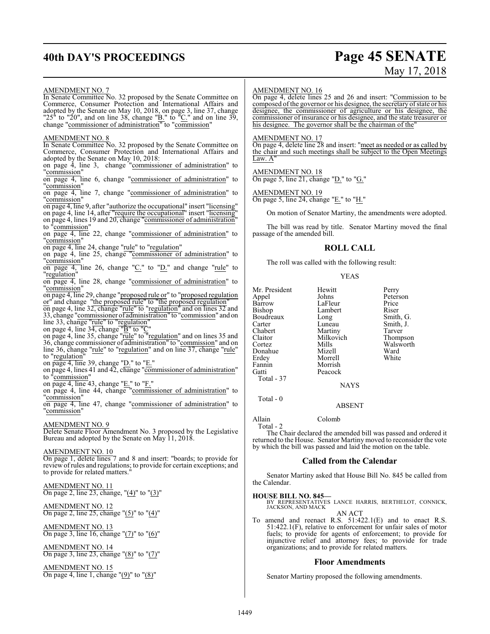## **40th DAY'S PROCEEDINGS Page 45 SENATE**

# May 17, 2018

### AMENDMENT NO. 7

In Senate Committee No. 32 proposed by the Senate Committee on Commerce, Consumer Protection and International Affairs and adopted by the Senate on May 10, 2018, on page 3, line 37, change "25" to "20", and on line 38, change " $\underline{B}$ ." to " $\underline{C}$ ." and on line 39, change "commissioner of administration" to "commission"

### AMENDMENT NO. 8

In Senate Committee No. 32 proposed by the Senate Committee on Commerce, Consumer Protection and International Affairs and adopted by the Senate on May 10, 2018:

on page 4, line 3, change "commissioner of administration" to "commission"

on page 4, line 6, change "commissioner of administration" to "commission"

on page 4, line 7, change "commissioner of administration" to "commission"

on page 4, line 9, after "authorize the occupational" insert "licensing" on page 4, line 14, after "require the occupational" insert "licensing" on page 4, lines 19 and 20, change "commissioner of administration" to "commission"

on page 4, line 22, change "commissioner of administration" to "commission"

on page 4, line 24, change "rule" to "regulation"

on page 4, line 25, change "commissioner of administration" to "commission"

 $\overline{\text{on page 4}}$ , line 26, change " $C$ ." to " $D$ ." and change "rule" to "regulation"

on page 4, line 28, change "commissioner of administration" to "commission"

on page 4, line 29, change "proposed rule or" to "proposed regulation or" and change "the proposed rule" to "the proposed regulation"

on page 4, line 32, change "rule" to "regulation" and on lines 32 and 33, change "commissioner of administration" to "commission" and on line 33, change "rule" to "regulation"

on page 4, line 34, change "B" to "C"

on page 4, line 35, change "rule" to "regulation" and on lines 35 and 36, change commissioner of administration" to "commission" and on line 36, change "rule" to "regulation" and on line 37, change "rule" to "regulation"

on page 4, line 39, change " $D$ ." to " $E$ ."

on page 4, lines 41 and 42, change "commissioner of administration" to "commission"

on page 4, line 43, change " $E$ ." to " $F$ ."

on page 4, line 44, change "commissioner of administration" to "commission"

on page 4, line 47, change "commissioner of administration" to "commission"

### AMENDMENT NO. 9

Delete Senate Floor Amendment No. 3 proposed by the Legislative Bureau and adopted by the Senate on May 11, 2018.

### AMENDMENT NO. 10

On page 1, delete lines 7 and 8 and insert: "boards; to provide for reviewofrules and regulations; to provide for certain exceptions; and to provide for related matters."

AMENDMENT NO. 11 On page 2, line 23, change, "(4)" to "(3)"

### AMENDMENT NO. 12 On page 2, line 25, change " $(5)$ " to " $(4)$ "

AMENDMENT NO. 13 On page 3, line 16, change "(7)" to "(6)"

AMENDMENT NO. 14 On page 3, line 23, change "(8)" to "(7)"

AMENDMENT NO. 15 On page 4, line 1, change "(9)" to "(8)"

### AMENDMENT NO. 16

On page 4, delete lines 25 and 26 and insert: "Commission to be composed of the governor or his designee, the secretary of state or his designee, the commissioner of agriculture or his designee, the commissioner of insurance or his designee, and the state treasurer or his designee. The governor shall be the chairman of the

### AMENDMENT NO. 17

On page 4, delete line 28 and insert: "meet as needed or as called by the chair and such meetings shall be subject to the Open Meetings Law. A

AMENDMENT NO. 18 On page 5, line 21, change "D." to "G."

AMENDMENT NO. 19 On page 5, line 24, change "E." to "H."

On motion of Senator Martiny, the amendments were adopted.

The bill was read by title. Senator Martiny moved the final passage of the amended bill.

### **ROLL CALL**

The roll was called with the following result:

### YEAS

Mr. President Hewitt Perry<br>Appel Johns Peters Appel Johns Peterson Barrow LaFleur Price<br>Bishop Lambert Riser Boudreaux Long<br>Carter Luneau Carter Luneau Smith, J.<br>
Chabert Martiny Tarver Chabert Martiny Tarver<br>Claitor Milkovich Thompson Claitor Milkovich<br>Cortez Mills Donahue Mizell Ward<br>Erdev Morrell White Erdey Morrell<br>Fannin Morrish Fannin Morrish Total - 37

Lambert Riser<br>
Long Smith, G. Mills Walsworth<br>
Mizell Ward

**NAYS** 

### ABSENT

Peacock

Allain Colomb

Total - 2

Total - 0

The Chair declared the amended bill was passed and ordered it returned to the House. Senator Martiny moved to reconsider the vote by which the bill was passed and laid the motion on the table.

### **Called from the Calendar**

Senator Martiny asked that House Bill No. 845 be called from the Calendar.

**HOUSE BILL NO. 845—** BY REPRESENTATIVES LANCE HARRIS, BERTHELOT, CONNICK, JACKSON, AND MACK

AN ACT

To amend and reenact R.S. 51:422.1(E) and to enact R.S. 51:422.1(F), relative to enforcement for unfair sales of motor fuels; to provide for agents of enforcement; to provide for injunctive relief and attorney fees; to provide for trade organizations; and to provide for related matters.

### **Floor Amendments**

Senator Martiny proposed the following amendments.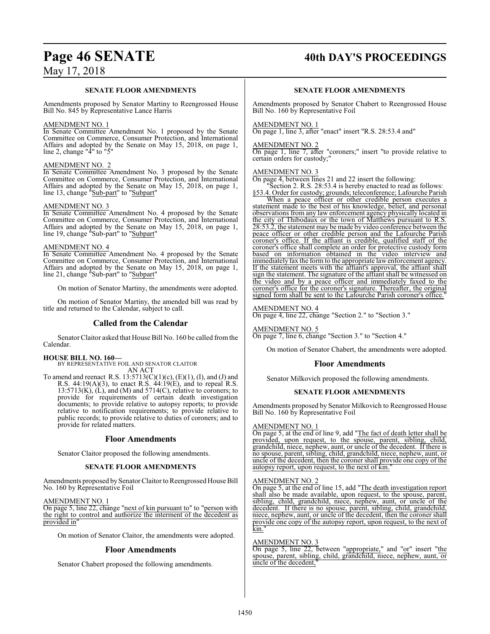## Page 46 SENATE 40th DAY'S PROCEEDINGS

### May 17, 2018

### **SENATE FLOOR AMENDMENTS**

Amendments proposed by Senator Martiny to Reengrossed House Bill No. 845 by Representative Lance Harris

### AMENDMENT NO. 1

In Senate Committee Amendment No. 1 proposed by the Senate Committee on Commerce, Consumer Protection, and International Affairs and adopted by the Senate on May 15, 2018, on page 1, line 2, change " $4$ " to " $5$ "

### AMENDMENT NO. 2

In Senate Committee Amendment No. 3 proposed by the Senate Committee on Commerce, Consumer Protection, and International Affairs and adopted by the Senate on May 15, 2018, on page 1, line 13, change "Sub-part" to "Subpart"

### AMENDMENT NO. 3

In Senate Committee Amendment No. 4 proposed by the Senate Committee on Commerce, Consumer Protection, and International Affairs and adopted by the Senate on May 15, 2018, on page 1, line 19, change "Sub-part" to "Subpart"

### AMENDMENT NO. 4

In Senate Committee Amendment No. 4 proposed by the Senate Committee on Commerce, Consumer Protection, and International Affairs and adopted by the Senate on May 15, 2018, on page 1, line 21, change "Sub-part" to "Subpart"

On motion of Senator Martiny, the amendments were adopted.

On motion of Senator Martiny, the amended bill was read by title and returned to the Calendar, subject to call.

### **Called from the Calendar**

Senator Claitor asked that House Bill No. 160 be called fromthe Calendar.

### **HOUSE BILL NO. 160—**

BY REPRESENTATIVE FOIL AND SENATOR CLAITOR

AN ACT

To amend and reenact R.S.  $13:5713(C)(1)(c)$ ,  $(E)(1)$ ,  $(I)$ , and  $(J)$  and R.S. 44:19(A)(3), to enact R.S. 44:19(E), and to repeal R.S.  $13:5713(K)$ ,  $(L)$ , and  $(M)$  and  $5714(C)$ , relative to coroners; to provide for requirements of certain death investigation documents; to provide relative to autopsy reports; to provide relative to notification requirements; to provide relative to public records; to provide relative to duties of coroners; and to provide for related matters.

### **Floor Amendments**

Senator Claitor proposed the following amendments.

### **SENATE FLOOR AMENDMENTS**

Amendments proposed by Senator Claitor to Reengrossed House Bill No. 160 by Representative Foil

AMENDMENT NO. 1

On page 5, line 22, change "next of kin pursuant to" to "person with the right to control and authorize the interment of the decedent as provided in"

On motion of Senator Claitor, the amendments were adopted.

### **Floor Amendments**

Senator Chabert proposed the following amendments.

### **SENATE FLOOR AMENDMENTS**

Amendments proposed by Senator Chabert to Reengrossed House Bill No. 160 by Representative Foil

### AMENDMENT NO. 1

On page 1, line 3, after "enact" insert "R.S. 28:53.4 and"

### AMENDMENT NO. 2

On page 1, line 7, after "coroners;" insert "to provide relative to certain orders for custody;"

### AMENDMENT NO. 3

On page 4, between lines 21 and 22 insert the following:

"Section 2. R.S. 28:53.4 is hereby enacted to read as follows: §53.4. Order for custody; grounds; teleconference; Lafourche Parish

When a peace officer or other credible person executes a statement made to the best of his knowledge, belief, and personal observations from any law enforcement agency physically located in the city of Thibodaux or the town of Matthews pursuant to R.S. 28:53.2, the statement may be made by video conference between the peace officer or other credible person and the Lafourche Parish coroner's office. If the affiant is credible, qualified staff of the coroner's office shall complete an order for protective custody form based on information obtained in the video interview and immediately fax the form to the appropriate law enforcement agency. If the statement meets with the affiant's approval, the affiant shall sign the statement. The signature of the affiant shall be witnessed on the video and by a peace officer and immediately faxed to the coroner's office for the coroner's signature. Thereafter, the original signed form shall be sent to the Lafourche Parish coroner's office.

### AMENDMENT NO. 4

On page 4, line 22, change "Section 2." to "Section 3."

AMENDMENT NO. 5 On page 7, line 6, change "Section 3." to "Section 4."

On motion of Senator Chabert, the amendments were adopted.

### **Floor Amendments**

Senator Milkovich proposed the following amendments.

### **SENATE FLOOR AMENDMENTS**

Amendments proposed by Senator Milkovich to Reengrossed House Bill No. 160 by Representative Foil

### AMENDMENT NO. 1

On page 5, at the end of line 9, add "The fact of death letter shall be provided, upon request, to the spouse, parent, sibling, child, grandchild, niece, nephew, aunt, or uncle of the decedent. If there is no spouse, parent, sibling, child, grandchild, niece, nephew, aunt, or uncle of the decedent, then the coroner shall provide one copy of the autopsy report, upon request, to the next of kin."

### AMENDMENT NO. 2

On page 5, at the end of line 15, add "The death investigation report shall also be made available, upon request, to the spouse, parent, sibling, child, grandchild, niece, nephew, aunt, or uncle of the decedent. If there is no spouse, parent, sibling, child, grandchild, niece, nephew, aunt, or uncle of the decedent, then the coroner shall provide one copy of the autopsy report, upon request, to the next of kin."

### AMENDMENT NO. 3

On page 5, line 22, between "appropriate," and "or" insert "the spouse, parent, sibling, child, grandchild, niece, nephew, aunt, or uncle of the decedent,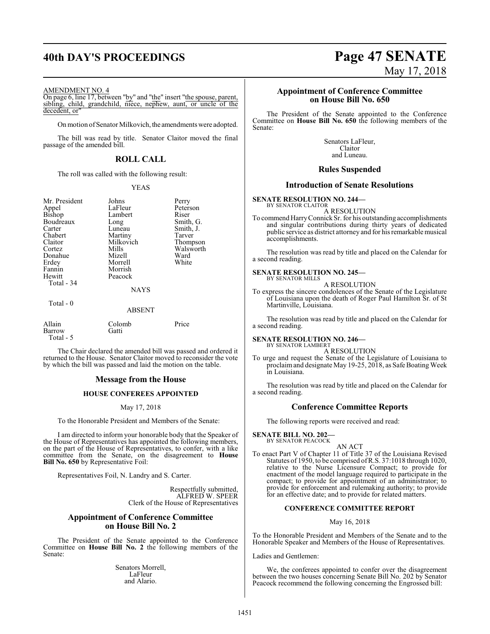## **40th DAY'S PROCEEDINGS Page 47 SENATE**

### AMENDMENT NO. 4

On page 6, line 17, between "by" and "the" insert "the spouse, parent, sibling, child, grandchild, niece, nephew, aunt, or uncle of the decedent, or

On motion of Senator Milkovich, the amendments were adopted.

The bill was read by title. Senator Claitor moved the final passage of the amended bill.

### **ROLL CALL**

The roll was called with the following result:

### YEAS

Peterson<br>Riser

Smith, G. Smith, J. Tarver Thompson Walsworth<br>Ward

| Mr. President<br>Appel<br><b>Bishop</b><br>Boudreaux<br>Carter<br>Chabert<br>Claitor<br>Cortez<br>Donahue<br>Erdey<br>Fannin | Johns<br>LaFleur<br>Lambert<br>Long<br>Luneau<br>Martiny<br>Milkovich<br>Mills<br>Mizell<br>Morrell<br>Morrish | Perry<br>Peters<br>Riser<br>Smith<br>Smith<br>Tarver<br>Thom<br>Walsy<br>Ward<br>White |
|------------------------------------------------------------------------------------------------------------------------------|----------------------------------------------------------------------------------------------------------------|----------------------------------------------------------------------------------------|
| Hewitt<br>Total - 34                                                                                                         | Peacock<br><b>NAYS</b>                                                                                         |                                                                                        |
| Total - 0                                                                                                                    | <b>ABSENT</b>                                                                                                  |                                                                                        |
| Allain<br>Barrow                                                                                                             | Colomb<br>Gatti                                                                                                | Price                                                                                  |

Total - 5

The Chair declared the amended bill was passed and ordered it returned to the House. Senator Claitor moved to reconsider the vote by which the bill was passed and laid the motion on the table.

### **Message from the House**

### **HOUSE CONFEREES APPOINTED**

### May 17, 2018

To the Honorable President and Members of the Senate:

I am directed to inform your honorable body that the Speaker of the House of Representatives has appointed the following members, on the part of the House of Representatives, to confer, with a like committee from the Senate, on the disagreement to **House Bill No. 650** by Representative Foil:

Representatives Foil, N. Landry and S. Carter.

Respectfully submitted, ALFRED W. SPEER Clerk of the House of Representatives

### **Appointment of Conference Committee on House Bill No. 2**

The President of the Senate appointed to the Conference Committee on **House Bill No. 2** the following members of the Senate:

> Senators Morrell, LaFleur and Alario.

# May 17, 2018

### **Appointment of Conference Committee on House Bill No. 650**

The President of the Senate appointed to the Conference Committee on **House Bill No. 650** the following members of the Senate:

> Senators LaFleur, Claitor and Luneau.

### **Rules Suspended**

### **Introduction of Senate Resolutions**

**SENATE RESOLUTION NO. 244—** BY SENATOR CLAITOR

A RESOLUTION

To commend HarryConnickSr. for his outstanding accomplishments and singular contributions during thirty years of dedicated public service as district attorney and for his remarkable musical accomplishments.

The resolution was read by title and placed on the Calendar for a second reading.

### **SENATE RESOLUTION NO. 245—** BY SENATOR MILLS

A RESOLUTION

To express the sincere condolences of the Senate of the Legislature of Louisiana upon the death of Roger Paul Hamilton Sr. of St Martinville, Louisiana.

The resolution was read by title and placed on the Calendar for a second reading.

### **SENATE RESOLUTION NO. 246—**

BY SENATOR LAMBERT A RESOLUTION

To urge and request the Senate of the Legislature of Louisiana to proclaim and designate May 19-25, 2018, as Safe Boating Week in Louisiana.

The resolution was read by title and placed on the Calendar for a second reading.

### **Conference Committee Reports**

The following reports were received and read:

**SENATE BILL NO. 202—** BY SENATOR PEACOCK

AN ACT

To enact Part V of Chapter 11 of Title 37 of the Louisiana Revised Statutes of 1950, to be comprised ofR.S. 37:1018 through 1020, relative to the Nurse Licensure Compact; to provide for enactment of the model language required to participate in the compact; to provide for appointment of an administrator; to provide for enforcement and rulemaking authority; to provide for an effective date; and to provide for related matters.

### **CONFERENCE COMMITTEE REPORT**

### May 16, 2018

To the Honorable President and Members of the Senate and to the Honorable Speaker and Members of the House of Representatives.

Ladies and Gentlemen:

We, the conferees appointed to confer over the disagreement between the two houses concerning Senate Bill No. 202 by Senator Peacock recommend the following concerning the Engrossed bill: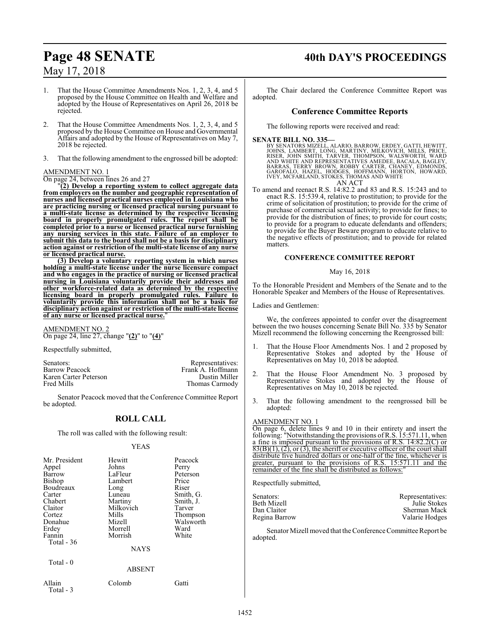## **Page 48 SENATE 40th DAY'S PROCEEDINGS**

### May 17, 2018

1. That the House Committee Amendments Nos. 1, 2, 3, 4, and 5 proposed by the House Committee on Health and Welfare and adopted by the House of Representatives on April 26, 2018 be rejected.

- 2. That the House Committee Amendments Nos. 1, 2, 3, 4, and 5 proposed by the House Committee on House and Governmental Affairs and adopted by the House of Representatives on May 7, 2018 be rejected.
- 3. That the following amendment to the engrossed bill be adopted:

### AMENDMENT NO. 1

On page 24, between lines 26 and 27

"**(2) Develop a reporting system to collect aggregate data from employers on the number and geographic representation of nurses and licensed practical nurses employed in Louisiana who are practicing nursing or licensed practical nursing pursuant to a multi-state license as determined by the respective licensing board in properly promulgated rules. The report shall be completed prior to a nurse or licensed practical nurse furnishing any nursing services in this state. Failure of an employer to submit this data to the board shall not be a basis for disciplinary action against or restriction of the multi-state license of any nurse or licensed practical nurse.**

**(3) Develop a voluntary reporting system in which nurses holding a multi-state license under the nurse licensure compact and who engages in the practice of nursing or licensed practical nursing in Louisiana voluntarily provide their addresses and other workforce-related data as determined by the respective licensing board in properly promulgated rules. Failure to voluntarily provide this information shall not be a basis for disciplinary action against or restriction of the multi-state license of any nurse or licensed practical nurse.**"

AMENDMENT NO. 2 On page 24, line 27, change "**(2)**" to "**(4)**"

Respectfully submitted,

Senators: Representatives: Representatives: Representatives: Representatives: Representatives: Representatives:  $\overline{\text{Frank A}}$ . Hoffmann Karen Carter Peterson<br>Fred Mills

Frank A. Hoffmann<br>Dustin Miller Thomas Carmody

Senator Peacock moved that the Conference Committee Report be adopted.

### **ROLL CALL**

The roll was called with the following result:

### YEAS

| Mr. President<br>Appel<br>Barrow<br>Bishop<br>Boudreaux<br>Carter<br>Chabert<br>Claitor<br>Cortez<br>Donahue<br>Erdey<br>Fannin<br>Total - 36 | Hewitt<br>Johns<br>LaFleur<br>Lambert<br>Long<br>Luneau<br>Martiny<br>Milkovich<br>Mills<br>Mizell<br>Morrell<br>Morrish | Peacock<br>Perry<br>Peterson<br>Price<br>Riser<br>Smith, G.<br>Smith, J.<br>Tarver<br>Thompson<br>Walsworth<br>Ward<br>White |
|-----------------------------------------------------------------------------------------------------------------------------------------------|--------------------------------------------------------------------------------------------------------------------------|------------------------------------------------------------------------------------------------------------------------------|
|                                                                                                                                               | <b>NAYS</b>                                                                                                              |                                                                                                                              |
| Total $-0$                                                                                                                                    | <b>ABSENT</b>                                                                                                            |                                                                                                                              |

Allain Colomb Gatti Total - 3

The Chair declared the Conference Committee Report was adopted.

### **Conference Committee Reports**

The following reports were received and read:

**SENATE BILL NO. 335—**<br>BY SENATORS MIZELL, ALARIO, BARROW, ERDEY, GATTI, HEWITT,<br>JOHNS, LAMBERT, LONG, MARTINY, MILKOVICH, MILLS, PRICE,<br>RISER, JOHN SMITH, TARVER, THOMPSON, WALSWORTH, WARD<br>AND WHITE AND REPRESENTATIVES AM IVEY, MCFARLAND, STOKES, THOMAS AND WHITE

AN ACT

To amend and reenact R.S. 14:82.2 and 83 and R.S. 15:243 and to enact R.S. 15:539.4, relative to prostitution; to provide for the crime of solicitation of prostitution; to provide for the crime of purchase of commercial sexual activity; to provide for fines; to provide for the distribution of fines; to provide for court costs; to provide for a program to educate defendants and offenders; to provide for the Buyer Beware program to educate relative to the negative effects of prostitution; and to provide for related matters.

### **CONFERENCE COMMITTEE REPORT**

### May 16, 2018

To the Honorable President and Members of the Senate and to the Honorable Speaker and Members of the House of Representatives.

Ladies and Gentlemen:

We, the conferees appointed to confer over the disagreement between the two houses concerning Senate Bill No. 335 by Senator Mizell recommend the following concerning the Reengrossed bill:

- 1. That the House Floor Amendments Nos. 1 and 2 proposed by Representative Stokes and adopted by the House of Representatives on May 10, 2018 be adopted.
- 2. That the House Floor Amendment No. 3 proposed by Representative Stokes and adopted by the House of Representatives on May 10, 2018 be rejected.
- 3. That the following amendment to the reengrossed bill be adopted:

### AMENDMENT NO. 1

On page 6, delete lines 9 and 10 in their entirety and insert the following: "Notwithstanding the provisions of R.S. 15:571.11, when a fine is imposed pursuant to the provisions of R.S. 14:82.2(C) or  $83(B)(1)$ , (2), or (3), the sheriff or executive officer of the court shall distribute five hundred dollars or one-half of the fine, whichever is greater, pursuant to the provisions of R.S. 15:571.11 and the remainder of the fine shall be distributed as follows:

Respectfully submitted,

| Senators:     | Representatives: |
|---------------|------------------|
| Beth Mizell   | Julie Stokes     |
| Dan Claitor   | Sherman Mack     |
| Regina Barrow | Valarie Hodges   |

Senator Mizell moved that the Conference Committee Report be adopted.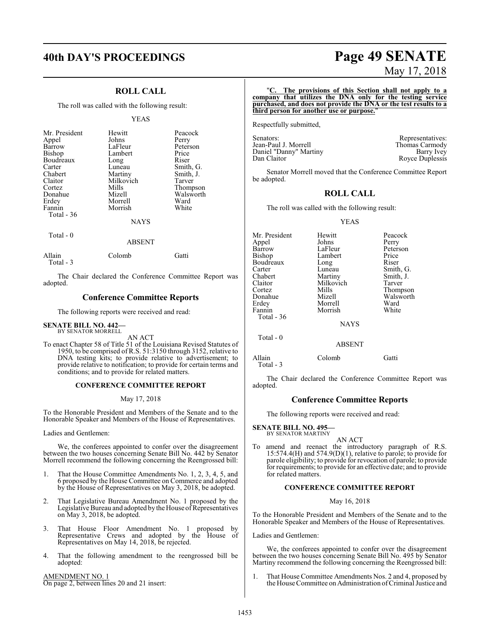## **40th DAY'S PROCEEDINGS Page 49 SENATE**

### **ROLL CALL**

The roll was called with the following result:

### YEAS

| Mr. President<br>Appel<br>Barrow<br>Bishop<br>Boudreaux<br>Carter<br>Chabert<br>Claitor<br>Cortez<br>Donahue | Hewitt<br>Johns<br>LaFleur<br>Lambert<br>Long<br>Luneau<br>Martiny<br>Milkovich<br>Mills<br>Mizell | Peacock<br>Perry<br>Peterson<br>Price<br>Riser<br>Smith, G.<br>Smith, J.<br>Tarver<br>Thompson<br>Walsworth |
|--------------------------------------------------------------------------------------------------------------|----------------------------------------------------------------------------------------------------|-------------------------------------------------------------------------------------------------------------|
|                                                                                                              |                                                                                                    |                                                                                                             |
| Erdey                                                                                                        | Morrell                                                                                            | Ward                                                                                                        |
| Fannin<br>Total $-36$                                                                                        | Morrish                                                                                            | White                                                                                                       |
|                                                                                                              | <b>NAYS</b>                                                                                        |                                                                                                             |

Total - 0

### ABSENT

| Allain     | Colomb | Gatti |
|------------|--------|-------|
| Total $-3$ |        |       |

The Chair declared the Conference Committee Report was adopted.

### **Conference Committee Reports**

The following reports were received and read:

#### **SENATE BILL NO. 442—** BY SENATOR MORRELL

AN ACT

To enact Chapter 58 of Title 51 of the Louisiana Revised Statutes of 1950, to be comprised of R.S. 51:3150 through 3152, relative to DNA testing kits; to provide relative to advertisement; to provide relative to notification; to provide for certain terms and conditions; and to provide for related matters.

### **CONFERENCE COMMITTEE REPORT**

May 17, 2018

To the Honorable President and Members of the Senate and to the Honorable Speaker and Members of the House of Representatives.

Ladies and Gentlemen:

We, the conferees appointed to confer over the disagreement between the two houses concerning Senate Bill No. 442 by Senator Morrell recommend the following concerning the Reengrossed bill:

- 1. That the House Committee Amendments No. 1, 2, 3, 4, 5, and 6 proposed by the House Committee on Commerce and adopted by the House of Representatives on May 3, 2018, be adopted.
- 2. That Legislative Bureau Amendment No. 1 proposed by the Legislative Bureau and adopted by the House of Representatives on May 3, 2018, be adopted.
- 3. That House Floor Amendment No. 1 proposed by Representative Crews and adopted by the House of Representatives on May 14, 2018, be rejected.
- 4. That the following amendment to the reengrossed bill be adopted:

AMENDMENT NO. 1 On page 2, between lines 20 and 21 insert:

# May 17, 2018

### "**C. The provisions of this Section shall not apply to a company that utilizes the DNA only for the testing service purchased, and does not provide the DNA or the test results to a third person for another use or purpose.**"

Respectfully submitted,

| Senators:              | Representatives: |
|------------------------|------------------|
| Jean-Paul J. Morrell   | Thomas Carmody   |
| Daniel "Danny" Martiny | Barry Ivey       |
| Dan Claitor            | Royce Duplessis  |

Senator Morrell moved that the Conference Committee Report be adopted.

### **ROLL CALL**

The roll was called with the following result:

### YEAS

| Mr. President<br>Hewitt<br>Johns<br>Appel<br>LaFleur | Peacock<br>Perry<br>Peterson |
|------------------------------------------------------|------------------------------|
| Barrow                                               |                              |
|                                                      |                              |
| Bishop<br>Lambert                                    | Price                        |
| Boudreaux<br>Long                                    | Riser                        |
| Carter<br>Luneau                                     | Smith, G.                    |
| Chabert<br>Martiny                                   | Smith, J.                    |
| Milkovich<br>Claitor                                 | Tarver                       |
| Mills<br>Cortez                                      | Thompson                     |
| Mizell<br>Donahue                                    | Walsworth                    |
| Erdey<br>Morrell                                     | Ward                         |
| Fannin<br>Morrish                                    | White                        |
| Total - 36                                           |                              |
| <b>NAYS</b>                                          |                              |
| Total - 0                                            |                              |
| <b>ABSENT</b>                                        |                              |

Allain Colomb Gatti Total - 3

The Chair declared the Conference Committee Report was adopted.

### **Conference Committee Reports**

The following reports were received and read:

**SENATE BILL NO. 495—** BY SENATOR MARTINY

AN ACT To amend and reenact the introductory paragraph of R.S. 15:574.4(H) and 574.9(D)(1), relative to parole; to provide for parole eligibility; to provide for revocation of parole; to provide for requirements; to provide for an effective date; and to provide for related matters.

### **CONFERENCE COMMITTEE REPORT**

### May 16, 2018

To the Honorable President and Members of the Senate and to the Honorable Speaker and Members of the House of Representatives.

Ladies and Gentlemen:

We, the conferees appointed to confer over the disagreement between the two houses concerning Senate Bill No. 495 by Senator Martiny recommend the following concerning the Reengrossed bill:

1. That House Committee Amendments Nos. 2 and 4, proposed by the House Committee on Administration ofCriminal Justice and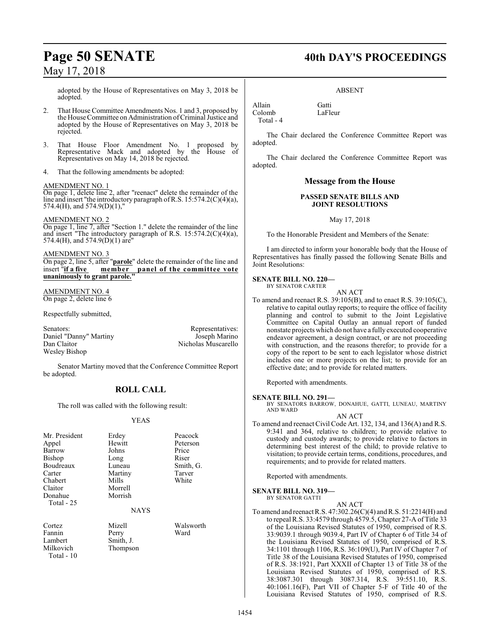adopted by the House of Representatives on May 3, 2018 be adopted.

- 2. That House Committee Amendments Nos. 1 and 3, proposed by the House Committee on Administration ofCriminal Justice and adopted by the House of Representatives on May 3, 2018 be rejected.
- 3. That House Floor Amendment No. 1 proposed by Representative Mack and adopted by the House of Representatives on May 14, 2018 be rejected.
- 4. That the following amendments be adopted:

### AMENDMENT NO. 1

On page 1, delete line 2, after "reenact" delete the remainder of the line and insert "the introductory paragraph ofR.S. 15:574.2(C)(4)(a), 574.4(H), and 574.9(D)(1),"

AMENDMENT NO. 2

On page 1, line 7, after "Section 1." delete the remainder of the line and insert "The introductory paragraph of R.S. 15:574.2(C)(4)(a), 574.4(H), and 574.9(D)(1) are"

### AMENDMENT NO. 3

On page 2, line 5, after "**parole**" delete the remainder of the line and insert "**if a five member panel of the committee vote** insert "**if a five member panel of the committee vote unanimously to grant parole."**

AMENDMENT NO. 4 On page 2, delete line 6

Respectfully submitted,

Senators:<br>
Daniel "Danny" Martiny **Senators:** Representatives:<br>
Daniel "Danny" Martiny **Representatives:** Joseph Marino Daniel "Danny" Martiny<br>Dan Claitor Wesley Bishop

Nicholas Muscarello

Senator Martiny moved that the Conference Committee Report be adopted.

### **ROLL CALL**

The roll was called with the following result:

### YEAS

| Mr. President<br>Appel<br>Barrow<br>Bishop<br>Boudreaux<br>Carter<br>Chabert<br>Claitor<br>Donahue<br><b>Total - 25</b> | Erdey<br>Hewitt<br>Johns<br>Long<br>Luneau<br>Martiny<br>Mills<br>Morrell<br>Morrish | Peacock<br>Peterson<br>Price<br>Riser<br>Smith, G.<br>Tarver<br>White |
|-------------------------------------------------------------------------------------------------------------------------|--------------------------------------------------------------------------------------|-----------------------------------------------------------------------|
|                                                                                                                         | <b>NAYS</b>                                                                          |                                                                       |
| Cortez<br>Fannin<br>Lambert<br>Milkovich<br>Total $-10$                                                                 | Mizell<br>Perry<br>Smith, J.<br>Thompson                                             | Walsworth<br>Ward                                                     |

## **Page 50 SENATE 40th DAY'S PROCEEDINGS**

### ABSENT

Allain Gatti<br>Colomb LaFleur Colomb Total - 4

The Chair declared the Conference Committee Report was adopted.

The Chair declared the Conference Committee Report was adopted.

### **Message from the House**

### **PASSED SENATE BILLS AND JOINT RESOLUTIONS**

### May 17, 2018

To the Honorable President and Members of the Senate:

I am directed to inform your honorable body that the House of Representatives has finally passed the following Senate Bills and Joint Resolutions:

### **SENATE BILL NO. 220—**

BY SENATOR CARTER

- AN ACT
- To amend and reenact R.S. 39:105(B), and to enact R.S. 39:105(C), relative to capital outlay reports; to require the office of facility planning and control to submit to the Joint Legislative Committee on Capital Outlay an annual report of funded nonstate projects which do not have a fully executed cooperative endeavor agreement, a design contract, or are not proceeding with construction, and the reasons therefor; to provide for a copy of the report to be sent to each legislator whose district includes one or more projects on the list; to provide for an effective date; and to provide for related matters.

Reported with amendments.

### **SENATE BILL NO. 291—**

BY SENATORS BARROW, DONAHUE, GATTI, LUNEAU, MARTINY AND WARD AN ACT

To amend and reenact Civil Code Art. 132, 134, and 136(A) and R.S. 9:341 and 364, relative to children; to provide relative to custody and custody awards; to provide relative to factors in determining best interest of the child; to provide relative to visitation; to provide certain terms, conditions, procedures, and requirements; and to provide for related matters.

Reported with amendments.

**SENATE BILL NO. 319—**

BY SENATOR GATTI

### AN ACT

To amend and reenact R.S. 47:302.26(C)(4) and R.S. 51:2214(H) and to repeal R.S. 33:4579 through 4579.5, Chapter 27-A of Title 33 of the Louisiana Revised Statutes of 1950, comprised of R.S. 33:9039.1 through 9039.4, Part IV of Chapter 6 of Title 34 of the Louisiana Revised Statutes of 1950, comprised of R.S. 34:1101 through 1106, R.S. 36:109(U), Part IV of Chapter 7 of Title 38 of the Louisiana Revised Statutes of 1950, comprised of R.S. 38:1921, Part XXXII of Chapter 13 of Title 38 of the Louisiana Revised Statutes of 1950, comprised of R.S. 38:3087.301 through 3087.314, R.S. 39:551.10, R.S. 40:1061.16(F), Part VII of Chapter 5-F of Title 40 of the Louisiana Revised Statutes of 1950, comprised of R.S.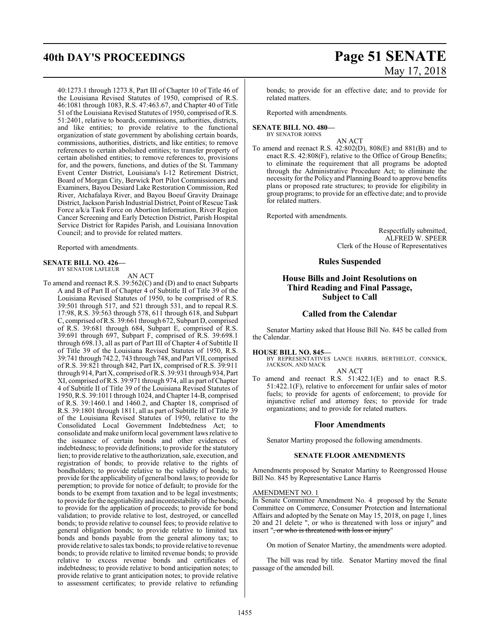40:1273.1 through 1273.8, Part III of Chapter 10 of Title 46 of the Louisiana Revised Statutes of 1950, comprised of R.S. 46:1081 through 1083, R.S. 47:463.67, and Chapter 40 of Title 51 of the Louisiana Revised Statutes of 1950, comprised ofR.S. 51:2401, relative to boards, commissions, authorities, districts, and like entities; to provide relative to the functional organization of state government by abolishing certain boards, commissions, authorities, districts, and like entities; to remove references to certain abolished entities; to transfer property of certain abolished entities; to remove references to, provisions for, and the powers, functions, and duties of the St. Tammany Event Center District, Louisiana's I-12 Retirement District, Board of Morgan City, Berwick Port Pilot Commissioners and Examiners, Bayou Desiard Lake Restoration Commission, Red River, Atchafalaya River, and Bayou Boeuf Gravity Drainage District, Jackson Parish Industrial District, Point of Rescue Task Force a/k/a Task Force on Abortion Information, River Region Cancer Screening and Early Detection District, Parish Hospital Service District for Rapides Parish, and Louisiana Innovation Council; and to provide for related matters.

Reported with amendments.

### **SENATE BILL NO. 426—** BY SENATOR LAFLEUR

AN ACT

To amend and reenact R.S. 39:562(C) and (D) and to enact Subparts A and B of Part II of Chapter 4 of Subtitle II of Title 39 of the Louisiana Revised Statutes of 1950, to be comprised of R.S. 39:501 through 517, and 521 through 531, and to repeal R.S. 17:98, R.S. 39:563 through 578, 611 through 618, and Subpart C, comprised ofR.S. 39:661 through 672, Subpart D, comprised of R.S. 39:681 through 684, Subpart E, comprised of R.S. 39:691 through 697, Subpart F, comprised of R.S. 39:698.1 through 698.13, all as part of Part III of Chapter 4 of Subtitle II of Title 39 of the Louisiana Revised Statutes of 1950, R.S. 39:741 through 742.2, 743 through 748, and Part VII, comprised of R.S. 39:821 through 842, Part IX, comprised of R.S. 39:911 through 914, Part X, comprised ofR.S. 39:931 through 934, Part XI, comprised ofR.S. 39:971 through 974, all as part of Chapter 4 of Subtitle II of Title 39 of the Louisiana Revised Statutes of 1950, R.S. 39:1011 through 1024, andChapter 14-B, comprised of R.S. 39:1460.1 and 1460.2, and Chapter 18, comprised of R.S. 39:1801 through 1811, all as part of Subtitle III of Title 39 of the Louisiana Revised Statutes of 1950, relative to the Consolidated Local Government Indebtedness Act; to consolidate and make uniform local government lawsrelative to the issuance of certain bonds and other evidences of indebtedness; to provide definitions; to provide for the statutory lien; to provide relative to the authorization, sale, execution, and registration of bonds; to provide relative to the rights of bondholders; to provide relative to the validity of bonds; to provide for the applicability of general bond laws; to provide for peremption; to provide for notice of default; to provide for the bonds to be exempt from taxation and to be legal investments; to provide for the negotiability and incontestability of the bonds; to provide for the application of proceeds; to provide for bond validation; to provide relative to lost, destroyed, or cancelled bonds; to provide relative to counsel fees; to provide relative to general obligation bonds; to provide relative to limited tax bonds and bonds payable from the general alimony tax; to provide relative to sales tax bonds; to provide relative to revenue bonds; to provide relative to limited revenue bonds; to provide relative to excess revenue bonds and certificates of indebtedness; to provide relative to bond anticipation notes; to provide relative to grant anticipation notes; to provide relative to assessment certificates; to provide relative to refunding

## **40th DAY'S PROCEEDINGS Page 51 SENATE** May 17, 2018

bonds; to provide for an effective date; and to provide for related matters.

Reported with amendments.

#### **SENATE BILL NO. 480—** BY SENATOR JOHNS

AN ACT

To amend and reenact R.S. 42:802(D), 808(E) and 881(B) and to enact R.S. 42:808(F), relative to the Office of Group Benefits; to eliminate the requirement that all programs be adopted through the Administrative Procedure Act; to eliminate the necessity for the Policy and Planning Board to approve benefits plans or proposed rate structures; to provide for eligibility in group programs; to provide for an effective date; and to provide for related matters.

Reported with amendments.

Respectfully submitted, ALFRED W. SPEER Clerk of the House of Representatives

### **Rules Suspended**

### **House Bills and Joint Resolutions on Third Reading and Final Passage, Subject to Call**

### **Called from the Calendar**

Senator Martiny asked that House Bill No. 845 be called from the Calendar.

### **HOUSE BILL NO. 845—**

BY REPRESENTATIVES LANCE HARRIS, BERTHELOT, CONNICK, JACKSON, AND MACK

### AN ACT

To amend and reenact R.S. 51:422.1(E) and to enact R.S. 51:422.1(F), relative to enforcement for unfair sales of motor fuels; to provide for agents of enforcement; to provide for injunctive relief and attorney fees; to provide for trade organizations; and to provide for related matters.

### **Floor Amendments**

Senator Martiny proposed the following amendments.

### **SENATE FLOOR AMENDMENTS**

Amendments proposed by Senator Martiny to Reengrossed House Bill No. 845 by Representative Lance Harris

### AMENDMENT NO. 1

In Senate Committee Amendment No. 4 proposed by the Senate Committee on Commerce, Consumer Protection and International Affairs and adopted by the Senate on May 15, 2018, on page 1, lines 20 and 21 delete ", or who is threatened with loss or injury" and insert "<del>, or who is threatened with loss or injury</del>"

On motion of Senator Martiny, the amendments were adopted.

The bill was read by title. Senator Martiny moved the final passage of the amended bill.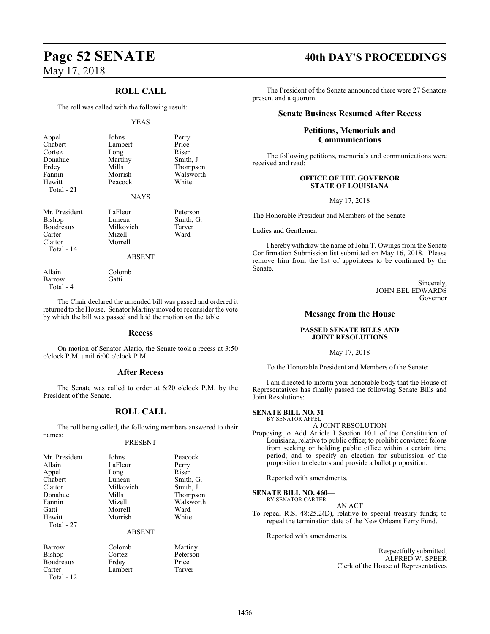### **ROLL CALL**

The roll was called with the following result:

### YEAS

| Appel<br>Chabert<br>Cortez<br>Donahue<br>Erdey<br>Fannin<br>Hewitt<br>Total - 21 | Johns<br>Lambert<br>Long<br>Martiny<br>Mills<br>Morrish<br>Peacock<br><b>NAYS</b> | Perry<br>Price<br>Riser<br>Smith, J.<br>Thompson<br>Walsworth<br>White |
|----------------------------------------------------------------------------------|-----------------------------------------------------------------------------------|------------------------------------------------------------------------|
| Mr. President<br>Bishop<br>Boudreaux<br>Carter<br>Claitor<br>Total - 14          | LaFleur<br>Luneau<br>Milkovich<br>Mizell<br>Morrell<br><b>ABSENT</b>              | Peterson<br>Smith, G.<br>Tarver<br>Ward                                |

Allain Colomb<br>Barrow Gatti Barrow Total - 4

The Chair declared the amended bill was passed and ordered it returned to the House. Senator Martiny moved to reconsider the vote by which the bill was passed and laid the motion on the table.

### **Recess**

On motion of Senator Alario, the Senate took a recess at 3:50 o'clock P.M. until 6:00 o'clock P.M.

### **After Recess**

The Senate was called to order at 6:20 o'clock P.M. by the President of the Senate.

### **ROLL CALL**

The roll being called, the following members answered to their names:

### PRESENT

| Mr. President                      | Johns         | Peacock   |
|------------------------------------|---------------|-----------|
| Allain                             | LaFleur       | Perry     |
| Appel                              | Long          | Riser     |
| Chabert                            | Luneau        | Smith, G. |
| Claitor                            | Milkovich     | Smith, J. |
| Donahue                            | Mills         | Thompson  |
| Fannin                             | Mizell        | Walsworth |
| Gatti                              | Morrell       | Ward      |
| Hewitt<br>Total - 27               | Morrish       | White     |
|                                    | <b>ABSENT</b> |           |
| $\mathbf{D}$ = $\cdots$ = $\cdots$ | $C - 1 -  1$  | $M = 1$   |

| Barrow     |
|------------|
| Bishop     |
| Boudreaux  |
| Carter     |
| 17 ـ Total |

Colomb Martiny<br>Cortez Peterson Erdey Lambert Tarver

Peterson<br>Price

Total - 12

## **Page 52 SENATE 40th DAY'S PROCEEDINGS**

The President of the Senate announced there were 27 Senators present and a quorum.

### **Senate Business Resumed After Recess**

### **Petitions, Memorials and Communications**

The following petitions, memorials and communications were received and read:

### **OFFICE OF THE GOVERNOR STATE OF LOUISIANA**

May 17, 2018

The Honorable President and Members of the Senate

Ladies and Gentlemen:

I hereby withdraw the name of John T. Owings from the Senate Confirmation Submission list submitted on May 16, 2018. Please remove him from the list of appointees to be confirmed by the Senate.

> Sincerely, JOHN BEL EDWARDS Governor

### **Message from the House**

### **PASSED SENATE BILLS AND JOINT RESOLUTIONS**

### May 17, 2018

To the Honorable President and Members of the Senate:

I am directed to inform your honorable body that the House of Representatives has finally passed the following Senate Bills and Joint Resolutions:

### **SENATE BILL NO. 31—** BY SENATOR APPEL

### A JOINT RESOLUTION

Proposing to Add Article I Section 10.1 of the Constitution of Louisiana, relative to public office; to prohibit convicted felons from seeking or holding public office within a certain time period; and to specify an election for submission of the proposition to electors and provide a ballot proposition.

Reported with amendments.

#### **SENATE BILL NO. 460—** BY SENATOR CARTER

AN ACT

To repeal R.S. 48:25.2(D), relative to special treasury funds; to repeal the termination date of the New Orleans Ferry Fund.

Reported with amendments.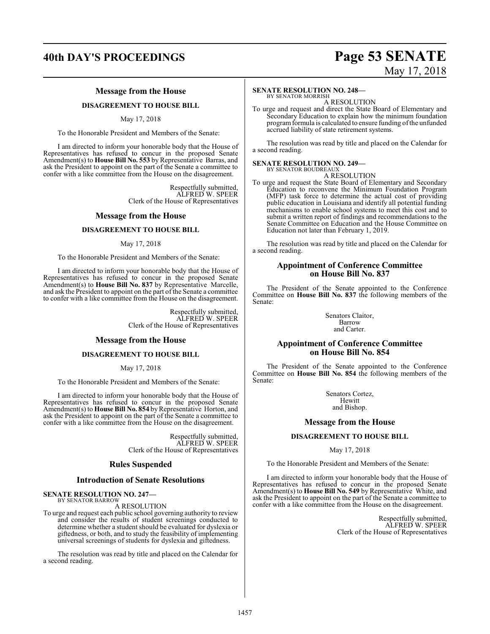### **40th DAY'S PROCEEDINGS Page 53 SENATE**

# May 17, 2018

### **Message from the House**

### **DISAGREEMENT TO HOUSE BILL**

### May 17, 2018

To the Honorable President and Members of the Senate:

I am directed to inform your honorable body that the House of Representatives has refused to concur in the proposed Senate Amendment(s) to **House Bill No. 553** by Representative Barras, and ask the President to appoint on the part of the Senate a committee to confer with a like committee from the House on the disagreement.

> Respectfully submitted, ALFRED W. SPEER Clerk of the House of Representatives

### **Message from the House**

### **DISAGREEMENT TO HOUSE BILL**

### May 17, 2018

To the Honorable President and Members of the Senate:

I am directed to inform your honorable body that the House of Representatives has refused to concur in the proposed Senate Amendment(s) to **House Bill No. 837** by Representative Marcelle, and ask the President to appoint on the part of the Senate a committee to confer with a like committee from the House on the disagreement.

> Respectfully submitted, ALFRED W. SPEER Clerk of the House of Representatives

### **Message from the House**

### **DISAGREEMENT TO HOUSE BILL**

May 17, 2018

To the Honorable President and Members of the Senate:

I am directed to inform your honorable body that the House of Representatives has refused to concur in the proposed Senate Amendment(s) to **House Bill No. 854** by Representative Horton, and ask the President to appoint on the part of the Senate a committee to confer with a like committee from the House on the disagreement.

> Respectfully submitted, ALFRED W. SPEER Clerk of the House of Representatives

### **Rules Suspended**

### **Introduction of Senate Resolutions**

#### **SENATE RESOLUTION NO. 247—** BY SENATOR BARROW

### A RESOLUTION

To urge and request each public school governing authority to review and consider the results of student screenings conducted to determine whether a student should be evaluated for dyslexia or giftedness, or both, and to study the feasibility of implementing universal screenings of students for dyslexia and giftedness.

The resolution was read by title and placed on the Calendar for a second reading.

### **SENATE RESOLUTION NO. 248—**

BY SENATOR MORRISH A RESOLUTION

To urge and request and direct the State Board of Elementary and Secondary Education to explain how the minimum foundation programformula is calculated to ensure funding ofthe unfunded accrued liability of state retirement systems.

The resolution was read by title and placed on the Calendar for a second reading.

### **SENATE RESOLUTION NO. 249—**<br>BY SENATOR BOUDREAUX

A RESOLUTION

To urge and request the State Board of Elementary and Secondary Education to reconvene the Minimum Foundation Program (MFP) task force to determine the actual cost of providing public education in Louisiana and identify all potential funding mechanisms to enable school systems to meet this cost and to submit a written report of findings and recommendations to the Senate Committee on Education and the House Committee on Education not later than February 1, 2019.

The resolution was read by title and placed on the Calendar for a second reading.

### **Appointment of Conference Committee on House Bill No. 837**

The President of the Senate appointed to the Conference Committee on **House Bill No. 837** the following members of the Senate:

> Senators Claitor, Barrow and Carter.

### **Appointment of Conference Committee on House Bill No. 854**

The President of the Senate appointed to the Conference Committee on **House Bill No. 854** the following members of the Senate:

> Senators Cortez, **Hewitt** and Bishop.

### **Message from the House**

### **DISAGREEMENT TO HOUSE BILL**

May 17, 2018

To the Honorable President and Members of the Senate:

I am directed to inform your honorable body that the House of Representatives has refused to concur in the proposed Senate Amendment(s) to **House Bill No. 549** by Representative White, and ask the President to appoint on the part of the Senate a committee to confer with a like committee from the House on the disagreement.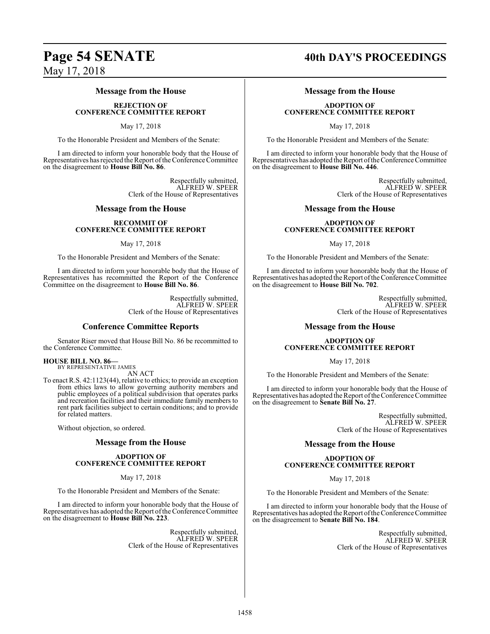### **Message from the House**

**REJECTION OF CONFERENCE COMMITTEE REPORT**

### May 17, 2018

To the Honorable President and Members of the Senate:

I am directed to inform your honorable body that the House of Representatives has rejected the Report of the Conference Committee on the disagreement to **House Bill No. 86**.

> Respectfully submitted, ALFRED W. SPEER Clerk of the House of Representatives

### **Message from the House**

### **RECOMMIT OF CONFERENCE COMMITTEE REPORT**

May 17, 2018

To the Honorable President and Members of the Senate:

I am directed to inform your honorable body that the House of Representatives has recommitted the Report of the Conference Committee on the disagreement to **House Bill No. 86**.

> Respectfully submitted, ALFRED W. SPEER Clerk of the House of Representatives

### **Conference Committee Reports**

Senator Riser moved that House Bill No. 86 be recommitted to the Conference Committee.

### **HOUSE BILL NO. 86—**

BY REPRESENTATIVE JAMES AN ACT

To enact R.S. 42:1123(44), relative to ethics; to provide an exception from ethics laws to allow governing authority members and public employees of a political subdivision that operates parks and recreation facilities and their immediate family members to rent park facilities subject to certain conditions; and to provide for related matters.

Without objection, so ordered.

### **Message from the House**

### **ADOPTION OF CONFERENCE COMMITTEE REPORT**

May 17, 2018

To the Honorable President and Members of the Senate:

I am directed to inform your honorable body that the House of Representatives has adopted the Report ofthe Conference Committee on the disagreement to **House Bill No. 223**.

> Respectfully submitted, ALFRED W. SPEER Clerk of the House of Representatives

## **Page 54 SENATE 40th DAY'S PROCEEDINGS**

### **Message from the House**

### **ADOPTION OF CONFERENCE COMMITTEE REPORT**

May 17, 2018

To the Honorable President and Members of the Senate:

I am directed to inform your honorable body that the House of Representatives has adopted the Report ofthe Conference Committee on the disagreement to **House Bill No. 446**.

> Respectfully submitted, ALFRED W. SPEER Clerk of the House of Representatives

### **Message from the House**

### **ADOPTION OF CONFERENCE COMMITTEE REPORT**

May 17, 2018

To the Honorable President and Members of the Senate:

I am directed to inform your honorable body that the House of Representatives has adopted the Report ofthe Conference Committee on the disagreement to **House Bill No. 702**.

> Respectfully submitted, ALFRED W. SPEER Clerk of the House of Representatives

### **Message from the House**

### **ADOPTION OF CONFERENCE COMMITTEE REPORT**

May 17, 2018

To the Honorable President and Members of the Senate:

I am directed to inform your honorable body that the House of Representatives has adopted the Report of the Conference Committee on the disagreement to **Senate Bill No. 27**.

> Respectfully submitted, ALFRED W. SPEER Clerk of the House of Representatives

### **Message from the House**

### **ADOPTION OF CONFERENCE COMMITTEE REPORT**

May 17, 2018

To the Honorable President and Members of the Senate:

I am directed to inform your honorable body that the House of Representatives has adopted the Report ofthe Conference Committee on the disagreement to **Senate Bill No. 184**.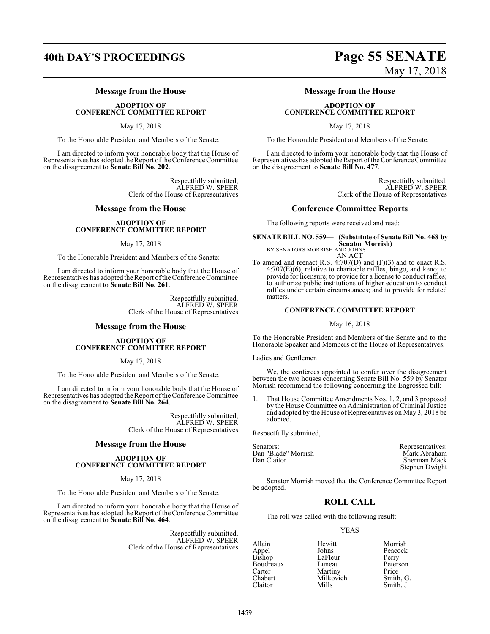### **Message from the House**

**ADOPTION OF CONFERENCE COMMITTEE REPORT**

May 17, 2018

To the Honorable President and Members of the Senate:

I am directed to inform your honorable body that the House of Representatives has adopted the Report ofthe Conference Committee on the disagreement to **Senate Bill No. 202**.

> Respectfully submitted, ALFRED W. SPEER Clerk of the House of Representatives

### **Message from the House**

### **ADOPTION OF CONFERENCE COMMITTEE REPORT**

### May 17, 2018

To the Honorable President and Members of the Senate:

I am directed to inform your honorable body that the House of Representatives has adopted the Report of the Conference Committee on the disagreement to **Senate Bill No. 261**.

> Respectfully submitted, ALFRED W. SPEER Clerk of the House of Representatives

### **Message from the House**

### **ADOPTION OF CONFERENCE COMMITTEE REPORT**

### May 17, 2018

To the Honorable President and Members of the Senate:

I am directed to inform your honorable body that the House of Representatives has adopted the Report of the Conference Committee on the disagreement to **Senate Bill No. 264**.

> Respectfully submitted, ALFRED W. SPEER Clerk of the House of Representatives

### **Message from the House**

### **ADOPTION OF CONFERENCE COMMITTEE REPORT**

May 17, 2018

To the Honorable President and Members of the Senate:

I am directed to inform your honorable body that the House of Representatives has adopted the Report of the Conference Committee on the disagreement to **Senate Bill No. 464**.

> Respectfully submitted, ALFRED W. SPEER Clerk of the House of Representatives

## **40th DAY'S PROCEEDINGS Page 55 SENATE** May 17, 2018

### **Message from the House**

### **ADOPTION OF CONFERENCE COMMITTEE REPORT**

May 17, 2018

To the Honorable President and Members of the Senate:

I am directed to inform your honorable body that the House of Representatives has adopted the Report ofthe Conference Committee on the disagreement to **Senate Bill No. 477**.

> Respectfully submitted, ALFRED W. SPEER Clerk of the House of Representatives

### **Conference Committee Reports**

The following reports were received and read:

**SENATE BILL NO. 559— (Substitute of Senate Bill No. 468 by Senator Morrish)** BY SENATORS MORRISH AND JOHNS

AN ACT

To amend and reenact R.S. 4:707(D) and (F)(3) and to enact R.S.  $4:707(E)(6)$ , relative to charitable raffles, bingo, and keno; to provide for licensure; to provide for a license to conduct raffles; to authorize public institutions of higher education to conduct raffles under certain circumstances; and to provide for related matters.

### **CONFERENCE COMMITTEE REPORT**

### May 16, 2018

To the Honorable President and Members of the Senate and to the Honorable Speaker and Members of the House of Representatives.

Ladies and Gentlemen:

We, the conferees appointed to confer over the disagreement between the two houses concerning Senate Bill No. 559 by Senator Morrish recommend the following concerning the Engrossed bill:

1. That House Committee Amendments Nos. 1, 2, and 3 proposed by the House Committee on Administration of Criminal Justice and adopted by the House of Representatives on May 3, 2018 be adopted.

Respectfully submitted,

Senators: Representatives: Dan "Blade" Morrish<br>Dan Claitor Sherman Mack Stephen Dwight

Senator Morrish moved that the Conference Committee Report be adopted.

### **ROLL CALL**

The roll was called with the following result:

### YEAS

Appel Johns Peaco<br>Bishop LaFleur Perry Boudreaux Luneau Peters<br>Carter Martiny Price Carter Martiny<br>Chabert Milkovich

Allain Hewitt Morrish LaFleur Perry<br>Luneau Peterson Chabert Milkovich Smith, G. Smith, J.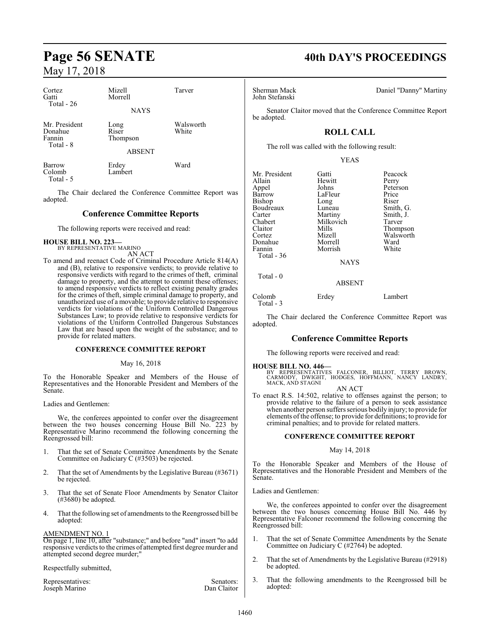| Cortez<br>Gatti<br>Total $-26$                  | Mizell<br>Morrell                          | Tarver             |
|-------------------------------------------------|--------------------------------------------|--------------------|
|                                                 | <b>NAYS</b>                                |                    |
| Mr. President<br>Donahue<br>Fannin<br>Total - 8 | Long<br>Riser<br>Thompson<br><b>ABSENT</b> | Walsworth<br>White |
| Barrow<br>Colomb<br>Total - 5                   | Erdey<br>Lambert                           | Ward               |

The Chair declared the Conference Committee Report was adopted.

### **Conference Committee Reports**

The following reports were received and read:

## **HOUSE BILL NO. 223—** BY REPRESENTATIVE MARINO

AN ACT

To amend and reenact Code of Criminal Procedure Article 814(A) and (B), relative to responsive verdicts; to provide relative to responsive verdicts with regard to the crimes of theft, criminal damage to property, and the attempt to commit these offenses; to amend responsive verdicts to reflect existing penalty grades for the crimes of theft, simple criminal damage to property, and unauthorized use of a movable; to provide relative to responsive verdicts for violations of the Uniform Controlled Dangerous Substances Law; to provide relative to responsive verdicts for violations of the Uniform Controlled Dangerous Substances Law that are based upon the weight of the substance; and to provide for related matters.

### **CONFERENCE COMMITTEE REPORT**

### May 16, 2018

To the Honorable Speaker and Members of the House of Representatives and the Honorable President and Members of the Senate.

Ladies and Gentlemen:

We, the conferees appointed to confer over the disagreement between the two houses concerning House Bill No. 223 by Representative Marino recommend the following concerning the Reengrossed bill:

- 1. That the set of Senate Committee Amendments by the Senate Committee on Judiciary C (#3503) be rejected.
- 2. That the set of Amendments by the Legislative Bureau (#3671) be rejected.
- 3. That the set of Senate Floor Amendments by Senator Claitor (#3680) be adopted.
- 4. That the following set of amendments to the Reengrossed bill be adopted:

### AMENDMENT NO. 1

On page 1, line 10, after "substance;" and before "and" insert "to add responsive verdicts to the crimes of attempted first degree murder and attempted second degree murder;"

Respectfully submitted,

| Representatives: | Senators:   |
|------------------|-------------|
| Joseph Marino    | Dan Claitor |

## **Page 56 SENATE 40th DAY'S PROCEEDINGS**

John Stefanski

Sherman Mack Daniel "Danny" Martiny

Senator Claitor moved that the Conference Committee Report be adopted.

### **ROLL CALL**

The roll was called with the following result:

YEAS

| Mr. President | Gatti          | Peacock                      |
|---------------|----------------|------------------------------|
| Allain        | Hewitt         | Perry                        |
| Appel         | Johns          | Peterson                     |
| Barrow        | LaFleur        | Price                        |
| Bishop        | Long           | Riser                        |
| Boudreaux     | Luneau         | Smith, G.                    |
| Carter        | Martiny        | Smith, J.                    |
| Chabert       | Milkovich      | Tarver                       |
| Claitor       | Mills          | Thompson                     |
| Cortez        | Mizell         | Walsworth                    |
| Donahue       | Morrell        | Ward                         |
| Fannin        | Morrish        | White                        |
| Total - 36    |                |                              |
|               | <b>NAYS</b>    |                              |
| Total $-0$    |                |                              |
|               | <b>ABSENT</b>  |                              |
| $\sim$ 1 1    | $\mathbf{r}$ 1 | $\mathbf{r}$<br>$\mathbf{1}$ |

Colomb Erdey Lambert Total - 3

The Chair declared the Conference Committee Report was adopted.

### **Conference Committee Reports**

The following reports were received and read:

### **HOUSE BILL NO. 446—**

BY REPRESENTATIVES FALCONER, BILLIOT, TERRY BROWN,<br>CARMODY, DWIGHT, HODGES, HOFFMANN, NANCY LANDRY,<br>MACK,AND STAGNI AN ACT

To enact R.S. 14:502, relative to offenses against the person; to provide relative to the failure of a person to seek assistance when another person suffers serious bodily injury; to provide for elements ofthe offense; to provide for definitions; to provide for criminal penalties; and to provide for related matters.

### **CONFERENCE COMMITTEE REPORT**

### May 14, 2018

To the Honorable Speaker and Members of the House of Representatives and the Honorable President and Members of the Senate.

Ladies and Gentlemen:

We, the conferees appointed to confer over the disagreement between the two houses concerning House Bill No. 446 by Representative Falconer recommend the following concerning the Reengrossed bill:

- 1. That the set of Senate Committee Amendments by the Senate Committee on Judiciary C (#2764) be adopted.
- 2. That the set of Amendments by the Legislative Bureau (#2918) be adopted.
- 3. That the following amendments to the Reengrossed bill be adopted: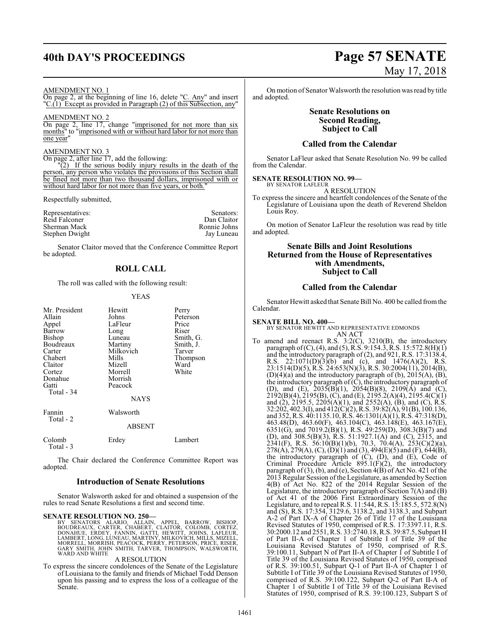## **40th DAY'S PROCEEDINGS Page 57 SENATE**

### AMENDMENT NO. 1

On page 2, at the beginning of line 16, delete "C. Any" and insert "C.(1) Except as provided in Paragraph (2) of this Subsection, any"

AMENDMENT NO. 2

On page 2, line 17, change "imprisoned for not more than six months" to "imprisoned with or without hard labor for not more than one year"

### AMENDMENT NO. 3

On page 2, after line 17, add the following:

"(2) If the serious bodily injury results in the death of the person, any person who violates the provisions of this Section shall be fined not more than two thousand dollars, imprisoned with or without hard labor for not more than five years, or both."

Respectfully submitted,

|                                   | Senators:    |
|-----------------------------------|--------------|
| Representatives:<br>Reid Falconer | Dan Claitor  |
| Sherman Mack                      | Ronnie Johns |
| Stephen Dwight                    | Jay Luneau   |

Senator Claitor moved that the Conference Committee Report be adopted.

### **ROLL CALL**

The roll was called with the following result:

### YEAS

| Mr. President<br>Allain<br>Appel<br>Barrow<br>Bishop<br>Boudreaux<br>Carter<br>Chabert<br>Claitor<br>Cortez<br>Donahue<br>Gatti<br>Total - 34 | Hewitt<br>Johns<br>LaFleur<br>Long<br>Luneau<br>Martiny<br>Milkovich<br>Mills<br>Mizell<br>Morrell<br>Morrish<br>Peacock<br><b>NAYS</b> | Perry<br>Peterson<br>Price<br>Riser<br>Smith, G.<br>Smith, J.<br>Tarver<br>Thompson<br>Ward<br>White |
|-----------------------------------------------------------------------------------------------------------------------------------------------|-----------------------------------------------------------------------------------------------------------------------------------------|------------------------------------------------------------------------------------------------------|
| Fannin<br>Total - 2                                                                                                                           | Walsworth<br>ABSENT                                                                                                                     |                                                                                                      |
| Colomb<br>Total - 3                                                                                                                           | Erdey                                                                                                                                   | Lambert                                                                                              |

The Chair declared the Conference Committee Report was adopted.

### **Introduction of Senate Resolutions**

Senator Walsworth asked for and obtained a suspension of the rules to read Senate Resolutions a first and second time.

### **SENATE RESOLUTION NO. 250—**

BY SENATORS ALARIO, ALLAIN, APPEL, BARROW, BISHOP,<br>BOUDREAUX, CARTER, CHABERT, CLAITOR, COLOMB, CORTEZ,<br>DONAHUE, ERDEY, FANNIN, GATTI, HEWITT, JOHNS, LAFLEUR,<br>LAMBERT, LONG, LUNEAU, MARTINY, MILKOVICH, MILLS, MIZELL,<br>MORRE GARY SMITH, JOHN SMITH, TARVER, THOMPSON, WALSWORTH, WARD AND WHITE

### A RESOLUTION

To express the sincere condolences of the Senate of the Legislature of Louisiana to the family and friends of Michael Todd Denson upon his passing and to express the loss of a colleague of the Senate.

# May 17, 2018

On motion of Senator Walsworth the resolution was read by title and adopted.

### **Senate Resolutions on Second Reading, Subject to Call**

### **Called from the Calendar**

Senator LaFleur asked that Senate Resolution No. 99 be called from the Calendar.

#### **SENATE RESOLUTION NO. 99—** BY SENATOR LAFLEUR

A RESOLUTION

To express the sincere and heartfelt condolences of the Senate of the Legislature of Louisiana upon the death of Reverend Sheldon Louis Roy.

On motion of Senator LaFleur the resolution was read by title and adopted.

### **Senate Bills and Joint Resolutions Returned from the House of Representatives with Amendments, Subject to Call**

### **Called from the Calendar**

Senator Hewitt asked that Senate Bill No. 400 be called fromthe Calendar.

### **SENATE BILL NO. 400—**

- BY SENATOR HEWITT AND REPRESENTATIVE EDMONDS AN ACT
- To amend and reenact R.S. 3:2(C), 3210(B), the introductory paragraph of(C), (4), and (5), R.S. 9:154.3, R.S. 15:572.8(H)(1) and the introductory paragraph of (2), and 921, R.S. 17:3138.4, R.S. 22:1071(D)(3)(b) and (c), and 1476(A)(2), R.S. 23:1514(D)(5), R.S. 24:653(N)(3), R.S. 30:2004(11), 2014(B),  $(D)(4)(a)$  and the introductory paragraph of  $(b)$ , 2015 $(A)$ ,  $(B)$ , the introductory paragraph of  $(\tilde{C})$ , the introductory paragraph of (D), and (E),  $2035(B)(1)$ ,  $2054(B)(8)$ ,  $2109(A)$  and (C), 2192(B)(4), 2195(B), (C), and (E), 2195.2(A)(4), 2195.4(C)(1) and (2), 2195.5, 2205(A)(1), and 2552(A), (B), and (C), R.S. 32:202, 402.3(I), and 412(C)(2), R.S. 39:82(A), 91(B), 100.136, and 352, R.S. 40:1135.10, R.S. 46:1301(A)(1), R.S. 47:318(D), 463.48(D), 463.60(F), 463.104(C), 463.148(E), 463.167(E), 6351(G), and 7019.2(B)(1), R.S. 49:259(D), 308.3(B)(7) and (D), and 308.5(B)(3), R.S. 51:1927.1(A) and (C), 2315, and 2341(F), R.S. 56:10(B)(1)(b), 70.3, 70.4(A), 253(C)(2)(a),  $278(A)$ ,  $279(A)$ ,  $(C)$ ,  $(D)(1)$  and  $(3)$ ,  $494(E)(5)$  and  $(F)$ ,  $644(B)$ , the introductory paragraph of (C), (D), and (E), Code of Criminal Procedure Article  $895.1(F)(2)$ , the introductory paragraph of (3), (b), and (e), Section 4(B) of Act No. 421 of the 2013 Regular Session ofthe Legislature, as amended by Section 4(B) of Act No. 822 of the 2014 Regular Session of the Legislature, the introductory paragraph of Section 7(A) and (B) of Act 41 of the 2006 First Extraordinary Session of the Legislature, and to repeal R.S. 11:544, R.S. 15:185.5, 572.8(N) and (S), R.S. 17:354, 3129.6, 3138.2, and 3138.3, and Subpart A-2 of Part IX-A of Chapter 26 of Title 17 of the Louisiana Revised Statutes of 1950, comprised of R.S. 17:3397.11, R.S. 30:2000.12 and 2551, R.S. 33:2740.18, R.S. 39:87.5, Subpart H of Part II-A of Chapter 1 of Subtitle I of Title 39 of the Louisiana Revised Statutes of 1950, comprised of R.S. 39:100.11, Subpart N of Part II-A of Chapter 1 of Subtitle I of Title 39 of the Louisiana Revised Statutes of 1950, comprised of R.S. 39:100.51, Subpart Q-1 of Part II-A of Chapter 1 of Subtitle I of Title 39 of the Louisiana Revised Statutes of 1950, comprised of R.S. 39:100.122, Subpart Q-2 of Part II-A of Chapter 1 of Subtitle I of Title 39 of the Louisiana Revised Statutes of 1950, comprised of R.S. 39:100.123, Subpart S of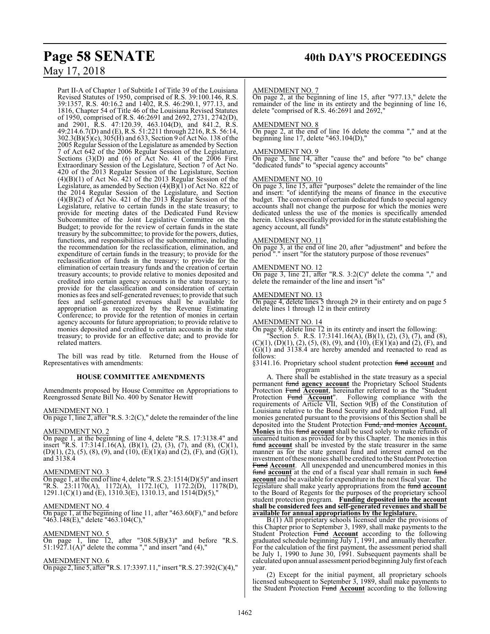Part II-A of Chapter 1 of Subtitle I of Title 39 of the Louisiana Revised Statutes of 1950, comprised of R.S. 39:100.146, R.S. 39:1357, R.S. 40:16.2 and 1402, R.S. 46:290.1, 977.13, and 1816, Chapter 54 of Title 46 of the Louisiana Revised Statutes of 1950, comprised of R.S. 46:2691 and 2692, 2731, 2742(D), and 2901, R.S. 47:120.39, 463.104(D), and 841.2, R.S. 49:214.6.7(D) and (E), R.S. 51:2211 through 2216, R.S. 56:14, 302.3(B)(5)(c), 305(H) and 633, Section 9 of Act No. 138 ofthe 2005 Regular Session of the Legislature as amended by Section 7 of Act 642 of the 2006 Regular Session of the Legislature, Sections (3)(D) and (6) of Act No. 41 of the 2006 First Extraordinary Session of the Legislature, Section 7 of Act No. 420 of the 2013 Regular Session of the Legislature, Section  $(4)(B)(1)$  of Act No. 421 of the 2013 Regular Session of the Legislature, as amended by Section  $(4)(B)(1)$  of Act No. 822 of the 2014 Regular Session of the Legislature, and Section (4)(B)(2) of Act No. 421 of the 2013 Regular Session of the Legislature, relative to certain funds in the state treasury; to provide for meeting dates of the Dedicated Fund Review Subcommittee of the Joint Legislative Committee on the Budget; to provide for the review of certain funds in the state treasury by the subcommittee; to provide for the powers, duties, functions, and responsibilities of the subcommittee, including the recommendation for the reclassification, elimination, and expenditure of certain funds in the treasury; to provide for the reclassification of funds in the treasury; to provide for the elimination of certain treasury funds and the creation of certain treasury accounts; to provide relative to monies deposited and credited into certain agency accounts in the state treasury; to provide for the classification and consideration of certain monies as fees and self-generated revenues; to provide that such fees and self-generated revenues shall be available for appropriation as recognized by the Revenue Estimating Conference; to provide for the retention of monies in certain agency accounts for future appropriation; to provide relative to monies deposited and credited to certain accounts in the state treasury; to provide for an effective date; and to provide for related matters.

The bill was read by title. Returned from the House of Representatives with amendments:

### **HOUSE COMMITTEE AMENDMENTS**

Amendments proposed by House Committee on Appropriations to Reengrossed Senate Bill No. 400 by Senator Hewitt

### AMENDMENT NO. 1

On page 1, line 2, after "R.S. 3:2(C)," delete the remainder of the line

### AMENDMENT NO. 2

On page 1, at the beginning of line 4, delete "R.S. 17:3138.4" and insert <sup>"</sup>R.S. 17:3141.16(A), (B)(1), (2), (3), (7), and (8), (C)(1),  $(D)(1), (2), (5), (8), (9),$  and  $(10), (E)(1)(a)$  and  $(2), (F),$  and  $(G)(1),$ and 3138.4

### AMENDMENT NO. 3

On page 1, at the end of line 4, delete "R.S.  $23:1514(D)(5)$ " and insert "R.S. 23:1170(A), 1172(A), 1172.1(C), 1172.2(D), 1178(D),  $1291.1(C)(1)$  and (E),  $1310.3(E)$ ,  $1310.13$ , and  $1514(D)(5)$ ,"

### AMENDMENT NO. 4

On page 1, at the beginning of line 11, after "463.60(F)," and before "463.148(E)," delete "463.104(C),"

### AMENDMENT NO. 5

On page 1, line 12, after "308.5 $(B)(3)$ " and before "R.S. 51:1927.1(A)" delete the comma "," and insert "and (4),"

### AMENDMENT NO. 6

On page 2, line 5, after "R.S. 17:3397.11," insert "R.S. 27:392(C)(4),"

### AMENDMENT NO. 7

On page 2, at the beginning of line 15, after "977.13," delete the remainder of the line in its entirety and the beginning of line 16, delete "comprised of R.S. 46:2691 and 2692,

### AMENDMENT NO. 8

On page 2, at the end of line 16 delete the comma "," and at the beginning line 17, delete "463.104(D),"

### AMENDMENT NO. 9

On page 3, line 14, after "cause the" and before "to be" change "dedicated funds" to "special agency accounts"

### AMENDMENT NO. 10

On page 3, line 15, after "purposes" delete the remainder of the line and insert: "of identifying the means of finance in the executive budget. The conversion of certain dedicated funds to special agency accounts shall not change the purpose for which the monies were dedicated unless the use of the monies is specifically amended herein. Unless specifically provided for in the statute establishing the agency account, all funds"

### AMENDMENT NO. 11

On page 3, at the end of line 20, after "adjustment" and before the period "." insert "for the statutory purpose of those revenues"

### AMENDMENT NO. 12

On page 3, line 21, after "R.S. 3:2(C)" delete the comma "," and delete the remainder of the line and insert "is"

### AMENDMENT NO. 13

On page 4, delete lines 5 through 29 in their entirety and on page 5 delete lines 1 through 12 in their entirety

### AMENDMENT NO. 14

On page 9, delete line 12 in its entirety and insert the following:

"Section 5. R.S. 17:3141.16(A), (B)(1), (2), (3), (7), and (8),  $(C)(1)$ ,  $(D)(1)$ ,  $(2)$ ,  $(5)$ ,  $(8)$ ,  $(9)$ , and  $(10)$ ,  $(E)(1)(a)$  and  $(2)$ ,  $(F)$ , and (G)(1) and 3138.4 are hereby amended and reenacted to read as follows:

§3141.16. Proprietary school student protection fund **account** and program

A. There shall be established in the state treasury as a special permanent fund **agency account** the Proprietary School Students Protection Fund **Account**, hereinafter referred to as the "Student Protection Fund **Account**". Following compliance with the requirements of Article VII, Section 9(B) of the Constitution of Louisiana relative to the Bond Security and Redemption Fund, all monies generated pursuant to the provisions of this Section shall be deposited into the Student Protection Fund, and monies **Account. Monies** in this fund **account** shall be used solely to make refunds of unearned tuition as provided for by this Chapter. The monies in this fund **account** shall be invested by the state treasurer in the same manner as for the state general fund and interest earned on the investment ofthese monies shall be credited to the Student Protection Fund **Account**. All unexpended and unencumbered monies in this fund **account** at the end of a fiscal year shall remain in such fund **account** and be available for expenditure in the next fiscal year. The legislature shall make yearly appropriations from the fund **account** to the Board of Regents for the purposes of the proprietary school student protection program. **Funding deposited into the account shall be considered fees and self-generated revenues and shall be available for annual appropriations by the legislature.**

B.(1) All proprietary schools licensed under the provisions of this Chapter prior to September 3, 1989, shall make payments to the Student Protection Fund **Account** according to the following graduated schedule beginning  $\overline{July 1}$ , 1991, and annually thereafter. For the calculation of the first payment, the assessment period shall be July 1, 1990 to June 30, 1991. Subsequent payments shall be calculated upon annual assessment period beginning July first of each year.

(2) Except for the initial payment, all proprietary schools licensed subsequent to September 3, 1989, shall make payments to the Student Protection Fund **Account** according to the following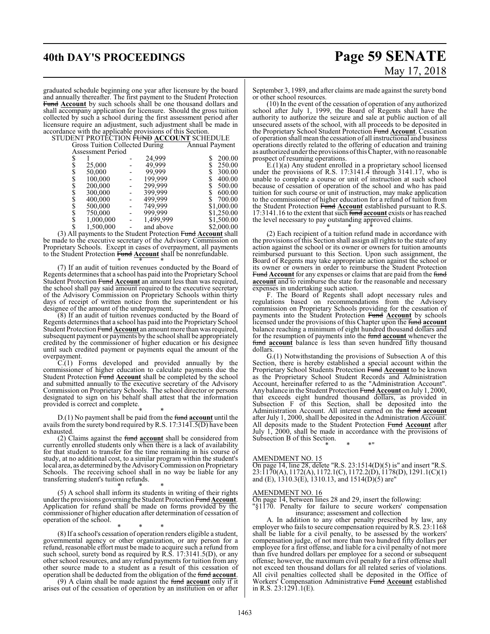**40th DAY'S PROCEEDINGS Page 59 SENATE** May 17, 2018

graduated schedule beginning one year after licensure by the board and annually thereafter. The first payment to the Student Protection Fund **Account** by such schools shall be one thousand dollars and shall accompany application for licensure. Should the gross tuition collected by such a school during the first assessment period after licensure require an adjustment, such adjustment shall be made in accordance with the applicable provisions of this Section.

### STUDENT PROTECTION FUND **ACCOUNT** SCHEDULE

|           |           |                   | Annual Payment                              |
|-----------|-----------|-------------------|---------------------------------------------|
|           |           |                   |                                             |
|           |           | 24,999            | 200.00<br>S                                 |
| 25,000    |           | 49,999            | 250.00<br>\$                                |
| 50,000    |           | 99.999            | \$<br>300.00                                |
| 100,000   |           | 199,999           | 400.00                                      |
| 200,000   |           | 299,999           | 500.00                                      |
| 300,000   |           | 399,999           | 600.00                                      |
| 400,000   |           | 499,999           | 700.00                                      |
| 500,000   |           | 749,999           | \$1,000.00                                  |
| 750,000   |           | 999,999           | \$1,250.00                                  |
|           |           |                   | \$1,500.00                                  |
| 1,500,000 |           | and above         | \$2,000.00                                  |
|           | 1,000,000 | Assessment Period | Gross Tuition Collected During<br>1,499,999 |

(3) All payments to the Student Protection Fund **Account** shall be made to the executive secretary of the Advisory Commission on Proprietary Schools. Except in cases of overpayment, all payments to the Student Protection Fund **Account** shall be nonrefundable.

\* \* \* (7) If an audit of tuition revenues conducted by the Board of Regents determines that a school has paid into the Proprietary School Student Protection Fund **Account** an amount less than was required, the school shall pay said amount required to the executive secretary of the Advisory Commission on Proprietary Schools within thirty days of receipt of written notice from the superintendent or his designee of the amount of the underpayment.

(8) If an audit of tuition revenues conducted by the Board of Regents determines that a school has paid into the Proprietary School Student Protection Fund **Account** an amount more than was required, subsequent payment or payments by the school shall be appropriately credited by the commissioner of higher education or his designee until such credited payment or payments equal the amount of the overpayment.

C.(1) Forms developed and provided annually by the commissioner of higher education to calculate payments due the Student Protection Fund **Account** shall be completed by the school and submitted annually to the executive secretary of the Advisory Commission on Proprietary Schools. The school director or persons designated to sign on his behalf shall attest that the information provided is correct and complete.

\* \* \* D.(1) No payment shall be paid from the fund **account** until the avails from the surety bond required by R.S.  $17:314\overline{1.5(D)}$  have been exhausted.

(2) Claims against the fund **account** shall be considered from currently enrolled students only when there is a lack of availability for that student to transfer for the time remaining in his course of study, at no additional cost, to a similar program within the student's local area, as determined by the AdvisoryCommission on Proprietary Schools. The receiving school shall in no way be liable for any transferring student's tuition refunds. \* \* \*

(5) A school shall inform its students in writing of their rights under the provisions governing the Student Protection Fund **Account**. Application for refund shall be made on forms provided by the commissioner of higher education after determination of cessation of operation of the school.

\* \* \* (8) If a school's cessation of operation renders eligible a student, governmental agency or other organization, or any person for a refund, reasonable effort must be made to acquire such a refund from such school, surety bond as required by R.S. 17:3141.5(D), or any other school resources, and any refund payments for tuition from any other source made to a student as a result of this cessation of operation shall be deducted from the obligation of the fund **account**.

(9) A claim shall be made against the fund **account** only if it arises out of the cessation of operation by an institution on or after

September 3, 1989, and after claims are made against the surety bond or other school resources.

(10) In the event of the cessation of operation of any authorized school after July 1, 1999, the Board of Regents shall have the authority to authorize the seizure and sale at public auction of all unsecured assets of the school, with all proceeds to be deposited in the Proprietary School Student Protection Fund **Account**. Cessation of operation shall mean the cessation of all instructional and business operations directly related to the offering of education and training as authorized under the provisions ofthis Chapter, with no reasonable prospect of resuming operations.

E.(1)(a) Any student enrolled in a proprietary school licensed under the provisions of R.S. 17:3141.4 through 3141.17, who is unable to complete a course or unit of instruction at such school because of cessation of operation of the school and who has paid tuition for such course or unit of instruction, may make application to the commissioner of higher education for a refund of tuition from the Student Protection Fund **Account** established pursuant to R.S. 17:3141.16 to the extent that such fund **account** exists or has reached the level necessary to pay outstanding approved claims.

\* \* \*

(2) Each recipient of a tuition refund made in accordance with the provisions of this Section shall assign all rights to the state of any action against the school or its owner or owners for tuition amounts reimbursed pursuant to this Section. Upon such assignment, the Board of Regents may take appropriate action against the school or its owner or owners in order to reimburse the Student Protection Fund **Account** for any expenses or claims that are paid from the fund **account** and to reimburse the state for the reasonable and necessary expenses in undertaking such action.

F. The Board of Regents shall adopt necessary rules and regulations based on recommendations from the Advisory commission on Proprietary Schools providing for the cessation of payments into the Student Protection Fund **Account** by schools licensed under the provisions of this Chapter upon the fund **account** balance reaching a minimum of eight hundred thousand dollars and for the resumption of payments into the fund **account** whenever the fund **account** balance is less than seven hundred fifty thousand dollars.

G.(1) Notwithstanding the provisions of Subsection A of this Section, there is hereby established a special account within the Proprietary School Students Protection Fund **Account** to be known as the Proprietary School Student Records and Administration Account, hereinafter referred to as the "Administration Account". Any balance in the Student Protection Fund **Account** on July 1, 2000, that exceeds eight hundred thousand dollars, as provided in Subsection F of this Section, shall be deposited into the Administration Account. All interest earned on the fund **account** after July 1, 2000, shall be deposited in the Administration Account. All deposits made to the Student Protection Fund **Account** after July 1, 2000, shall be made in accordance with the provisions of Subsection B of this Section.

\* \* \*"

### AMENDMENT NO. 15

On page 14, line 28, delete "R.S. 23:1514(D)(5) is" and insert "R.S. 23:1170(A), 1172(A), 1172.1(C), 1172.2(D), 1178(D), 1291.1(C)(1) and (E),  $1310.3(E)$ ,  $1310.13$ , and  $1514(D)(5)$  are"

### AMENDMENT NO. 16

On page 14, between lines 28 and 29, insert the following:

"§1170. Penalty for failure to secure workers' compensation insurance; assessment and collection

A. In addition to any other penalty prescribed by law, any employer who fails to secure compensation required byR.S. 23:1168 shall be liable for a civil penalty, to be assessed by the workers' compensation judge, of not more than two hundred fifty dollars per employee for a first offense, and liable for a civil penalty of not more than five hundred dollars per employee for a second or subsequent offense; however, the maximum civil penalty for a first offense shall not exceed ten thousand dollars for all related series of violations. All civil penalties collected shall be deposited in the Office of Workers' Compensation Administrative Fund **Account** established in R.S. 23:1291.1(E).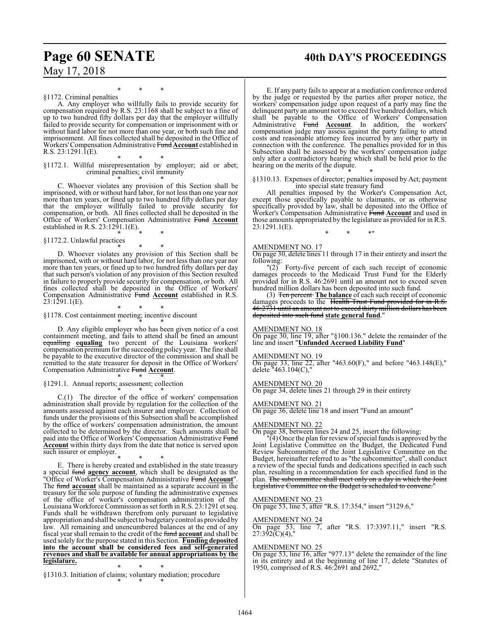## **Page 60 SENATE 40th DAY'S PROCEEDINGS**

\* \* \* §1172. Criminal penalties

A. Any employer who willfully fails to provide security for compensation required by R.S. 23:1168 shall be subject to a fine of up to two hundred fifty dollars per day that the employer willfully failed to provide security for compensation or imprisonment with or without hard labor for not more than one year, or both such fine and imprisonment. All fines collected shall be deposited in the Office of Workers'Compensation Administrative Fund **Account** established in R.S. 23:1291.1(E).

\* \* \* §1172.1. Willful misrepresentation by employer; aid or abet; criminal penalties; civil immunity

\* \* \* C. Whoever violates any provision of this Section shall be imprisoned, with or without hard labor, for not less than one year nor more than ten years, or fined up to two hundred fifty dollars per day that the employer willfully failed to provide security for compensation, or both. All fines collected shall be deposited in the Office of Workers' Compensation Administrative Fund **Account** established in R.S. 23:1291.1(E). \* \* \*

§1172.2. Unlawful practices

\* \* \* D. Whoever violates any provision of this Section shall be imprisoned, with or without hard labor, for not less than one year nor more than ten years, or fined up to two hundred fifty dollars per day that such person's violation of any provision of this Section resulted in failure to properly provide security for compensation, or both. All fines collected shall be deposited in the Office of Workers' Compensation Administrative Fund **Account** established in R.S. 23:1291.1(E).

\* \* \* §1178. Cost containment meeting; incentive discount \* \* \*

D. Any eligible employer who has been given notice of a cost containment meeting, and fails to attend shall be fined an amount equalling **equaling** two percent of the Louisiana workers' compensation premium for the succeeding policy year. The fine shall be payable to the executive director of the commission and shall be remitted to the state treasurer for deposit in the Office of Workers' Compensation Administrative Fund **Account**. \* \* \*

§1291.1. Annual reports; assessment; collection

\* \* \* C.(1) The director of the office of workers' compensation administration shall provide by regulation for the collection of the amounts assessed against each insurer and employer. Collection of funds under the provisions of this Subsection shall be accomplished by the office of workers' compensation administration, the amount collected to be determined by the director. Such amounts shall be paid into the Office of Workers' Compensation Administrative Fund **Account** within thirty days from the date that notice is served upon such insurer or employer.

\* \* \* E. There is hereby created and established in the state treasury a special fund **agency account**, which shall be designated as the "Office of Worker's Compensation Administrative Fund **Account**". The fund **account** shall be maintained as a separate account in the treasury for the sole purpose of funding the administrative expenses of the office of worker's compensation administration of the Louisiana Workforce Commission as set forth in R.S. 23:1291 et seq. Funds shall be withdrawn therefrom only pursuant to legislative appropriation and shall be subject to budgetary control as provided by law. All remaining and unencumbered balances at the end of any fiscal year shall remain to the credit of the fund **account** and shall be used solely for the purpose stated in this Section. **Funding deposited into the account shall be considered fees and self-generated revenues and shall be available for annual appropriations by the legislature.**

\* \* \* §1310.3. Initiation of claims; voluntary mediation; procedure \* \* \*

E. If any party fails to appear at a mediation conference ordered by the judge or requested by the parties after proper notice, the workers' compensation judge upon request of a party may fine the delinquent party an amount not to exceed five hundred dollars, which shall be payable to the Office of Workers' Compensation Administrative Fund **Account**. In addition, the workers' compensation judge may assess against the party failing to attend costs and reasonable attorney fees incurred by any other party in connection with the conference. The penalties provided for in this Subsection shall be assessed by the workers' compensation judge only after a contradictory hearing which shall be held prior to the hearing on the merits of the dispute.

\* \* \* §1310.13. Expenses of director; penalties imposed by Act; payment into special state treasury fund

All penalties imposed by the Worker's Compensation Act, except those specifically payable to claimants, or as otherwise specifically provided by law, shall be deposited into the Office of Worker's Compensation Administrative Fund **Account** and used in those amounts appropriated by the legislature as provided for in R.S. 23:1291.1(E).

\* \* \*"

### AMENDMENT NO. 17

On page 30, delete lines 11 through 17 in their entirety and insert the following:

"(2) Forty-five percent of each such receipt of economic damages proceeds to the Medicaid Trust Fund for the Elderly provided for in R.S. 46:2691 until an amount not to exceed seven hundred million dollars has been deposited into such fund.

(3) Ten percent **The balance** of each such receipt of economic damages proceeds to the Health Trust Fund provided for in R.S. 46:2731 until an amount not to exceed thirty million dollars has been deposited into such fund **state general fund**."

### AMENDMENT NO. 18

On page 30, line 19, after "§100.136." delete the remainder of the line and insert "**Unfunded Accrued Liability Fund**"

### AMENDMENT NO. 19

On page 33, line 22, after "463.60(F)," and before "463.148(E)," delete "463.104(C),"

AMENDMENT NO. 20

On page 34, delete lines 21 through 29 in their entirety

### AMENDMENT NO. 21

On page 36, delete line 18 and insert "Fund an amount"

### AMENDMENT NO. 22

On page 38, between lines 24 and 25, insert the following:

 $\mathbb{P}(4)$  Once the plan for review of special funds is approved by the Joint Legislative Committee on the Budget, the Dedicated Fund Review Subcommittee of the Joint Legislative Committee on the Budget, hereinafter referred to as "the subcommittee", shall conduct a review of the special funds and dedications specified in each such plan, resulting in a recommendation for each specified fund in the plan. <del>The subcommittee shall meet only on a day in which the Joint</del> egislative Committee on the Budget is scheduled to convene.

### AMENDMENT NO. 23

On page 53, line 5, after "R.S. 17:354," insert "3129.6,"

### AMENDMENT NO. 24

On page 53, line 7, after "R.S. 17:3397.11," insert "R.S. 27:392(C)(4),"

### AMENDMENT NO. 25

On page 53, line 16, after "977.13" delete the remainder of the line in its entirety and at the beginning of line 17, delete "Statutes of 1950, comprised of R.S. 46:2691 and 2692,"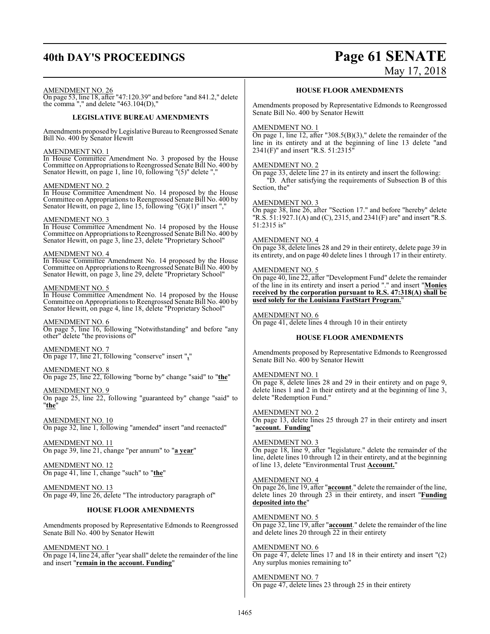## **40th DAY'S PROCEEDINGS Page 61 SENATE** May 17, 2018

### AMENDMENT NO. 26

On page 53, line 18, after "47:120.39" and before "and 841.2," delete the comma "," and delete "463.104(D),"

### **LEGISLATIVE BUREAU AMENDMENTS**

Amendments proposed by Legislative Bureau to Reengrossed Senate Bill No. 400 by Senator Hewitt

### AMENDMENT NO. 1

In House Committee Amendment No. 3 proposed by the House Committee on Appropriations to Reengrossed Senate Bill No. 400 by Senator Hewitt, on page 1, line 10, following " $(5)$ " delete ",

### AMENDMENT NO. 2

In House Committee Amendment No. 14 proposed by the House Committee on Appropriations to Reengrossed Senate Bill No. 400 by Senator Hewitt, on page 2, line 15, following "(G)(1)" insert ","

### AMENDMENT NO. 3

In House Committee Amendment No. 14 proposed by the House Committee on Appropriations to Reengrossed Senate Bill No. 400 by Senator Hewitt, on page 3, line 23, delete "Proprietary School"

### AMENDMENT NO. 4

In House Committee Amendment No. 14 proposed by the House Committee on Appropriations to Reengrossed Senate Bill No. 400 by Senator Hewitt, on page 3, line 29, delete "Proprietary School"

### AMENDMENT NO. 5

In House Committee Amendment No. 14 proposed by the House Committee on Appropriations to Reengrossed Senate Bill No. 400 by Senator Hewitt, on page 4, line 18, delete "Proprietary School"

AMENDMENT NO. 6 On page 5, line 16, following "Notwithstanding" and before "any other" delete "the provisions of"

AMENDMENT NO. 7 On page 17, line 21, following "conserve" insert "**,**"

AMENDMENT NO. 8 On page 25, line 22, following "borne by" change "said" to "**the**"

AMENDMENT NO. 9

On page 25, line 22, following "guaranteed by" change "said" to "**the**"

AMENDMENT NO. 10 On page 32, line 1, following "amended" insert "and reenacted"

AMENDMENT NO. 11 On page 39, line 21, change "per annum" to "**a year**"

AMENDMENT NO. 12 On page 41, line 1, change "such" to "**the**"

AMENDMENT NO. 13 On page 49, line 26, delete "The introductory paragraph of"

### **HOUSE FLOOR AMENDMENTS**

Amendments proposed by Representative Edmonds to Reengrossed Senate Bill No. 400 by Senator Hewitt

AMENDMENT NO. 1

On page 14, line 24, after "year shall" delete the remainder of the line and insert "**remain in the account. Funding**"

### **HOUSE FLOOR AMENDMENTS**

Amendments proposed by Representative Edmonds to Reengrossed Senate Bill No. 400 by Senator Hewitt

### AMENDMENT NO. 1

On page 1, line 12, after "308.5(B)(3)," delete the remainder of the line in its entirety and at the beginning of line 13 delete "and 2341(F)" and insert "R.S. 51:2315"

### AMENDMENT NO. 2

On page 33, delete line 27 in its entirety and insert the following: "D. After satisfying the requirements of Subsection B of this Section, the"

### AMENDMENT NO. 3

On page 38, line 26, after "Section 17." and before "hereby" delete "R.S. 51:1927.1(A) and (C), 2315, and 2341(F) are" and insert "R.S. 51:2315 is"

### AMENDMENT NO. 4

On page 38, delete lines 28 and 29 in their entirety, delete page 39 in its entirety, and on page 40 delete lines 1 through 17 in their entirety.

### AMENDMENT NO. 5

On page 40, line 22, after "Development Fund" delete the remainder of the line in its entirety and insert a period "." and insert "**Monies received by the corporation pursuant to R.S. 47:318(A) shall be used solely for the Louisiana FastStart Program.**"

### AMENDMENT NO. 6

On page 41, delete lines 4 through 10 in their entirety

### **HOUSE FLOOR AMENDMENTS**

Amendments proposed by Representative Edmonds to Reengrossed Senate Bill No. 400 by Senator Hewitt

### AMENDMENT NO. 1

On page 8, delete lines 28 and 29 in their entirety and on page 9, delete lines 1 and 2 in their entirety and at the beginning of line 3, delete "Redemption Fund."

### AMENDMENT NO. 2

On page 13, delete lines 25 through 27 in their entirety and insert "**account. Funding**"

### AMENDMENT NO. 3

On page 18, line 9, after "legislature." delete the remainder of the line, delete lines 10 through 12 in their entirety, and at the beginning of line 13, delete "Environmental Trust **Account.**"

### AMENDMENT NO. 4

On page 26, line 19, after "**account**." delete the remainder of the line, delete lines 20 through 23 in their entirety, and insert "**Funding deposited into the**"

### AMENDMENT NO. 5

On page 32, line 19, after "**account**." delete the remainder of the line and delete lines 20 through 22 in their entirety

### AMENDMENT NO. 6 On page 47, delete lines 17 and 18 in their entirety and insert "(2) Any surplus monies remaining to"

AMENDMENT NO. 7 On page 47, delete lines 23 through 25 in their entirety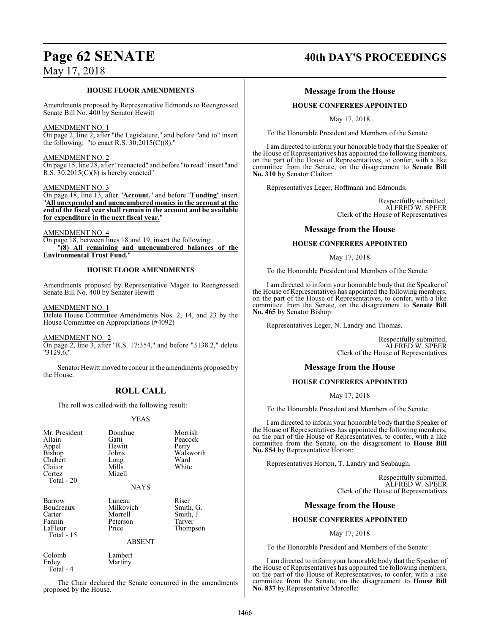### **HOUSE FLOOR AMENDMENTS**

Amendments proposed by Representative Edmonds to Reengrossed Senate Bill No. 400 by Senator Hewitt

### AMENDMENT NO. 1

On page 2, line 2, after "the Legislature," and before "and to" insert the following: "to enact R.S.  $30:2015(C)(8)$ ,"

### AMENDMENT NO. 2

On page 15, line 28, after "reenacted" and before "to read" insert "and R.S.  $30:2015(C)(8)$  is hereby enacted"

### AMENDMENT NO. 3

On page 18, line 13, after "**Account.**" and before "**Funding**" insert "**All unexpended and unencumbered monies in the account at the end of the fiscal year shall remain in the account and be available for expenditure in the next fiscal year.**"

### AMENDMENT NO. 4

On page 18, between lines 18 and 19, insert the following: "**(8) All remaining and unencumbered balances of the Environmental Trust Fund.**"

### **HOUSE FLOOR AMENDMENTS**

Amendments proposed by Representative Magee to Reengrossed Senate Bill No. 400 by Senator Hewitt

AMENDMENT NO. 1

Delete House Committee Amendments Nos. 2, 14, and 23 by the House Committee on Appropriations (#4092)

AMENDMENT NO. 2

On page 2, line 3, after "R.S. 17:354," and before "3138.2," delete "3129.6,"

Senator Hewitt moved to concur in the amendments proposed by the House.

### **ROLL CALL**

The roll was called with the following result:

### YEAS

| Mr. President<br>Allain<br>Appel<br><b>Bishop</b><br>Chabert<br>Claitor<br>Cortez<br>Total $-20$ | Donahue<br>Gatti<br>Hewitt<br>Johns<br>Long<br>Mills<br>Mizell<br><b>NAYS</b> | Morrish<br>Peacock<br>Perry<br>Walsworth<br>Ward<br>White |
|--------------------------------------------------------------------------------------------------|-------------------------------------------------------------------------------|-----------------------------------------------------------|
| Barrow<br>Boudreaux<br>Carter<br>Fannin<br>LaFleur<br>Total - 15                                 | Luneau<br>Milkovich<br>Morrell<br>Peterson<br>Price<br><b>ABSENT</b>          | Riser<br>Smith, G.<br>Smith, J.<br>Tarver<br>Thompson     |
| Colomb<br>Erdev                                                                                  | Lambert<br>Martiny                                                            |                                                           |

Total - 4

The Chair declared the Senate concurred in the amendments proposed by the House.

### **Page 62 SENATE 40th DAY'S PROCEEDINGS**

### **Message from the House**

### **HOUSE CONFEREES APPOINTED**

May 17, 2018

To the Honorable President and Members of the Senate:

I am directed to inform your honorable body that the Speaker of the House of Representatives has appointed the following members, on the part of the House of Representatives, to confer, with a like committee from the Senate, on the disagreement to **Senate Bill No. 310** by Senator Claitor:

Representatives Leger, Hoffmann and Edmonds.

Respectfully submitted, ALFRED W. SPEER Clerk of the House of Representatives

### **Message from the House**

### **HOUSE CONFEREES APPOINTED**

### May 17, 2018

To the Honorable President and Members of the Senate:

I am directed to inform your honorable body that the Speaker of the House of Representatives has appointed the following members, on the part of the House of Representatives, to confer, with a like committee from the Senate, on the disagreement to **Senate Bill No. 465** by Senator Bishop:

Representatives Leger, N. Landry and Thomas.

Respectfully submitted, ALFRED W. SPEER Clerk of the House of Representatives

### **Message from the House**

### **HOUSE CONFEREES APPOINTED**

May 17, 2018

To the Honorable President and Members of the Senate:

I am directed to inform your honorable body that the Speaker of the House of Representatives has appointed the following members, on the part of the House of Representatives, to confer, with a like committee from the Senate, on the disagreement to **House Bill No. 854** by Representative Horton:

Representatives Horton, T. Landry and Seabaugh.

Respectfully submitted, ALFRED W. SPEER Clerk of the House of Representatives

### **Message from the House**

### **HOUSE CONFEREES APPOINTED**

May 17, 2018

To the Honorable President and Members of the Senate:

I am directed to inform your honorable body that the Speaker of the House of Representatives has appointed the following members, on the part of the House of Representatives, to confer, with a like committee from the Senate, on the disagreement to **House Bill No. 837** by Representative Marcelle: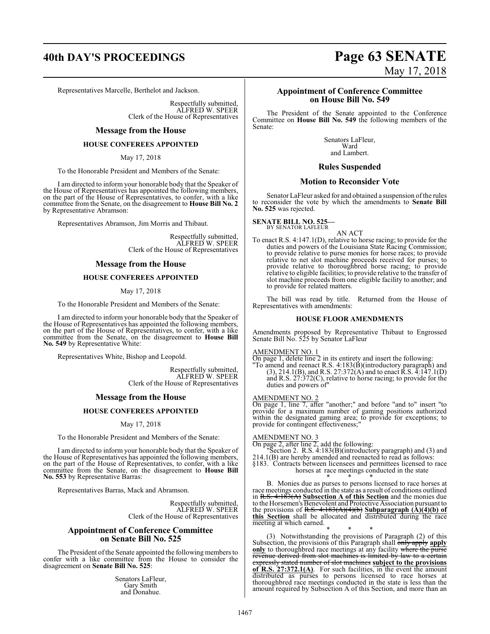### **40th DAY'S PROCEEDINGS Page 63 SENATE**

Representatives Marcelle, Berthelot and Jackson.

Respectfully submitted, ALFRED W. SPEER Clerk of the House of Representatives

### **Message from the House**

### **HOUSE CONFEREES APPOINTED**

May 17, 2018

To the Honorable President and Members of the Senate:

I am directed to inform your honorable body that the Speaker of the House of Representatives has appointed the following members, on the part of the House of Representatives, to confer, with a like committee from the Senate, on the disagreement to **House Bill No. 2** by Representative Abramson:

Representatives Abramson, Jim Morris and Thibaut.

Respectfully submitted, ALFRED W. SPEER Clerk of the House of Representatives

### **Message from the House**

### **HOUSE CONFEREES APPOINTED**

May 17, 2018

To the Honorable President and Members of the Senate:

I am directed to inform your honorable body that the Speaker of the House of Representatives has appointed the following members, on the part of the House of Representatives, to confer, with a like committee from the Senate, on the disagreement to **House Bill No. 549** by Representative White:

Representatives White, Bishop and Leopold.

Respectfully submitted, ALFRED W. SPEER Clerk of the House of Representatives

### **Message from the House**

### **HOUSE CONFEREES APPOINTED**

May 17, 2018

To the Honorable President and Members of the Senate:

I am directed to inform your honorable body that the Speaker of the House of Representatives has appointed the following members, on the part of the House of Representatives, to confer, with a like committee from the Senate, on the disagreement to **House Bill No. 553** by Representative Barras:

Representatives Barras, Mack and Abramson.

Respectfully submitted, ALFRED W. SPEER Clerk of the House of Representatives

### **Appointment of Conference Committee on Senate Bill No. 525**

The President of the Senate appointed the following members to confer with a like committee from the House to consider the disagreement on **Senate Bill No. 525**:

> Senators LaFleur, Gary Smith and Donahue.

# May 17, 2018

### **Appointment of Conference Committee on House Bill No. 549**

The President of the Senate appointed to the Conference Committee on **House Bill No. 549** the following members of the Senate:

> Senators LaFleur, Ward and Lambert.

### **Rules Suspended**

### **Motion to Reconsider Vote**

Senator LaFleur asked for and obtained a suspension of the rules to reconsider the vote by which the amendments to **Senate Bill No. 525** was rejected.

**SENATE BILL NO. 525—** BY SENATOR LAFLEUR

AN ACT

To enact R.S. 4:147.1(D), relative to horse racing; to provide for the duties and powers of the Louisiana State Racing Commission; to provide relative to purse monies for horse races; to provide relative to net slot machine proceeds received for purses; to provide relative to thoroughbred horse racing; to provide relative to eligible facilities; to provide relative to the transfer of slot machine proceeds from one eligible facility to another; and to provide for related matters.

The bill was read by title. Returned from the House of Representatives with amendments:

### **HOUSE FLOOR AMENDMENTS**

Amendments proposed by Representative Thibaut to Engrossed Senate Bill No. 525 by Senator LaFleur

### AMENDMENT NO. 1

On page 1, delete line 2 in its entirety and insert the following:

"To amend and reenact R.S. 4:183(B)(introductory paragraph) and  $(3)$ , 214.1(B), and R.S. 27:372(A) and to enact R.S. 4:147.1(D) and R.S. 27:372(C), relative to horse racing; to provide for the duties and powers of"

### AMENDMENT NO. 2

On page 1, line 7, after "another;" and before "and to" insert "to provide for a maximum number of gaming positions authorized within the designated gaming area; to provide for exceptions; to provide for contingent effectiveness;"

### AMENDMENT NO. 3

On page 2, after line 2, add the following:

"Section 2. R.S. 4:183(B)(introductory paragraph) and (3) and 214.1(B) are hereby amended and reenacted to read as follows:

§183. Contracts between licensees and permittees licensed to race horses at race meetings conducted in the state

\* \* \* B. Monies due as purses to persons licensed to race horses at race meetings conducted in the state as a result of conditions outlined in R.S. 4:183(A) **Subsection A of this Section** and the monies due to the Horsemen's Benevolent and Protective Association pursuant to the provisions of R.S. 4:183(A)(4)(b) **Subparagraph (A)(4)(b) of this Section** shall be allocated and distributed during the race meeting at which earned.

\* \* \* (3) Notwithstanding the provisions of Paragraph (2) of this Subsection, the provisions of this Paragraph shall only apply apply **only** to thoroughbred race meetings at any facility where the purse revenue derived from slot machines is limited by law to a certain expressly stated number of slot machines **subject to the provisions of R.S. 27:372.1(A)**. For such facilities, in the event the amount distributed as purses to persons licensed to race horses at thoroughbred race meetings conducted in the state is less than the amount required by Subsection A of this Section, and more than an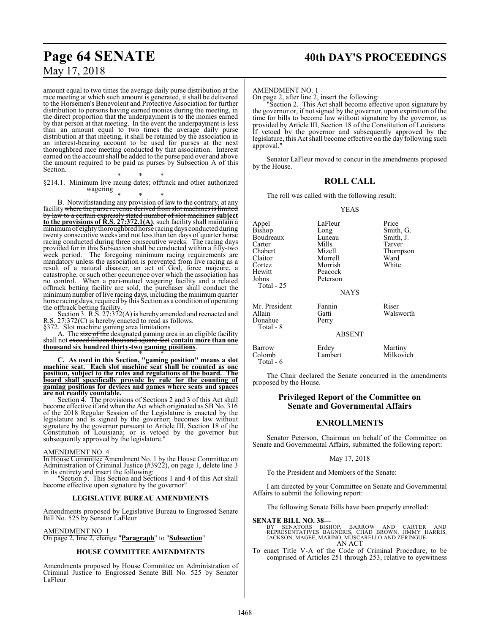amount equal to two times the average daily purse distribution at the race meeting at which such amount is generated, it shall be delivered to the Horsemen's Benevolent and Protective Association for further distribution to persons having earned monies during the meeting, in the direct proportion that the underpayment is to the monies earned by that person at that meeting. In the event the underpayment is less than an amount equal to two times the average daily purse distribution at that meeting, it shall be retained by the association in an interest-bearing account to be used for purses at the next thoroughbred race meeting conducted by that association. Interest earned on the account shall be added to the purse paid over and above the amount required to be paid as purses by Subsection A of this Section.

\* \* \* §214.1. Minimum live racing dates; offtrack and other authorized wagering

### \* \* \* B. Notwithstanding any provision of law to the contrary, at any facility where the purse revenue derived from slot machines is limited by law to a certain expressly stated number of slot machines **subject to the provisions of R.S. 27:372.1(A)**, such facility shall maintain a minimumof eighty thoroughbred horse racing days conducted during twenty consecutive weeks and not less than ten days of quarter horse racing conducted during three consecutive weeks. The racing days provided for in this Subsection shall be conducted within a fifty-two week period. The foregoing minimum racing requirements are mandatory unless the association is prevented from live racing as a result of a natural disaster, an act of God, force majeure, a catastrophe, or such other occurrence over which the association has no control. When a pari-mutuel wagering facility and a related offtrack betting facility are sold, the purchaser shall conduct the minimum number of live racing days, including the minimum quarter horse racing days, required by this Section as a condition of operating the offtrack betting facility.

Section 3. R.S. 27:372(A) is hereby amended and reenacted and R.S. 27:372(C) is hereby enacted to read as follows.

§372. Slot machine gaming area limitations

A. The size of the designated gaming area in an eligible facility shall not exceed fifteen thousand square feet **contain more than one thousand six hundred thirty-two gaming positions**. \* \* \*

**C. As used in this Section, "gaming position" means a slot machine seat. Each slot machine seat shall be counted as one position, subject to the rules and regulations of the board. The board shall specifically provide by rule for the counting of gaming positions for devices and games where seats and spaces are not readily countable.**

Section 4. The provisions of Sections 2 and 3 of this Act shall become effective if and when the Act which originated as SB No. 316 of the 2018 Regular Session of the Legislature is enacted by the legislature and is signed by the governor; becomes law without signature by the governor pursuant to Article III, Section 18 of the Constitution of Louisiana; or is vetoed by the governor but subsequently approved by the legislature."

### AMENDMENT NO. 4

In House Committee Amendment No. 1 by the House Committee on Administration of Criminal Justice (#3922), on page 1, delete line 3 in its entirety and insert the following:

'Section 5. This Section and Sections 1 and 4 of this Act shall become effective upon signature by the governor"

### **LEGISLATIVE BUREAU AMENDMENTS**

Amendments proposed by Legislative Bureau to Engrossed Senate Bill No. 525 by Senator LaFleur

AMENDMENT NO. 1

On page 2, line 2, change "**Paragraph**" to "**Subsection**"

### **HOUSE COMMITTEE AMENDMENTS**

Amendments proposed by House Committee on Administration of Criminal Justice to Engrossed Senate Bill No. 525 by Senator LaFleur

## Page 64 SENATE 40th DAY'S PROCEEDINGS

### AMENDMENT NO. 1

On page 2, after line 2, insert the following:

"Section 2. This Act shall become effective upon signature by the governor or, if not signed by the governor, upon expiration of the time for bills to become law without signature by the governor, as provided by Article III, Section 18 of the Constitution of Louisiana. If vetoed by the governor and subsequently approved by the legislature, this Act shall become effective on the day following such approval."

Senator LaFleur moved to concur in the amendments proposed by the House.

### **ROLL CALL**

The roll was called with the following result:

### YEAS

| Appel<br>Bishop<br>Boudreaux<br>Carter<br>Chabert<br>Claitor<br>Cortez<br>Hewitt<br>Johns<br>Total - 25 | LaFleur<br>Long<br>Luneau<br>Mills<br>Mizell<br>Morrell<br>Morrish<br>Peacock<br>Peterson<br><b>NAYS</b> | Price<br>Smith, G.<br>Smith, J.<br>Tarver<br>Thompson<br>Ward<br>White |
|---------------------------------------------------------------------------------------------------------|----------------------------------------------------------------------------------------------------------|------------------------------------------------------------------------|
| Mr. President<br>Allain<br>Donahue<br>Total - 8                                                         | Fannin<br>Gatti<br>Perry<br><b>ABSENT</b>                                                                | Riser<br>Walsworth                                                     |
| Barrow<br>Colomb<br>Total - 6                                                                           | Erdey<br>Lambert                                                                                         | Martiny<br>Milkovich                                                   |

The Chair declared the Senate concurred in the amendments proposed by the House.

### **Privileged Report of the Committee on Senate and Governmental Affairs**

### **ENROLLMENTS**

Senator Peterson, Chairman on behalf of the Committee on Senate and Governmental Affairs, submitted the following report:

### May 17, 2018

To the President and Members of the Senate:

I am directed by your Committee on Senate and Governmental Affairs to submit the following report:

The following Senate Bills have been properly enrolled:

### **SENATE BILL NO. 38—**

BY SENATORS BISHOP, BARROW AND CARTER AND<br>REPRESENTATIVES BAGNÉRIS, CHAD-BROWN, JIMMY-HARRIS,<br>JACKSON, MAGEE, MARINO, MUSCARELLO AND ZERINGUE<br>AN-ACT

To enact Title V-A of the Code of Criminal Procedure, to be comprised of Articles 251 through 253, relative to eyewitness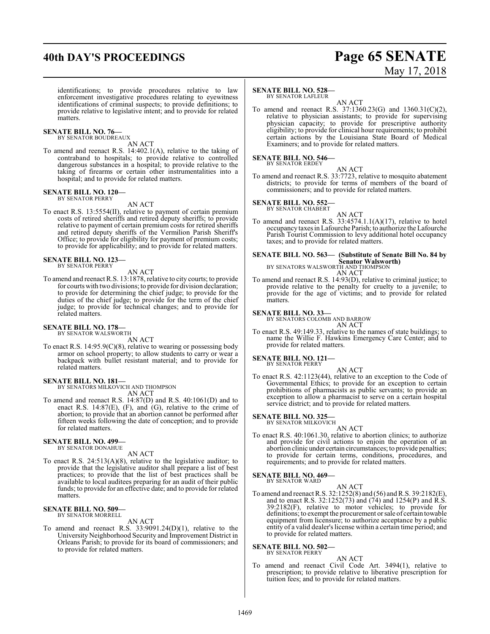## **40th DAY'S PROCEEDINGS Page 65 SENATE**

# May 17, 2018

identifications; to provide procedures relative to law enforcement investigative procedures relating to eyewitness identifications of criminal suspects; to provide definitions; to provide relative to legislative intent; and to provide for related matters.

### **SENATE BILL NO. 76—** BY SENATOR BOUDREAUX

AN ACT

To amend and reenact R.S. 14:402.1(A), relative to the taking of contraband to hospitals; to provide relative to controlled dangerous substances in a hospital; to provide relative to the taking of firearms or certain other instrumentalities into a hospital; and to provide for related matters.

### **SENATE BILL NO. 120—** BY SENATOR PERRY

AN ACT

To enact R.S. 13:5554(II), relative to payment of certain premium costs of retired sheriffs and retired deputy sheriffs; to provide relative to payment of certain premium costs for retired sheriffs and retired deputy sheriffs of the Vermilion Parish Sheriff's Office; to provide for eligibility for payment of premium costs; to provide for applicability; and to provide for related matters.

#### **SENATE BILL NO. 123—** BY SENATOR PERRY

### AN ACT

To amend and reenact R.S. 13:1878, relative to city courts; to provide for courts with two divisions; to provide for division declaration; to provide for determining the chief judge; to provide for the duties of the chief judge; to provide for the term of the chief judge; to provide for technical changes; and to provide for related matters.

### **SENATE BILL NO. 178—**

BY SENATOR WALSWORTH

AN ACT To enact R.S. 14:95.9(C)(8), relative to wearing or possessing body armor on school property; to allow students to carry or wear a backpack with bullet resistant material; and to provide for related matters.

**SENATE BILL NO. 181—** BY SENATORS MILKOVICH AND THOMPSON AN ACT

To amend and reenact R.S. 14:87(D) and R.S. 40:1061(D) and to enact R.S. 14:87(E), (F), and (G), relative to the crime of abortion; to provide that an abortion cannot be performed after fifteen weeks following the date of conception; and to provide for related matters.

#### **SENATE BILL NO. 499—** BY SENATOR DONAHUE

AN ACT

To enact R.S. 24:513(A)(8), relative to the legislative auditor; to provide that the legislative auditor shall prepare a list of best practices; to provide that the list of best practices shall be available to local auditees preparing for an audit of their public funds; to provide for an effective date; and to provide for related matters.

### **SENATE BILL NO. 509—** BY SENATOR MORRELL

AN ACT

To amend and reenact R.S. 33:9091.24(D)(1), relative to the University Neighborhood Security and Improvement District in Orleans Parish; to provide for its board of commissioners; and to provide for related matters.

### **SENATE BILL NO. 528—**

BY SENATOR LAFLEUR

AN ACT To amend and reenact R.S. 37:1360.23(G) and 1360.31(C)(2), relative to physician assistants; to provide for supervising physician capacity; to provide for prescriptive authority eligibility; to provide for clinical hour requirements; to prohibit certain actions by the Louisiana State Board of Medical Examiners; and to provide for related matters.

### **SENATE BILL NO. 546–**<br>BY SENATOR ERDEY

AN ACT

To amend and reenact R.S. 33:7723, relative to mosquito abatement districts; to provide for terms of members of the board of commissioners; and to provide for related matters.

### **SENATE BILL NO. 552-**<br>BY SENATOR CHABERT



AN ACT To amend and reenact R.S.  $33:4574.1.1(A)(17)$ , relative to hotel occupancy taxes in Lafourche Parish; to authorize the Lafourche Parish Tourist Commission to levy additional hotel occupancy taxes; and to provide for related matters.

## **SENATE BILL NO. 563— (Substitute of Senate Bill No. 84 by Senator Walsworth)**<br>BY SENATORS WALSWORTH AND THOMPSON<br>AN ACT

To amend and reenact R.S. 14:93(D), relative to criminal justice; to provide relative to the penalty for cruelty to a juvenile; to provide for the age of victims; and to provide for related matters.

## **SENATE BILL NO. 33—** BY SENATORS COLOMB AND BARROW

AN ACT

To enact R.S. 49:149.33, relative to the names of state buildings; to name the Willie F. Hawkins Emergency Care Center; and to provide for related matters.

**SENATE BILL NO. 121-**<br>BY SENATOR PERRY

AN ACT

To enact R.S. 42:1123(44), relative to an exception to the Code of Governmental Ethics; to provide for an exception to certain prohibitions of pharmacists as public servants; to provide an exception to allow a pharmacist to serve on a certain hospital service district; and to provide for related matters.

## **SENATE BILL NO. 325—** BY SENATOR MILKOVICH

AN ACT

To enact R.S. 40:1061.30, relative to abortion clinics; to authorize and provide for civil actions to enjoin the operation of an abortion clinic under certain circumstances; to provide penalties; to provide for certain terms, conditions, procedures, and requirements; and to provide for related matters.

## **SENATE BILL NO. 469-**<br>BY SENATOR WARD

AN ACT

To amend and reenact R.S. 32:1252(8) and (56) and R.S. 39:2182(E), and to enact R.S.  $32:1252(73)$  and  $(74)$  and  $1254(P)$  and  $\overline{R}$ .S. 39:2182(F), relative to motor vehicles; to provide for definitions; to exempt the procurement or sale of certain towable equipment from licensure; to authorize acceptance by a public entity of a valid dealer's license within a certain time period; and to provide for related matters.

### **SENATE BILL NO. 502—** BY SENATOR PERRY

### AN ACT

To amend and reenact Civil Code Art. 3494(1), relative to prescription; to provide relative to liberative prescription for tuition fees; and to provide for related matters.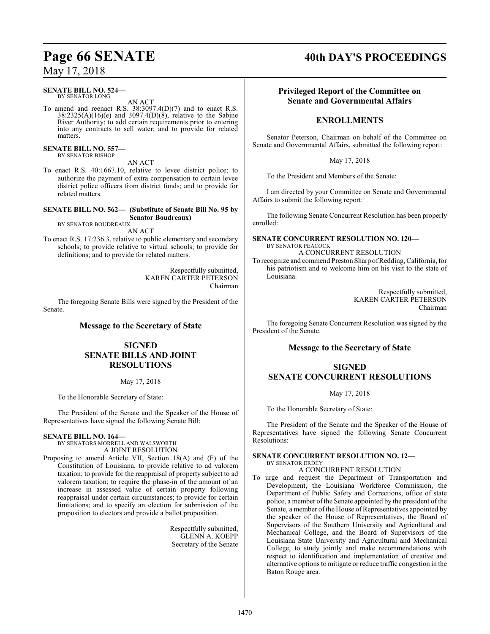### **SENATE BILL NO. 524—**<br>BY SENATOR LONG

AN ACT

To amend and reenact R.S. 38:3097.4(D)(7) and to enact R.S. 38:2325(A)(16)(e) and 3097.4(D)(8), relative to the Sabine River Authority; to add certain requirements prior to entering into any contracts to sell water; and to provide for related matters.

**SENATE BILL NO. 557—** BY SENATOR BISHOP

### AN ACT

To enact R.S. 40:1667.10, relative to levee district police; to authorize the payment of extra compensation to certain levee district police officers from district funds; and to provide for related matters.

### **SENATE BILL NO. 562— (Substitute of Senate Bill No. 95 by Senator Boudreaux)**

BY SENATOR BOUDREAUX AN ACT

To enact R.S. 17:236.3, relative to public elementary and secondary schools; to provide relative to virtual schools; to provide for definitions; and to provide for related matters.

> Respectfully submitted, KAREN CARTER PETERSON Chairman

The foregoing Senate Bills were signed by the President of the Senate.

### **Message to the Secretary of State**

### **SIGNED SENATE BILLS AND JOINT RESOLUTIONS**

May 17, 2018

To the Honorable Secretary of State:

The President of the Senate and the Speaker of the House of Representatives have signed the following Senate Bill:

### **SENATE BILL NO. 164—**

BY SENATORS MORRELL AND WALSWORTH A JOINT RESOLUTION

Proposing to amend Article VII, Section 18(A) and (F) of the Constitution of Louisiana, to provide relative to ad valorem taxation; to provide for the reappraisal of property subject to ad valorem taxation; to require the phase-in of the amount of an increase in assessed value of certain property following reappraisal under certain circumstances; to provide for certain limitations; and to specify an election for submission of the proposition to electors and provide a ballot proposition.

> Respectfully submitted, GLENN A. KOEPP Secretary of the Senate

## **Page 66 SENATE 40th DAY'S PROCEEDINGS**

### **Privileged Report of the Committee on Senate and Governmental Affairs**

### **ENROLLMENTS**

Senator Peterson, Chairman on behalf of the Committee on Senate and Governmental Affairs, submitted the following report:

May 17, 2018

To the President and Members of the Senate:

I am directed by your Committee on Senate and Governmental Affairs to submit the following report:

The following Senate Concurrent Resolution has been properly enrolled:

**SENATE CONCURRENT RESOLUTION NO. 120—** BY SENATOR PEACOCK A CONCURRENT RESOLUTION

To recognize and commend Preston Sharp ofRedding, California, for his patriotism and to welcome him on his visit to the state of Louisiana.

> Respectfully submitted, KAREN CARTER PETERSON Chairman

The foregoing Senate Concurrent Resolution was signed by the President of the Senate.

### **Message to the Secretary of State**

### **SIGNED SENATE CONCURRENT RESOLUTIONS**

May 17, 2018

To the Honorable Secretary of State:

The President of the Senate and the Speaker of the House of Representatives have signed the following Senate Concurrent Resolutions:

### **SENATE CONCURRENT RESOLUTION NO. 12—** BY SENATOR ERDEY

A CONCURRENT RESOLUTION

To urge and request the Department of Transportation and Development, the Louisiana Workforce Commission, the Department of Public Safety and Corrections, office of state police, a member ofthe Senate appointed by the president of the Senate, a member of the House of Representatives appointed by the speaker of the House of Representatives, the Board of Supervisors of the Southern University and Agricultural and Mechanical College, and the Board of Supervisors of the Louisiana State University and Agricultural and Mechanical College, to study jointly and make recommendations with respect to identification and implementation of creative and alternative options to mitigate or reduce traffic congestion in the Baton Rouge area.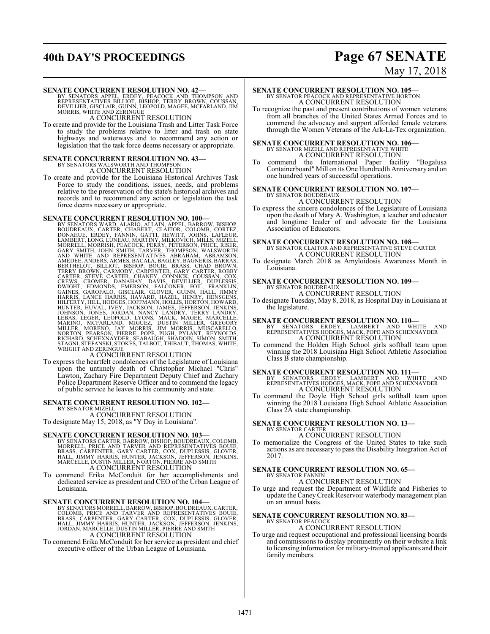## **40th DAY'S PROCEEDINGS Page 67 SENATE**

# May 17, 2018

### **SENATE CONCURRENT RESOLUTION NO. 42—**

BY SENATORS APPEL, ERDEY, PEACOCK AND THOMPSON AND<br>REPRESENTATIVES BILLIOT, BISHOP, TERRY BROWN, COUSSAN,<br>DEVILLIER,GISCLAIR,GUINN,LEOPOLD,MAGEE,MCFARLAND,JIM<br>MORRIS,WHITE AND ZERINGUE

A CONCURRENT RESOLUTION

To create and provide for the Louisiana Trash and Litter Task Force to study the problems relative to litter and trash on state highways and waterways and to recommend any action or legislation that the task force deems necessary or appropriate.

# **SENATE CONCURRENT RESOLUTION NO. 43<br>BY SENATORS WALSWORTH AND THOMPSON<br>A CONCURRENT RESOLUTION**

To create and provide for the Louisiana Historical Archives Task Force to study the conditions, issues, needs, and problems relative to the preservation of the state's historical archives and records and to recommend any action or legislation the task force deems necessary or appropriate.

**SENATE CONCURRENT RESOLUTION NO. 100—**<br>BY SENATORS WARD, ALARIO, ALLAIN, APPEL, BARROW, BISHOP, BOUDREAUX, CARTER, CHABERT, CLAITOR, COLOMB, CORTEZ,<br>LAMBERT, LONG, LUNEAU, MATTI, HEWITT, JOHNS, LAFLEUR,<br>LAMBERT, LONG, LUN

To express the heartfelt condolences of the Legislature of Louisiana upon the untimely death of Christopher Michael "Chris" Lawton, Zachary Fire Department Deputy Chief and Zachary Police Department Reserve Officer and to commend the legacy of public service he leaves to his community and state.

#### **SENATE CONCURRENT RESOLUTION NO. 102—** BY SENATOR MIZELL

A CONCURRENT RESOLUTION To designate May 15, 2018, as "Y Day in Louisiana".

### **SENATE CONCURRENT RESOLUTION NO. 103—**

BY SENATORS CARTER, BARROW, BISHOP, BOUDREAUX, COLOMB,<br>MORRELL, PRICE AND TARVER AND REPRESENTATIVES BOUIE,<br>BRASS, CARPENTER, GARY CARTER, COX, DUPLESSIS, GLOVER,<br>HALL, JIMMY HARRIS, HUNTER, JACKSON, JEFFERSON, JENKINS,<br>MA A CONCURRENT RESOLUTION

To commend Erika McConduit for her accomplishments and dedicated service as president and CEO of the Urban League of Louisiana.

SENATE CONCURRENT RESOLUTION NO. 104-<br>BY SENATORS MORRELL, BARROW, BISHOP, BOUDREAUX, CARTER,<br>COLOMB, PRICE AND TARVER AND REPRESENTATIVES BOUIE,<br>BRASS, CARPENTER, GARY CARTER, COX, DUPLESSIS, GLOVER,<br>HALL, JIMMY HARRIS, H A CONCURRENT RESOLUTION

To commend Erika McConduit for her service as president and chief executive officer of the Urban League of Louisiana.

### **SENATE CONCURRENT RESOLUTION NO. 105—** BY SENATOR PEACOCK AND REPRESENTATIVE HORTON A CONCURRENT RESOLUTION

To recognize the past and present contributions of women veterans from all branches of the United States Armed Forces and to commend the advocacy and support afforded female veterans through the Women Veterans of the Ark-La-Tex organization.

### **SENATE CONCURRENT RESOLUTION NO. 106—** BY SENATOR MIZELL AND REPRESENTATIVE WHITE A CONCURRENT RESOLUTION

To commend the International Paper facility "Bogalusa Containerboard" Mill on its One Hundredth Anniversary and on one hundred years of successful operations.

### **SENATE CONCURRENT RESOLUTION NO. 107—**

#### BY SENATOR BOUDREAUX A CONCURRENT RESOLUTION

To express the sincere condolences of the Legislature of Louisiana upon the death of Mary A. Washington, a teacher and educator and longtime leader of and advocate for the Louisiana Association of Educators.

### **SENATE CONCURRENT RESOLUTION NO. 108—** BY SENATOR CLAITOR AND REPRESENTATIVE STEVE CARTER A CONCURRENT RESOLUTION

To designate March 2018 as Amyloidosis Awareness Month in Louisiana.

### **SENATE CONCURRENT RESOLUTION NO. 109—** BY SENATOR BOUDREAUX

A CONCURRENT RESOLUTION

To designate Tuesday, May 8, 2018, as Hospital Day in Louisiana at the legislature.

### **SENATE CONCURRENT RESOLUTION NO. 110—**

BY SENATORS ERDEY, LAMBERT AND WHITE AND REPRESENTATIVES HODGES, MACK, POPE AND SCHEXNAYDER A CONCURRENT RESOLUTION

To commend the Holden High School girls softball team upon winning the 2018 Louisiana High School Athletic Association Class B state championship.

- **SENATE CONCURRENT RESOLUTION NO. 111—**<br>BY SENATORS ERDEY, LAMBERT AND WHITE AND<br>REPRESENTATIVES HODGES, MACK, POPE AND SCHEXNAYDER<br>A CONCURRENT RESOLUTION
- To commend the Doyle High School girls softball team upon winning the 2018 Louisiana High School Athletic Association Class 2A state championship.

## **SENATE CONCURRENT RESOLUTION NO. 13—** BY SENATOR CARTER

### A CONCURRENT RESOLUTION

To memorialize the Congress of the United States to take such actions as are necessary to pass the Disability Integration Act of 2017.

#### **SENATE CONCURRENT RESOLUTION NO. 65—** BY SENATOR FANNIN

A CONCURRENT RESOLUTION

To urge and request the Department of Wildlife and Fisheries to update the CaneyCreek Reservoir waterbody management plan on an annual basis.

#### **SENATE CONCURRENT RESOLUTION NO. 83—** BY SENATOR PEACOCK

A CONCURRENT RESOLUTION

To urge and request occupational and professional licensing boards and commissions to display prominently on their website a link to licensing information for military-trained applicants and their family members.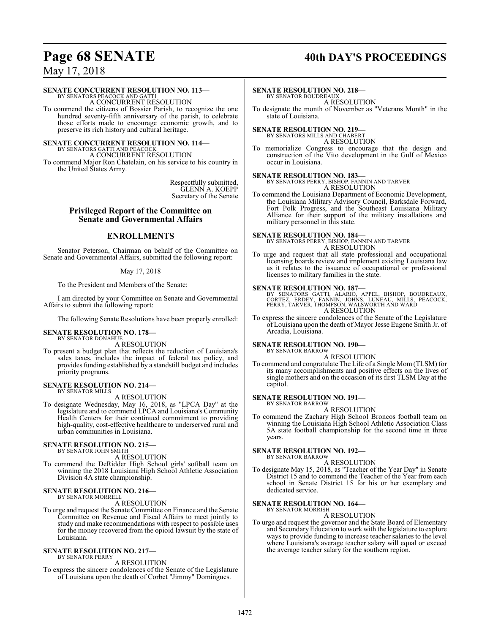## **Page 68 SENATE 40th DAY'S PROCEEDINGS**

### May 17, 2018

### **SENATE CONCURRENT RESOLUTION NO. 113—**

BY SENATORS PEACOCK AND GATTI A CONCURRENT RESOLUTION

To commend the citizens of Bossier Parish, to recognize the one hundred seventy-fifth anniversary of the parish, to celebrate those efforts made to encourage economic growth, and to preserve its rich history and cultural heritage.

### **SENATE CONCURRENT RESOLUTION NO. 114—**

BY SENATORS GATTI AND PEACOCK A CONCURRENT RESOLUTION

To commend Major Ron Chatelain, on his service to his country in the United States Army.

> Respectfully submitted, GLENN A. KOEPP Secretary of the Senate

### **Privileged Report of the Committee on Senate and Governmental Affairs**

### **ENROLLMENTS**

Senator Peterson, Chairman on behalf of the Committee on Senate and Governmental Affairs, submitted the following report:

### May 17, 2018

To the President and Members of the Senate:

I am directed by your Committee on Senate and Governmental Affairs to submit the following report:

The following Senate Resolutions have been properly enrolled:

### **SENATE RESOLUTION NO. 178—** BY SENATOR DONAHUE

A RESOLUTION

To present a budget plan that reflects the reduction of Louisiana's sales taxes, includes the impact of federal tax policy, and provides funding established by a standstill budget and includes priority programs.

### **SENATE RESOLUTION NO. 214—** BY SENATOR MILLS

A RESOLUTION

To designate Wednesday, May 16, 2018, as "LPCA Day" at the legislature and to commend LPCA and Louisiana's Community Health Centers for their continued commitment to providing high-quality, cost-effective healthcare to underserved rural and urban communities in Louisiana.

### **SENATE RESOLUTION NO. 215—**

BY SENATOR JOHN SMITH A RESOLUTION

To commend the DeRidder High School girls' softball team on winning the 2018 Louisiana High School Athletic Association Division 4A state championship.

#### **SENATE RESOLUTION NO. 216—** BY SENATOR MORRELL

### A RESOLUTION

To urge and request the Senate Committee on Finance and the Senate Committee on Revenue and Fiscal Affairs to meet jointly to study and make recommendations with respect to possible uses for the money recovered from the opioid lawsuit by the state of Louisiana.

#### **SENATE RESOLUTION NO. 217—** BY SENATOR PERRY

A RESOLUTION

To express the sincere condolences of the Senate of the Legislature of Louisiana upon the death of Corbet "Jimmy" Domingues.

### **SENATE RESOLUTION NO. 218—**

BY SENATOR BOUDREAU A RESOLUTION

To designate the month of November as "Veterans Month" in the state of Louisiana.

### **SENATE RESOLUTION NO. 219—** BY SENATORS MILLS AND CHABERT

A RESOLUTION

To memorialize Congress to encourage that the design and construction of the Vito development in the Gulf of Mexico occur in Louisiana.

**SENATE RESOLUTION NO. 183—** BY SENATORS PERRY, BISHOP, FANNIN AND TARVER A RESOLUTION

To commend the Louisiana Department of Economic Development, the Louisiana Military Advisory Council, Barksdale Forward, Fort Polk Progress, and the Southeast Louisiana Military Alliance for their support of the military installations and military personnel in this state.

**SENATE RESOLUTION NO. 184—** BY SENATORS PERRY, BISHOP, FANNIN AND TARVER A RESOLUTION

To urge and request that all state professional and occupational licensing boards review and implement existing Louisiana law as it relates to the issuance of occupational or professional licenses to military families in the state.

**SENATE RESOLUTION NO. 187—**<br>BY SENATORS GATTI, ALARIO, APPEL, BISHOP, BOUDREAUX,<br>CORTEZ, ERDEY, FANNIN, JOHNS, LUNEAU, MILLS, PEACOCK,<br>PERRY, TARVER, THOMPSON, WALSWORTH AND WARD A RESOLUTION

To express the sincere condolences of the Senate of the Legislature of Louisiana upon the death of Mayor Jesse Eugene Smith Jr. of Arcadia, Louisiana.

### **SENATE RESOLUTION NO. 190—**

BY SENATOR BARROW

A RESOLUTION To commend and congratulate The Life of a Single Mom(TLSM) for its many accomplishments and positive effects on the lives of single mothers and on the occasion of its first TLSM Day at the capitol.

## **SENATE RESOLUTION NO. 191—** BY SENATOR BARROW

A RESOLUTION

To commend the Zachary High School Broncos football team on winning the Louisiana High School Athletic Association Class 5A state football championship for the second time in three years.

## **SENATE RESOLUTION NO. 192—** BY SENATOR BARROW

A RESOLUTION

To designate May 15, 2018, as "Teacher of the Year Day" in Senate District 15 and to commend the Teacher of the Year from each school in Senate District 15 for his or her exemplary and dedicated service.

### **SENATE RESOLUTION NO. 164—**

### BY SENATOR MORRISH A RESOLUTION

To urge and request the governor and the State Board of Elementary and SecondaryEducation to work with the legislature to explore ways to provide funding to increase teacher salaries to the level where Louisiana's average teacher salary will equal or exceed the average teacher salary for the southern region.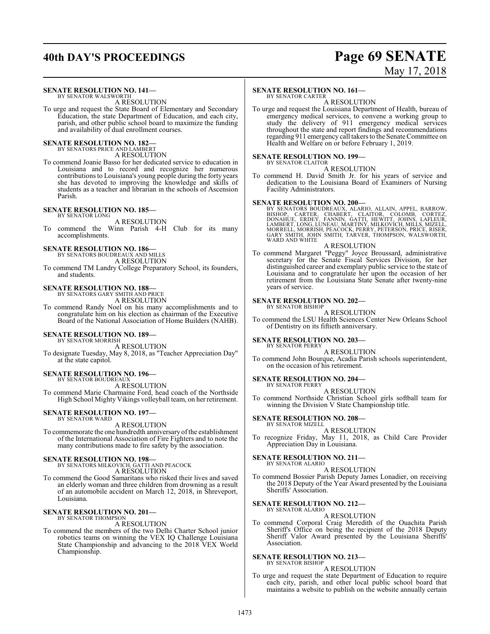## **40th DAY'S PROCEEDINGS Page 69 SENATE**

# May 17, 2018

### **SENATE RESOLUTION NO. 141—** BY SENATOR WALSWORTH

A RESOLUTION

To urge and request the State Board of Elementary and Secondary Education, the state Department of Education, and each city, parish, and other public school board to maximize the funding and availability of dual enrollment courses.

# **SENATE RESOLUTION NO. 182—**<br>BY SENATORS PRICE AND LAMBERT<br>A RESOLUTION

To commend Joanie Basso for her dedicated service to education in Louisiana and to record and recognize her numerous contributions to Louisiana's young people during the forty years she has devoted to improving the knowledge and skills of students as a teacher and librarian in the schools of Ascension Parish.

### **SENATE RESOLUTION NO. 185—**

BY SENATOR LONG A RESOLUTION

To commend the Winn Parish 4-H Club for its many accomplishments.

### **SENATE RESOLUTION NO. 186—**

BY SENATORS BOUDREAUX AND MILLS A RESOLUTION

To commend TM Landry College Preparatory School, its founders, and students.

## **SENATE RESOLUTION NO. 188—** BY SENATORS GARY SMITH AND PRICE

A RESOLUTION

To commend Randy Noel on his many accomplishments and to congratulate him on his election as chairman of the Executive Board of the National Association of Home Builders (NAHB).

#### **SENATE RESOLUTION NO. 189—** BY SENATOR MORRISH

A RESOLUTION

To designate Tuesday, May 8, 2018, as "Teacher Appreciation Day" at the state capitol.

### **SENATE RESOLUTION NO. 196—**

BY SENATOR BOUDREAUX A RESOLUTION

To commend Marie Charmaine Ford, head coach of the Northside High School Mighty Vikings volleyball team, on her retirement.

#### **SENATE RESOLUTION NO. 197—** BY SENATOR WARD

A RESOLUTION

To commemorate the one hundredth anniversary of the establishment of the International Association of Fire Fighters and to note the many contributions made to fire safety by the association.

### **SENATE RESOLUTION NO. 198—** BY SENATORS MILKOVICH, GATTI AND PEACOCK

A RESOLUTION

To commend the Good Samaritans who risked their lives and saved an elderly woman and three children from drowning as a result of an automobile accident on March 12, 2018, in Shreveport, Louisiana.

#### **SENATE RESOLUTION NO. 201—** BY SENATOR THOMPSON

A RESOLUTION

To commend the members of the two Delhi Charter School junior robotics teams on winning the VEX IQ Challenge Louisiana State Championship and advancing to the 2018 VEX World Championship.

### **SENATE RESOLUTION NO. 161—**

BY SENATOR CARTER A RESOLUTION

To urge and request the Louisiana Department of Health, bureau of emergency medical services, to convene a working group to study the delivery of 911 emergency medical services throughout the state and report findings and recommendations regarding 911 emergency call takers to the Senate Committee on Health and Welfare on or before February 1, 2019.

### **SENATE RESOLUTION NO. 199—**

BY SENATOR CLAITOR A RESOLUTION

To commend H. David Smith Jr. for his years of service and dedication to the Louisiana Board of Examiners of Nursing Facility Administrators.

### **SENATE RESOLUTION NO. 200—**

BY SENATORS BOUDREAUX, ALARIO, ALLAIN, APPEL, BARROW,<br>BISHOP, CARTER, CHABERT, CLAITOR, COLOMB, CORTEZ,<br>DONAHUE, ERDEY, FANNIN, GATTI, HEWITT, JOHNS, LAFLEUR,<br>LAMBERT, LONG,LUNEAU, MARTINY, MILKOVICH, MILLS, MIZELL,<br>MORREL WARD AND WHITE

### A RESOLUTION

To commend Margaret "Peggy" Joyce Broussard, administrative secretary for the Senate Fiscal Services Division, for her distinguished career and exemplary public service to the state of Louisiana and to congratulate her upon the occasion of her retirement from the Louisiana State Senate after twenty-nine years of service.

#### **SENATE RESOLUTION NO. 202—** BY SENATOR BISHOP

### A RESOLUTION

To commend the LSU Health Sciences Center New Orleans School of Dentistry on its fiftieth anniversary.

### **SENATE RESOLUTION NO. 203—**

- BY SENATOR PERRY A RESOLUTION
- To commend John Bourque, Acadia Parish schools superintendent, on the occasion of his retirement.

### **SENATE RESOLUTION NO. 204—**

BY SENATOR PERRY A RESOLUTION

To commend Northside Christian School girls softball team for winning the Division V State Championship title.

#### **SENATE RESOLUTION NO. 208—** BY SENATOR MIZELL

- A RESOLUTION
- To recognize Friday, May 11, 2018, as Child Care Provider Appreciation Day in Louisiana.

#### **SENATE RESOLUTION NO. 211—** BY SENATOR ALARIO

A RESOLUTION

To commend Bossier Parish Deputy James Lonadier, on receiving the 2018 Deputy of the Year Award presented by the Louisiana Sheriffs' Association.

#### **SENATE RESOLUTION NO. 212—** BY SENATOR ALARIO

### A RESOLUTION

To commend Corporal Craig Meredith of the Ouachita Parish Sheriff's Office on being the recipient of the 2018 Deputy Sheriff Valor Award presented by the Louisiana Sheriffs' Association.

#### **SENATE RESOLUTION NO. 213—** BY SENATOR BISHOP

### A RESOLUTION

To urge and request the state Department of Education to require each city, parish, and other local public school board that maintains a website to publish on the website annually certain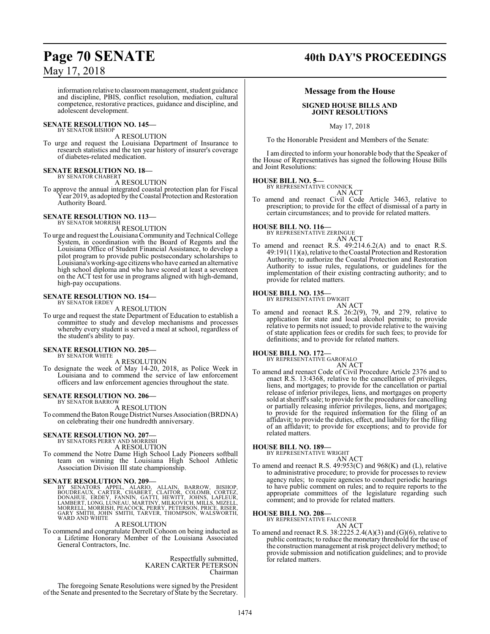information relative to classroom management, student guidance and discipline, PBIS, conflict resolution, mediation, cultural competence, restorative practices, guidance and discipline, and adolescent development.

#### **SENATE RESOLUTION NO. 145—** BY SENATOR BISHOP

### A RESOLUTION

To urge and request the Louisiana Department of Insurance to research statistics and the ten year history of insurer's coverage of diabetes-related medication.

#### **SENATE RESOLUTION NO. 18—** BY SENATOR CHABERT

A RESOLUTION

To approve the annual integrated coastal protection plan for Fiscal Year 2019, as adopted by the Coastal Protection and Restoration Authority Board.

#### **SENATE RESOLUTION NO. 113—** BY SENATOR MORRISH

A RESOLUTION

To urge and request the LouisianaCommunity and Technical College System, in coordination with the Board of Regents and the Louisiana Office of Student Financial Assistance, to develop a pilot program to provide public postsecondary scholarships to Louisiana's working-age citizens who have earned an alternative high school diploma and who have scored at least a seventeen on the ACT test for use in programs aligned with high-demand, high-pay occupations.

### **SENATE RESOLUTION NO. 154—** BY SENATOR ERDEY

A RESOLUTION

To urge and request the state Department of Education to establish a committee to study and develop mechanisms and processes whereby every student is served a meal at school, regardless of the student's ability to pay.

#### **SENATE RESOLUTION NO. 205—** BY SENATOR WHITE

A RESOLUTION

To designate the week of May 14-20, 2018, as Police Week in Louisiana and to commend the service of law enforcement officers and law enforcement agencies throughout the state.

### **SENATE RESOLUTION NO. 206—** BY SENATOR BARROW

A RESOLUTION

To commend the Baton Rouge District Nurses Association (BRDNA) on celebrating their one hundredth anniversary.

### **SENATE RESOLUTION NO. 207—**

BY SENATORS PERRY AND MORRISH A RESOLUTION

To commend the Notre Dame High School Lady Pioneers softball team on winning the Louisiana High School Athletic Association Division III state championship.

### **SENATE RESOLUTION NO. 209—**

BY SENATORS APPEL, ALARIO, ALLAIN, BARROW, BISHOP,<br>BOUDREAUX, CARTER, CHABERT, CLAITOR, COLOMB, CORTEZ,<br>DONAHUE, ERDEY, FANNIN, GATTI, HEWITT, JOHNS, LAFLEUR,<br>LAMBERT,LONG,LUNEAU,MARTINY,MILKOVICH,MILLS,MIZELL,<br>MORRELL,MOR WARD AND WHITE

### A RESOLUTION

To commend and congratulate Derrell Cohoon on being inducted as a Lifetime Honorary Member of the Louisiana Associated General Contractors, Inc.

> Respectfully submitted, KAREN CARTER PETERSON Chairman

The foregoing Senate Resolutions were signed by the President of the Senate and presented to the Secretary of State by the Secretary.

### **Page 70 SENATE 40th DAY'S PROCEEDINGS**

### **Message from the House**

### **SIGNED HOUSE BILLS AND JOINT RESOLUTIONS**

May 17, 2018

To the Honorable President and Members of the Senate:

I am directed to inform your honorable body that the Speaker of the House of Representatives has signed the following House Bills and Joint Resolutions:

### **HOUSE BILL NO. 5—** BY REPRESENTATIVE CONNICK

AN ACT

To amend and reenact Civil Code Article 3463, relative to prescription; to provide for the effect of dismissal of a party in certain circumstances; and to provide for related matters.

## **HOUSE BILL NO. 116—** BY REPRESENTATIVE ZERINGUE

- AN ACT
- To amend and reenact R.S. 49:214.6.2(A) and to enact R.S. 49:191(11)(a), relative to the Coastal Protection and Restoration Authority; to authorize the Coastal Protection and Restoration Authority to issue rules, regulations, or guidelines for the implementation of their existing contracting authority; and to provide for related matters.

### **HOUSE BILL NO. 135—**

BY REPRESENTATIVE DWIGHT AN ACT

To amend and reenact R.S. 26:2(9), 79, and 279, relative to application for state and local alcohol permits; to provide relative to permits not issued; to provide relative to the waiving of state application fees or credits for such fees; to provide for definitions; and to provide for related matters.

### **HOUSE BILL NO. 172—**

BY REPRESENTATIVE GAROFALO AN ACT

To amend and reenact Code of Civil Procedure Article 2376 and to enact R.S. 13:4368, relative to the cancellation of privileges, liens, and mortgages; to provide for the cancellation or partial release of inferior privileges, liens, and mortgages on property sold at sheriff's sale; to provide for the procedures for cancelling or partially releasing inferior privileges, liens, and mortgages; to provide for the required information for the filing of an affidavit; to provide the duties, effect, and liability for the filing of an affidavit; to provide for exceptions; and to provide for related matters.

### **HOUSE BILL NO. 189—**

BY REPRESENTATIVE WRIGHT AN ACT

To amend and reenact R.S. 49:953(C) and 968(K) and (L), relative to administrative procedure; to provide for processes to review agency rules; to require agencies to conduct periodic hearings to have public comment on rules; and to require reports to the appropriate committees of the legislature regarding such comment; and to provide for related matters.

### **HOUSE BILL NO. 208—**

BY REPRESENTATIVE FALCONER AN ACT

To amend and reenact R.S. 38:2225.2.4(A)(3) and (G)(6), relative to public contracts; to reduce the monetary threshold for the use of the construction management at risk project delivery method; to provide submission and notification guidelines; and to provide for related matters.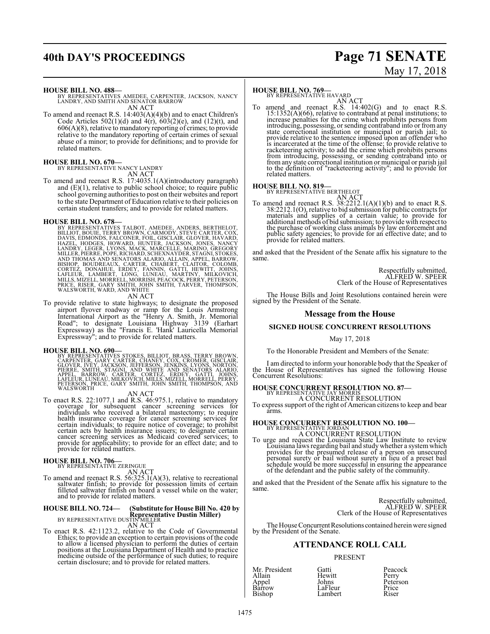## **40th DAY'S PROCEEDINGS Page 71 SENATE**

# May 17, 2018

### **HOUSE BILL NO. 488—**

BY REPRESENTATIVES AMEDEE, CARPENTER, JACKSON, NANCY LANDRY, AND SMITH AND SENATOR BARROW AN ACT

To amend and reenact R.S. 14:403(A)(4)(b) and to enact Children's Code Articles  $502(1)(d)$  and  $4(r)$ ,  $603(2)(e)$ , and  $(12)(t)$ , and 606(A)(8), relative to mandatory reporting of crimes; to provide relative to the mandatory reporting of certain crimes of sexual abuse of a minor; to provide for definitions; and to provide for related matters.

### **HOUSE BILL NO. 670—**

BY REPRESENTATIVE NANCY LANDRY AN ACT

To amend and reenact R.S. 17:4035.1(A)(introductory paragraph) and  $(E)(1)$ , relative to public school choice; to require public school governing authorities to post on their websites and report to the state Department of Education relative to their policies on certain student transfers; and to provide for related matters.

HOUSE BILL NO. 678—<br>
BY REPRESENTATIVES TALBOT, AMEDEE, ANDERS, BERTHELOT, BILLIOT, BOUIE, TERRY BROWN, CARMODY, STEVE CARTER, COX, DAVIS, EDMONDS, FALCONER, FOIL, GISCLAIR, GLOVER, HAVARD, HAZEL, HODGES, HOWARD, LANDRY, L

To provide relative to state highways; to designate the proposed airport flyover roadway or ramp for the Louis Armstrong International Airport as the "Henry A. Smith, Jr. Memorial Road"; to designate Louisiana Highway 3139 (Earhart Expressway) as the "Francis E. 'Hank' Lauricella Memorial Expressway"; and to provide for related matters.

HOUSE BILL NO. 690—<br>
BY REPRESENTATIVES STOKES, BILLIOT, BRASS, TERRY BROWN,<br>
CARPENTER, GARY CARTER, CHANEY, COX, CROMER, GISCLAIR,<br>
GLOVER, IVÉY, JACKSON, JEFFERSON, JENKINS, LYONS, NORTON,<br>
PIERRE, SMITH, STAGNI, AND WH

AN ACT<br>To enact R.S. 22:1077.1 and R.S. 46:975.1, relative to mandatory coverage for subsequent cancer screening services for<br>individuals who received a bilateral mastectomy; to require<br>health insurance coverage for cancer screening services for<br>certain individuals; to require notice of covera certain acts by health insurance issuers; to designate certain cancer screening services as Medicaid covered services; to provide for applicability; to provide for an effect date; and to provide for related matters.

**HOUSE BILL NO. 706**<br>BY REPRESENTATIVE ZERINGUE<br>To amend and reenact R.S. 56:325.1(A)(3), relative to recreational<br>saltwater finfish; to provide for possession limits of certain<br>filleted saltwater finfish on board a vessel and to provide for related matters.

# **HOUSE BILL NO. 724— (Substitute for House Bill No. 420 by**<br> **REPRESENTATIVE DUSTIN MILLER**<br>
AN ACT AN ACT

To enact R.S. 42:1123.2, relative to the Code of Governmental Ethics; to provide an exception to certain provisions of the code to allow a licensed physician to perform the duties of certain positions at the Louisiana Department of Health and to practice medicine outside of the performance of such duties; to require certain disclosure; and to provide for related matters.

## **HOUSE BILL NO. 769-**<br>BY REPRESENTATIVE HAVARD

AN ACT<br>To amend and reenact R.S. 14:402(G) and to enact R.S.<br>15:1352(A)(66), relative to contraband at penal institutions; to increase penalties for the crime which prohibits persons from introducing, possessing, or sending contraband into or fromany state correctional institution or municipal or parish jail; to provide relative to the sentence imposed upon an offender who is incarcerated at the time of the offense; to provide relative to racketeering activity; to add the crime which prohibits persons from introducing, possessing, or sending contraband into or form any state correctional ins related matters.

**HOUSE BILL NO. 819—**<br>BY REPRESENTATIVE BERTHELOT<br>To amend and reenact R.S. 38:2212.1(A)(1)(b) and to enact R.S.<br>38:2212.1(O), relative to bid submission for public contracts for<br>materials and supplies of a certain value; public safety agencies; to provide for an effective date; and to provide for related matters.

and asked that the President of the Senate affix his signature to the same.

> Respectfully submitted, ALFRED W. SPEER Clerk of the House of Representatives

The House Bills and Joint Resolutions contained herein were signed by the President of the Senate.

### **Message from the House**

### **SIGNED HOUSE CONCURRENT RESOLUTIONS**

May 17, 2018

To the Honorable President and Members of the Senate:

I am directed to inform your honorable body that the Speaker of the House of Representatives has signed the following House Concurrent Resolutions:

### **HOUSE CONCURRENT RESOLUTION NO. 87-**<br>BY REPRESENTATIVE JAY MORRIS A CONCURRENT RESOLUTION

To express support of the right of American citizens to keep and bear arms.

### **HOUSE CONCURRENT RESOLUTION NO. 100—** BY REPRESENTATIVE JORDAN A CONCURRENT RESOLUTION

To urge and request the Louisiana State Law Institute to review Louisiana laws regarding bail and studywhether a systemwhich provides for the presumed release of a person on unsecured personal surety or bail without surety in lieu of a preset bail schedule would be more successful in ensuring the appearance of the defendant and the public safety of the community.

and asked that the President of the Senate affix his signature to the same.

> Respectfully submitted, ALFRED W. SPEER Clerk of the House of Representatives

The House Concurrent Resolutions contained herein were signed by the President of the Senate.

### **ATTENDANCE ROLL CALL**

### PRESENT

Allain Hewitt<br>Appel Johns Barrow LaFleur Price<br>Bishop Lambert Riser Lambert

Mr. President Gatti Peacock Johns Peterson<br>LaFleur Price